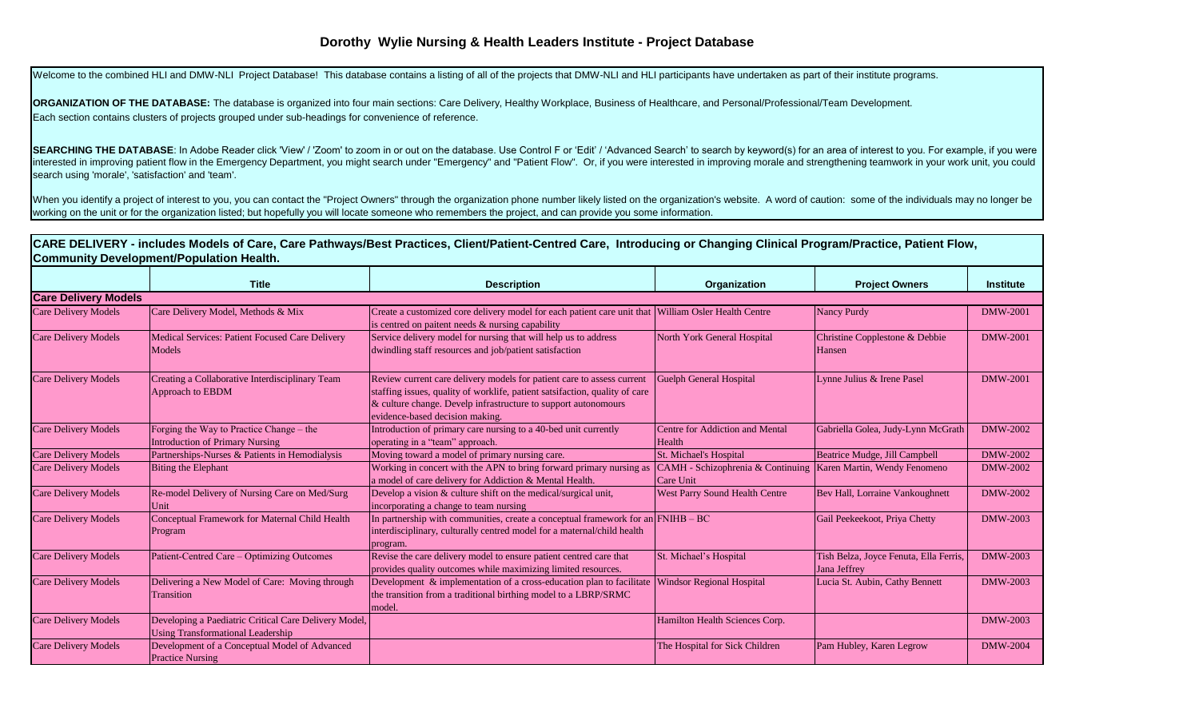## **Dorothy Wylie Nursing & Health Leaders Institute - Project Database**

Welcome to the combined HLI and DMW-NLI Project Database! This database contains a listing of all of the projects that DMW-NLI and HLI participants have undertaken as part of their institute programs.

**ORGANIZATION OF THE DATABASE:** The database is organized into four main sections: Care Delivery, Healthy Workplace, Business of Healthcare, and Personal/Professional/Team Development. Each section contains clusters of projects grouped under sub-headings for convenience of reference.

SEARCHING THE DATABASE: In Adobe Reader click 'View' / 'Zoom' to zoom in or out on the database. Use Control F or 'Edit' / 'Advanced Search' to search by keyword(s) for an area of interest to you. For example, if you were interested in improving patient flow in the Emergency Department, you might search under "Emergency" and "Patient Flow". Or, if you were interested in improving morale and strengthening teamwork in your work unit, you could search using 'morale', 'satisfaction' and 'team'.

When you identify a project of interest to you, you can contact the "Project Owners" through the organization phone number likely listed on the organization's website. A word of caution: some of the individuals may no long working on the unit or for the organization listed; but hopefully you will locate someone who remembers the project, and can provide you some information.

|                                                 | CARE DELIVERY - includes Models of Care, Care Pathways/Best Practices, Client/Patient-Centred Care, Introducing or Changing Clinical Program/Practice, Patient Flow, |  |  |
|-------------------------------------------------|----------------------------------------------------------------------------------------------------------------------------------------------------------------------|--|--|
| <b>Community Development/Population Health.</b> |                                                                                                                                                                      |  |  |
|                                                 |                                                                                                                                                                      |  |  |

|                             | <b>Title</b>                                                                                      | <b>Description</b>                                                                                                                                                                                                                                         | Organization                                   | <b>Project Owners</b>                                  | <b>Institute</b> |
|-----------------------------|---------------------------------------------------------------------------------------------------|------------------------------------------------------------------------------------------------------------------------------------------------------------------------------------------------------------------------------------------------------------|------------------------------------------------|--------------------------------------------------------|------------------|
| <b>Care Delivery Models</b> |                                                                                                   |                                                                                                                                                                                                                                                            |                                                |                                                        |                  |
| <b>Care Delivery Models</b> | Care Delivery Model, Methods & Mix                                                                | Create a customized core delivery model for each patient care unit that William Osler Health Centre<br>is centred on paitent needs & nursing capability                                                                                                    |                                                | Nancy Purdy                                            | <b>DMW-2001</b>  |
| <b>Care Delivery Models</b> | Medical Services: Patient Focused Care Delivery<br>Models                                         | Service delivery model for nursing that will help us to address<br>dwindling staff resources and job/patient satisfaction                                                                                                                                  | North York General Hospital                    | Christine Copplestone & Debbie<br>Hansen               | <b>DMW-2001</b>  |
| <b>Care Delivery Models</b> | Creating a Collaborative Interdisciplinary Team<br>Approach to EBDM                               | Review current care delivery models for patient care to assess current<br>staffing issues, quality of worklife, patient satsifaction, quality of care<br>& culture change. Develp infrastructure to support autonomours<br>evidence-based decision making. | <b>Guelph General Hospital</b>                 | Lynne Julius & Irene Pasel                             | <b>DMW-2001</b>  |
| <b>Care Delivery Models</b> | Forging the Way to Practice Change – the<br><b>Introduction of Primary Nursing</b>                | Introduction of primary care nursing to a 40-bed unit currently<br>operating in a "team" approach.                                                                                                                                                         | Centre for Addiction and Mental<br>Health      | Gabriella Golea, Judy-Lynn McGrath                     | DMW-2002         |
| <b>Care Delivery Models</b> | Partnerships-Nurses & Patients in Hemodialysis                                                    | Moving toward a model of primary nursing care.                                                                                                                                                                                                             | <b>St. Michael's Hospital</b>                  | Beatrice Mudge, Jill Campbell                          | DMW-2002         |
| <b>Care Delivery Models</b> | <b>Biting the Elephant</b>                                                                        | Working in concert with the APN to bring forward primary nursing as<br>a model of care delivery for Addiction & Mental Health.                                                                                                                             | CAMH - Schizophrenia & Continuing<br>Care Unit | Karen Martin, Wendy Fenomeno                           | DMW-2002         |
| <b>Care Delivery Models</b> | Re-model Delivery of Nursing Care on Med/Surg<br>Unit                                             | Develop a vision & culture shift on the medical/surgical unit,<br>incorporating a change to team nursing                                                                                                                                                   | <b>West Parry Sound Health Centre</b>          | Bev Hall, Lorraine Vankoughnett                        | DMW-2002         |
| <b>Care Delivery Models</b> | Conceptual Framework for Maternal Child Health<br>Program                                         | In partnership with communities, create a conceptual framework for an $\text{FNIHB} - \text{BC}$<br>interdisciplinary, culturally centred model for a maternal/child health<br>program.                                                                    |                                                | Gail Peekeekoot, Priya Chetty                          | DMW-2003         |
| <b>Care Delivery Models</b> | Patient-Centred Care – Optimizing Outcomes                                                        | Revise the care delivery model to ensure patient centred care that<br>provides quality outcomes while maximizing limited resources.                                                                                                                        | St. Michael's Hospital                         | Tish Belza, Joyce Fenuta, Ella Ferris,<br>Jana Jeffrey | DMW-2003         |
| <b>Care Delivery Models</b> | Delivering a New Model of Care: Moving through<br><b>Transition</b>                               | Development & implementation of a cross-education plan to facilitate<br>the transition from a traditional birthing model to a LBRP/SRMC<br>model.                                                                                                          | <b>Windsor Regional Hospital</b>               | Lucia St. Aubin, Cathy Bennett                         | DMW-2003         |
| <b>Care Delivery Models</b> | Developing a Paediatric Critical Care Delivery Model,<br><b>Using Transformational Leadership</b> |                                                                                                                                                                                                                                                            | Hamilton Health Sciences Corp.                 |                                                        | DMW-2003         |
| <b>Care Delivery Models</b> | Development of a Conceptual Model of Advanced<br><b>Practice Nursing</b>                          |                                                                                                                                                                                                                                                            | The Hospital for Sick Children                 | Pam Hubley, Karen Legrow                               | <b>DMW-2004</b>  |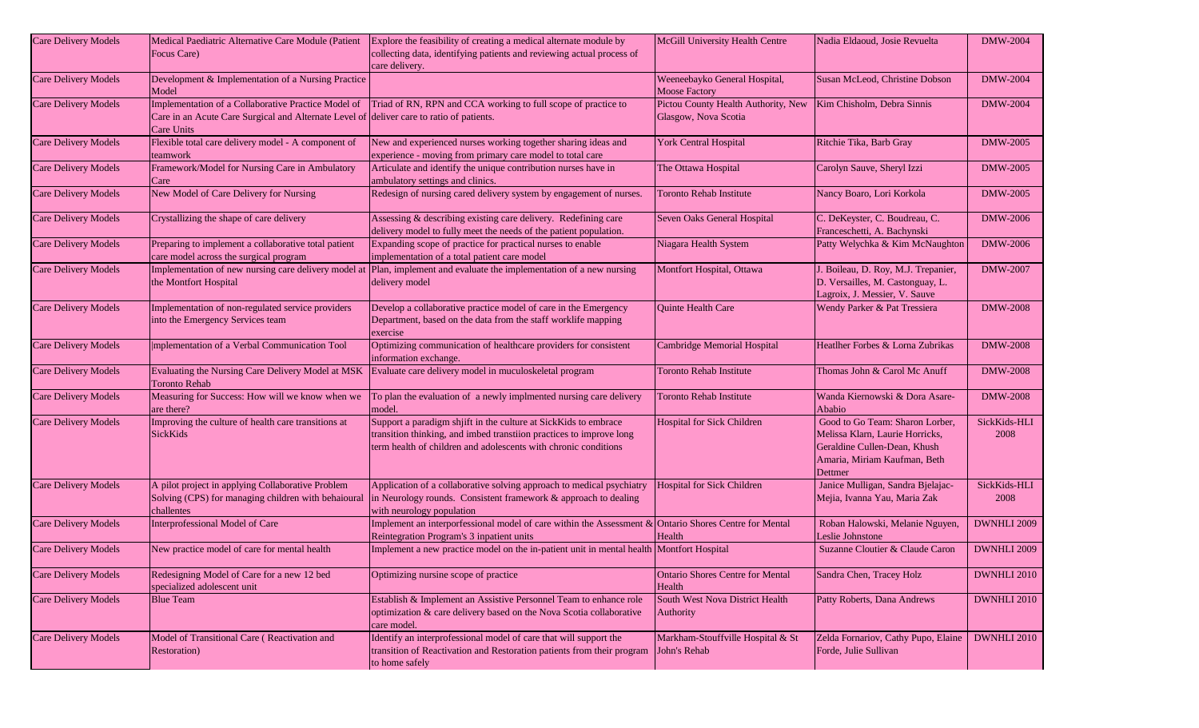| <b>Care Delivery Models</b> | Medical Paediatric Alternative Care Module (Patient<br>Focus Care)                                                                                            | Explore the feasibility of creating a medical alternate module by<br>collecting data, identifying patients and reviewing actual process of<br>care delivery.                                              | McGill University Health Centre                             | Nadia Eldaoud, Josie Revuelta                                                                                                                 | <b>DMW-2004</b>      |
|-----------------------------|---------------------------------------------------------------------------------------------------------------------------------------------------------------|-----------------------------------------------------------------------------------------------------------------------------------------------------------------------------------------------------------|-------------------------------------------------------------|-----------------------------------------------------------------------------------------------------------------------------------------------|----------------------|
| <b>Care Delivery Models</b> | Development & Implementation of a Nursing Practice<br>Model                                                                                                   |                                                                                                                                                                                                           | Weeneebayko General Hospital,<br><b>Moose Factory</b>       | Susan McLeod, Christine Dobson                                                                                                                | <b>DMW-2004</b>      |
| <b>Care Delivery Models</b> | Implementation of a Collaborative Practice Model of<br>Care in an Acute Care Surgical and Alternate Level of deliver care to ratio of patients.<br>Care Units | Triad of RN, RPN and CCA working to full scope of practice to                                                                                                                                             | Pictou County Health Authority, New<br>Glasgow, Nova Scotia | Kim Chisholm, Debra Sinnis                                                                                                                    | <b>DMW-2004</b>      |
| <b>Care Delivery Models</b> | Flexible total care delivery model - A component of<br>teamwork                                                                                               | New and experienced nurses working together sharing ideas and<br>experience - moving from primary care model to total care                                                                                | <b>York Central Hospital</b>                                | Ritchie Tika, Barb Gray                                                                                                                       | <b>DMW-2005</b>      |
| <b>Care Delivery Models</b> | Framework/Model for Nursing Care in Ambulatory<br>Care                                                                                                        | Articulate and identify the unique contribution nurses have in<br>ambulatory settings and clinics.                                                                                                        | The Ottawa Hospital                                         | Carolyn Sauve, Sheryl Izzi                                                                                                                    | <b>DMW-2005</b>      |
| <b>Care Delivery Models</b> | New Model of Care Delivery for Nursing                                                                                                                        | Redesign of nursing cared delivery system by engagement of nurses.                                                                                                                                        | <b>Toronto Rehab Institute</b>                              | Nancy Boaro, Lori Korkola                                                                                                                     | <b>DMW-2005</b>      |
| <b>Care Delivery Models</b> | Crystallizing the shape of care delivery                                                                                                                      | Assessing & describing existing care delivery. Redefining care<br>delivery model to fully meet the needs of the patient population.                                                                       | Seven Oaks General Hospital                                 | C. DeKeyster, C. Boudreau, C.<br>Franceschetti, A. Bachynski                                                                                  | <b>DMW-2006</b>      |
| <b>Care Delivery Models</b> | Preparing to implement a collaborative total patient<br>care model across the surgical program                                                                | Expanding scope of practice for practical nurses to enable<br>implementation of a total patient care model                                                                                                | Niagara Health System                                       | Patty Welychka & Kim McNaughton                                                                                                               | DMW-2006             |
| Care Delivery Models        | Implementation of new nursing care delivery model at<br>the Montfort Hospital                                                                                 | Plan, implement and evaluate the implementation of a new nursing<br>delivery model                                                                                                                        | Montfort Hospital, Ottawa                                   | J. Boileau, D. Roy, M.J. Trepanier,<br>D. Versailles, M. Castonguay, L.<br>Lagroix, J. Messier, V. Sauve                                      | <b>DMW-2007</b>      |
| Care Delivery Models        | Implementation of non-regulated service providers<br>into the Emergency Services team                                                                         | Develop a collaborative practice model of care in the Emergency<br>Department, based on the data from the staff worklife mapping<br>exercise                                                              | Quinte Health Care                                          | Wendy Parker & Pat Tressiera                                                                                                                  | <b>DMW-2008</b>      |
| <b>Care Delivery Models</b> | mplementation of a Verbal Communication Tool                                                                                                                  | Optimizing communication of healthcare providers for consistent<br>information exchange.                                                                                                                  | Cambridge Memorial Hospital                                 | Heatlher Forbes & Lorna Zubrikas                                                                                                              | <b>DMW-2008</b>      |
| <b>Care Delivery Models</b> | <b>Toronto Rehab</b>                                                                                                                                          | Evaluating the Nursing Care Delivery Model at MSK Evaluate care delivery model in muculoskeletal program                                                                                                  | <b>Toronto Rehab Institute</b>                              | Thomas John & Carol Mc Anuff                                                                                                                  | <b>DMW-2008</b>      |
| <b>Care Delivery Models</b> | Measuring for Success: How will we know when we<br>are there?                                                                                                 | To plan the evaluation of a newly implmented nursing care delivery<br>model.                                                                                                                              | <b>Toronto Rehab Institute</b>                              | Wanda Kiernowski & Dora Asare-<br>Ababio                                                                                                      | <b>DMW-2008</b>      |
| <b>Care Delivery Models</b> | Improving the culture of health care transitions at<br>SickKids                                                                                               | Support a paradigm shjift in the culture at SickKids to embrace<br>transition thinking, and imbed transtiion practices to improve long<br>term health of children and adolescents with chronic conditions | Hospital for Sick Children                                  | Good to Go Team: Sharon Lorber,<br>Melissa Klarn, Laurie Horricks,<br>Geraldine Cullen-Dean, Khush<br>Amaria, Miriam Kaufman, Beth<br>Dettmer | SickKids-HLI<br>2008 |
| Care Delivery Models        | A pilot project in applying Collaborative Problem<br>Solving (CPS) for managing children with behaioural<br>challentes                                        | Application of a collaborative solving approach to medical psychiatry<br>in Neurology rounds. Consistent framework & approach to dealing<br>with neurology population                                     | Hospital for Sick Children                                  | Janice Mulligan, Sandra Bjelajac-<br>Mejia, Ivanna Yau, Maria Zak                                                                             | SickKids-HLI<br>2008 |
| <b>Care Delivery Models</b> | Interprofessional Model of Care                                                                                                                               | Implement an interporfessional model of care within the Assessment $\&$ Ontario Shores Centre for Mental<br>Reintegration Program's 3 inpatient units                                                     | Health                                                      | Roban Halowski, Melanie Nguyen,<br>Leslie Johnstone                                                                                           | DWNHLI 2009          |
| <b>Care Delivery Models</b> | New practice model of care for mental health                                                                                                                  | Implement a new practice model on the in-patient unit in mental health Montfort Hospital                                                                                                                  |                                                             | Suzanne Cloutier & Claude Caron                                                                                                               | DWNHLI 2009          |
| <b>Care Delivery Models</b> | Redesigning Model of Care for a new 12 bed<br>specialized adolescent unit                                                                                     | Optimizing nursine scope of practice                                                                                                                                                                      | <b>Ontario Shores Centre for Mental</b><br>Health           | Sandra Chen, Tracey Holz                                                                                                                      | DWNHLI 2010          |
| <b>Care Delivery Models</b> | <b>Blue Team</b>                                                                                                                                              | Establish & Implement an Assistive Personnel Team to enhance role<br>optimization & care delivery based on the Nova Scotia collaborative<br>care model.                                                   | South West Nova District Health<br>Authority                | Patty Roberts, Dana Andrews                                                                                                                   | <b>DWNHLI 2010</b>   |
| Care Delivery Models        | Model of Transitional Care (Reactivation and<br>Restoration)                                                                                                  | Identify an interprofessional model of care that will support the<br>transition of Reactivation and Restoration patients from their program<br>to home safely                                             | Markham-Stouffville Hospital & St<br>John's Rehab           | Zelda Fornariov, Cathy Pupo, Elaine<br>Forde, Julie Sullivan                                                                                  | <b>DWNHLI 2010</b>   |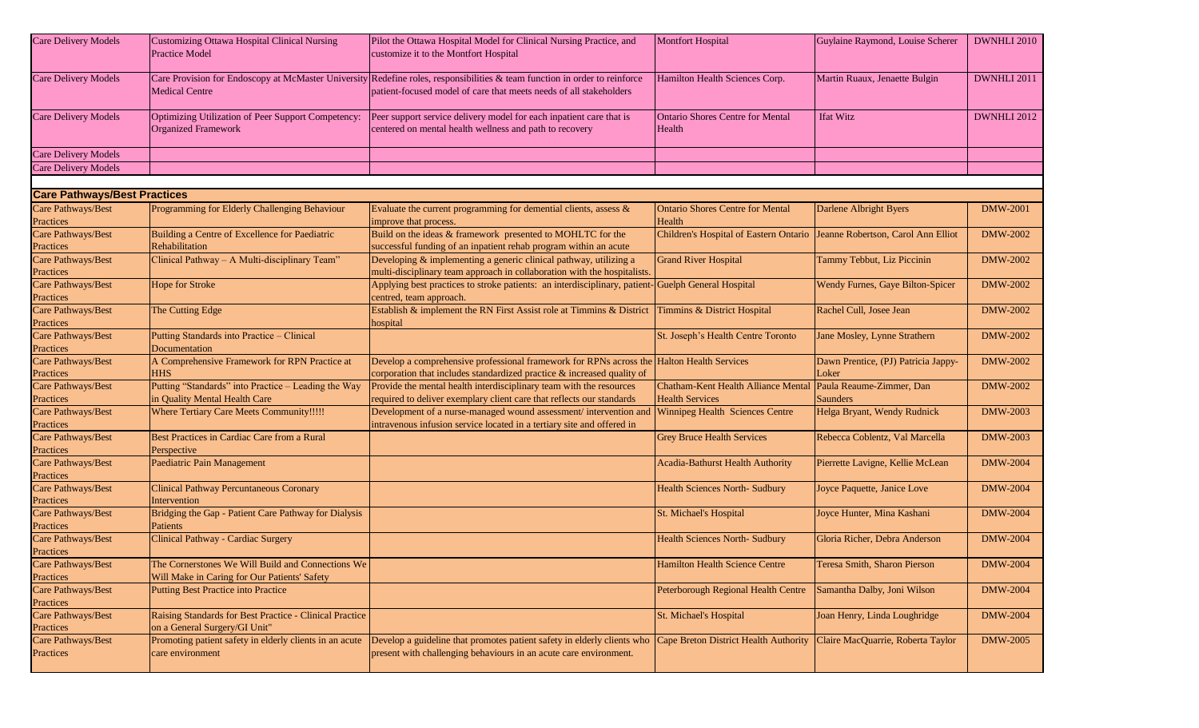| <b>Care Delivery Models</b>            | <b>Customizing Ottawa Hospital Clinical Nursing</b><br><b>Practice Model</b>                      | Pilot the Ottawa Hospital Model for Clinical Nursing Practice, and<br>customize it to the Montfort Hospital                                                                                      | <b>Montfort Hospital</b>                                                   | Guylaine Raymond, Louise Scherer             | DWNHLI 2010        |
|----------------------------------------|---------------------------------------------------------------------------------------------------|--------------------------------------------------------------------------------------------------------------------------------------------------------------------------------------------------|----------------------------------------------------------------------------|----------------------------------------------|--------------------|
| <b>Care Delivery Models</b>            | <b>Medical Centre</b>                                                                             | Care Provision for Endoscopy at McMaster University Redefine roles, responsibilities & team function in order to reinforce<br>patient-focused model of care that meets needs of all stakeholders | Hamilton Health Sciences Corp.                                             | Martin Ruaux, Jenaette Bulgin                | DWNHLI 2011        |
| <b>Care Delivery Models</b>            | Optimizing Utilization of Peer Support Competency:<br><b>Organized Framework</b>                  | Peer support service delivery model for each inpatient care that is<br>centered on mental health wellness and path to recovery                                                                   | <b>Ontario Shores Centre for Mental</b><br>Health                          | <b>Ifat Witz</b>                             | <b>DWNHLI 2012</b> |
| <b>Care Delivery Models</b>            |                                                                                                   |                                                                                                                                                                                                  |                                                                            |                                              |                    |
| <b>Care Delivery Models</b>            |                                                                                                   |                                                                                                                                                                                                  |                                                                            |                                              |                    |
|                                        |                                                                                                   |                                                                                                                                                                                                  |                                                                            |                                              |                    |
| <b>Care Pathways/Best Practices</b>    |                                                                                                   |                                                                                                                                                                                                  |                                                                            |                                              |                    |
| Care Pathways/Best<br>Practices        | Programming for Elderly Challenging Behaviour                                                     | Evaluate the current programming for demential clients, assess $\&$<br>improve that process.                                                                                                     | <b>Ontario Shores Centre for Mental</b><br>Health                          | Darlene Albright Byers                       | <b>DMW-2001</b>    |
| Care Pathways/Best<br>Practices        | Building a Centre of Excellence for Paediatric<br>Rehabilitation                                  | Build on the ideas & framework presented to MOHLTC for the<br>successful funding of an inpatient rehab program within an acute                                                                   | Children's Hospital of Eastern Ontario  Jeanne Robertson, Carol Ann Elliot |                                              | <b>DMW-2002</b>    |
| Care Pathways/Best<br>Practices        | Clinical Pathway - A Multi-disciplinary Team"                                                     | Developing & implementing a generic clinical pathway, utilizing a<br>multi-disciplinary team approach in collaboration with the hospitalists.                                                    | <b>Grand River Hospital</b>                                                | Tammy Tebbut, Liz Piccinin                   | <b>DMW-2002</b>    |
| Care Pathways/Best<br>Practices        | Hope for Stroke                                                                                   | Applying best practices to stroke patients: an interdisciplinary, patient<br>centred, team approach.                                                                                             | Guelph General Hospital                                                    | Wendy Furnes, Gaye Bilton-Spicer             | <b>DMW-2002</b>    |
| Care Pathways/Best<br>Practices        | The Cutting Edge                                                                                  | Establish & implement the RN First Assist role at Timmins & District<br>hospital                                                                                                                 | Timmins & District Hospital                                                | Rachel Cull, Josee Jean                      | DMW-2002           |
| Care Pathways/Best<br>Practices        | Putting Standards into Practice - Clinical<br>Documentation                                       |                                                                                                                                                                                                  | St. Joseph's Health Centre Toronto                                         | Jane Mosley, Lynne Strathern                 | <b>DMW-2002</b>    |
| Care Pathways/Best<br>Practices        | A Comprehensive Framework for RPN Practice at<br><b>HHS</b>                                       | Develop a comprehensive professional framework for RPNs across the Halton Health Services<br>corporation that includes standardized practice & increased quality of                              |                                                                            | Dawn Prentice, (PJ) Patricia Jappy-<br>Loker | DMW-2002           |
| Care Pathways/Best<br>Practices        | Putting "Standards" into Practice - Leading the Way<br>in Quality Mental Health Care              | Provide the mental health interdisciplinary team with the resources<br>required to deliver exemplary client care that reflects our standards                                                     | Chatham-Kent Health Alliance Mental<br><b>Health Services</b>              | Paula Reaume-Zimmer, Dan<br>Saunders         | DMW-2002           |
| Care Pathways/Best<br>Practices        | <b>Where Tertiary Care Meets Community!!!!!</b>                                                   | Development of a nurse-managed wound assessment/intervention and<br>intravenous infusion service located in a tertiary site and offered in                                                       | Winnipeg Health Sciences Centre                                            | Helga Bryant, Wendy Rudnick                  | DMW-2003           |
| Care Pathways/Best<br>Practices        | Best Practices in Cardiac Care from a Rural<br>Perspective                                        |                                                                                                                                                                                                  | <b>Grey Bruce Health Services</b>                                          | Rebecca Coblentz, Val Marcella               | DMW-2003           |
| Care Pathways/Best<br>Practices        | Paediatric Pain Management                                                                        |                                                                                                                                                                                                  | <b>Acadia-Bathurst Health Authority</b>                                    | Pierrette Lavigne, Kellie McLean             | <b>DMW-2004</b>    |
| <b>Care Pathways/Best</b><br>Practices | <b>Clinical Pathway Percuntaneous Coronary</b><br>Intervention                                    |                                                                                                                                                                                                  | <b>Health Sciences North- Sudbury</b>                                      | Joyce Paquette, Janice Love                  | <b>DMW-2004</b>    |
| Care Pathways/Best<br>Practices        | Bridging the Gap - Patient Care Pathway for Dialysis<br>Patients                                  |                                                                                                                                                                                                  | St. Michael's Hospital                                                     | Joyce Hunter, Mina Kashani                   | <b>DMW-2004</b>    |
| Care Pathways/Best<br>Practices        | Clinical Pathway - Cardiac Surgery                                                                |                                                                                                                                                                                                  | <b>Health Sciences North- Sudbury</b>                                      | Gloria Richer, Debra Anderson                | <b>DMW-2004</b>    |
| Care Pathways/Best<br>Practices        | The Cornerstones We Will Build and Connections We<br>Will Make in Caring for Our Patients' Safety |                                                                                                                                                                                                  | Hamilton Health Science Centre                                             | Teresa Smith, Sharon Pierson                 | <b>DMW-2004</b>    |
| Care Pathways/Best<br>Practices        | <b>Putting Best Practice into Practice</b>                                                        |                                                                                                                                                                                                  | Peterborough Regional Health Centre Samantha Dalby, Joni Wilson            |                                              | <b>DMW-2004</b>    |
| Care Pathways/Best<br>Practices        | Raising Standards for Best Practice - Clinical Practice<br>on a General Surgery/GI Unit"          |                                                                                                                                                                                                  | St. Michael's Hospital                                                     | Joan Henry, Linda Loughridge                 | <b>DMW-2004</b>    |
| Care Pathways/Best<br>Practices        | Promoting patient safety in elderly clients in an acute<br>care environment                       | Develop a guideline that promotes patient safety in elderly clients who<br>present with challenging behaviours in an acute care environment.                                                     | Cape Breton District Health Authority                                      | Claire MacQuarrie, Roberta Taylor            | <b>DMW-2005</b>    |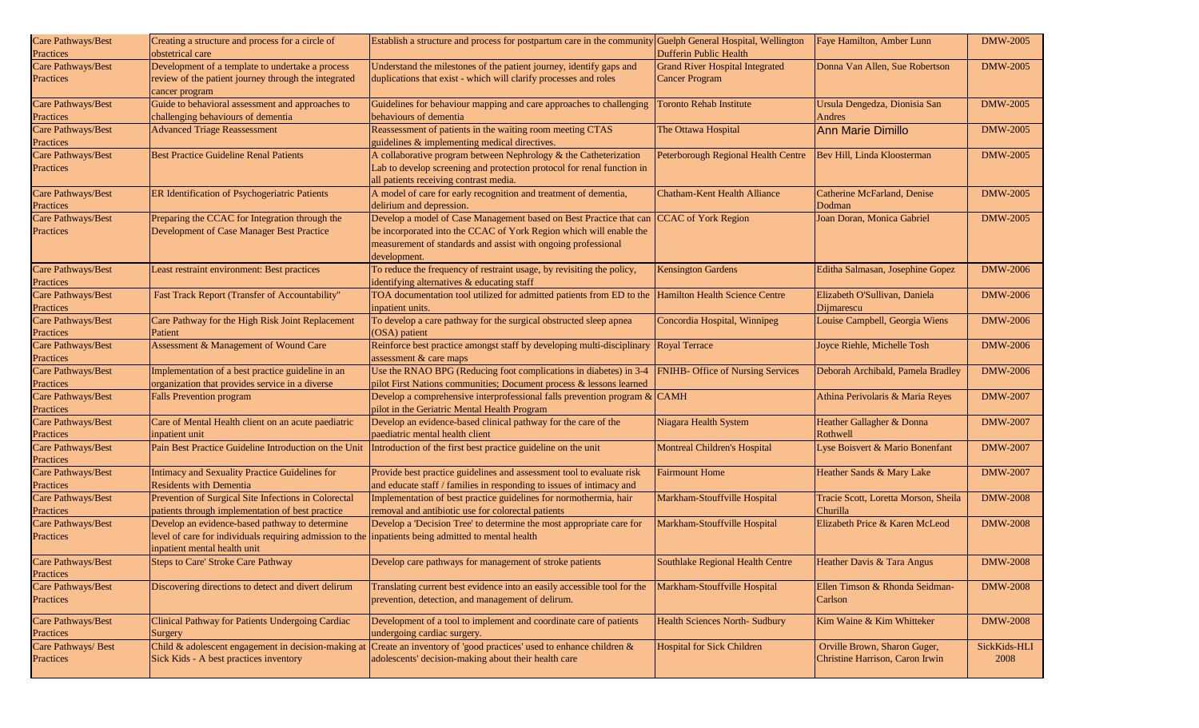| Care Pathways/Best  | Creating a structure and process for a circle of                                                    | Establish a structure and process for postpartum care in the community Guelph General Hospital, Wellington |                                        | Faye Hamilton, Amber Lunn            | <b>DMW-2005</b> |
|---------------------|-----------------------------------------------------------------------------------------------------|------------------------------------------------------------------------------------------------------------|----------------------------------------|--------------------------------------|-----------------|
| Practices           | obstetrical care                                                                                    |                                                                                                            | <b>Dufferin Public Health</b>          |                                      |                 |
| Care Pathways/Best  | Development of a template to undertake a process                                                    | Understand the milestones of the patient journey, identify gaps and                                        | <b>Grand River Hospital Integrated</b> | Donna Van Allen, Sue Robertson       | <b>DMW-2005</b> |
| Practices           | review of the patient journey through the integrated                                                | duplications that exist - which will clarify processes and roles                                           | <b>Cancer Program</b>                  |                                      |                 |
|                     | cancer program                                                                                      |                                                                                                            |                                        |                                      |                 |
| Care Pathways/Best  | Guide to behavioral assessment and approaches to                                                    | Guidelines for behaviour mapping and care approaches to challenging                                        | <b>Toronto Rehab Institute</b>         | Ursula Dengedza, Dionisia San        | <b>DMW-2005</b> |
| Practices           | challenging behaviours of dementia                                                                  | behaviours of dementia                                                                                     |                                        | Andres                               |                 |
| Care Pathways/Best  | <b>Advanced Triage Reassessment</b>                                                                 | Reassessment of patients in the waiting room meeting CTAS                                                  | The Ottawa Hospital                    | <b>Ann Marie Dimillo</b>             | <b>DMW-2005</b> |
| Practices           |                                                                                                     | guidelines & implementing medical directives.                                                              |                                        |                                      |                 |
| Care Pathways/Best  | <b>Best Practice Guideline Renal Patients</b>                                                       | A collaborative program between Nephrology & the Catheterization                                           | Peterborough Regional Health Centre    | Bev Hill, Linda Kloosterman          | <b>DMW-2005</b> |
| Practices           |                                                                                                     | Lab to develop screening and protection protocol for renal function in                                     |                                        |                                      |                 |
|                     |                                                                                                     | all patients receiving contrast media.                                                                     |                                        |                                      |                 |
| Care Pathways/Best  | ER Identification of Psychogeriatric Patients                                                       | A model of care for early recognition and treatment of dementia,                                           | <b>Chatham-Kent Health Alliance</b>    | Catherine McFarland, Denise          | <b>DMW-2005</b> |
| Practices           |                                                                                                     | delirium and depression.                                                                                   |                                        | Dodman                               |                 |
| Care Pathways/Best  | Preparing the CCAC for Integration through the                                                      | Develop a model of Case Management based on Best Practice that can                                         | <b>CCAC</b> of York Region             | Joan Doran, Monica Gabriel           | <b>DMW-2005</b> |
| Practices           | Development of Case Manager Best Practice                                                           | be incorporated into the CCAC of York Region which will enable the                                         |                                        |                                      |                 |
|                     |                                                                                                     | measurement of standards and assist with ongoing professional                                              |                                        |                                      |                 |
|                     |                                                                                                     | development.                                                                                               |                                        |                                      |                 |
| Care Pathways/Best  | Least restraint environment: Best practices                                                         | To reduce the frequency of restraint usage, by revisiting the policy,                                      | <b>Kensington Gardens</b>              | Editha Salmasan, Josephine Gopez     | <b>DMW-2006</b> |
|                     |                                                                                                     | identifying alternatives & educating staff                                                                 |                                        |                                      |                 |
| Practices           |                                                                                                     | TOA documentation tool utilized for admitted patients from ED to the Hamilton Health Science Centre        |                                        |                                      |                 |
| Care Pathways/Best  | Fast Track Report (Transfer of Accountability"                                                      |                                                                                                            |                                        | Elizabeth O'Sullivan, Daniela        | <b>DMW-2006</b> |
| Practices           |                                                                                                     | inpatient units.                                                                                           |                                        | Dijmarescu                           |                 |
| Care Pathways/Best  | Care Pathway for the High Risk Joint Replacement                                                    | To develop a care pathway for the surgical obstructed sleep apnea                                          | Concordia Hospital, Winnipeg           | Louise Campbell, Georgia Wiens       | <b>DMW-2006</b> |
| Practices           | Patient                                                                                             | (OSA) patient                                                                                              |                                        |                                      |                 |
| Care Pathways/Best  | Assessment & Management of Wound Care                                                               | Reinforce best practice amongst staff by developing multi-disciplinary                                     | Royal Terrace                          | Joyce Riehle, Michelle Tosh          | <b>DMW-2006</b> |
| Practices           |                                                                                                     | assessment & care maps                                                                                     |                                        |                                      |                 |
| Care Pathways/Best  | Implementation of a best practice guideline in an                                                   | Use the RNAO BPG (Reducing foot complications in diabetes) in 3-4                                          | FNIHB- Office of Nursing Services      | Deborah Archibald, Pamela Bradley    | <b>DMW-2006</b> |
| Practices           | organization that provides service in a diverse                                                     | pilot First Nations communities; Document process & lessons learned                                        |                                        |                                      |                 |
| Care Pathways/Best  | <b>Falls Prevention program</b>                                                                     | Develop a comprehensive interprofessional falls prevention program $\&$ CAMH                               |                                        | Athina Perivolaris & Maria Reyes     | <b>DMW-2007</b> |
| Practices           |                                                                                                     | pilot in the Geriatric Mental Health Program                                                               |                                        |                                      |                 |
| Care Pathways/Best  | Care of Mental Health client on an acute paediatric                                                 | Develop an evidence-based clinical pathway for the care of the                                             | Niagara Health System                  | Heather Gallagher & Donna            | <b>DMW-2007</b> |
| Practices           | inpatient unit                                                                                      | paediatric mental health client                                                                            |                                        | Rothwell                             |                 |
| Care Pathways/Best  | Pain Best Practice Guideline Introduction on the Unit                                               | Introduction of the first best practice guideline on the unit                                              | Montreal Children's Hospital           | Lyse Boisvert & Mario Bonenfant      | <b>DMW-2007</b> |
| Practices           |                                                                                                     |                                                                                                            |                                        |                                      |                 |
| Care Pathways/Best  | Intimacy and Sexuality Practice Guidelines for                                                      | Provide best practice guidelines and assessment tool to evaluate risk                                      | <b>Fairmount Home</b>                  | Heather Sands & Mary Lake            | <b>DMW-2007</b> |
| Practices           | <b>Residents with Dementia</b>                                                                      | and educate staff / families in responding to issues of intimacy and                                       |                                        |                                      |                 |
| Care Pathways/Best  | Prevention of Surgical Site Infections in Colorectal                                                | Implementation of best practice guidelines for normothermia, hair                                          | Markham-Stouffville Hospital           | Tracie Scott, Loretta Morson, Sheila | <b>DMW-2008</b> |
| Practices           | patients through implementation of best practice                                                    | removal and antibiotic use for colorectal patients                                                         |                                        | Churilla                             |                 |
| Care Pathways/Best  | Develop an evidence-based pathway to determine                                                      | Develop a 'Decision Tree' to determine the most appropriate care for                                       | Markham-Stouffville Hospital           | Elizabeth Price & Karen McLeod       | <b>DMW-2008</b> |
| Practices           | level of care for individuals requiring admission to the inpatients being admitted to mental health |                                                                                                            |                                        |                                      |                 |
|                     | inpatient mental health unit                                                                        |                                                                                                            |                                        |                                      |                 |
| Care Pathways/Best  | <b>Steps to Care' Stroke Care Pathway</b>                                                           | Develop care pathways for management of stroke patients                                                    | Southlake Regional Health Centre       | Heather Davis & Tara Angus           | <b>DMW-2008</b> |
| Practices           |                                                                                                     |                                                                                                            |                                        |                                      |                 |
| Care Pathways/Best  | Discovering directions to detect and divert delirum                                                 | Translating current best evidence into an easily accessible tool for the                                   | Markham-Stouffville Hospital           | Ellen Timson & Rhonda Seidman-       | <b>DMW-2008</b> |
| Practices           |                                                                                                     | prevention, detection, and management of delirum.                                                          |                                        | Carlson                              |                 |
|                     |                                                                                                     |                                                                                                            |                                        |                                      |                 |
| Care Pathways/Best  | Clinical Pathway for Patients Undergoing Cardiac                                                    | Development of a tool to implement and coordinate care of patients                                         | <b>Health Sciences North- Sudbury</b>  | Kim Waine & Kim Whitteker            | <b>DMW-2008</b> |
| Practices           | Surgery                                                                                             | undergoing cardiac surgery.                                                                                |                                        |                                      |                 |
| Care Pathways/ Best | Child & adolescent engagement in decision-making at                                                 | Create an inventory of 'good practices' used to enhance children &                                         | <b>Hospital for Sick Children</b>      | Orville Brown, Sharon Guger,         | SickKids-HLI    |
| Practices           | Sick Kids - A best practices inventory                                                              | adolescents' decision-making about their health care                                                       |                                        | Christine Harrison, Caron Irwin      | 2008            |
|                     |                                                                                                     |                                                                                                            |                                        |                                      |                 |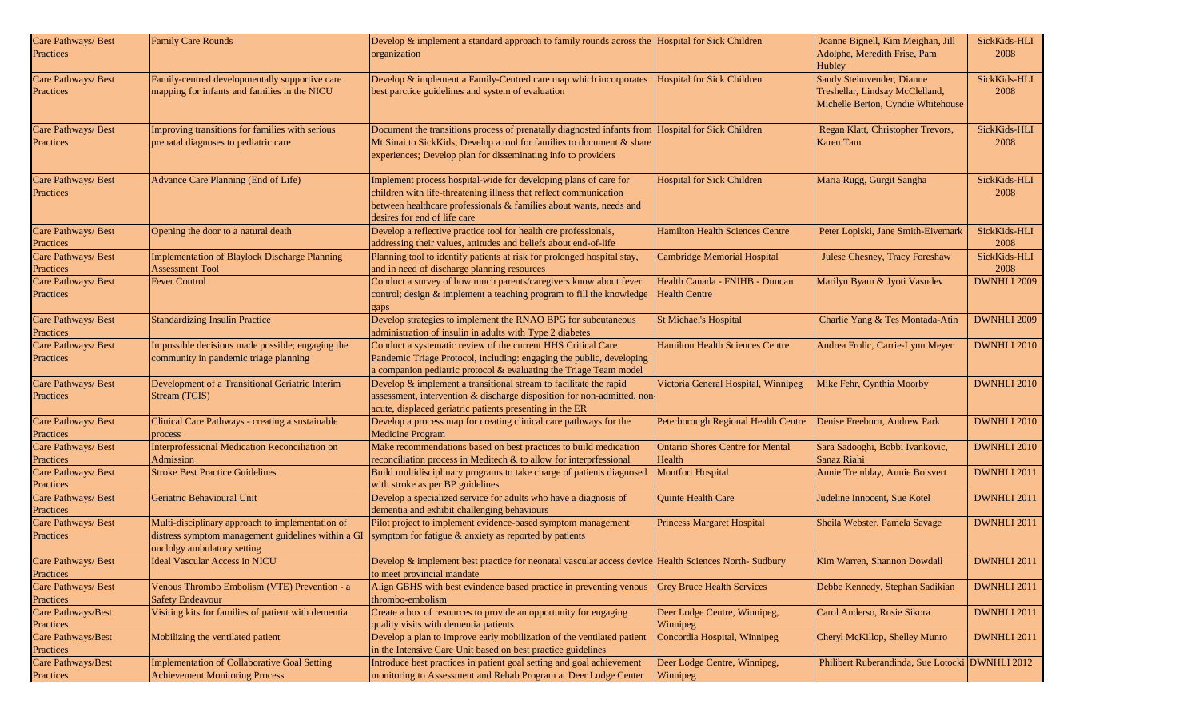| Care Pathways/ Best<br>Practices | <b>Family Care Rounds</b>                                                                                                             | Develop $\&$ implement a standard approach to family rounds across the Hospital for Sick Children<br>organization                                                                                                                           |                                                        | Joanne Bignell, Kim Meighan, Jill<br>Adolphe, Meredith Frise, Pam<br>Hubley                        | SickKids-HLI<br>2008 |
|----------------------------------|---------------------------------------------------------------------------------------------------------------------------------------|---------------------------------------------------------------------------------------------------------------------------------------------------------------------------------------------------------------------------------------------|--------------------------------------------------------|----------------------------------------------------------------------------------------------------|----------------------|
| Care Pathways/ Best<br>Practices | Family-centred developmentally supportive care<br>mapping for infants and families in the NICU                                        | Develop & implement a Family-Centred care map which incorporates<br>best parctice guidelines and system of evaluation                                                                                                                       | <b>Hospital for Sick Children</b>                      | Sandy Steimvender, Dianne<br>Treshellar, Lindsay McClelland,<br>Michelle Berton, Cyndie Whitehouse | SickKids-HLI<br>2008 |
| Care Pathways/ Best<br>Practices | Improving transitions for families with serious<br>prenatal diagnoses to pediatric care                                               | Document the transitions process of prenatally diagnosted infants from Hospital for Sick Children<br>Mt Sinai to SickKids; Develop a tool for families to document & share<br>experiences; Develop plan for disseminating info to providers |                                                        | Regan Klatt, Christopher Trevors,<br>Karen Tam                                                     | SickKids-HLI<br>2008 |
| Care Pathways/ Best<br>Practices | Advance Care Planning (End of Life)                                                                                                   | Implement process hospital-wide for developing plans of care for<br>children with life-threatening illness that reflect communication<br>between healthcare professionals & families about wants, needs and<br>desires for end of life care | <b>Hospital for Sick Children</b>                      | Maria Rugg, Gurgit Sangha                                                                          | SickKids-HLI<br>2008 |
| Care Pathways/ Best<br>Practices | Opening the door to a natural death                                                                                                   | Develop a reflective practice tool for health cre professionals,<br>addressing their values, attitudes and beliefs about end-of-life                                                                                                        | <b>Hamilton Health Sciences Centre</b>                 | Peter Lopiski, Jane Smith-Eivemark                                                                 | SickKids-HLI<br>2008 |
| Care Pathways/ Best<br>Practices | Implementation of Blaylock Discharge Planning<br><b>Assessment Tool</b>                                                               | Planning tool to identify patients at risk for prolonged hospital stay,<br>and in need of discharge planning resources                                                                                                                      | Cambridge Memorial Hospital                            | Julese Chesney, Tracy Foreshaw                                                                     | SickKids-HLI<br>2008 |
| Care Pathways/ Best<br>Practices | <b>Fever Control</b>                                                                                                                  | Conduct a survey of how much parents/caregivers know about fever<br>control; design & implement a teaching program to fill the knowledge<br>gaps                                                                                            | Health Canada - FNIHB - Duncan<br><b>Health Centre</b> | Marilyn Byam & Jyoti Vasudev                                                                       | <b>DWNHLI 2009</b>   |
| Care Pathways/ Best<br>Practices | <b>Standardizing Insulin Practice</b>                                                                                                 | Develop strategies to implement the RNAO BPG for subcutaneous<br>administration of insulin in adults with Type 2 diabetes                                                                                                                   | <b>St Michael's Hospital</b>                           | Charlie Yang & Tes Montada-Atin                                                                    | DWNHLI 2009          |
| Care Pathways/ Best<br>Practices | Impossible decisions made possible; engaging the<br>community in pandemic triage planning                                             | Conduct a systematic review of the current HHS Critical Care<br>Pandemic Triage Protocol, including: engaging the public, developing<br>a companion pediatric protocol & evaluating the Triage Team model                                   | <b>Hamilton Health Sciences Centre</b>                 | Andrea Frolic, Carrie-Lynn Meyer                                                                   | <b>DWNHLI 2010</b>   |
| Care Pathways/ Best<br>Practices | Development of a Transitional Geriatric Interim<br>Stream (TGIS)                                                                      | Develop & implement a transitional stream to facilitate the rapid<br>assessment, intervention & discharge disposition for non-admitted, non-<br>acute, displaced geriatric patients presenting in the ER                                    | Victoria General Hospital, Winnipeg                    | Mike Fehr, Cynthia Moorby                                                                          | <b>DWNHLI 2010</b>   |
| Care Pathways/ Best<br>Practices | Clinical Care Pathways - creating a sustainable<br>process                                                                            | Develop a process map for creating clinical care pathways for the<br><b>Medicine Program</b>                                                                                                                                                | Peterborough Regional Health Centre                    | Denise Freeburn, Andrew Park                                                                       | DWNHLI 2010          |
| Care Pathways/ Best<br>Practices | Interprofessional Medication Reconciliation on<br>Admission                                                                           | Make recommendations based on best practices to build medication<br>reconciliation process in Meditech $&$ to allow for interprfessional                                                                                                    | <b>Ontario Shores Centre for Mental</b><br>Health      | Sara Sadooghi, Bobbi Ivankovic,<br>Sanaz Riahi                                                     | DWNHLI 2010          |
| Care Pathways/ Best<br>Practices | <b>Stroke Best Practice Guidelines</b>                                                                                                | Build multidisciplinary programs to take charge of patients diagnosed<br>with stroke as per BP guidelines                                                                                                                                   | <b>Montfort Hospital</b>                               | Annie Tremblay, Annie Boisvert                                                                     | DWNHLI 2011          |
| Care Pathways/ Best<br>Practices | Geriatric Behavioural Unit                                                                                                            | Develop a specialized service for adults who have a diagnosis of<br>dementia and exhibit challenging behaviours                                                                                                                             | Quinte Health Care                                     | Judeline Innocent, Sue Kotel                                                                       | DWNHLI 2011          |
| Care Pathways/ Best<br>Practices | Multi-disciplinary approach to implementation of<br>distress symptom management guidelines within a GI<br>onclolgy ambulatory setting | Pilot project to implement evidence-based symptom management<br>symptom for fatigue & anxiety as reported by patients                                                                                                                       | <b>Princess Margaret Hospital</b>                      | Sheila Webster, Pamela Savage                                                                      | DWNHLI 2011          |
| Care Pathways/ Best<br>Practices | Ideal Vascular Access in NICU                                                                                                         | Develop & implement best practice for neonatal vascular access device Health Sciences North-Sudbury<br>to meet provincial mandate                                                                                                           |                                                        | Kim Warren, Shannon Dowdall                                                                        | DWNHLI 2011          |
| Care Pathways/ Best<br>Practices | Venous Thrombo Embolism (VTE) Prevention - a<br><b>Safety Endeavour</b>                                                               | Align GBHS with best evindence based practice in preventing venous<br>thrombo-embolism                                                                                                                                                      | <b>Grey Bruce Health Services</b>                      | Debbe Kennedy, Stephan Sadikian                                                                    | DWNHLI 2011          |
| Care Pathways/Best<br>Practices  | Visiting kits for families of patient with dementia                                                                                   | Create a box of resources to provide an opportunity for engaging<br>quality visits with dementia patients                                                                                                                                   | Deer Lodge Centre, Winnipeg,<br>Winnipeg               | Carol Anderso, Rosie Sikora                                                                        | DWNHLI 2011          |
| Care Pathways/Best<br>Practices  | Mobilizing the ventilated patient                                                                                                     | Develop a plan to improve early mobilization of the ventilated patient<br>in the Intensive Care Unit based on best practice guidelines                                                                                                      | Concordia Hospital, Winnipeg                           | Cheryl McKillop, Shelley Munro                                                                     | DWNHLI 2011          |
| Care Pathways/Best<br>Practices  | Implementation of Collaborative Goal Setting<br><b>Achievement Monitoring Process</b>                                                 | Introduce best practices in patient goal setting and goal achievement<br>monitoring to Assessment and Rehab Program at Deer Lodge Center                                                                                                    | Deer Lodge Centre, Winnipeg,<br>Winnipeg               | Philibert Ruberandinda, Sue Lotocki DWNHLI 2012                                                    |                      |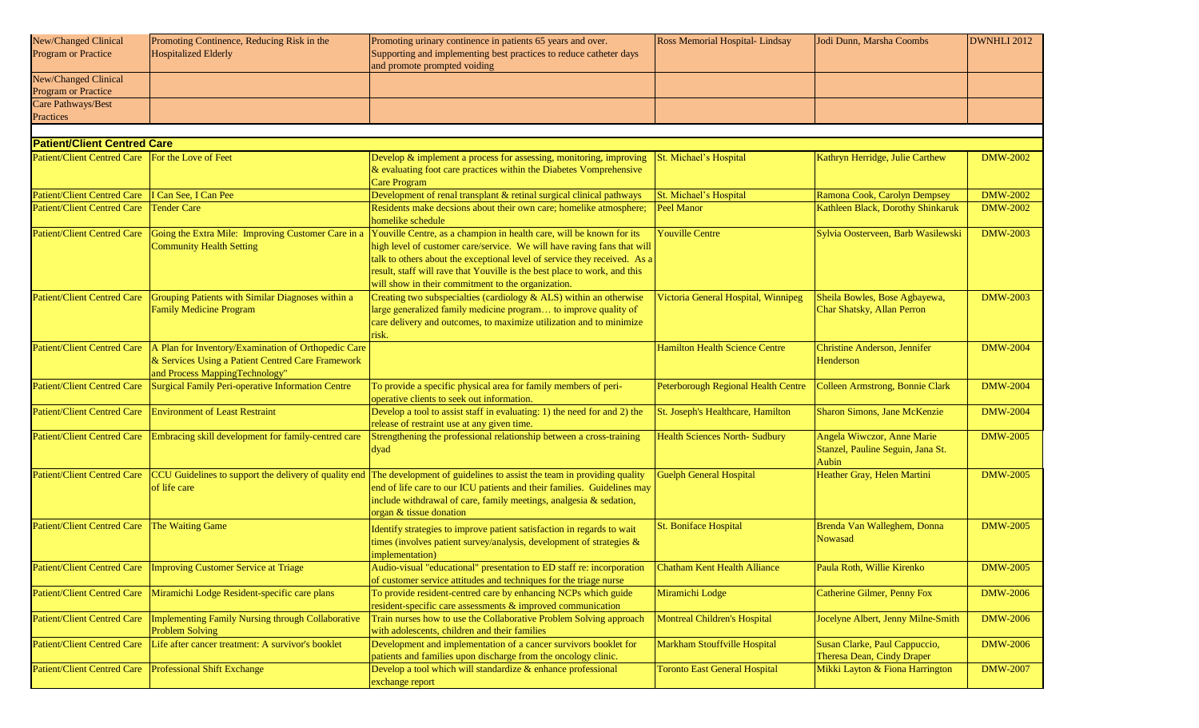| New/Changed Clinical               | Promoting Continence, Reducing Risk in the                                  | Promoting urinary continence in patients 65 years and over.                                                                            | Ross Memorial Hospital-Lindsay             | Jodi Dunn, Marsha Coombs               | DWNHLI 2012     |
|------------------------------------|-----------------------------------------------------------------------------|----------------------------------------------------------------------------------------------------------------------------------------|--------------------------------------------|----------------------------------------|-----------------|
| <b>Program or Practice</b>         | <b>Hospitalized Elderly</b>                                                 | Supporting and implementing best practices to reduce catheter days<br>and promote prompted voiding                                     |                                            |                                        |                 |
| New/Changed Clinical               |                                                                             |                                                                                                                                        |                                            |                                        |                 |
| Program or Practice                |                                                                             |                                                                                                                                        |                                            |                                        |                 |
| Care Pathways/Best                 |                                                                             |                                                                                                                                        |                                            |                                        |                 |
| Practices                          |                                                                             |                                                                                                                                        |                                            |                                        |                 |
|                                    |                                                                             |                                                                                                                                        |                                            |                                        |                 |
| <b>Patient/Client Centred Care</b> |                                                                             |                                                                                                                                        |                                            |                                        |                 |
| <b>Patient/Client Centred Care</b> | For the Love of Feet                                                        | Develop & implement a process for assessing, monitoring, improving                                                                     | St. Michael's Hospital                     | Kathryn Herridge, Julie Carthew        | <b>DMW-2002</b> |
|                                    |                                                                             | & evaluating foot care practices within the Diabetes Vomprehensive                                                                     |                                            |                                        |                 |
|                                    |                                                                             | <b>Care Program</b>                                                                                                                    |                                            |                                        |                 |
| <b>Patient/Client Centred Care</b> | I Can See, I Can Pee                                                        | Development of renal transplant & retinal surgical clinical pathways                                                                   | St. Michael's Hospital                     | Ramona Cook, Carolyn Dempsey           | <b>DMW-2002</b> |
| <b>Patient/Client Centred Care</b> | <b>Tender Care</b>                                                          | Residents make decsions about their own care; homelike atmosphere;<br>homelike schedule                                                | <b>Peel Manor</b>                          | Kathleen Black, Dorothy Shinkaruk      | <b>DMW-2002</b> |
| <b>Patient/Client Centred Care</b> |                                                                             | Going the Extra Mile: Improving Customer Care in a Youville Centre, as a champion in health care, will be known for its                | <b>Youville Centre</b>                     | Sylvia Oosterveen, Barb Wasilewski     | <b>DMW-2003</b> |
|                                    | <b>Community Health Setting</b>                                             | high level of customer care/service. We will have raving fans that will                                                                |                                            |                                        |                 |
|                                    |                                                                             | talk to others about the exceptional level of service they received. As a                                                              |                                            |                                        |                 |
|                                    |                                                                             | result, staff will rave that Youville is the best place to work, and this                                                              |                                            |                                        |                 |
|                                    |                                                                             | will show in their commitment to the organization.                                                                                     |                                            |                                        |                 |
| <b>Patient/Client Centred Care</b> | Grouping Patients with Similar Diagnoses within a                           | Creating two subspecialties (cardiology & ALS) within an otherwise                                                                     | Victoria General Hospital, Winnipeg        | Sheila Bowles, Bose Agbayewa,          | <b>DMW-2003</b> |
|                                    | <b>Family Medicine Program</b>                                              | large generalized family medicine program to improve quality of<br>care delivery and outcomes, to maximize utilization and to minimize |                                            | Char Shatsky, Allan Perron             |                 |
|                                    |                                                                             | risk.                                                                                                                                  |                                            |                                        |                 |
| <b>Patient/Client Centred Care</b> | A Plan for Inventory/Examination of Orthopedic Care                         |                                                                                                                                        | <b>Hamilton Health Science Centre</b>      | <b>Christine Anderson, Jennifer</b>    | <b>DMW-2004</b> |
|                                    | & Services Using a Patient Centred Care Framework                           |                                                                                                                                        |                                            | Henderson                              |                 |
|                                    | and Process MappingTechnology"                                              |                                                                                                                                        |                                            |                                        |                 |
| <b>Patient/Client Centred Care</b> | Surgical Family Peri-operative Information Centre                           | To provide a specific physical area for family members of peri-                                                                        | <b>Peterborough Regional Health Centre</b> | <b>Colleen Armstrong, Bonnie Clark</b> | <b>DMW-2004</b> |
|                                    |                                                                             | operative clients to seek out information.                                                                                             |                                            |                                        |                 |
| <b>Patient/Client Centred Care</b> | <b>Environment of Least Restraint</b>                                       | Develop a tool to assist staff in evaluating: 1) the need for and 2) the                                                               | St. Joseph's Healthcare, Hamilton          | <b>Sharon Simons, Jane McKenzie</b>    | <b>DMW-2004</b> |
|                                    |                                                                             | release of restraint use at any given time.                                                                                            |                                            |                                        |                 |
| <b>Patient/Client Centred Care</b> | Embracing skill development for family-centred care                         | Strengthening the professional relationship between a cross-training                                                                   | <b>Health Sciences North- Sudbury</b>      | Angela Wiwczor, Anne Marie             | <b>DMW-2005</b> |
|                                    |                                                                             | dyad                                                                                                                                   |                                            | Stanzel, Pauline Seguin, Jana St.      |                 |
|                                    |                                                                             |                                                                                                                                        |                                            | Aubin                                  |                 |
| <b>Patient/Client Centred Care</b> |                                                                             | CCU Guidelines to support the delivery of quality end The development of guidelines to assist the team in providing quality            | <b>Guelph General Hospital</b>             | Heather Gray, Helen Martini            | <b>DMW-2005</b> |
|                                    | of life care                                                                | end of life care to our ICU patients and their families. Guidelines may                                                                |                                            |                                        |                 |
|                                    |                                                                             | include withdrawal of care, family meetings, analgesia & sedation,                                                                     |                                            |                                        |                 |
|                                    |                                                                             | organ & tissue donation                                                                                                                |                                            |                                        |                 |
| <b>Patient/Client Centred Care</b> | The Waiting Game                                                            | Identify strategies to improve patient satisfaction in regards to wait                                                                 | <b>St. Boniface Hospital</b>               | Brenda Van Walleghem, Donna            | <b>DMW-2005</b> |
|                                    |                                                                             | times (involves patient survey/analysis, development of strategies &                                                                   |                                            | Nowasad                                |                 |
|                                    |                                                                             | implementation)                                                                                                                        |                                            |                                        |                 |
|                                    | Patient/Client Centred Care   Improving Customer Service at Triage          | Audio-visual "educational" presentation to ED staff re: incorporation                                                                  | Chatham Kent Health Alliance               | Paula Roth, Willie Kirenko             | <b>DMW-2005</b> |
|                                    |                                                                             | of customer service attitudes and techniques for the triage nurse                                                                      |                                            |                                        |                 |
| <b>Patient/Client Centred Care</b> | Miramichi Lodge Resident-specific care plans                                | To provide resident-centred care by enhancing NCPs which guide                                                                         | Miramichi Lodge                            | Catherine Gilmer, Penny Fox            | <b>DMW-2006</b> |
|                                    |                                                                             | resident-specific care assessments & improved communication                                                                            |                                            |                                        |                 |
| <b>Patient/Client Centred Care</b> | Implementing Family Nursing through Collaborative<br><b>Problem Solving</b> | Train nurses how to use the Collaborative Problem Solving approach<br>with adolescents, children and their families                    | <b>Montreal Children's Hospital</b>        | Jocelyne Albert, Jenny Milne-Smith     | <b>DMW-2006</b> |
| <b>Patient/Client Centred Care</b> | Life after cancer treatment: A survivor's booklet                           | Development and implementation of a cancer survivors booklet for                                                                       | Markham Stouffville Hospital               | Susan Clarke, Paul Cappuccio,          | <b>DMW-2006</b> |
|                                    |                                                                             | patients and families upon discharge from the oncology clinic.                                                                         |                                            | Theresa Dean, Cindy Draper             |                 |
| <b>Patient/Client Centred Care</b> | <b>Professional Shift Exchange</b>                                          | Develop a tool which will standardize & enhance professional                                                                           | <b>Toronto East General Hospital</b>       | Mikki Layton & Fiona Harrington        | <b>DMW-2007</b> |
|                                    |                                                                             | exchange report                                                                                                                        |                                            |                                        |                 |
|                                    |                                                                             |                                                                                                                                        |                                            |                                        |                 |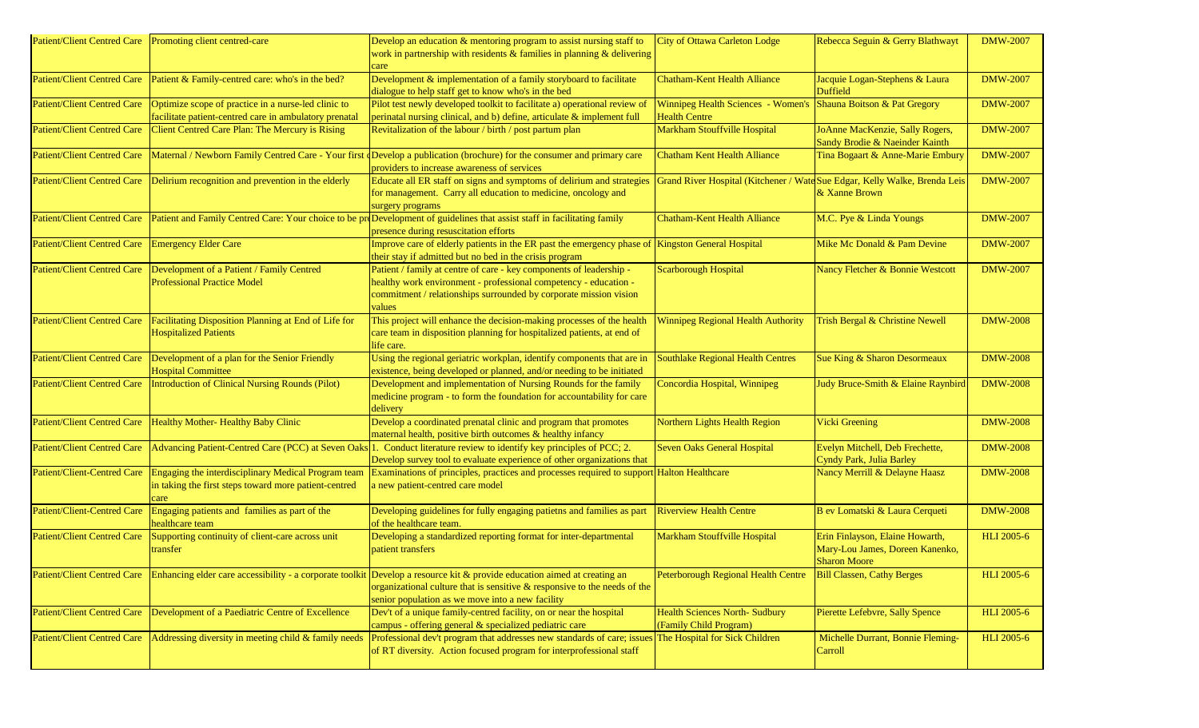| <b>Patient/Client Centred Care</b> | Promoting client centred-care                                                                                        | Develop an education & mentoring program to assist nursing staff to<br>work in partnership with residents $&$ families in planning $&$ delivering<br>care                                                                                                                                | <b>City of Ottawa Carleton Lodge</b>                                                    | Rebecca Seguin & Gerry Blathwayt                                                          | <b>DMW-2007</b>   |
|------------------------------------|----------------------------------------------------------------------------------------------------------------------|------------------------------------------------------------------------------------------------------------------------------------------------------------------------------------------------------------------------------------------------------------------------------------------|-----------------------------------------------------------------------------------------|-------------------------------------------------------------------------------------------|-------------------|
| <b>Patient/Client Centred Care</b> | Patient & Family-centred care: who's in the bed?                                                                     | Development & implementation of a family storyboard to facilitate<br>dialogue to help staff get to know who's in the bed                                                                                                                                                                 | <b>Chatham-Kent Health Alliance</b>                                                     | Jacquie Logan-Stephens & Laura<br><b>Duffield</b>                                         | <b>DMW-2007</b>   |
| <b>Patient/Client Centred Care</b> | Optimize scope of practice in a nurse-led clinic to<br>facilitate patient-centred care in ambulatory prenatal        | Pilot test newly developed toolkit to facilitate a) operational review of<br>perinatal nursing clinical, and b) define, articulate & implement full                                                                                                                                      | Winnipeg Health Sciences - Women's Shauna Boitson & Pat Gregory<br><b>Health Centre</b> |                                                                                           | <b>DMW-2007</b>   |
| <b>Patient/Client Centred Care</b> | Client Centred Care Plan: The Mercury is Rising                                                                      | Revitalization of the labour / birth / post partum plan                                                                                                                                                                                                                                  | Markham Stouffville Hospital                                                            | JoAnne MacKenzie, Sally Rogers,<br>Sandy Brodie & Naeinder Kainth                         | <b>DMW-2007</b>   |
| <b>Patient/Client Centred Care</b> |                                                                                                                      | Maternal / Newborn Family Centred Care - Your first Develop a publication (brochure) for the consumer and primary care<br>providers to increase awareness of services                                                                                                                    | <b>Chatham Kent Health Alliance</b>                                                     | Tina Bogaart & Anne-Marie Embury                                                          | <b>DMW-2007</b>   |
| <b>Patient/Client Centred Care</b> | Delirium recognition and prevention in the elderly                                                                   | Educate all ER staff on signs and symptoms of delirium and strategies<br>for management. Carry all education to medicine, oncology and<br>surgery programs                                                                                                                               | Grand River Hospital (Kitchener / Wate Sue Edgar, Kelly Walke, Brenda Leis              | & Xanne Brown                                                                             | <b>DMW-2007</b>   |
| <b>Patient/Client Centred Care</b> |                                                                                                                      | Patient and Family Centred Care: Your choice to be proDevelopment of guidelines that assist staff in facilitating family<br>presence during resuscitation efforts                                                                                                                        | <b>Chatham-Kent Health Alliance</b>                                                     | M.C. Pye & Linda Youngs                                                                   | <b>DMW-2007</b>   |
| <b>Patient/Client Centred Care</b> | <b>Emergency Elder Care</b>                                                                                          | Improve care of elderly patients in the ER past the emergency phase of Kingston General Hospital<br>their stay if admitted but no bed in the crisis program                                                                                                                              |                                                                                         | Mike Mc Donald & Pam Devine                                                               | <b>DMW-2007</b>   |
| <b>Patient/Client Centred Care</b> | Development of a Patient / Family Centred<br><b>Professional Practice Model</b>                                      | Patient / family at centre of care - key components of leadership -<br>healthy work environment - professional competency - education -<br>commitment / relationships surrounded by corporate mission vision<br>values                                                                   | <b>Scarborough Hospital</b>                                                             | Nancy Fletcher & Bonnie Westcott                                                          | <b>DMW-2007</b>   |
| <b>Patient/Client Centred Care</b> | Facilitating Disposition Planning at End of Life for<br><b>Hospitalized Patients</b>                                 | This project will enhance the decision-making processes of the health<br>care team in disposition planning for hospitalized patients, at end of<br>life care.                                                                                                                            | <b>Winnipeg Regional Health Authority</b>                                               | Trish Bergal & Christine Newell                                                           | <b>DMW-2008</b>   |
| <b>Patient/Client Centred Care</b> | Development of a plan for the Senior Friendly<br><b>Hospital Committee</b>                                           | Using the regional geriatric workplan, identify components that are in<br>existence, being developed or planned, and/or needing to be initiated                                                                                                                                          | <b>Southlake Regional Health Centres</b>                                                | Sue King & Sharon Desormeaux                                                              | <b>DMW-2008</b>   |
| <b>Patient/Client Centred Care</b> | <b>Introduction of Clinical Nursing Rounds (Pilot)</b>                                                               | Development and implementation of Nursing Rounds for the family<br>medicine program - to form the foundation for accountability for care<br>delivery                                                                                                                                     | Concordia Hospital, Winnipeg                                                            | Judy Bruce-Smith & Elaine Raynbird                                                        | <b>DMW-2008</b>   |
| <b>Patient/Client Centred Care</b> | Healthy Mother-Healthy Baby Clinic                                                                                   | Develop a coordinated prenatal clinic and program that promotes<br>maternal health, positive birth outcomes & healthy infancy                                                                                                                                                            | Northern Lights Health Region                                                           | <b>Vicki Greening</b>                                                                     | <b>DMW-2008</b>   |
| <b>Patient/Client Centred Care</b> |                                                                                                                      | Advancing Patient-Centred Care (PCC) at Seven Oaks 1. Conduct literature review to identify key principles of PCC; 2.<br>Develop survey tool to evaluate experience of other organizations that                                                                                          | Seven Oaks General Hospital                                                             | Evelyn Mitchell, Deb Frechette,<br>Cyndy Park, Julia Barley                               | <b>DMW-2008</b>   |
| Patient/Client-Centred Care        | Engaging the interdisciplinary Medical Program team<br>in taking the first steps toward more patient-centred<br>care | Examinations of principles, practices and processes required to support Halton Healthcare<br>a new patient-centred care model                                                                                                                                                            |                                                                                         | Nancy Merrill & Delayne Haasz                                                             | <b>DMW-2008</b>   |
| <b>Patient/Client-Centred Care</b> | Engaging patients and families as part of the<br>healthcare team                                                     | Developing guidelines for fully engaging patietns and families as part<br>of the healthcare team.                                                                                                                                                                                        | <b>Riverview Health Centre</b>                                                          | B ev Lomatski & Laura Cerqueti                                                            | <b>DMW-2008</b>   |
| <b>Patient/Client Centred Care</b> | Supporting continuity of client-care across unit<br>transfer                                                         | Developing a standardized reporting format for inter-departmental<br>patient transfers                                                                                                                                                                                                   | <b>Markham Stouffville Hospital</b>                                                     | Erin Finlayson, Elaine Howarth,<br>Mary-Lou James, Doreen Kanenko,<br><b>Sharon Moore</b> | <b>HLI</b> 2005-6 |
|                                    |                                                                                                                      | Patient/Client Centred Care Enhancing elder care accessibility - a corporate toolkit Develop a resource kit & provide education aimed at creating an<br>organizational culture that is sensitive $\&$ responsive to the needs of the<br>senior population as we move into a new facility | Peterborough Regional Health Centre   Bill Classen, Cathy Berges                        |                                                                                           | <b>HLI</b> 2005-6 |
| <b>Patient/Client Centred Care</b> | Development of a Paediatric Centre of Excellence                                                                     | Dev't of a unique family-centred facility, on or near the hospital<br>campus - offering general & specialized pediatric care                                                                                                                                                             | <b>Health Sciences North- Sudbury</b><br>(Family Child Program)                         | Pierette Lefebvre, Sally Spence                                                           | <b>HLI</b> 2005-6 |
| <b>Patient/Client Centred Care</b> | Addressing diversity in meeting child & family needs                                                                 | Professional dev't program that addresses new standards of care; issues The Hospital for Sick Children<br>of RT diversity. Action focused program for interprofessional staff                                                                                                            |                                                                                         | Michelle Durrant, Bonnie Fleming-<br>Carroll                                              | <b>HLI</b> 2005-6 |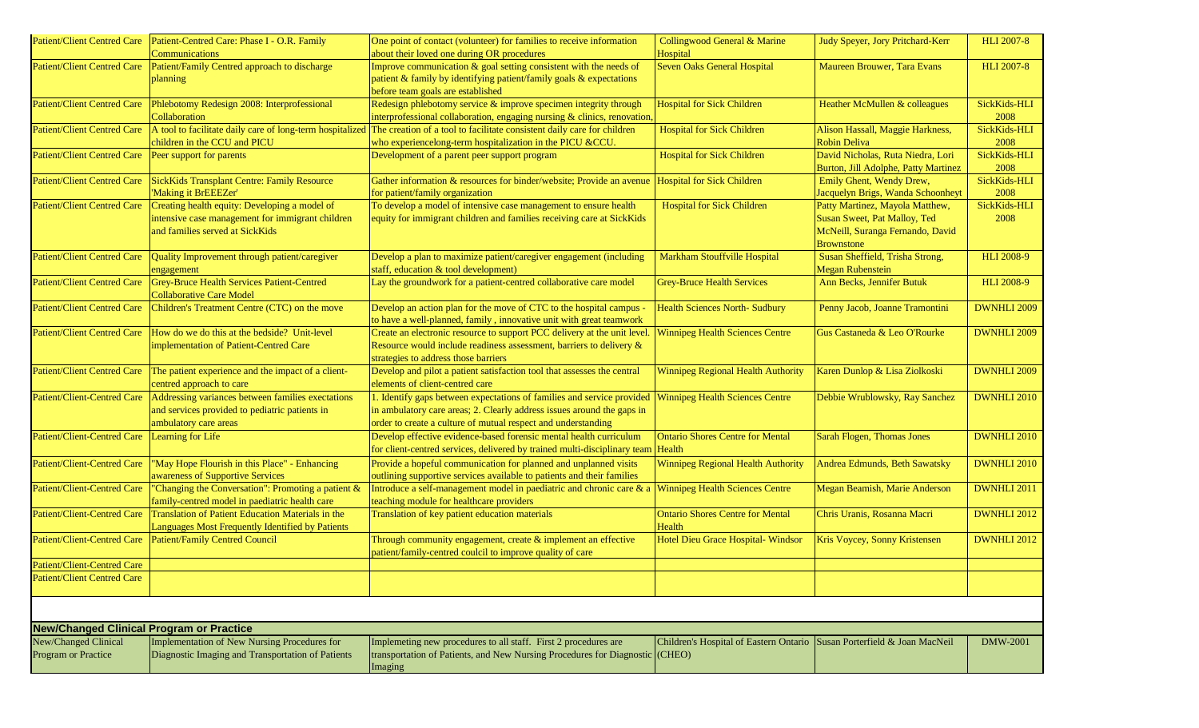| <b>Patient/Client Centred Care</b>              | Patient-Centred Care: Phase I - O.R. Family<br>Communications                                                                        | One point of contact (volunteer) for families to receive information<br>about their loved one during OR procedures                                                                                                | Collingwood General & Marine<br>Hospital                                          | Judy Speyer, Jory Pritchard-Kerr                                                                                         | <b>HLI 2007-8</b>    |
|-------------------------------------------------|--------------------------------------------------------------------------------------------------------------------------------------|-------------------------------------------------------------------------------------------------------------------------------------------------------------------------------------------------------------------|-----------------------------------------------------------------------------------|--------------------------------------------------------------------------------------------------------------------------|----------------------|
| <b>Patient/Client Centred Care</b>              | Patient/Family Centred approach to discharge<br>planning                                                                             | Improve communication & goal setting consistent with the needs of<br>patient & family by identifying patient/family goals & expectations<br>before team goals are established                                     | <b>Seven Oaks General Hospital</b>                                                | Maureen Brouwer, Tara Evans                                                                                              | <b>HLI 2007-8</b>    |
| <b>Patient/Client Centred Care</b>              | Phlebotomy Redesign 2008: Interprofessional<br>Collaboration                                                                         | Redesign phlebotomy service & improve specimen integrity through<br>interprofessional collaboration, engaging nursing & clinics, renovation                                                                       | <b>Hospital for Sick Children</b>                                                 | Heather McMullen & colleagues                                                                                            | SickKids-HLI<br>2008 |
| <b>Patient/Client Centred Care</b>              | children in the CCU and PICU                                                                                                         | A tool to facilitate daily care of long-term hospitalized The creation of a tool to facilitate consistent daily care for children<br>who experiencelong-term hospitalization in the PICU &CCU.                    | <b>Hospital for Sick Children</b>                                                 | Alison Hassall, Maggie Harkness,<br><b>Robin Deliva</b>                                                                  | SickKids-HLI<br>2008 |
| <b>Patient/Client Centred Care</b>              | Peer support for parents                                                                                                             | Development of a parent peer support program                                                                                                                                                                      | <b>Hospital for Sick Children</b>                                                 | David Nicholas, Ruta Niedra, Lori<br>Burton, Jill Adolphe, Patty Martinez                                                | SickKids-HLI<br>2008 |
| <b>Patient/Client Centred Care</b>              | SickKids Transplant Centre: Family Resource<br>'Making it BrEEEZer'                                                                  | Gather information & resources for binder/website; Provide an avenue<br>for patient/family organization                                                                                                           | <b>Hospital for Sick Children</b>                                                 | Emily Ghent, Wendy Drew,<br>Jacquelyn Brigs, Wanda Schoonheyt                                                            | SickKids-HLI<br>2008 |
| <b>Patient/Client Centred Care</b>              | Creating health equity: Developing a model of<br>intensive case management for immigrant children<br>and families served at SickKids | To develop a model of intensive case management to ensure health<br>equity for immigrant children and families receiving care at SickKids                                                                         | <b>Hospital for Sick Children</b>                                                 | Patty Martinez, Mayola Matthew,<br>Susan Sweet, Pat Malloy, Ted<br>McNeill, Suranga Fernando, David<br><b>Brownstone</b> | SickKids-HLI<br>2008 |
| <b>Patient/Client Centred Care</b>              | Quality Improvement through patient/caregiver<br>engagement                                                                          | Develop a plan to maximize patient/caregiver engagement (including<br>staff, education & tool development)                                                                                                        | <b>Markham Stouffville Hospital</b>                                               | Susan Sheffield, Trisha Strong,<br><b>Megan Rubenstein</b>                                                               | <b>HLI 2008-9</b>    |
| <b>Patient/Client Centred Care</b>              | Grey-Bruce Health Services Patient-Centred<br><b>Collaborative Care Model</b>                                                        | Lay the groundwork for a patient-centred collaborative care model                                                                                                                                                 | <b>Grey-Bruce Health Services</b>                                                 | Ann Becks, Jennifer Butuk                                                                                                | <b>HLI 2008-9</b>    |
| <b>Patient/Client Centred Care</b>              | Children's Treatment Centre (CTC) on the move                                                                                        | Develop an action plan for the move of CTC to the hospital campus<br>to have a well-planned, family, innovative unit with great teamwork                                                                          | <b>Health Sciences North- Sudbury</b>                                             | Penny Jacob, Joanne Tramontini                                                                                           | DWNHLI 2009          |
| <b>Patient/Client Centred Care</b>              | How do we do this at the bedside? Unit-level<br>implementation of Patient-Centred Care                                               | Create an electronic resource to support PCC delivery at the unit level.<br>Resource would include readiness assessment, barriers to delivery $\&$<br>strategies to address those barriers                        | <b>Winnipeg Health Sciences Centre</b>                                            | Gus Castaneda & Leo O'Rourke                                                                                             | <b>DWNHLI 2009</b>   |
| <b>Patient/Client Centred Care</b>              | The patient experience and the impact of a client-<br>centred approach to care                                                       | Develop and pilot a patient satisfaction tool that assesses the central<br>elements of client-centred care                                                                                                        | <b>Winnipeg Regional Health Authority</b>                                         | Karen Dunlop & Lisa Ziolkoski                                                                                            | <b>DWNHLI 2009</b>   |
| <b>Patient/Client-Centred Care</b>              | Addressing variances between families exectations<br>and services provided to pediatric patients in<br>ambulatory care areas         | 1. Identify gaps between expectations of families and service provided<br>in ambulatory care areas; 2. Clearly address issues around the gaps in<br>order to create a culture of mutual respect and understanding | <b>Winnipeg Health Sciences Centre</b>                                            | Debbie Wrublowsky, Ray Sanchez                                                                                           | <b>DWNHLI 2010</b>   |
| <b>Patient/Client-Centred Care</b>              | Learning for Life                                                                                                                    | Develop effective evidence-based forensic mental health curriculum<br>for client-centred services, delivered by trained multi-disciplinary team   Health                                                          | <b>Ontario Shores Centre for Mental</b>                                           | Sarah Flogen, Thomas Jones                                                                                               | <b>DWNHLI 2010</b>   |
| <b>Patient/Client-Centred Care</b>              | "May Hope Flourish in this Place" - Enhancing<br>awareness of Supportive Services                                                    | Provide a hopeful communication for planned and unplanned visits<br>outlining supportive services available to patients and their families                                                                        | <b>Winnipeg Regional Health Authority</b>                                         | Andrea Edmunds, Beth Sawatsky                                                                                            | DWNHLI 2010          |
| <b>Patient/Client-Centred Care</b>              | "Changing the Conversation": Promoting a patient &<br>family-centred model in paediatric health care                                 | Introduce a self-management model in paediatric and chronic care & a<br>teaching module for healthcare providers                                                                                                  | <b>Winnipeg Health Sciences Centre</b>                                            | Megan Beamish, Marie Anderson                                                                                            | DWNHLI 2011          |
| <b>Patient/Client-Centred Care</b>              | Translation of Patient Education Materials in the<br>Languages Most Frequently Identified by Patients                                | Translation of key patient education materials                                                                                                                                                                    | <b>Ontario Shores Centre for Mental</b><br>Health                                 | Chris Uranis, Rosanna Macri                                                                                              | <b>DWNHLI 2012</b>   |
| <b>Patient/Client-Centred Care</b>              | Patient/Family Centred Council                                                                                                       | Through community engagement, create $&$ implement an effective<br>patient/family-centred coulcil to improve quality of care                                                                                      | Hotel Dieu Grace Hospital- Windsor                                                | Kris Voycey, Sonny Kristensen                                                                                            | <b>DWNHLI 2012</b>   |
| Patient/Client-Centred Care                     |                                                                                                                                      |                                                                                                                                                                                                                   |                                                                                   |                                                                                                                          |                      |
| <b>Patient/Client Centred Care</b>              |                                                                                                                                      |                                                                                                                                                                                                                   |                                                                                   |                                                                                                                          |                      |
|                                                 |                                                                                                                                      |                                                                                                                                                                                                                   |                                                                                   |                                                                                                                          |                      |
| <b>New/Changed Clinical Program or Practice</b> |                                                                                                                                      |                                                                                                                                                                                                                   |                                                                                   |                                                                                                                          |                      |
| New/Changed Clinical<br>Program or Practice     | Implementation of New Nursing Procedures for<br>Diagnostic Imaging and Transportation of Patients                                    | Implemeting new procedures to all staff. First 2 procedures are<br>transportation of Patients, and New Nursing Procedures for Diagnostic<br>Imaging                                                               | Children's Hospital of Eastern Ontario Susan Porterfield & Joan MacNeil<br>(CHEO) |                                                                                                                          | <b>DMW-2001</b>      |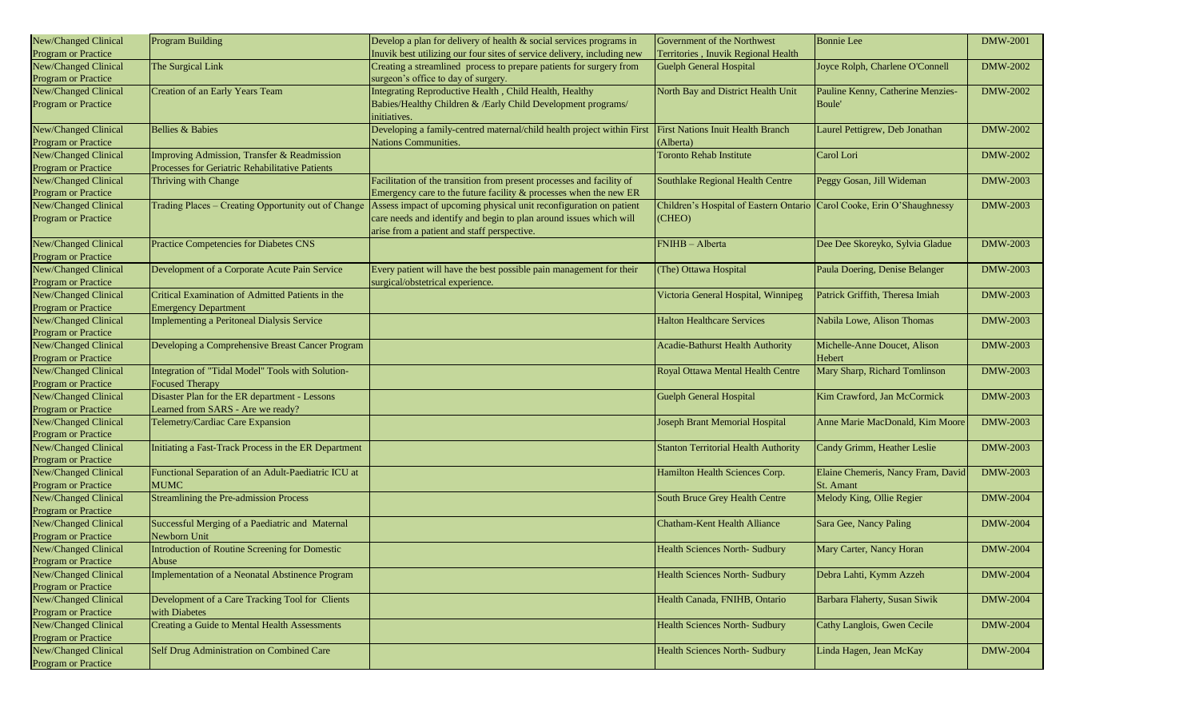| New/Changed Clinical                        | <b>Program Building</b>                              | Develop a plan for delivery of health & social services programs in     | Government of the Northwest                                            | <b>Bonnie</b> Lee                      | <b>DMW-2001</b> |
|---------------------------------------------|------------------------------------------------------|-------------------------------------------------------------------------|------------------------------------------------------------------------|----------------------------------------|-----------------|
| Program or Practice                         |                                                      | Inuvik best utilizing our four sites of service delivery, including new | Territories, Inuvik Regional Health                                    |                                        |                 |
| New/Changed Clinical                        | The Surgical Link                                    | Creating a streamlined process to prepare patients for surgery from     | <b>Guelph General Hospital</b>                                         | Joyce Rolph, Charlene O'Connell        | <b>DMW-2002</b> |
| <b>Program or Practice</b>                  |                                                      | surgeon's office to day of surgery.                                     |                                                                        |                                        |                 |
| New/Changed Clinical                        | Creation of an Early Years Team                      | Integrating Reproductive Health, Child Health, Healthy                  | North Bay and District Health Unit                                     | Pauline Kenny, Catherine Menzies-      | <b>DMW-2002</b> |
| <b>Program or Practice</b>                  |                                                      | Babies/Healthy Children & /Early Child Development programs/            |                                                                        | Boule'                                 |                 |
|                                             |                                                      | initiatives.                                                            |                                                                        |                                        |                 |
| New/Changed Clinical                        | <b>Bellies &amp; Babies</b>                          | Developing a family-centred maternal/child health project within First  | <b>First Nations Inuit Health Branch</b>                               | Laurel Pettigrew, Deb Jonathan         | DMW-2002        |
| <b>Program or Practice</b>                  |                                                      | Nations Communities.                                                    | Alberta)                                                               |                                        |                 |
| New/Changed Clinical                        | Improving Admission, Transfer & Readmission          |                                                                         | <b>Toronto Rehab Institute</b>                                         | Carol Lori                             | DMW-2002        |
| Program or Practice                         | Processes for Geriatric Rehabilitative Patients      |                                                                         |                                                                        |                                        |                 |
| New/Changed Clinical                        | Thriving with Change                                 | Facilitation of the transition from present processes and facility of   | Southlake Regional Health Centre                                       | Peggy Gosan, Jill Wideman              | <b>DMW-2003</b> |
| <b>Program or Practice</b>                  |                                                      | Emergency care to the future facility & processes when the new ER       |                                                                        |                                        |                 |
| New/Changed Clinical                        | Trading Places - Creating Opportunity out of Change  | Assess impact of upcoming physical unit reconfiguration on patient      | Children's Hospital of Eastern Ontario Carol Cooke, Erin O'Shaughnessy |                                        | <b>DMW-2003</b> |
| Program or Practice                         |                                                      | care needs and identify and begin to plan around issues which will      | CHEO)                                                                  |                                        |                 |
|                                             |                                                      | arise from a patient and staff perspective.                             |                                                                        |                                        |                 |
| New/Changed Clinical                        | Practice Competencies for Diabetes CNS               |                                                                         | FNIHB - Alberta                                                        | Dee Dee Skoreyko, Sylvia Gladue        | <b>DMW-2003</b> |
| Program or Practice                         |                                                      |                                                                         |                                                                        |                                        |                 |
| New/Changed Clinical                        | Development of a Corporate Acute Pain Service        | Every patient will have the best possible pain management for their     | (The) Ottawa Hospital                                                  | Paula Doering, Denise Belanger         | <b>DMW-2003</b> |
| Program or Practice                         |                                                      | surgical/obstetrical experience.                                        |                                                                        |                                        |                 |
| New/Changed Clinical                        | Critical Examination of Admitted Patients in the     |                                                                         | Victoria General Hospital, Winnipeg                                    | Patrick Griffith, Theresa Imiah        | <b>DMW-2003</b> |
| Program or Practice                         | <b>Emergency Department</b>                          |                                                                         |                                                                        |                                        |                 |
| New/Changed Clinical                        | Implementing a Peritoneal Dialysis Service           |                                                                         | <b>Halton Healthcare Services</b>                                      | Nabila Lowe, Alison Thomas             | DMW-2003        |
| <b>Program or Practice</b>                  |                                                      |                                                                         |                                                                        |                                        | <b>DMW-2003</b> |
| New/Changed Clinical<br>Program or Practice | Developing a Comprehensive Breast Cancer Program     |                                                                         | <b>Acadie-Bathurst Health Authority</b>                                | Michelle-Anne Doucet, Alison<br>Hebert |                 |
| New/Changed Clinical                        | Integration of "Tidal Model" Tools with Solution-    |                                                                         | Royal Ottawa Mental Health Centre                                      | Mary Sharp, Richard Tomlinson          | <b>DMW-2003</b> |
| Program or Practice                         | <b>Focused Therapy</b>                               |                                                                         |                                                                        |                                        |                 |
| New/Changed Clinical                        | Disaster Plan for the ER department - Lessons        |                                                                         | <b>Guelph General Hospital</b>                                         | Kim Crawford, Jan McCormick            | <b>DMW-2003</b> |
| Program or Practice                         | Learned from SARS - Are we ready?                    |                                                                         |                                                                        |                                        |                 |
| New/Changed Clinical                        | Telemetry/Cardiac Care Expansion                     |                                                                         | Joseph Brant Memorial Hospital                                         | Anne Marie MacDonald, Kim Moore        | <b>DMW-2003</b> |
| <b>Program or Practice</b>                  |                                                      |                                                                         |                                                                        |                                        |                 |
| New/Changed Clinical                        | Initiating a Fast-Track Process in the ER Department |                                                                         | <b>Stanton Territorial Health Authority</b>                            | Candy Grimm, Heather Leslie            | <b>DMW-2003</b> |
| <b>Program or Practice</b>                  |                                                      |                                                                         |                                                                        |                                        |                 |
| New/Changed Clinical                        | Functional Separation of an Adult-Paediatric ICU at  |                                                                         | Hamilton Health Sciences Corp.                                         | Elaine Chemeris, Nancy Fram, David     | DMW-2003        |
| Program or Practice                         | <b>MUMC</b>                                          |                                                                         |                                                                        | St. Amant                              |                 |
| New/Changed Clinical                        | <b>Streamlining the Pre-admission Process</b>        |                                                                         | South Bruce Grey Health Centre                                         | Melody King, Ollie Regier              | <b>DMW-2004</b> |
| <b>Program or Practice</b>                  |                                                      |                                                                         |                                                                        |                                        |                 |
| New/Changed Clinical                        | Successful Merging of a Paediatric and Maternal      |                                                                         | Chatham-Kent Health Alliance                                           | Sara Gee, Nancy Paling                 | DMW-2004        |
| <b>Program or Practice</b>                  | Newborn Unit                                         |                                                                         |                                                                        |                                        |                 |
| New/Changed Clinical                        | Introduction of Routine Screening for Domestic       |                                                                         | <b>Health Sciences North-Sudbury</b>                                   | Mary Carter, Nancy Horan               | <b>DMW-2004</b> |
| Program or Practice                         | Abuse                                                |                                                                         |                                                                        |                                        |                 |
| New/Changed Clinical                        | Implementation of a Neonatal Abstinence Program      |                                                                         | Health Sciences North- Sudbury                                         | Debra Lahti, Kymm Azzeh                | <b>DMW-2004</b> |
| Program or Practice                         |                                                      |                                                                         |                                                                        |                                        |                 |
| New/Changed Clinical                        | Development of a Care Tracking Tool for Clients      |                                                                         | Health Canada, FNIHB, Ontario                                          | Barbara Flaherty, Susan Siwik          | <b>DMW-2004</b> |
| Program or Practice                         | with Diabetes                                        |                                                                         |                                                                        |                                        |                 |
| New/Changed Clinical                        | Creating a Guide to Mental Health Assessments        |                                                                         | <b>Health Sciences North- Sudbury</b>                                  | Cathy Langlois, Gwen Cecile            | <b>DMW-2004</b> |
| Program or Practice                         |                                                      |                                                                         |                                                                        |                                        |                 |
| New/Changed Clinical                        | Self Drug Administration on Combined Care            |                                                                         | Health Sciences North- Sudbury                                         | Linda Hagen, Jean McKay                | <b>DMW-2004</b> |
| Program or Practice                         |                                                      |                                                                         |                                                                        |                                        |                 |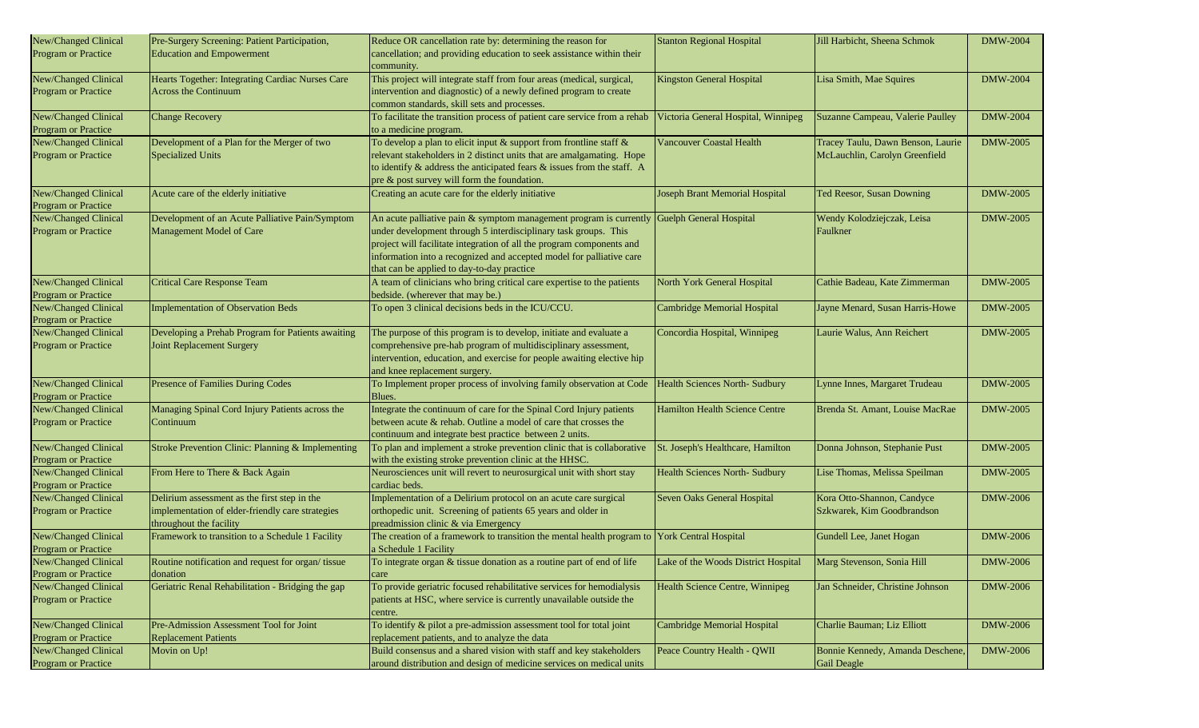| New/Changed Clinical                        | Pre-Surgery Screening: Patient Participation,                 | Reduce OR cancellation rate by: determining the reason for                                                           | <b>Stanton Regional Hospital</b>      | Jill Harbicht, Sheena Schmok      | <b>DMW-2004</b> |
|---------------------------------------------|---------------------------------------------------------------|----------------------------------------------------------------------------------------------------------------------|---------------------------------------|-----------------------------------|-----------------|
| <b>Program or Practice</b>                  | <b>Education and Empowerment</b>                              | cancellation; and providing education to seek assistance within their                                                |                                       |                                   |                 |
|                                             |                                                               | community.                                                                                                           |                                       |                                   |                 |
| New/Changed Clinical                        | Hearts Together: Integrating Cardiac Nurses Care              | This project will integrate staff from four areas (medical, surgical,                                                | <b>Kingston General Hospital</b>      | Lisa Smith, Mae Squires           | <b>DMW-2004</b> |
| <b>Program or Practice</b>                  | <b>Across the Continuum</b>                                   | intervention and diagnostic) of a newly defined program to create                                                    |                                       |                                   |                 |
|                                             |                                                               | common standards, skill sets and processes.                                                                          |                                       |                                   |                 |
| New/Changed Clinical                        | <b>Change Recovery</b>                                        | To facilitate the transition process of patient care service from a rehab                                            | Victoria General Hospital, Winnipeg   | Suzanne Campeau, Valerie Paulley  | <b>DMW-2004</b> |
| Program or Practice                         |                                                               | to a medicine program.                                                                                               |                                       |                                   |                 |
| New/Changed Clinical                        | Development of a Plan for the Merger of two                   | To develop a plan to elicit input $\&$ support from frontline staff $\&$                                             | <b>Vancouver Coastal Health</b>       | Tracey Taulu, Dawn Benson, Laurie | <b>DMW-2005</b> |
| Program or Practice                         | <b>Specialized Units</b>                                      | relevant stakeholders in 2 distinct units that are amalgamating. Hope                                                |                                       | McLauchlin, Carolyn Greenfield    |                 |
|                                             |                                                               | to identify $\&$ address the anticipated fears $\&$ issues from the staff. A                                         |                                       |                                   |                 |
|                                             |                                                               | pre & post survey will form the foundation.                                                                          |                                       |                                   |                 |
| New/Changed Clinical                        | Acute care of the elderly initiative                          | Creating an acute care for the elderly initiative                                                                    | Joseph Brant Memorial Hospital        | Ted Reesor, Susan Downing         | <b>DMW-2005</b> |
| Program or Practice                         |                                                               |                                                                                                                      |                                       |                                   |                 |
| New/Changed Clinical                        | Development of an Acute Palliative Pain/Symptom               | An acute palliative pain & symptom management program is currently Guelph General Hospital                           |                                       | Wendy Kolodziejczak, Leisa        | <b>DMW-2005</b> |
| <b>Program or Practice</b>                  | Management Model of Care                                      | under development through 5 interdisciplinary task groups. This                                                      |                                       | Faulkner                          |                 |
|                                             |                                                               | project will facilitate integration of all the program components and                                                |                                       |                                   |                 |
|                                             |                                                               | information into a recognized and accepted model for palliative care                                                 |                                       |                                   |                 |
|                                             |                                                               | that can be applied to day-to-day practice                                                                           |                                       |                                   |                 |
| New/Changed Clinical                        | <b>Critical Care Response Team</b>                            | A team of clinicians who bring critical care expertise to the patients                                               | North York General Hospital           | Cathie Badeau, Kate Zimmerman     | DMW-2005        |
| <b>Program or Practice</b>                  |                                                               | bedside. (wherever that may be.)                                                                                     |                                       |                                   |                 |
| New/Changed Clinical                        | <b>Implementation of Observation Beds</b>                     | To open 3 clinical decisions beds in the ICU/CCU.                                                                    | <b>Cambridge Memorial Hospital</b>    | Jayne Menard, Susan Harris-Howe   | DMW-2005        |
| Program or Practice                         |                                                               |                                                                                                                      |                                       |                                   |                 |
| New/Changed Clinical                        | Developing a Prehab Program for Patients awaiting             | The purpose of this program is to develop, initiate and evaluate a                                                   | Concordia Hospital, Winnipeg          | Laurie Walus, Ann Reichert        | <b>DMW-2005</b> |
| <b>Program or Practice</b>                  | Joint Replacement Surgery                                     | comprehensive pre-hab program of multidisciplinary assessment,                                                       |                                       |                                   |                 |
|                                             |                                                               | intervention, education, and exercise for people awaiting elective hip                                               |                                       |                                   |                 |
|                                             |                                                               | and knee replacement surgery.                                                                                        |                                       |                                   |                 |
| New/Changed Clinical                        | Presence of Families During Codes                             | To Implement proper process of involving family observation at Code   Health Sciences North-Sudbury                  |                                       | Lynne Innes, Margaret Trudeau     | DMW-2005        |
| Program or Practice                         |                                                               | Blues.                                                                                                               |                                       |                                   |                 |
| New/Changed Clinical                        | Managing Spinal Cord Injury Patients across the               | Integrate the continuum of care for the Spinal Cord Injury patients                                                  | Hamilton Health Science Centre        | Brenda St. Amant, Louise MacRae   | DMW-2005        |
| Program or Practice                         | Continuum                                                     | between acute & rehab. Outline a model of care that crosses the                                                      |                                       |                                   |                 |
|                                             |                                                               | continuum and integrate best practice between 2 units.                                                               |                                       |                                   |                 |
| New/Changed Clinical                        | Stroke Prevention Clinic: Planning & Implementing             | To plan and implement a stroke prevention clinic that is collaborative                                               | St. Joseph's Healthcare, Hamilton     | Donna Johnson, Stephanie Pust     | <b>DMW-2005</b> |
| Program or Practice                         |                                                               | with the existing stroke prevention clinic at the HHSC.                                                              |                                       |                                   |                 |
| New/Changed Clinical                        | From Here to There & Back Again                               | Neurosciences unit will revert to neurosurgical unit with short stay                                                 | <b>Health Sciences North- Sudbury</b> | Lise Thomas, Melissa Speilman     | <b>DMW-2005</b> |
| Program or Practice                         |                                                               | cardiac beds.                                                                                                        |                                       |                                   |                 |
| New/Changed Clinical                        | Delirium assessment as the first step in the                  | Implementation of a Delirium protocol on an acute care surgical                                                      | Seven Oaks General Hospital           | Kora Otto-Shannon, Candyce        | <b>DMW-2006</b> |
| Program or Practice                         | implementation of elder-friendly care strategies              | orthopedic unit. Screening of patients 65 years and older in                                                         |                                       | Szkwarek, Kim Goodbrandson        |                 |
|                                             | throughout the facility                                       | preadmission clinic & via Emergency                                                                                  |                                       |                                   |                 |
| New/Changed Clinical                        | Framework to transition to a Schedule 1 Facility              | The creation of a framework to transition the mental health program to York Central Hospital                         |                                       | Gundell Lee, Janet Hogan          | <b>DMW-2006</b> |
| Program or Practice<br>New/Changed Clinical | Routine notification and request for organ/tissue             | a Schedule 1 Facility<br>To integrate organ & tissue donation as a routine part of end of life                       |                                       |                                   | <b>DMW-2006</b> |
|                                             |                                                               |                                                                                                                      | Lake of the Woods District Hospital   | Marg Stevenson, Sonia Hill        |                 |
| Program or Practice<br>New/Changed Clinical | donation<br>Geriatric Renal Rehabilitation - Bridging the gap | care<br>To provide geriatric focused rehabilitative services for hemodialysis                                        |                                       |                                   | <b>DMW-2006</b> |
|                                             |                                                               |                                                                                                                      | Health Science Centre, Winnipeg       | Jan Schneider, Christine Johnson  |                 |
| <b>Program or Practice</b>                  |                                                               | patients at HSC, where service is currently unavailable outside the                                                  |                                       |                                   |                 |
|                                             |                                                               | centre.                                                                                                              |                                       |                                   |                 |
| New/Changed Clinical                        | Pre-Admission Assessment Tool for Joint                       | To identify & pilot a pre-admission assessment tool for total joint<br>replacement patients, and to analyze the data | Cambridge Memorial Hospital           | Charlie Bauman; Liz Elliott       | <b>DMW-2006</b> |
| Program or Practice<br>New/Changed Clinical | <b>Replacement Patients</b><br>Movin on Up!                   | Build consensus and a shared vision with staff and key stakeholders                                                  | Peace Country Health - QWII           |                                   | <b>DMW-2006</b> |
| <b>Program or Practice</b>                  |                                                               | around distribution and design of medicine services on medical units                                                 |                                       | Bonnie Kennedy, Amanda Deschene.  |                 |
|                                             |                                                               |                                                                                                                      |                                       | Gail Deagle                       |                 |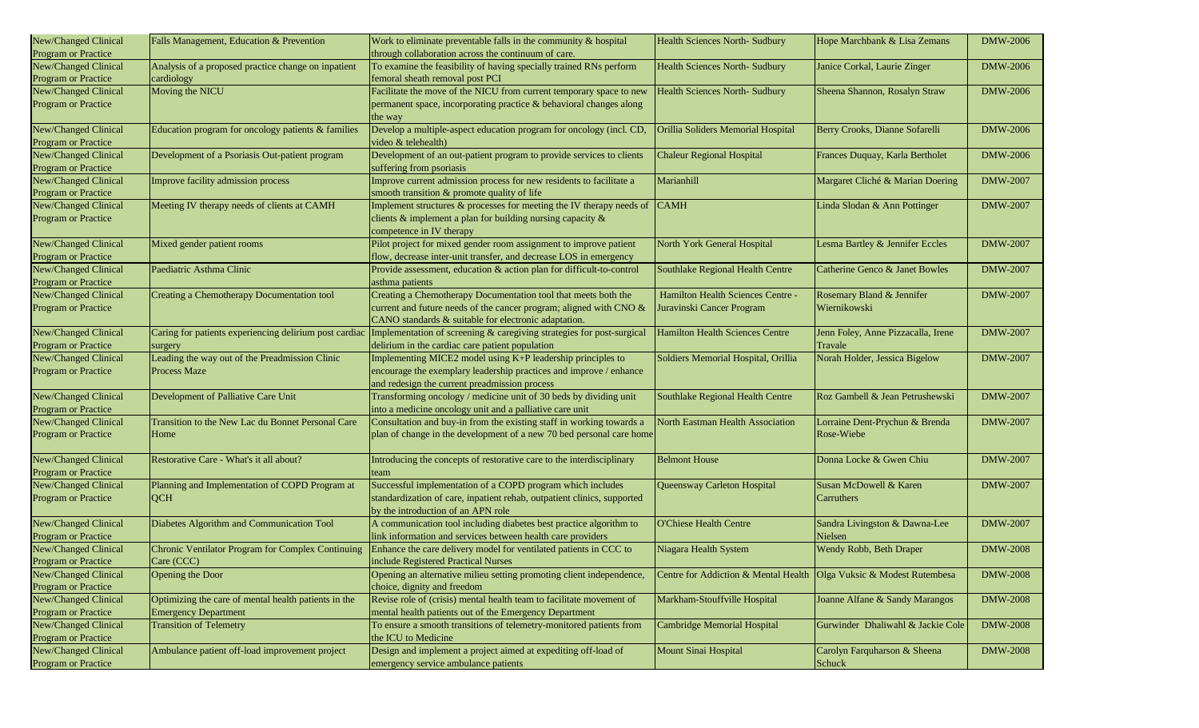| New/Changed Clinical<br>Program or Practice        | Falls Management, Education & Prevention                                            | Work to eliminate preventable falls in the community & hospital<br>through collaboration across the continuum of care.                                                                       | <b>Health Sciences North- Sudbury</b>                                 | Hope Marchbank & Lisa Zemans                  | <b>DMW-2006</b> |
|----------------------------------------------------|-------------------------------------------------------------------------------------|----------------------------------------------------------------------------------------------------------------------------------------------------------------------------------------------|-----------------------------------------------------------------------|-----------------------------------------------|-----------------|
| New/Changed Clinical<br>Program or Practice        | Analysis of a proposed practice change on inpatient<br>cardiology                   | To examine the feasibility of having specially trained RNs perform<br>femoral sheath removal post PCI                                                                                        | <b>Health Sciences North- Sudbury</b>                                 | Janice Corkal, Laurie Zinger                  | <b>DMW-2006</b> |
| New/Changed Clinical<br>Program or Practice        | Moving the NICU                                                                     | Facilitate the move of the NICU from current temporary space to new<br>permanent space, incorporating practice & behavioral changes along<br>the way                                         | <b>Health Sciences North- Sudbury</b>                                 | Sheena Shannon, Rosalyn Straw                 | <b>DMW-2006</b> |
| New/Changed Clinical<br>Program or Practice        | Education program for oncology patients & families                                  | Develop a multiple-aspect education program for oncology (incl. CD,<br>video & telehealth)                                                                                                   | Orillia Soliders Memorial Hospital                                    | Berry Crooks, Dianne Sofarelli                | <b>DMW-2006</b> |
| New/Changed Clinical<br>Program or Practice        | Development of a Psoriasis Out-patient program                                      | Development of an out-patient program to provide services to clients<br>suffering from psoriasis                                                                                             | <b>Chaleur Regional Hospital</b>                                      | Frances Duquay, Karla Bertholet               | <b>DMW-2006</b> |
| New/Changed Clinical<br>Program or Practice        | Improve facility admission process                                                  | Improve current admission process for new residents to facilitate a<br>smooth transition & promote quality of life                                                                           | Marianhill                                                            | Margaret Cliché & Marian Doering              | <b>DMW-2007</b> |
| New/Changed Clinical<br>Program or Practice        | Meeting IV therapy needs of clients at CAMH                                         | Implement structures & processes for meeting the IV therapy needs of<br>clients $\&$ implement a plan for building nursing capacity $\&$<br>competence in IV therapy                         | <b>CAMH</b>                                                           | Linda Slodan & Ann Pottinger                  | <b>DMW-2007</b> |
| New/Changed Clinical<br><b>Program or Practice</b> | Mixed gender patient rooms                                                          | Pilot project for mixed gender room assignment to improve patient<br>flow, decrease inter-unit transfer, and decrease LOS in emergency                                                       | North York General Hospital                                           | Lesma Bartley & Jennifer Eccles               | <b>DMW-2007</b> |
| New/Changed Clinical<br>Program or Practice        | Paediatric Asthma Clinic                                                            | Provide assessment, education & action plan for difficult-to-control<br>asthma patients                                                                                                      | Southlake Regional Health Centre                                      | Catherine Genco & Janet Bowles                | <b>DMW-2007</b> |
| New/Changed Clinical<br>Program or Practice        | Creating a Chemotherapy Documentation tool                                          | Creating a Chemotherapy Documentation tool that meets both the<br>current and future needs of the cancer program; aligned with CNO &<br>CANO standards & suitable for electronic adaptation. | Hamilton Health Sciences Centre -<br>Juravinski Cancer Program        | Rosemary Bland & Jennifer<br>Wiernikowski     | DMW-2007        |
| New/Changed Clinical<br><b>Program or Practice</b> | Caring for patients experiencing delirium post cardiac<br>surgery                   | Implementation of screening & caregiving strategies for post-surgical<br>delirium in the cardiac care patient population                                                                     | <b>Hamilton Health Sciences Centre</b>                                | Jenn Foley, Anne Pizzacalla, Irene<br>Travale | <b>DMW-2007</b> |
| New/Changed Clinical<br><b>Program or Practice</b> | Leading the way out of the Preadmission Clinic<br>Process Maze                      | Implementing MICE2 model using K+P leadership principles to<br>encourage the exemplary leadership practices and improve / enhance<br>and redesign the current preadmission process           | Soldiers Memorial Hospital, Orillia                                   | Norah Holder, Jessica Bigelow                 | <b>DMW-2007</b> |
| New/Changed Clinical<br>Program or Practice        | Development of Palliative Care Unit                                                 | Transforming oncology / medicine unit of 30 beds by dividing unit<br>into a medicine oncology unit and a palliative care unit                                                                | Southlake Regional Health Centre                                      | Roz Gambell & Jean Petrushewski               | <b>DMW-2007</b> |
| New/Changed Clinical<br>Program or Practice        | Transition to the New Lac du Bonnet Personal Care<br>Home                           | Consultation and buy-in from the existing staff in working towards a<br>plan of change in the development of a new 70 bed personal care home                                                 | North Eastman Health Association                                      | Lorraine Dent-Prychun & Brenda<br>Rose-Wiebe  | <b>DMW-2007</b> |
| New/Changed Clinical<br>Program or Practice        | Restorative Care - What's it all about?                                             | Introducing the concepts of restorative care to the interdisciplinary<br>team                                                                                                                | <b>Belmont House</b>                                                  | Donna Locke & Gwen Chiu                       | <b>DMW-2007</b> |
| New/Changed Clinical<br>Program or Practice        | Planning and Implementation of COPD Program at<br><b>QCH</b>                        | Successful implementation of a COPD program which includes<br>standardization of care, inpatient rehab, outpatient clinics, supported<br>by the introduction of an APN role                  | Queensway Carleton Hospital                                           | Susan McDowell & Karen<br>Carruthers          | <b>DMW-2007</b> |
| New/Changed Clinical<br>Program or Practice        | Diabetes Algorithm and Communication Tool                                           | A communication tool including diabetes best practice algorithm to<br>link information and services between health care providers                                                            | <b>O'Chiese Health Centre</b>                                         | Sandra Livingston & Dawna-Lee<br>Nielsen      | <b>DMW-2007</b> |
| New/Changed Clinical<br><b>Program or Practice</b> | Chronic Ventilator Program for Complex Continuing<br>Care (CCC)                     | Enhance the care delivery model for ventilated patients in CCC to<br>include Registered Practical Nurses                                                                                     | Niagara Health System                                                 | Wendy Robb, Beth Draper                       | <b>DMW-2008</b> |
| New/Changed Clinical<br>Program or Practice        | Opening the Door                                                                    | Opening an alternative milieu setting promoting client independence,<br>choice, dignity and freedom                                                                                          | Centre for Addiction & Mental Health   Olga Vuksic & Modest Rutembesa |                                               | <b>DMW-2008</b> |
| New/Changed Clinical<br>Program or Practice        | Optimizing the care of mental health patients in the<br><b>Emergency Department</b> | Revise role of (crisis) mental health team to facilitate movement of<br>mental health patients out of the Emergency Department                                                               | Markham-Stouffville Hospital                                          | Joanne Alfane & Sandy Marangos                | <b>DMW-2008</b> |
| New/Changed Clinical<br>Program or Practice        | <b>Transition of Telemetry</b>                                                      | To ensure a smooth transitions of telemetry-monitored patients from<br>the ICU to Medicine                                                                                                   | Cambridge Memorial Hospital                                           | Gurwinder Dhaliwahl & Jackie Cole             | <b>DMW-2008</b> |
| New/Changed Clinical<br>Program or Practice        | Ambulance patient off-load improvement project                                      | Design and implement a project aimed at expediting off-load of<br>emergency service ambulance patients                                                                                       | <b>Mount Sinai Hospital</b>                                           | Carolyn Farquharson & Sheena<br>Schuck        | <b>DMW-2008</b> |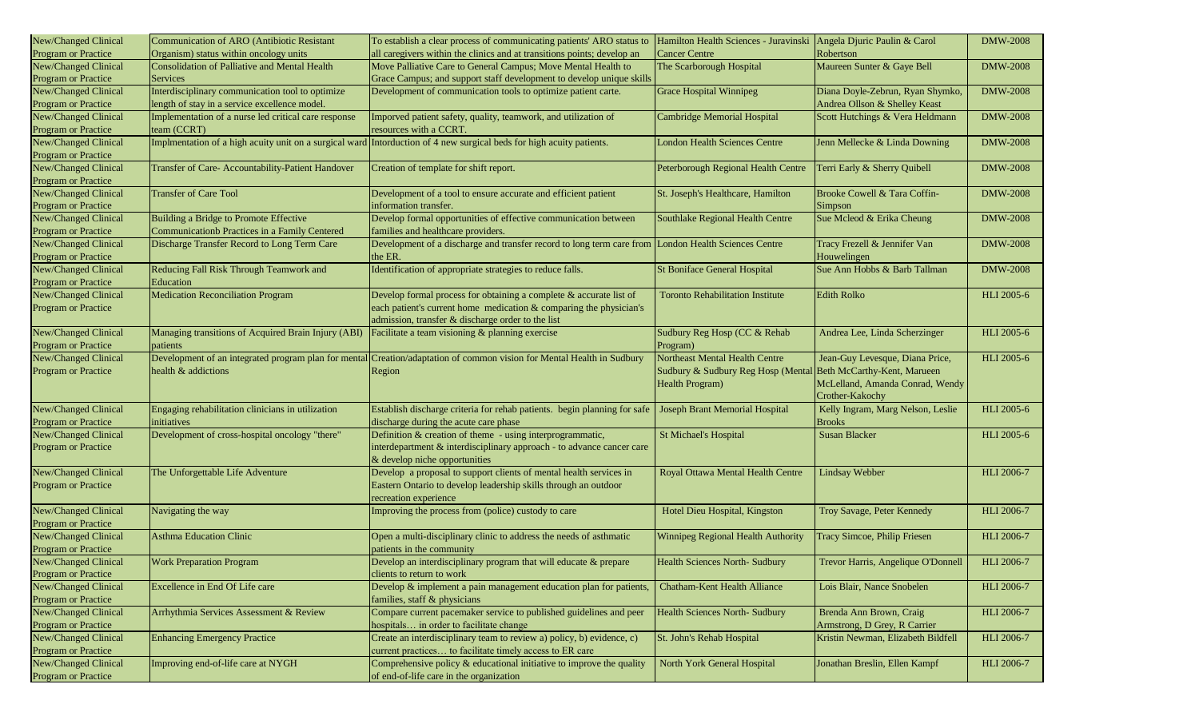| New/Changed Clinical       | Communication of ARO (Antibiotic Resistant           | To establish a clear process of communicating patients' ARO status to                                                  | Hamilton Health Sciences - Juravinski Angela Djuric Paulin & Carol |                                    | <b>DMW-2008</b>   |
|----------------------------|------------------------------------------------------|------------------------------------------------------------------------------------------------------------------------|--------------------------------------------------------------------|------------------------------------|-------------------|
| Program or Practice        | Organism) status within oncology units               | all caregivers within the clinics and at transitions points; develop an                                                | <b>Cancer Centre</b>                                               | Robertson                          |                   |
| New/Changed Clinical       | Consolidation of Palliative and Mental Health        | Move Palliative Care to General Campus; Move Mental Health to                                                          | The Scarborough Hospital                                           | Maureen Sunter & Gaye Bell         | <b>DMW-2008</b>   |
| Program or Practice        | <b>Services</b>                                      | Grace Campus; and support staff development to develop unique skills                                                   |                                                                    |                                    |                   |
| New/Changed Clinical       | Interdisciplinary communication tool to optimize     | Development of communication tools to optimize patient carte.                                                          | <b>Grace Hospital Winnipeg</b>                                     | Diana Doyle-Zebrun, Ryan Shymko,   | <b>DMW-2008</b>   |
| Program or Practice        | length of stay in a service excellence model.        |                                                                                                                        |                                                                    | Andrea Ollson & Shelley Keast      |                   |
| New/Changed Clinical       | Implementation of a nurse led critical care response | Imporved patient safety, quality, teamwork, and utilization of                                                         | <b>Cambridge Memorial Hospital</b>                                 | Scott Hutchings & Vera Heldmann    | <b>DMW-2008</b>   |
| Program or Practice        | team (CCRT)                                          | resources with a CCRT.                                                                                                 |                                                                    |                                    |                   |
| New/Changed Clinical       |                                                      | Implmentation of a high acuity unit on a surgical ward Intorduction of 4 new surgical beds for high acuity patients.   | <b>London Health Sciences Centre</b>                               | Jenn Mellecke & Linda Downing      | <b>DMW-2008</b>   |
| Program or Practice        |                                                      |                                                                                                                        |                                                                    |                                    |                   |
| New/Changed Clinical       | Transfer of Care- Accountability-Patient Handover    | Creation of template for shift report.                                                                                 | Peterborough Regional Health Centre                                | Terri Early & Sherry Quibell       | <b>DMW-2008</b>   |
| Program or Practice        |                                                      |                                                                                                                        |                                                                    |                                    |                   |
| New/Changed Clinical       | <b>Transfer of Care Tool</b>                         | Development of a tool to ensure accurate and efficient patient                                                         | St. Joseph's Healthcare, Hamilton                                  | Brooke Cowell & Tara Coffin-       | <b>DMW-2008</b>   |
| Program or Practice        |                                                      | information transfer.                                                                                                  |                                                                    | Simpson                            |                   |
| New/Changed Clinical       | Building a Bridge to Promote Effective               | Develop formal opportunities of effective communication between                                                        | Southlake Regional Health Centre                                   | Sue Mcleod & Erika Cheung          | <b>DMW-2008</b>   |
| Program or Practice        | Communicationb Practices in a Family Centered        | families and healthcare providers.                                                                                     |                                                                    |                                    |                   |
| New/Changed Clinical       | Discharge Transfer Record to Long Term Care          | Development of a discharge and transfer record to long term care from London Health Sciences Centre                    |                                                                    | Tracy Frezell & Jennifer Van       | <b>DMW-2008</b>   |
| Program or Practice        |                                                      | the ER.                                                                                                                |                                                                    | Houwelingen                        |                   |
| New/Changed Clinical       | Reducing Fall Risk Through Teamwork and              | Identification of appropriate strategies to reduce falls.                                                              | <b>St Boniface General Hospital</b>                                | Sue Ann Hobbs & Barb Tallman       | <b>DMW-2008</b>   |
| Program or Practice        | Education                                            |                                                                                                                        |                                                                    |                                    |                   |
| New/Changed Clinical       | <b>Medication Reconciliation Program</b>             | Develop formal process for obtaining a complete & accurate list of                                                     | <b>Toronto Rehabilitation Institute</b>                            | <b>Edith Rolko</b>                 | <b>HLI</b> 2005-6 |
| Program or Practice        |                                                      | each patient's current home medication & comparing the physician's                                                     |                                                                    |                                    |                   |
|                            |                                                      | admission, transfer & discharge order to the list                                                                      |                                                                    |                                    |                   |
| New/Changed Clinical       | Managing transitions of Acquired Brain Injury (ABI)  | Facilitate a team visioning & planning exercise                                                                        | Sudbury Reg Hosp (CC & Rehab                                       | Andrea Lee, Linda Scherzinger      | <b>HLI</b> 2005-6 |
| <b>Program or Practice</b> | patients                                             |                                                                                                                        | Program)                                                           |                                    |                   |
| New/Changed Clinical       |                                                      | Development of an integrated program plan for mental Creation/adaptation of common vision for Mental Health in Sudbury | Northeast Mental Health Centre                                     | Jean-Guy Levesque, Diana Price,    | <b>HLI</b> 2005-6 |
| Program or Practice        | health & addictions                                  | Region                                                                                                                 | Sudbury & Sudbury Reg Hosp (Mental Beth McCarthy-Kent, Marueen     |                                    |                   |
|                            |                                                      |                                                                                                                        | <b>Health Program)</b>                                             | McLelland, Amanda Conrad, Wendy    |                   |
|                            |                                                      |                                                                                                                        |                                                                    | Crother-Kakochy                    |                   |
| New/Changed Clinical       | Engaging rehabilitation clinicians in utilization    | Establish discharge criteria for rehab patients. begin planning for safe                                               | Joseph Brant Memorial Hospital                                     | Kelly Ingram, Marg Nelson, Leslie  | <b>HLI</b> 2005-6 |
| Program or Practice        | initiatives                                          | discharge during the acute care phase                                                                                  |                                                                    | <b>Brooks</b>                      |                   |
| New/Changed Clinical       | Development of cross-hospital oncology "there"       | Definition & creation of theme - using interprogrammatic,                                                              | <b>St Michael's Hospital</b>                                       | <b>Susan Blacker</b>               | <b>HLI</b> 2005-6 |
| Program or Practice        |                                                      | interdepartment & interdisciplinary approach - to advance cancer care                                                  |                                                                    |                                    |                   |
|                            |                                                      | & develop niche opportunities                                                                                          |                                                                    |                                    |                   |
| New/Changed Clinical       | The Unforgettable Life Adventure                     | Develop a proposal to support clients of mental health services in                                                     | Royal Ottawa Mental Health Centre                                  | <b>Lindsay Webber</b>              | HLI 2006-7        |
| Program or Practice        |                                                      | Eastern Ontario to develop leadership skills through an outdoor                                                        |                                                                    |                                    |                   |
|                            |                                                      | recreation experience                                                                                                  |                                                                    |                                    |                   |
| New/Changed Clinical       | Navigating the way                                   | Improving the process from (police) custody to care                                                                    | Hotel Dieu Hospital, Kingston                                      | Troy Savage, Peter Kennedy         | HLI 2006-7        |
| Program or Practice        |                                                      |                                                                                                                        |                                                                    |                                    |                   |
| New/Changed Clinical       | <b>Asthma Education Clinic</b>                       | Open a multi-disciplinary clinic to address the needs of asthmatic                                                     | Winnipeg Regional Health Authority                                 | Tracy Simcoe, Philip Friesen       | <b>HLI 2006-7</b> |
| Program or Practice        |                                                      | patients in the community                                                                                              |                                                                    |                                    |                   |
| New/Changed Clinical       | <b>Work Preparation Program</b>                      | Develop an interdisciplinary program that will educate & prepare                                                       | <b>Health Sciences North- Sudbury</b>                              | Trevor Harris, Angelique O'Donnell | HLI 2006-7        |
| Program or Practice        |                                                      | clients to return to work                                                                                              |                                                                    |                                    |                   |
| New/Changed Clinical       | Excellence in End Of Life care                       | Develop & implement a pain management education plan for patients,                                                     | <b>Chatham-Kent Health Alliance</b>                                | Lois Blair, Nance Snobelen         | HLI 2006-7        |
| Program or Practice        |                                                      | families, staff & physicians                                                                                           |                                                                    |                                    |                   |
| New/Changed Clinical       | Arrhythmia Services Assessment & Review              | Compare current pacemaker service to published guidelines and peer                                                     | Health Sciences North- Sudbury                                     | Brenda Ann Brown, Craig            | <b>HLI 2006-7</b> |
| Program or Practice        |                                                      | hospitals in order to facilitate change                                                                                |                                                                    | Armstrong, D Grey, R Carrier       |                   |
| New/Changed Clinical       | <b>Enhancing Emergency Practice</b>                  | Create an interdisciplinary team to review a) policy, b) evidence, c)                                                  | St. John's Rehab Hospital                                          | Kristin Newman, Elizabeth Bildfell | <b>HLI 2006-7</b> |
| <b>Program or Practice</b> |                                                      | current practices to facilitate timely access to ER care                                                               |                                                                    |                                    |                   |
| New/Changed Clinical       | Improving end-of-life care at NYGH                   | Comprehensive policy $&$ educational initiative to improve the quality                                                 | North York General Hospital                                        | Jonathan Breslin, Ellen Kampf      | HLI 2006-7        |
| Program or Practice        |                                                      | of end-of-life care in the organization                                                                                |                                                                    |                                    |                   |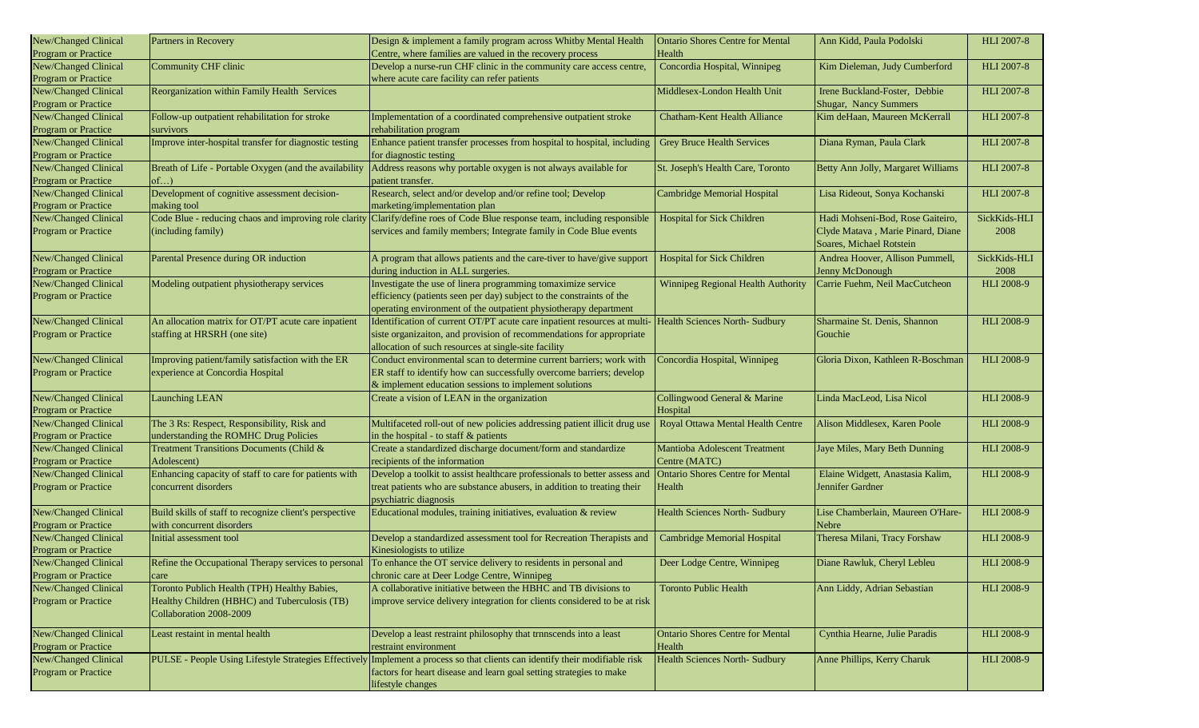| New/Changed Clinical | Partners in Recovery                                    | Design & implement a family program across Whitby Mental Health                                                              | <b>Ontario Shores Centre for Mental</b> | Ann Kidd, Paula Podolski           | <b>HLI 2007-8</b> |
|----------------------|---------------------------------------------------------|------------------------------------------------------------------------------------------------------------------------------|-----------------------------------------|------------------------------------|-------------------|
| Program or Practice  |                                                         | Centre, where families are valued in the recovery process                                                                    | Health                                  |                                    |                   |
| New/Changed Clinical | Community CHF clinic                                    | Develop a nurse-run CHF clinic in the community care access centre,                                                          | Concordia Hospital, Winnipeg            | Kim Dieleman, Judy Cumberford      | <b>HLI 2007-8</b> |
| Program or Practice  |                                                         | where acute care facility can refer patients                                                                                 |                                         |                                    |                   |
| New/Changed Clinical | Reorganization within Family Health Services            |                                                                                                                              | Middlesex-London Health Unit            | Irene Buckland-Foster, Debbie      | <b>HLI 2007-8</b> |
| Program or Practice  |                                                         |                                                                                                                              |                                         | Shugar, Nancy Summers              |                   |
| New/Changed Clinical | Follow-up outpatient rehabilitation for stroke          | Implementation of a coordinated comprehensive outpatient stroke                                                              | <b>Chatham-Kent Health Alliance</b>     | Kim deHaan, Maureen McKerrall      | <b>HLI 2007-8</b> |
| Program or Practice  | survivors                                               | rehabilitation program                                                                                                       |                                         |                                    |                   |
| New/Changed Clinical | Improve inter-hospital transfer for diagnostic testing  | Enhance patient transfer processes from hospital to hospital, including                                                      | <b>Grey Bruce Health Services</b>       | Diana Ryman, Paula Clark           | <b>HLI 2007-8</b> |
| Program or Practice  |                                                         | for diagnostic testing                                                                                                       |                                         |                                    |                   |
| New/Changed Clinical | Breath of Life - Portable Oxygen (and the availability  | Address reasons why portable oxygen is not always available for                                                              | St. Joseph's Health Care, Toronto       | Betty Ann Jolly, Margaret Williams | <b>HLI 2007-8</b> |
| Program or Practice  | of                                                      | patient transfer.                                                                                                            |                                         |                                    |                   |
| New/Changed Clinical | Development of cognitive assessment decision-           | Research, select and/or develop and/or refine tool; Develop                                                                  | Cambridge Memorial Hospital             | Lisa Rideout, Sonya Kochanski      | <b>HLI 2007-8</b> |
| Program or Practice  | making tool                                             | marketing/implementation plan                                                                                                |                                         |                                    |                   |
| New/Changed Clinical |                                                         | Code Blue - reducing chaos and improving role clarity Clarify/define roes of Code Blue response team, including responsible  | <b>Hospital for Sick Children</b>       | Hadi Mohseni-Bod, Rose Gaiteiro,   | SickKids-HLI      |
| Program or Practice  | (including family)                                      | services and family members; Integrate family in Code Blue events                                                            |                                         | Clyde Matava, Marie Pinard, Diane  | 2008              |
|                      |                                                         |                                                                                                                              |                                         | Soares, Michael Rotstein           |                   |
| New/Changed Clinical | Parental Presence during OR induction                   | A program that allows patients and the care-tiver to have/give support                                                       | <b>Hospital for Sick Children</b>       | Andrea Hoover, Allison Pummell,    | SickKids-HLI      |
| Program or Practice  |                                                         | during induction in ALL surgeries.                                                                                           |                                         | Jenny McDonough                    | 2008              |
| New/Changed Clinical | Modeling outpatient physiotherapy services              | Investigate the use of linera programming tomaximize service                                                                 | Winnipeg Regional Health Authority      | Carrie Fuehm, Neil MacCutcheon     | <b>HLI 2008-9</b> |
| Program or Practice  |                                                         | efficiency (patients seen per day) subject to the constraints of the                                                         |                                         |                                    |                   |
|                      |                                                         | operating environment of the outpatient physiotherapy department                                                             |                                         |                                    |                   |
| New/Changed Clinical | An allocation matrix for OT/PT acute care inpatient     | Identification of current OT/PT acute care inpatient resources at multi-                                                     | <b>Health Sciences North- Sudbury</b>   | Sharmaine St. Denis, Shannon       | <b>HLI 2008-9</b> |
| Program or Practice  | staffing at HRSRH (one site)                            | siste organizaiton, and provision of recommendations for appropriate                                                         |                                         | Gouchie                            |                   |
|                      |                                                         | allocation of such resources at single-site facility                                                                         |                                         |                                    |                   |
| New/Changed Clinical | Improving patient/family satisfaction with the ER       | Conduct environmental scan to determine current barriers; work with                                                          | Concordia Hospital, Winnipeg            | Gloria Dixon, Kathleen R-Boschman  | <b>HLI 2008-9</b> |
| Program or Practice  | experience at Concordia Hospital                        | ER staff to identify how can successfully overcome barriers; develop                                                         |                                         |                                    |                   |
|                      |                                                         | $\&$ implement education sessions to implement solutions                                                                     |                                         |                                    |                   |
| New/Changed Clinical | <b>Launching LEAN</b>                                   | Create a vision of LEAN in the organization                                                                                  | Collingwood General & Marine            | Linda MacLeod, Lisa Nicol          | <b>HLI 2008-9</b> |
| Program or Practice  |                                                         |                                                                                                                              | Hospital                                |                                    |                   |
| New/Changed Clinical | The 3 Rs: Respect, Responsibility, Risk and             | Multifaceted roll-out of new policies addressing patient illicit drug use                                                    | Royal Ottawa Mental Health Centre       | Alison Middlesex, Karen Poole      | <b>HLI 2008-9</b> |
| Program or Practice  | understanding the ROMHC Drug Policies                   | in the hospital - to staff & patients                                                                                        |                                         |                                    |                   |
| New/Changed Clinical | Treatment Transitions Documents (Child &                | Create a standardized discharge document/form and standardize                                                                | Mantioba Adolescent Treatment           | Jaye Miles, Mary Beth Dunning      | HLI 2008-9        |
| Program or Practice  | Adolescent)                                             | recipients of the information                                                                                                | Centre (MATC)                           |                                    |                   |
| New/Changed Clinical | Enhancing capacity of staff to care for patients with   | Develop a toolkit to assist healthcare professionals to better assess and                                                    | <b>Ontario Shores Centre for Mental</b> | Elaine Widgett, Anastasia Kalim,   | HLI 2008-9        |
| Program or Practice  | concurrent disorders                                    | treat patients who are substance abusers, in addition to treating their                                                      | Health                                  | Jennifer Gardner                   |                   |
|                      |                                                         | psychiatric diagnosis                                                                                                        |                                         |                                    |                   |
| New/Changed Clinical | Build skills of staff to recognize client's perspective | Educational modules, training initiatives, evaluation & review                                                               | <b>Health Sciences North- Sudbury</b>   | Lise Chamberlain, Maureen O'Hare-  | <b>HLI 2008-9</b> |
| Program or Practice  | with concurrent disorders                               |                                                                                                                              |                                         | Nebre                              |                   |
| New/Changed Clinical | Initial assessment tool                                 | Develop a standardized assessment tool for Recreation Therapists and                                                         | <b>Cambridge Memorial Hospital</b>      | Theresa Milani, Tracy Forshaw      | <b>HLI 2008-9</b> |
| Program or Practice  |                                                         | Kinesiologists to utilize                                                                                                    |                                         |                                    |                   |
| New/Changed Clinical | Refine the Occupational Therapy services to personal    | To enhance the OT service delivery to residents in personal and                                                              | Deer Lodge Centre, Winnipeg             | Diane Rawluk, Cheryl Lebleu        | <b>HLI 2008-9</b> |
| Program or Practice  | care                                                    | chronic care at Deer Lodge Centre, Winnipeg                                                                                  |                                         |                                    |                   |
| New/Changed Clinical | Toronto Publich Health (TPH) Healthy Babies,            | A collaborative initiative between the HBHC and TB divisions to                                                              | <b>Toronto Public Health</b>            | Ann Liddy, Adrian Sebastian        | <b>HLI 2008-9</b> |
| Program or Practice  | Healthy Children (HBHC) and Tuberculosis (TB)           | improve service delivery integration for clients considered to be at risk                                                    |                                         |                                    |                   |
|                      | Collaboration 2008-2009                                 |                                                                                                                              |                                         |                                    |                   |
| New/Changed Clinical | Least restaint in mental health                         | Develop a least restraint philosophy that trnnscends into a least                                                            | <b>Ontario Shores Centre for Mental</b> | Cynthia Hearne, Julie Paradis      | <b>HLI 2008-9</b> |
| Program or Practice  |                                                         | restraint environment                                                                                                        | Health                                  |                                    |                   |
| New/Changed Clinical |                                                         | PULSE - People Using Lifestyle Strategies Effectively Implement a process so that clients can identify their modifiable risk | Health Sciences North- Sudbury          | Anne Phillips, Kerry Charuk        | <b>HLI 2008-9</b> |
| Program or Practice  |                                                         | factors for heart disease and learn goal setting strategies to make                                                          |                                         |                                    |                   |
|                      |                                                         | lifestyle changes                                                                                                            |                                         |                                    |                   |
|                      |                                                         |                                                                                                                              |                                         |                                    |                   |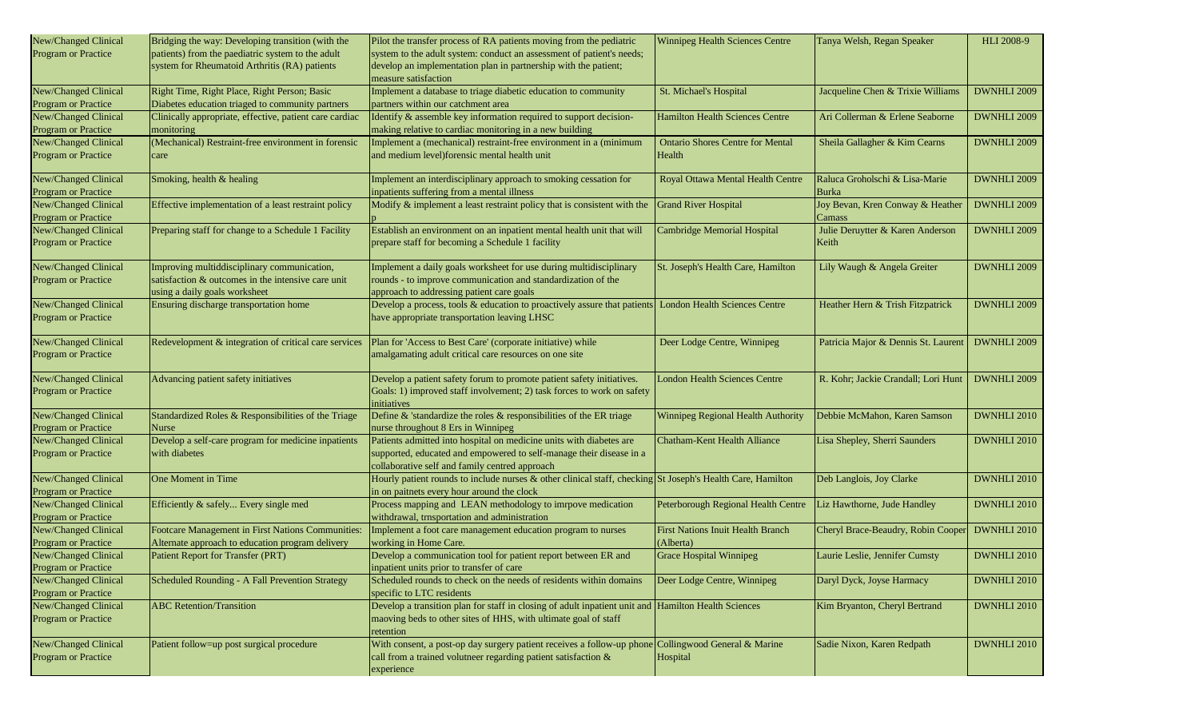| New/Changed Clinical                               | Bridging the way: Developing transition (with the       | Pilot the transfer process of RA patients moving from the pediatric                                           | Winnipeg Health Sciences Centre          | Tanya Welsh, Regan Speaker          | HLI 2008-9         |
|----------------------------------------------------|---------------------------------------------------------|---------------------------------------------------------------------------------------------------------------|------------------------------------------|-------------------------------------|--------------------|
| Program or Practice                                | patients) from the paediatric system to the adult       | system to the adult system: conduct an assessment of patient's needs;                                         |                                          |                                     |                    |
|                                                    | system for Rheumatoid Arthritis (RA) patients           | develop an implementation plan in partnership with the patient;                                               |                                          |                                     |                    |
|                                                    |                                                         | measure satisfaction                                                                                          |                                          |                                     |                    |
| New/Changed Clinical                               | Right Time, Right Place, Right Person; Basic            | Implement a database to triage diabetic education to community                                                | St. Michael's Hospital                   | Jacqueline Chen & Trixie Williams   | DWNHLI 2009        |
| <b>Program or Practice</b>                         | Diabetes education triaged to community partners        | partners within our catchment area                                                                            |                                          |                                     |                    |
| New/Changed Clinical                               | Clinically appropriate, effective, patient care cardiac | Identify & assemble key information required to support decision-                                             | <b>Hamilton Health Sciences Centre</b>   | Ari Collerman & Erlene Seaborne     | DWNHLI 2009        |
| Program or Practice                                | monitoring                                              | making relative to cardiac monitoring in a new building                                                       |                                          |                                     |                    |
| New/Changed Clinical                               | (Mechanical) Restraint-free environment in forensic     | Implement a (mechanical) restraint-free environment in a (minimum                                             | <b>Ontario Shores Centre for Mental</b>  | Sheila Gallagher & Kim Cearns       | DWNHLI 2009        |
| Program or Practice                                | care                                                    | and medium level)forensic mental health unit                                                                  | Health                                   |                                     |                    |
|                                                    |                                                         | Implement an interdisciplinary approach to smoking cessation for                                              |                                          | Raluca Groholschi & Lisa-Marie      | DWNHLI 2009        |
| New/Changed Clinical<br><b>Program or Practice</b> | Smoking, health & healing                               | inpatients suffering from a mental illness                                                                    | Royal Ottawa Mental Health Centre        | Burka                               |                    |
| New/Changed Clinical                               | Effective implementation of a least restraint policy    | Modify & implement a least restraint policy that is consistent with the                                       | <b>Grand River Hospital</b>              | Joy Bevan, Kren Conway & Heather    | DWNHLI 2009        |
| Program or Practice                                |                                                         |                                                                                                               |                                          | Camass                              |                    |
| New/Changed Clinical                               | Preparing staff for change to a Schedule 1 Facility     | Establish an environment on an inpatient mental health unit that will                                         | <b>Cambridge Memorial Hospital</b>       | Julie Deruytter & Karen Anderson    | DWNHLI 2009        |
| Program or Practice                                |                                                         | prepare staff for becoming a Schedule 1 facility                                                              |                                          | Keith                               |                    |
|                                                    |                                                         |                                                                                                               |                                          |                                     |                    |
| New/Changed Clinical                               | Improving multiddisciplinary communication,             | Implement a daily goals worksheet for use during multidisciplinary                                            | St. Joseph's Health Care, Hamilton       | Lily Waugh & Angela Greiter         | DWNHLI 2009        |
| Program or Practice                                | satisfaction & outcomes in the intensive care unit      | rounds - to improve communication and standardization of the                                                  |                                          |                                     |                    |
|                                                    | using a daily goals worksheet                           | approach to addressing patient care goals                                                                     |                                          |                                     |                    |
| New/Changed Clinical                               | Ensuring discharge transportation home                  | Develop a process, tools & education to proactively assure that patients                                      | <b>London Health Sciences Centre</b>     | Heather Hern & Trish Fitzpatrick    | DWNHLI 2009        |
| <b>Program or Practice</b>                         |                                                         | have appropriate transportation leaving LHSC                                                                  |                                          |                                     |                    |
|                                                    |                                                         |                                                                                                               |                                          |                                     |                    |
| New/Changed Clinical                               | Redevelopment & integration of critical care services   | Plan for 'Access to Best Care' (corporate initiative) while                                                   | Deer Lodge Centre, Winnipeg              | Patricia Major & Dennis St. Laurent | DWNHLI 2009        |
| Program or Practice                                |                                                         | amalgamating adult critical care resources on one site                                                        |                                          |                                     |                    |
| New/Changed Clinical                               | Advancing patient safety initiatives                    | Develop a patient safety forum to promote patient safety initiatives.                                         | <b>London Health Sciences Centre</b>     | R. Kohr; Jackie Crandall; Lori Hunt | DWNHLI 2009        |
| <b>Program or Practice</b>                         |                                                         | Goals: 1) improved staff involvement; 2) task forces to work on safety                                        |                                          |                                     |                    |
|                                                    |                                                         | initiatives                                                                                                   |                                          |                                     |                    |
| New/Changed Clinical                               | Standardized Roles & Responsibilities of the Triage     | Define $\&$ 'standardize the roles $\&$ responsibilities of the ER triage                                     | Winnipeg Regional Health Authority       | Debbie McMahon, Karen Samson        | <b>DWNHLI 2010</b> |
| Program or Practice                                | Nurse                                                   | nurse throughout 8 Ers in Winnipeg                                                                            |                                          |                                     |                    |
| New/Changed Clinical                               | Develop a self-care program for medicine inpatients     | Patients admitted into hospital on medicine units with diabetes are                                           | Chatham-Kent Health Alliance             | Lisa Shepley, Sherri Saunders       | DWNHLI 2010        |
| <b>Program or Practice</b>                         | with diabetes                                           | supported, educated and empowered to self-manage their disease in a                                           |                                          |                                     |                    |
|                                                    |                                                         | collaborative self and family centred approach                                                                |                                          |                                     |                    |
| New/Changed Clinical                               | One Moment in Time                                      | Hourly patient rounds to include nurses $\&$ other clinical staff, checking St Joseph's Health Care, Hamilton |                                          | Deb Langlois, Joy Clarke            | DWNHLI 2010        |
| Program or Practice                                |                                                         | in on paitnets every hour around the clock                                                                    |                                          |                                     |                    |
| New/Changed Clinical                               | Efficiently & safely Every single med                   | Process mapping and LEAN methodology to imrpove medication                                                    | Peterborough Regional Health Centre      | Liz Hawthorne, Jude Handley         | DWNHLI 2010        |
| Program or Practice                                |                                                         | withdrawal, trnsportation and administration                                                                  |                                          |                                     |                    |
| New/Changed Clinical                               | Footcare Management in First Nations Communities:       | Implement a foot care management education program to nurses                                                  | <b>First Nations Inuit Health Branch</b> | Cheryl Brace-Beaudry, Robin Cooper  | DWNHLI 2010        |
| <b>Program or Practice</b>                         | Alternate approach to education program delivery        | working in Home Care.                                                                                         | Alberta)                                 |                                     |                    |
| New/Changed Clinical<br>Program or Practice        | Patient Report for Transfer (PRT)                       | Develop a communication tool for patient report between ER and                                                | <b>Grace Hospital Winnipeg</b>           | Laurie Leslie, Jennifer Cumsty      | <b>DWNHLI 2010</b> |
| New/Changed Clinical                               |                                                         | inpatient units prior to transfer of care                                                                     |                                          |                                     |                    |
|                                                    | Scheduled Rounding - A Fall Prevention Strategy         | Scheduled rounds to check on the needs of residents within domains<br>specific to LTC residents               | Deer Lodge Centre, Winnipeg              | Daryl Dyck, Joyse Harmacy           | <b>DWNHLI 2010</b> |
| Program or Practice<br>New/Changed Clinical        | <b>ABC</b> Retention/Transition                         | Develop a transition plan for staff in closing of adult inpatient unit and Hamilton Health Sciences           |                                          | Kim Bryanton, Cheryl Bertrand       | DWNHLI 2010        |
| Program or Practice                                |                                                         | maoving beds to other sites of HHS, with ultimate goal of staff                                               |                                          |                                     |                    |
|                                                    |                                                         | retention                                                                                                     |                                          |                                     |                    |
| New/Changed Clinical                               | Patient follow=up post surgical procedure               | With consent, a post-op day surgery patient receives a follow-up phone                                        | Collingwood General & Marine             | Sadie Nixon, Karen Redpath          | <b>DWNHLI 2010</b> |
| Program or Practice                                |                                                         | call from a trained volutneer regarding patient satisfaction &                                                | Hospital                                 |                                     |                    |
|                                                    |                                                         | experience                                                                                                    |                                          |                                     |                    |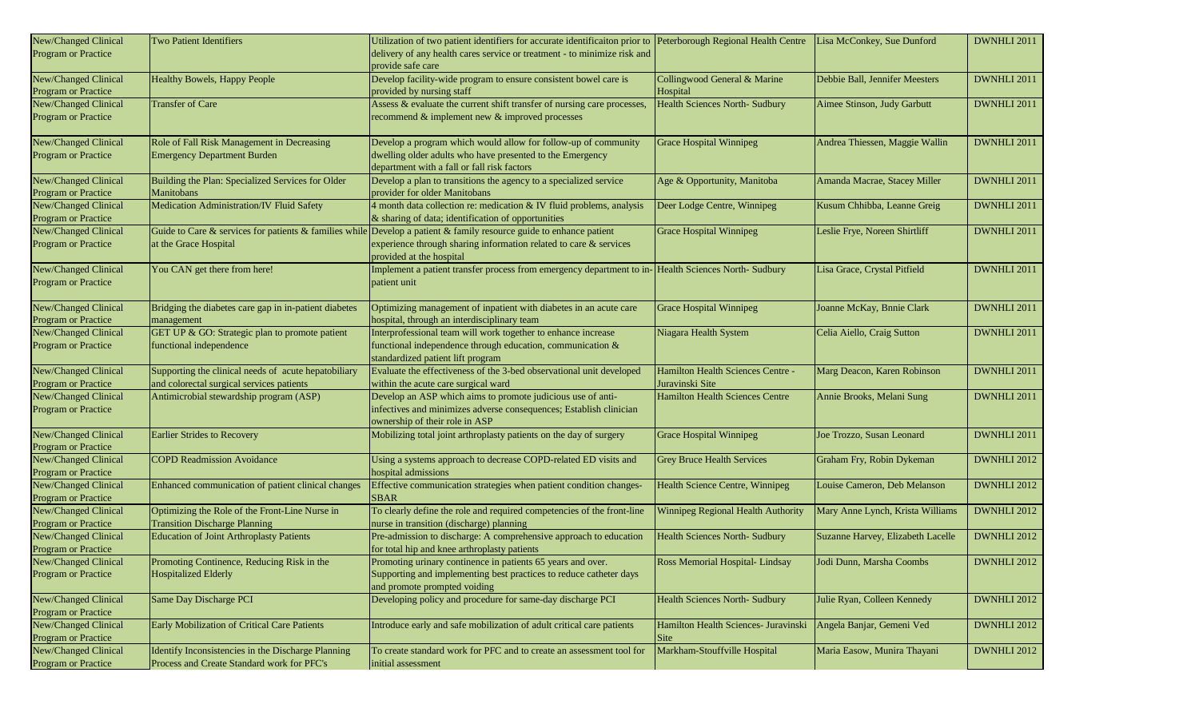| New/Changed Clinical | <b>Two Patient Identifiers</b>                        | Utilization of two patient identifiers for accurate identification prior to Peterborough Regional Health Centre     |                                        | Lisa McConkey, Sue Dunford        | DWNHLI 2011        |
|----------------------|-------------------------------------------------------|---------------------------------------------------------------------------------------------------------------------|----------------------------------------|-----------------------------------|--------------------|
| Program or Practice  |                                                       | delivery of any health cares service or treatment - to minimize risk and                                            |                                        |                                   |                    |
|                      |                                                       | provide safe care                                                                                                   |                                        |                                   |                    |
| New/Changed Clinical | Healthy Bowels, Happy People                          | Develop facility-wide program to ensure consistent bowel care is                                                    | Collingwood General & Marine           | Debbie Ball, Jennifer Meesters    | DWNHLI 2011        |
| Program or Practice  |                                                       | provided by nursing staff                                                                                           | Hospital                               |                                   |                    |
| New/Changed Clinical | <b>Transfer of Care</b>                               | Assess & evaluate the current shift transfer of nursing care processes,                                             | <b>Health Sciences North- Sudbury</b>  | Aimee Stinson, Judy Garbutt       | DWNHLI 2011        |
| Program or Practice  |                                                       | recommend & implement new & improved processes                                                                      |                                        |                                   |                    |
|                      |                                                       |                                                                                                                     |                                        |                                   |                    |
| New/Changed Clinical | Role of Fall Risk Management in Decreasing            | Develop a program which would allow for follow-up of community                                                      | <b>Grace Hospital Winnipeg</b>         | Andrea Thiessen, Maggie Wallin    | DWNHLI 2011        |
| Program or Practice  | <b>Emergency Department Burden</b>                    | dwelling older adults who have presented to the Emergency                                                           |                                        |                                   |                    |
|                      |                                                       | department with a fall or fall risk factors                                                                         |                                        |                                   |                    |
| New/Changed Clinical | Building the Plan: Specialized Services for Older     | Develop a plan to transitions the agency to a specialized service                                                   | Age & Opportunity, Manitoba            | Amanda Macrae, Stacey Miller      | DWNHLI 2011        |
| Program or Practice  | Manitobans                                            | provider for older Manitobans                                                                                       |                                        |                                   |                    |
| New/Changed Clinical | Medication Administration/IV Fluid Safety             | 4 month data collection re: medication & IV fluid problems, analysis                                                | Deer Lodge Centre, Winnipeg            | Kusum Chhibba, Leanne Greig       | DWNHLI 2011        |
| Program or Practice  |                                                       | & sharing of data; identification of opportunities                                                                  |                                        |                                   |                    |
| New/Changed Clinical |                                                       | Guide to Care & services for patients & families while Develop a patient & family resource guide to enhance patient | <b>Grace Hospital Winnipeg</b>         | Leslie Frye, Noreen Shirtliff     | DWNHLI 2011        |
| Program or Practice  | at the Grace Hospital                                 | experience through sharing information related to care & services                                                   |                                        |                                   |                    |
|                      |                                                       | provided at the hospital                                                                                            |                                        |                                   |                    |
| New/Changed Clinical | You CAN get there from here!                          | Implement a patient transfer process from emergency department to in- Health Sciences North-Sudbury                 |                                        | Lisa Grace, Crystal Pitfield      | DWNHLI 2011        |
| Program or Practice  |                                                       | patient unit                                                                                                        |                                        |                                   |                    |
|                      |                                                       |                                                                                                                     |                                        |                                   |                    |
| New/Changed Clinical | Bridging the diabetes care gap in in-patient diabetes | Optimizing management of inpatient with diabetes in an acute care                                                   | <b>Grace Hospital Winnipeg</b>         | Joanne McKay, Bnnie Clark         | DWNHLI 2011        |
| Program or Practice  | management                                            | hospital, through an interdisciplinary team                                                                         |                                        |                                   |                    |
| New/Changed Clinical | GET UP & GO: Strategic plan to promote patient        | Interprofessional team will work together to enhance increase                                                       | Niagara Health System                  | Celia Aiello, Craig Sutton        | DWNHLI 2011        |
| Program or Practice  | functional independence                               | functional independence through education, communication &                                                          |                                        |                                   |                    |
|                      |                                                       | standardized patient lift program                                                                                   |                                        |                                   |                    |
| New/Changed Clinical | Supporting the clinical needs of acute hepatobiliary  | Evaluate the effectiveness of the 3-bed observational unit developed                                                | Hamilton Health Sciences Centre -      | Marg Deacon, Karen Robinson       | DWNHLI 2011        |
| Program or Practice  | and colorectal surgical services patients             | within the acute care surgical ward                                                                                 | Juravinski Site                        |                                   |                    |
| New/Changed Clinical | Antimicrobial stewardship program (ASP)               | Develop an ASP which aims to promote judicious use of anti-                                                         | <b>Hamilton Health Sciences Centre</b> | Annie Brooks, Melani Sung         | DWNHLI 2011        |
| Program or Practice  |                                                       | infectives and minimizes adverse consequences; Establish clinician                                                  |                                        |                                   |                    |
|                      |                                                       | ownership of their role in ASP                                                                                      |                                        |                                   |                    |
| New/Changed Clinical | <b>Earlier Strides to Recovery</b>                    | Mobilizing total joint arthroplasty patients on the day of surgery                                                  | <b>Grace Hospital Winnipeg</b>         | Joe Trozzo, Susan Leonard         | DWNHLI 2011        |
| Program or Practice  |                                                       |                                                                                                                     |                                        |                                   |                    |
| New/Changed Clinical | <b>COPD Readmission Avoidance</b>                     | Using a systems approach to decrease COPD-related ED visits and                                                     | <b>Grey Bruce Health Services</b>      | Graham Fry, Robin Dykeman         | DWNHLI 2012        |
| Program or Practice  |                                                       | hospital admissions                                                                                                 |                                        |                                   |                    |
| New/Changed Clinical | Enhanced communication of patient clinical changes    | Effective communication strategies when patient condition changes-                                                  | Health Science Centre, Winnipeg        | Louise Cameron, Deb Melanson      | DWNHLI 2012        |
| Program or Practice  |                                                       | <b>SBAR</b>                                                                                                         |                                        |                                   |                    |
| New/Changed Clinical | Optimizing the Role of the Front-Line Nurse in        | To clearly define the role and required competencies of the front-line                                              | Winnipeg Regional Health Authority     | Mary Anne Lynch, Krista Williams  | <b>DWNHLI 2012</b> |
| Program or Practice  | <b>Transition Discharge Planning</b>                  | nurse in transition (discharge) planning                                                                            |                                        |                                   |                    |
| New/Changed Clinical | <b>Education of Joint Arthroplasty Patients</b>       | Pre-admission to discharge: A comprehensive approach to education                                                   | <b>Health Sciences North- Sudbury</b>  | Suzanne Harvey, Elizabeth Lacelle | DWNHLI 2012        |
| Program or Practice  |                                                       | for total hip and knee arthroplasty patients                                                                        |                                        |                                   |                    |
| New/Changed Clinical | Promoting Continence, Reducing Risk in the            | Promoting urinary continence in patients 65 years and over.                                                         | Ross Memorial Hospital-Lindsay         | Jodi Dunn, Marsha Coombs          | DWNHLI 2012        |
| Program or Practice  | <b>Hospitalized Elderly</b>                           | Supporting and implementing best practices to reduce catheter days                                                  |                                        |                                   |                    |
|                      |                                                       | and promote prompted voiding                                                                                        |                                        |                                   |                    |
| New/Changed Clinical | Same Day Discharge PCI                                | Developing policy and procedure for same-day discharge PCI                                                          | <b>Health Sciences North- Sudbury</b>  | Julie Ryan, Colleen Kennedy       | DWNHLI 2012        |
| Program or Practice  |                                                       |                                                                                                                     |                                        |                                   |                    |
| New/Changed Clinical | Early Mobilization of Critical Care Patients          | Introduce early and safe mobilization of adult critical care patients                                               | Hamilton Health Sciences- Juravinski   | Angela Banjar, Gemeni Ved         | DWNHLI 2012        |
| Program or Practice  |                                                       |                                                                                                                     | Site                                   |                                   |                    |
| New/Changed Clinical | Identify Inconsistencies in the Discharge Planning    | To create standard work for PFC and to create an assessment tool for                                                | Markham-Stouffville Hospital           | Maria Easow, Munira Thayani       | <b>DWNHLI 2012</b> |
| Program or Practice  | Process and Create Standard work for PFC's            | initial assessment                                                                                                  |                                        |                                   |                    |
|                      |                                                       |                                                                                                                     |                                        |                                   |                    |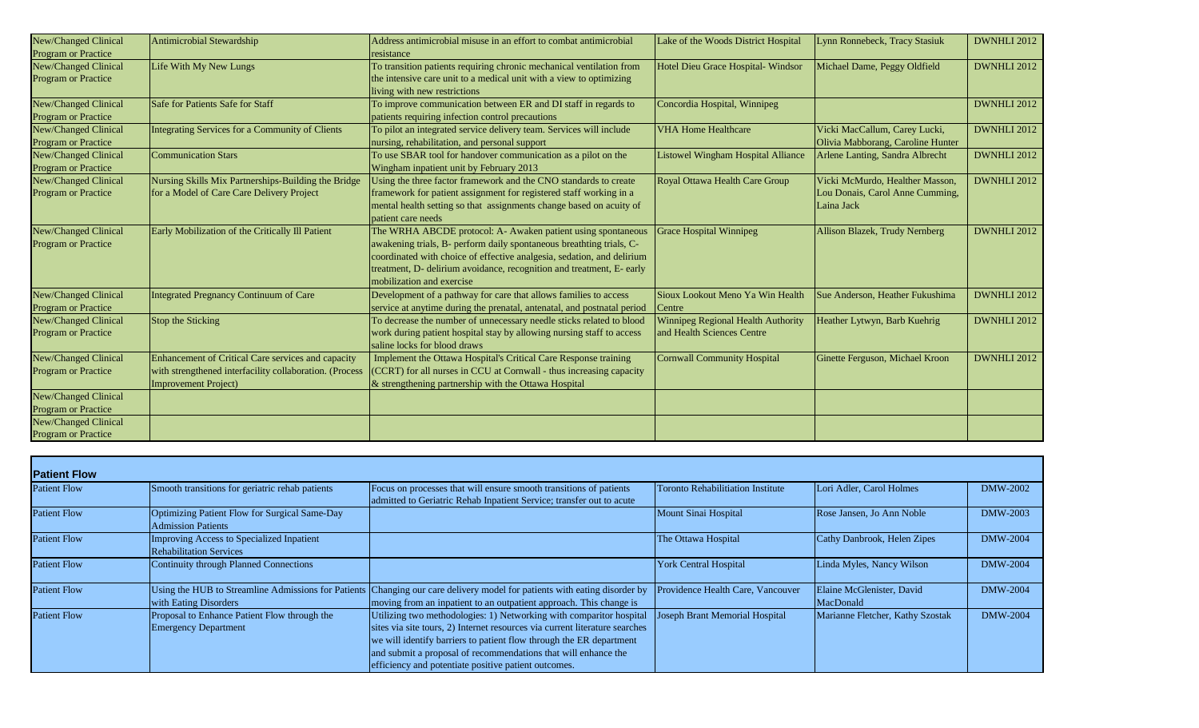| New/Changed Clinical        | Antimicrobial Stewardship                               | Address antimicrobial misuse in an effort to combat antimicrobial       | Lake of the Woods District Hospital       | Lynn Ronnebeck, Tracy Stasiuk     | DWNHLI 2012        |
|-----------------------------|---------------------------------------------------------|-------------------------------------------------------------------------|-------------------------------------------|-----------------------------------|--------------------|
| <b>Program or Practice</b>  |                                                         | resistance                                                              |                                           |                                   |                    |
| New/Changed Clinical        | Life With My New Lungs                                  | To transition patients requiring chronic mechanical ventilation from    | Hotel Dieu Grace Hospital- Windsor        | Michael Dame, Peggy Oldfield      | DWNHLI 2012        |
| Program or Practice         |                                                         | the intensive care unit to a medical unit with a view to optimizing     |                                           |                                   |                    |
|                             |                                                         | living with new restrictions                                            |                                           |                                   |                    |
| New/Changed Clinical        | Safe for Patients Safe for Staff                        | To improve communication between ER and DI staff in regards to          | Concordia Hospital, Winnipeg              |                                   | DWNHLI 2012        |
| <b>Program or Practice</b>  |                                                         | patients requiring infection control precautions                        |                                           |                                   |                    |
| New/Changed Clinical        | Integrating Services for a Community of Clients         | To pilot an integrated service delivery team. Services will include     | <b>VHA Home Healthcare</b>                | Vicki MacCallum, Carey Lucki,     | DWNHLI 2012        |
| <b>Program or Practice</b>  |                                                         | nursing, rehabilitation, and personal support                           |                                           | Olivia Mabborang, Caroline Hunter |                    |
| <b>New/Changed Clinical</b> | <b>Communication Stars</b>                              | To use SBAR tool for handover communication as a pilot on the           | <b>Listowel Wingham Hospital Alliance</b> | Arlene Lanting, Sandra Albrecht   | DWNHLI 2012        |
| <b>Program or Practice</b>  |                                                         | Wingham inpatient unit by February 2013                                 |                                           |                                   |                    |
| New/Changed Clinical        | Nursing Skills Mix Partnerships-Building the Bridge     | Using the three factor framework and the CNO standards to create        | Royal Ottawa Health Care Group            | Vicki McMurdo, Healther Masson,   | <b>DWNHLI 2012</b> |
| <b>Program or Practice</b>  | for a Model of Care Care Delivery Project               | framework for patient assignment for registered staff working in a      |                                           | Lou Donais, Carol Anne Cumming,   |                    |
|                             |                                                         | mental health setting so that assignments change based on acuity of     |                                           | Laina Jack                        |                    |
|                             |                                                         | patient care needs                                                      |                                           |                                   |                    |
| <b>New/Changed Clinical</b> | Early Mobilization of the Critically Ill Patient        | The WRHA ABCDE protocol: A- Awaken patient using spontaneous            | <b>Grace Hospital Winnipeg</b>            | Allison Blazek, Trudy Nernberg    | DWNHLI 2012        |
| <b>Program or Practice</b>  |                                                         | awakening trials, B- perform daily spontaneous breathting trials, C-    |                                           |                                   |                    |
|                             |                                                         | coordinated with choice of effective analgesia, sedation, and delirium  |                                           |                                   |                    |
|                             |                                                         | treatment, D- delirium avoidance, recognition and treatment, E- early   |                                           |                                   |                    |
|                             |                                                         | mobilization and exercise                                               |                                           |                                   |                    |
| New/Changed Clinical        | Integrated Pregnancy Continuum of Care                  | Development of a pathway for care that allows families to access        | Sioux Lookout Meno Ya Win Health          | Sue Anderson, Heather Fukushima   | DWNHLI 2012        |
| <b>Program or Practice</b>  |                                                         | service at anytime during the prenatal, antenatal, and postnatal period | Centre                                    |                                   |                    |
| New/Changed Clinical        | Stop the Sticking                                       | To decrease the number of unnecessary needle sticks related to blood    | Winnipeg Regional Health Authority        | Heather Lytwyn, Barb Kuehrig      | <b>DWNHLI 2012</b> |
| <b>Program or Practice</b>  |                                                         | work during patient hospital stay by allowing nursing staff to access   | and Health Sciences Centre                |                                   |                    |
|                             |                                                         | saline locks for blood draws                                            |                                           |                                   |                    |
| <b>New/Changed Clinical</b> | Enhancement of Critical Care services and capacity      | Implement the Ottawa Hospital's Critical Care Response training         | <b>Cornwall Community Hospital</b>        | Ginette Ferguson, Michael Kroon   | DWNHLI 2012        |
| <b>Program or Practice</b>  | with strengthened interfacility collaboration. (Process | (CCRT) for all nurses in CCU at Cornwall - thus increasing capacity     |                                           |                                   |                    |
|                             | Improvement Project)                                    | $\&$ strengthening partnership with the Ottawa Hospital                 |                                           |                                   |                    |
| New/Changed Clinical        |                                                         |                                                                         |                                           |                                   |                    |
| <b>Program or Practice</b>  |                                                         |                                                                         |                                           |                                   |                    |
| New/Changed Clinical        |                                                         |                                                                         |                                           |                                   |                    |
| <b>Program or Practice</b>  |                                                         |                                                                         |                                           |                                   |                    |

| <b>Patient Flow</b> |                                                                              |                                                                                                                                                                                                                                                                                                                                                     |                                          |                                        |                 |
|---------------------|------------------------------------------------------------------------------|-----------------------------------------------------------------------------------------------------------------------------------------------------------------------------------------------------------------------------------------------------------------------------------------------------------------------------------------------------|------------------------------------------|----------------------------------------|-----------------|
| <b>Patient Flow</b> | Smooth transitions for geriatric rehab patients                              | Focus on processes that will ensure smooth transitions of patients<br>admitted to Geriatric Rehab Inpatient Service; transfer out to acute                                                                                                                                                                                                          | <b>Toronto Rehabilitiation Institute</b> | Lori Adler, Carol Holmes               | DMW-2002        |
| <b>Patient Flow</b> | Optimizing Patient Flow for Surgical Same-Day<br><b>Admission Patients</b>   |                                                                                                                                                                                                                                                                                                                                                     | Mount Sinai Hospital                     | Rose Jansen, Jo Ann Noble              | <b>DMW-2003</b> |
| <b>Patient Flow</b> | Improving Access to Specialized Inpatient<br><b>Rehabilitation Services</b>  |                                                                                                                                                                                                                                                                                                                                                     | The Ottawa Hospital                      | Cathy Danbrook, Helen Zipes            | <b>DMW-2004</b> |
| <b>Patient Flow</b> | Continuity through Planned Connections                                       |                                                                                                                                                                                                                                                                                                                                                     | <b>York Central Hospital</b>             | Linda Myles, Nancy Wilson              | <b>DMW-2004</b> |
| <b>Patient Flow</b> | Using the HUB to Streamline Admissions for Patients<br>with Eating Disorders | Changing our care delivery model for patients with eating disorder by<br>moving from an inpatient to an outpatient approach. This change is                                                                                                                                                                                                         | Providence Health Care, Vancouver        | Elaine McGlenister, David<br>MacDonald | <b>DMW-2004</b> |
| <b>Patient Flow</b> | Proposal to Enhance Patient Flow through the<br><b>Emergency Department</b>  | Utilizing two methodologies: 1) Networking with comparitor hospital<br>sites via site tours, 2) Internet resources via current literature searches<br>we will identify barriers to patient flow through the ER department<br>and submit a proposal of recommendations that will enhance the<br>efficiency and potentiate positive patient outcomes. | Joseph Brant Memorial Hospital           | Marianne Fletcher, Kathy Szostak       | <b>DMW-2004</b> |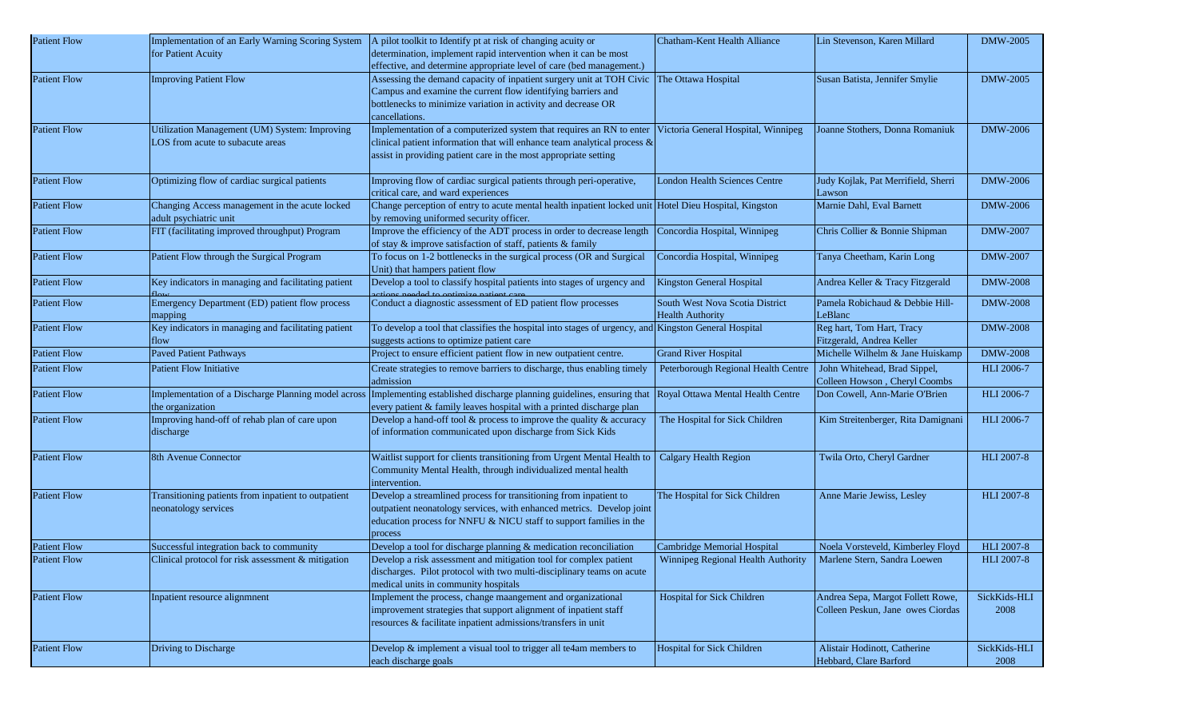| <b>Patient Flow</b> |                                                       | Implementation of an Early Warning Scoring System   A pilot toolkit to Identify pt at risk of changing acuity or                         | Chatham-Kent Health Alliance                                       | Lin Stevenson, Karen Millard        | <b>DMW-2005</b>   |
|---------------------|-------------------------------------------------------|------------------------------------------------------------------------------------------------------------------------------------------|--------------------------------------------------------------------|-------------------------------------|-------------------|
|                     | for Patient Acuity                                    | determination, implement rapid intervention when it can be most                                                                          |                                                                    |                                     |                   |
|                     |                                                       | effective, and determine appropriate level of care (bed management.)                                                                     |                                                                    |                                     |                   |
| <b>Patient Flow</b> | <b>Improving Patient Flow</b>                         | Assessing the demand capacity of inpatient surgery unit at TOH Civic                                                                     | The Ottawa Hospital                                                | Susan Batista, Jennifer Smylie      | <b>DMW-2005</b>   |
|                     |                                                       | Campus and examine the current flow identifying barriers and                                                                             |                                                                    |                                     |                   |
|                     |                                                       | bottlenecks to minimize variation in activity and decrease OR                                                                            |                                                                    |                                     |                   |
|                     |                                                       | cancellations.                                                                                                                           |                                                                    |                                     |                   |
| <b>Patient Flow</b> | Utilization Management (UM) System: Improving         | Implementation of a computerized system that requires an RN to enter                                                                     | Victoria General Hospital, Winnipeg                                | Joanne Stothers, Donna Romaniuk     | <b>DMW-2006</b>   |
|                     | LOS from acute to subacute areas                      | clinical patient information that will enhance team analytical process $\&$                                                              |                                                                    |                                     |                   |
|                     |                                                       | assist in providing patient care in the most appropriate setting                                                                         |                                                                    |                                     |                   |
| <b>Patient Flow</b> | Optimizing flow of cardiac surgical patients          | Improving flow of cardiac surgical patients through peri-operative,                                                                      | London Health Sciences Centre                                      | Judy Kojlak, Pat Merrifield, Sherri | <b>DMW-2006</b>   |
|                     |                                                       | critical care, and ward experiences                                                                                                      |                                                                    | Lawson                              |                   |
| <b>Patient Flow</b> | Changing Access management in the acute locked        | Change perception of entry to acute mental health inpatient locked unit Hotel Dieu Hospital, Kingston                                    |                                                                    | Marnie Dahl, Eval Barnett           | DMW-2006          |
|                     | adult psychiatric unit                                | by removing uniformed security officer.                                                                                                  |                                                                    |                                     |                   |
| <b>Patient Flow</b> | FIT (facilitating improved throughput) Program        | Improve the efficiency of the ADT process in order to decrease length                                                                    | Concordia Hospital, Winnipeg                                       | Chris Collier & Bonnie Shipman      | <b>DMW-2007</b>   |
|                     |                                                       | of stay & improve satisfaction of staff, patients & family                                                                               |                                                                    |                                     |                   |
| <b>Patient Flow</b> | Patient Flow through the Surgical Program             | To focus on 1-2 bottlenecks in the surgical process (OR and Surgical                                                                     | Concordia Hospital, Winnipeg                                       | Tanya Cheetham, Karin Long          | <b>DMW-2007</b>   |
|                     |                                                       | Unit) that hampers patient flow                                                                                                          |                                                                    |                                     |                   |
| <b>Patient Flow</b> | Key indicators in managing and facilitating patient   | Develop a tool to classify hospital patients into stages of urgency and<br>ctions needed to ontimize nation care                         | Kingston General Hospital                                          | Andrea Keller & Tracy Fitzgerald    | <b>DMW-2008</b>   |
| <b>Patient Flow</b> | Emergency Department (ED) patient flow process        | Conduct a diagnostic assessment of ED patient flow processes                                                                             | South West Nova Scotia District                                    | Pamela Robichaud & Debbie Hill-     | <b>DMW-2008</b>   |
|                     | mapping                                               |                                                                                                                                          | <b>Health Authority</b>                                            | LeBlanc                             |                   |
| <b>Patient Flow</b> | Key indicators in managing and facilitating patient   | To develop a tool that classifies the hospital into stages of urgency, and Kingston General Hospital                                     |                                                                    | Reg hart, Tom Hart, Tracy           | <b>DMW-2008</b>   |
|                     | flow                                                  | suggests actions to optimize patient care                                                                                                |                                                                    | Fitzgerald, Andrea Keller           |                   |
| <b>Patient Flow</b> | <b>Paved Patient Pathways</b>                         | Project to ensure efficient patient flow in new outpatient centre.                                                                       | <b>Grand River Hospital</b>                                        | Michelle Wilhelm & Jane Huiskamp    | <b>DMW-2008</b>   |
| <b>Patient Flow</b> | <b>Patient Flow Initiative</b>                        | Create strategies to remove barriers to discharge, thus enabling timely                                                                  | Peterborough Regional Health Centre   John Whitehead, Brad Sippel, |                                     | <b>HLI 2006-7</b> |
|                     |                                                       | admission                                                                                                                                |                                                                    | Colleen Howson, Cheryl Coombs       |                   |
| <b>Patient Flow</b> | Implementation of a Discharge Planning model across   | Implementing established discharge planning guidelines, ensuring that                                                                    | Royal Ottawa Mental Health Centre                                  | Don Cowell, Ann-Marie O'Brien       | HLI 2006-7        |
|                     | the organization                                      | every patient & family leaves hospital with a printed discharge plan                                                                     |                                                                    |                                     |                   |
| <b>Patient Flow</b> | Improving hand-off of rehab plan of care upon         | Develop a hand-off tool $&$ process to improve the quality $&$ accuracy                                                                  | The Hospital for Sick Children                                     | Kim Streitenberger, Rita Damignani  | HLI 2006-7        |
|                     | discharge                                             | of information communicated upon discharge from Sick Kids                                                                                |                                                                    |                                     |                   |
|                     |                                                       |                                                                                                                                          |                                                                    |                                     |                   |
| <b>Patient Flow</b> | 8th Avenue Connector                                  | Waitlist support for clients transitioning from Urgent Mental Health to<br>Community Mental Health, through individualized mental health | Calgary Health Region                                              | Twila Orto, Cheryl Gardner          | HLI 2007-8        |
|                     |                                                       | intervention.                                                                                                                            |                                                                    |                                     |                   |
| <b>Patient Flow</b> | Transitioning patients from inpatient to outpatient   | Develop a streamlined process for transitioning from inpatient to                                                                        | The Hospital for Sick Children                                     | Anne Marie Jewiss, Lesley           | <b>HLI 2007-8</b> |
|                     | neonatology services                                  | outpatient neonatology services, with enhanced metrics. Develop joint                                                                    |                                                                    |                                     |                   |
|                     |                                                       | education process for NNFU & NICU staff to support families in the                                                                       |                                                                    |                                     |                   |
|                     |                                                       | process                                                                                                                                  |                                                                    |                                     |                   |
| <b>Patient Flow</b> | Successful integration back to community              | Develop a tool for discharge planning & medication reconciliation                                                                        | Cambridge Memorial Hospital                                        | Noela Vorsteveld, Kimberley Floyd   | <b>HLI 2007-8</b> |
| <b>Patient Flow</b> | Clinical protocol for risk assessment $\&$ mitigation | Develop a risk assessment and mitigation tool for complex patient                                                                        | <b>Winnipeg Regional Health Authority</b>                          | Marlene Stern, Sandra Loewen        | <b>HLI 2007-8</b> |
|                     |                                                       | discharges. Pilot protocol with two multi-disciplinary teams on acute                                                                    |                                                                    |                                     |                   |
|                     |                                                       | medical units in community hospitals                                                                                                     |                                                                    |                                     |                   |
| <b>Patient Flow</b> | Inpatient resource alignmnent                         | Implement the process, change maangement and organizational                                                                              | Hospital for Sick Children                                         | Andrea Sepa, Margot Follett Rowe,   | SickKids-HLI      |
|                     |                                                       | improvement strategies that support alignment of inpatient staff                                                                         |                                                                    | Colleen Peskun, Jane owes Ciordas   | 2008              |
|                     |                                                       | resources & facilitate inpatient admissions/transfers in unit                                                                            |                                                                    |                                     |                   |
|                     |                                                       |                                                                                                                                          |                                                                    |                                     |                   |
| <b>Patient Flow</b> | Driving to Discharge                                  | Develop & implement a visual tool to trigger all te4am members to                                                                        | Hospital for Sick Children                                         | Alistair Hodinott, Catherine        | SickKids-HLI      |
|                     |                                                       | each discharge goals                                                                                                                     |                                                                    | Hebbard, Clare Barford              | 2008              |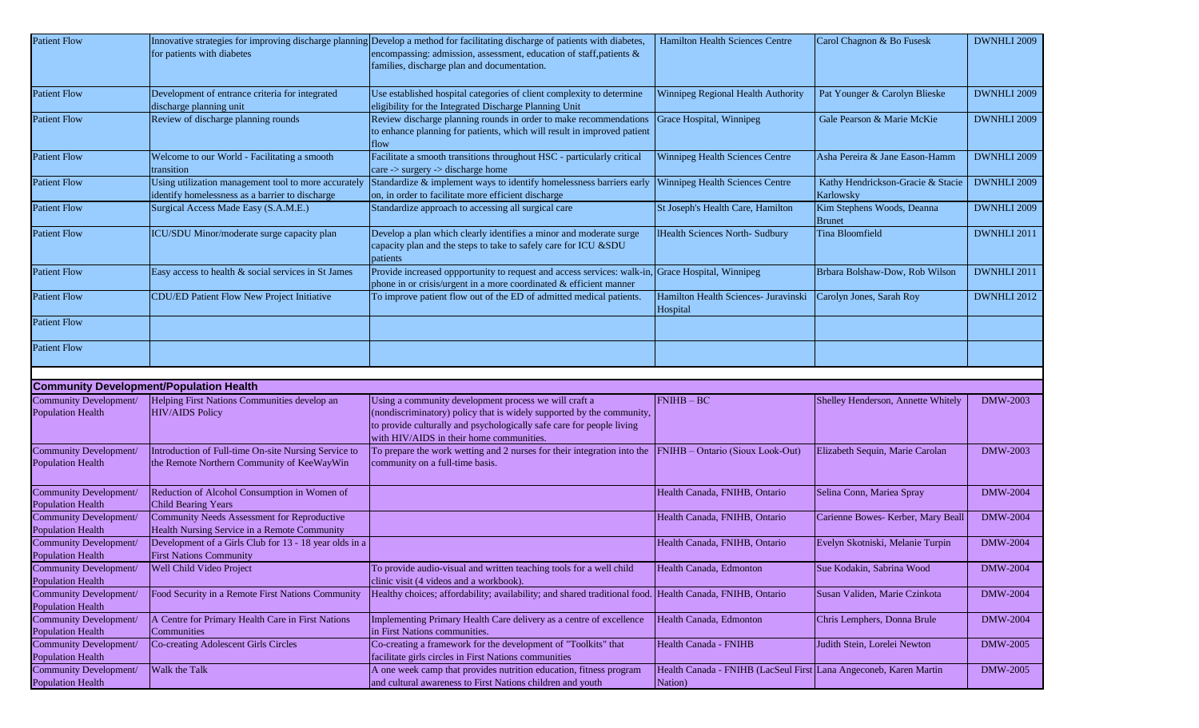| <b>Patient Flow</b>                                |                                                        | Innovative strategies for improving discharge planning Develop a method for facilitating discharge of patients with diabetes,    | <b>Hamilton Health Sciences Centre</b>                                       | Carol Chagnon & Bo Fusesk          | DWNHLI 2009     |
|----------------------------------------------------|--------------------------------------------------------|----------------------------------------------------------------------------------------------------------------------------------|------------------------------------------------------------------------------|------------------------------------|-----------------|
|                                                    | for patients with diabetes                             | encompassing: admission, assessment, education of staff, patients &                                                              |                                                                              |                                    |                 |
|                                                    |                                                        | families, discharge plan and documentation.                                                                                      |                                                                              |                                    |                 |
|                                                    |                                                        |                                                                                                                                  |                                                                              |                                    |                 |
| <b>Patient Flow</b>                                | Development of entrance criteria for integrated        | Use established hospital categories of client complexity to determine                                                            | Winnipeg Regional Health Authority                                           | Pat Younger & Carolyn Blieske      | DWNHLI 2009     |
|                                                    | discharge planning unit                                | eligibility for the Integrated Discharge Planning Unit                                                                           |                                                                              |                                    |                 |
| <b>Patient Flow</b>                                | Review of discharge planning rounds                    | Review discharge planning rounds in order to make recommendations                                                                | Grace Hospital, Winnipeg                                                     | Gale Pearson & Marie McKie         | DWNHLI 2009     |
|                                                    |                                                        | to enhance planning for patients, which will result in improved patient                                                          |                                                                              |                                    |                 |
|                                                    |                                                        | flow                                                                                                                             |                                                                              |                                    |                 |
| <b>Patient Flow</b>                                | Welcome to our World - Facilitating a smooth           | Facilitate a smooth transitions throughout HSC - particularly critical                                                           | Winnipeg Health Sciences Centre                                              | Asha Pereira & Jane Eason-Hamm     | DWNHLI 2009     |
|                                                    | transition                                             | care $\rightarrow$ surgery $\rightarrow$ discharge home                                                                          |                                                                              |                                    |                 |
| <b>Patient Flow</b>                                | Using utilization management tool to more accurately   | Standardize & implement ways to identify homelessness barriers early                                                             | Winnipeg Health Sciences Centre                                              | Kathy Hendrickson-Gracie & Stacie  | DWNHLI 2009     |
|                                                    | identify homelessness as a barrier to discharge        | on, in order to facilitate more efficient discharge                                                                              |                                                                              | Karlowsky                          |                 |
| <b>Patient Flow</b>                                | Surgical Access Made Easy (S.A.M.E.)                   | Standardize approach to accessing all surgical care                                                                              | St Joseph's Health Care, Hamilton                                            | Kim Stephens Woods, Deanna         | DWNHLI 2009     |
|                                                    |                                                        |                                                                                                                                  |                                                                              | <b>Brunet</b>                      |                 |
| <b>Patient Flow</b>                                | ICU/SDU Minor/moderate surge capacity plan             | Develop a plan which clearly identifies a minor and moderate surge                                                               | IHealth Sciences North- Sudbury                                              | <b>Tina Bloomfield</b>             | DWNHLI 2011     |
|                                                    |                                                        | capacity plan and the steps to take to safely care for ICU &SDU<br>patients                                                      |                                                                              |                                    |                 |
| <b>Patient Flow</b>                                | Easy access to health & social services in St James    | Provide increased oppportunity to request and access services: walk-in, Grace Hospital, Winnipeg                                 |                                                                              | Brbara Bolshaw-Dow, Rob Wilson     | DWNHLI 2011     |
|                                                    |                                                        | phone in or crisis/urgent in a more coordinated & efficient manner                                                               |                                                                              |                                    |                 |
| <b>Patient Flow</b>                                | CDU/ED Patient Flow New Project Initiative             | To improve patient flow out of the ED of admitted medical patients.                                                              | Hamilton Health Sciences- Juravinski Carolyn Jones, Sarah Roy                |                                    | DWNHLI 2012     |
|                                                    |                                                        |                                                                                                                                  | Hospital                                                                     |                                    |                 |
| <b>Patient Flow</b>                                |                                                        |                                                                                                                                  |                                                                              |                                    |                 |
|                                                    |                                                        |                                                                                                                                  |                                                                              |                                    |                 |
| <b>Patient Flow</b>                                |                                                        |                                                                                                                                  |                                                                              |                                    |                 |
|                                                    |                                                        |                                                                                                                                  |                                                                              |                                    |                 |
|                                                    |                                                        |                                                                                                                                  |                                                                              |                                    |                 |
|                                                    | <b>Community Development/Population Health</b>         |                                                                                                                                  |                                                                              |                                    |                 |
| <b>Community Development/</b>                      | Helping First Nations Communities develop an           | Using a community development process we will craft a                                                                            | $FNIHB - BC$                                                                 | Shelley Henderson, Annette Whitely | <b>DMW-2003</b> |
| <b>Population Health</b>                           | <b>HIV/AIDS Policy</b>                                 | (nondiscriminatory) policy that is widely supported by the community,                                                            |                                                                              |                                    |                 |
|                                                    |                                                        | to provide culturally and psychologically safe care for people living                                                            |                                                                              |                                    |                 |
|                                                    |                                                        | with HIV/AIDS in their home communities.                                                                                         |                                                                              |                                    |                 |
| Community Development/                             | Introduction of Full-time On-site Nursing Service to   | To prepare the work wetting and 2 nurses for their integration into the                                                          | <b>FNIHB</b> – Ontario (Sioux Look-Out)                                      | Elizabeth Sequin, Marie Carolan    | DMW-2003        |
| <b>Population Health</b>                           | the Remote Northern Community of KeeWayWin             | community on a full-time basis.                                                                                                  |                                                                              |                                    |                 |
|                                                    |                                                        |                                                                                                                                  |                                                                              |                                    |                 |
| Community Development/                             | Reduction of Alcohol Consumption in Women of           |                                                                                                                                  | Health Canada, FNIHB, Ontario                                                | Selina Conn, Mariea Spray          | <b>DMW-2004</b> |
| <b>Population Health</b>                           | <b>Child Bearing Years</b>                             |                                                                                                                                  |                                                                              |                                    |                 |
| <b>Community Development/</b>                      | Community Needs Assessment for Reproductive            |                                                                                                                                  | Health Canada, FNIHB, Ontario                                                | Carienne Bowes- Kerber, Mary Beall | <b>DMW-2004</b> |
| <b>Population Health</b>                           | Health Nursing Service in a Remote Community           |                                                                                                                                  |                                                                              |                                    |                 |
| Community Development/                             | Development of a Girls Club for 13 - 18 year olds in a |                                                                                                                                  | Health Canada, FNIHB, Ontario                                                | Evelyn Skotniski, Melanie Turpin   | <b>DMW-2004</b> |
| <b>Population Health</b>                           | <b>First Nations Community</b>                         |                                                                                                                                  |                                                                              |                                    |                 |
| <b>Community Development/</b>                      | Well Child Video Project                               | To provide audio-visual and written teaching tools for a well child                                                              | Health Canada, Edmonton                                                      | Sue Kodakin, Sabrina Wood          | <b>DMW-2004</b> |
| <b>Population Health</b>                           |                                                        | clinic visit (4 videos and a workbook).                                                                                          |                                                                              |                                    |                 |
| Community Development/                             | Food Security in a Remote First Nations Community      | Healthy choices; affordability; availability; and shared traditional food. Health Canada, FNIHB, Ontario                         |                                                                              | Susan Validen, Marie Czinkota      | <b>DMW-2004</b> |
| <b>Population Health</b>                           |                                                        |                                                                                                                                  |                                                                              |                                    |                 |
| Community Development/                             | A Centre for Primary Health Care in First Nations      | Implementing Primary Health Care delivery as a centre of excellence                                                              | Health Canada, Edmonton                                                      | Chris Lemphers, Donna Brule        | DMW-2004        |
| <b>Population Health</b>                           | Communities                                            | in First Nations communities.                                                                                                    |                                                                              |                                    |                 |
| Community Development/                             | Co-creating Adolescent Girls Circles                   | Co-creating a framework for the development of "Toolkits" that                                                                   | Health Canada - FNIHB                                                        | Judith Stein, Lorelei Newton       | <b>DMW-2005</b> |
| <b>Population Health</b>                           |                                                        | facilitate girls circles in First Nations communities                                                                            |                                                                              |                                    |                 |
| Community Development/<br><b>Population Health</b> | Walk the Talk                                          | A one week camp that provides nutrition education, fitness program<br>and cultural awareness to First Nations children and youth | Health Canada - FNIHB (LacSeul First Lana Angeconeb, Karen Martin<br>Nation) |                                    | <b>DMW-2005</b> |
|                                                    |                                                        |                                                                                                                                  |                                                                              |                                    |                 |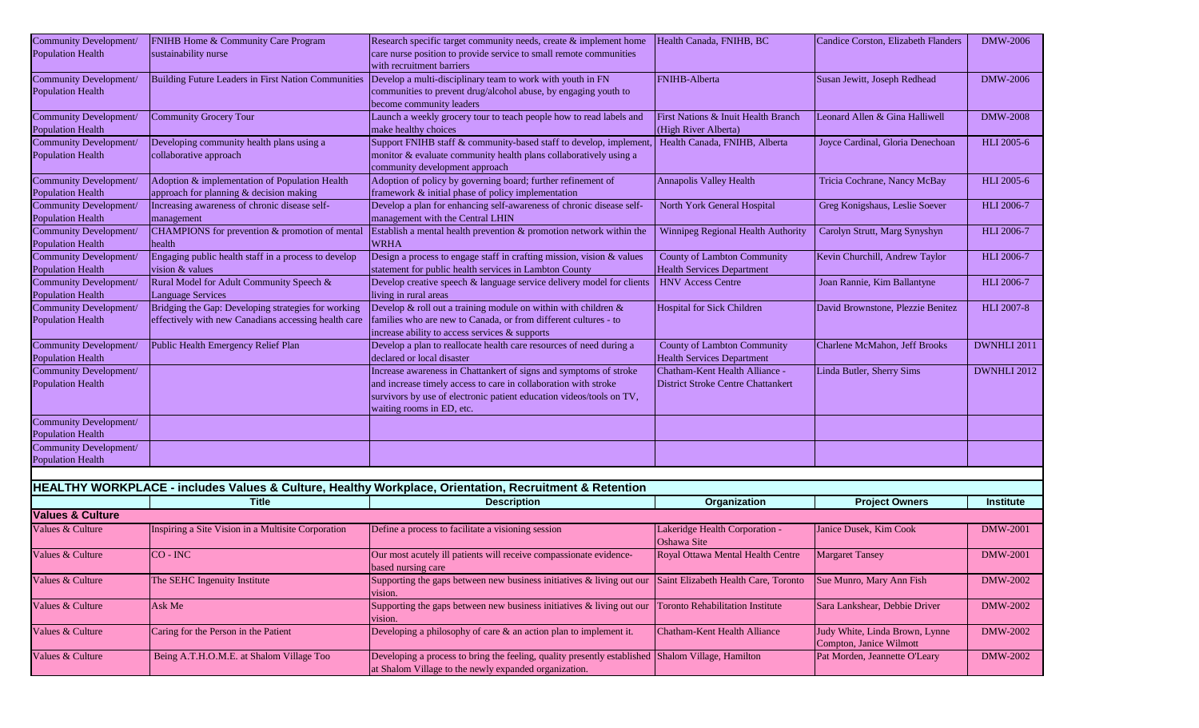| Community Development/                                    | FNIHB Home & Community Care Program                                     | Research specific target community needs, create & implement home                                                                       | Health Canada, FNIHB, BC                                         | Candice Corston, Elizabeth Flanders                       | <b>DMW-2006</b>   |
|-----------------------------------------------------------|-------------------------------------------------------------------------|-----------------------------------------------------------------------------------------------------------------------------------------|------------------------------------------------------------------|-----------------------------------------------------------|-------------------|
| <b>Population Health</b>                                  | sustainability nurse                                                    | care nurse position to provide service to small remote communities<br>with recruitment barriers                                         |                                                                  |                                                           |                   |
| Community Development/                                    | Building Future Leaders in First Nation Communities                     | Develop a multi-disciplinary team to work with youth in FN                                                                              | <b>FNIHB-Alberta</b>                                             | Susan Jewitt, Joseph Redhead                              | DMW-2006          |
| <b>Population Health</b>                                  |                                                                         | communities to prevent drug/alcohol abuse, by engaging youth to                                                                         |                                                                  |                                                           |                   |
|                                                           |                                                                         | become community leaders                                                                                                                |                                                                  |                                                           |                   |
| Community Development/                                    | Community Grocery Tour                                                  | Launch a weekly grocery tour to teach people how to read labels and                                                                     | First Nations & Inuit Health Branch                              | Leonard Allen & Gina Halliwell                            | <b>DMW-2008</b>   |
| <b>Population Health</b>                                  |                                                                         | make healthy choices                                                                                                                    | (High River Alberta)                                             |                                                           |                   |
| <b>Community Development/</b>                             | Developing community health plans using a                               | Support FNIHB staff & community-based staff to develop, implement,<br>monitor & evaluate community health plans collaboratively using a | Health Canada, FNIHB, Alberta                                    | Joyce Cardinal, Gloria Denechoan                          | HLI 2005-6        |
| <b>Population Health</b>                                  | collaborative approach                                                  | community development approach                                                                                                          |                                                                  |                                                           |                   |
| <b>Community Development/</b>                             | Adoption & implementation of Population Health                          | Adoption of policy by governing board; further refinement of                                                                            | <b>Annapolis Valley Health</b>                                   | Tricia Cochrane, Nancy McBay                              | HLI 2005-6        |
| <b>Population Health</b>                                  | approach for planning & decision making                                 | framework & initial phase of policy implementation                                                                                      |                                                                  |                                                           |                   |
| <b>Community Development/</b>                             | Increasing awareness of chronic disease self-                           | Develop a plan for enhancing self-awareness of chronic disease self-                                                                    | North York General Hospital                                      | Greg Konigshaus, Leslie Soever                            | <b>HLI</b> 2006-7 |
| <b>Population Health</b>                                  | management                                                              | management with the Central LHIN                                                                                                        |                                                                  |                                                           |                   |
| Community Development/                                    | CHAMPIONS for prevention & promotion of mental                          | Establish a mental health prevention & promotion network within the                                                                     | Winnipeg Regional Health Authority                               | Carolyn Strutt, Marg Synyshyn                             | <b>HLI</b> 2006-7 |
| <b>Population Health</b>                                  | health                                                                  | <b>WRHA</b>                                                                                                                             |                                                                  |                                                           |                   |
| <b>Community Development/</b><br><b>Population Health</b> | Engaging public health staff in a process to develop<br>vision & values | Design a process to engage staff in crafting mission, vision & values<br>statement for public health services in Lambton County         | County of Lambton Community<br><b>Health Services Department</b> | Kevin Churchill, Andrew Taylor                            | HLI 2006-7        |
| Community Development/                                    | Rural Model for Adult Community Speech &                                | Develop creative speech & language service delivery model for clients                                                                   | <b>HNV Access Centre</b>                                         | Joan Rannie, Kim Ballantyne                               | HLI 2006-7        |
| <b>Population Health</b>                                  | <b>Language Services</b>                                                | living in rural areas                                                                                                                   |                                                                  |                                                           |                   |
| <b>Community Development/</b>                             | Bridging the Gap: Developing strategies for working                     | Develop & roll out a training module on within with children $\&$                                                                       | <b>Hospital for Sick Children</b>                                | David Brownstone, Plezzie Benitez                         | <b>HLI 2007-8</b> |
| <b>Population Health</b>                                  | effectively with new Canadians accessing health care                    | families who are new to Canada, or from different cultures - to                                                                         |                                                                  |                                                           |                   |
|                                                           |                                                                         | increase ability to access services & supports                                                                                          |                                                                  |                                                           |                   |
| Community Development/                                    | Public Health Emergency Relief Plan                                     | Develop a plan to reallocate health care resources of need during a                                                                     | <b>County of Lambton Community</b>                               | Charlene McMahon, Jeff Brooks                             | DWNHLI 2011       |
| <b>Population Health</b>                                  |                                                                         | declared or local disaster                                                                                                              | <b>Health Services Department</b>                                |                                                           |                   |
| Community Development/                                    |                                                                         | Increase awareness in Chattankert of signs and symptoms of stroke                                                                       | Chatham-Kent Health Alliance -                                   | Linda Butler, Sherry Sims                                 | DWNHLI 2012       |
| <b>Population Health</b>                                  |                                                                         | and increase timely access to care in collaboration with stroke<br>survivors by use of electronic patient education videos/tools on TV, | <b>District Stroke Centre Chattankert</b>                        |                                                           |                   |
|                                                           |                                                                         | waiting rooms in ED, etc.                                                                                                               |                                                                  |                                                           |                   |
| Community Development/                                    |                                                                         |                                                                                                                                         |                                                                  |                                                           |                   |
| <b>Population Health</b>                                  |                                                                         |                                                                                                                                         |                                                                  |                                                           |                   |
| Community Development/                                    |                                                                         |                                                                                                                                         |                                                                  |                                                           |                   |
| <b>Population Health</b>                                  |                                                                         |                                                                                                                                         |                                                                  |                                                           |                   |
|                                                           |                                                                         | HEALTHY WORKPLACE - includes Values & Culture, Healthy Workplace, Orientation, Recruitment & Retention                                  |                                                                  |                                                           |                   |
|                                                           | <b>Title</b>                                                            | <b>Description</b>                                                                                                                      | Organization                                                     | <b>Project Owners</b>                                     | <b>Institute</b>  |
| <b>Values &amp; Culture</b>                               |                                                                         |                                                                                                                                         |                                                                  |                                                           |                   |
| Values & Culture                                          | Inspiring a Site Vision in a Multisite Corporation                      | Define a process to facilitate a visioning session                                                                                      | Lakeridge Health Corporation -                                   | Janice Dusek, Kim Cook                                    | <b>DMW-2001</b>   |
|                                                           |                                                                         |                                                                                                                                         | Oshawa Site                                                      |                                                           |                   |
| Values & Culture                                          | $CO - INC$                                                              | Our most acutely ill patients will receive compassionate evidence-                                                                      | Royal Ottawa Mental Health Centre                                | <b>Margaret Tansey</b>                                    | <b>DMW-2001</b>   |
|                                                           |                                                                         | based nursing care                                                                                                                      |                                                                  |                                                           |                   |
| Values & Culture                                          | The SEHC Ingenuity Institute                                            | Supporting the gaps between new business initiatives & living out our<br>vision.                                                        | Saint Elizabeth Health Care, Toronto                             | Sue Munro, Mary Ann Fish                                  | DMW-2002          |
| Values & Culture                                          | Ask Me                                                                  | Supporting the gaps between new business initiatives & living out our<br>vision.                                                        | <b>Toronto Rehabilitation Institute</b>                          | Sara Lankshear, Debbie Driver                             | DMW-2002          |
| Values & Culture                                          | Caring for the Person in the Patient                                    | Developing a philosophy of care $\&$ an action plan to implement it.                                                                    | Chatham-Kent Health Alliance                                     | Judy White, Linda Brown, Lynne<br>Compton, Janice Wilmott | <b>DMW-2002</b>   |
| Values & Culture                                          | Being A.T.H.O.M.E. at Shalom Village Too                                | Developing a process to bring the feeling, quality presently established Shalom Village, Hamilton                                       |                                                                  | Pat Morden, Jeannette O'Leary                             | DMW-2002          |
|                                                           |                                                                         | at Shalom Village to the newly expanded organization.                                                                                   |                                                                  |                                                           |                   |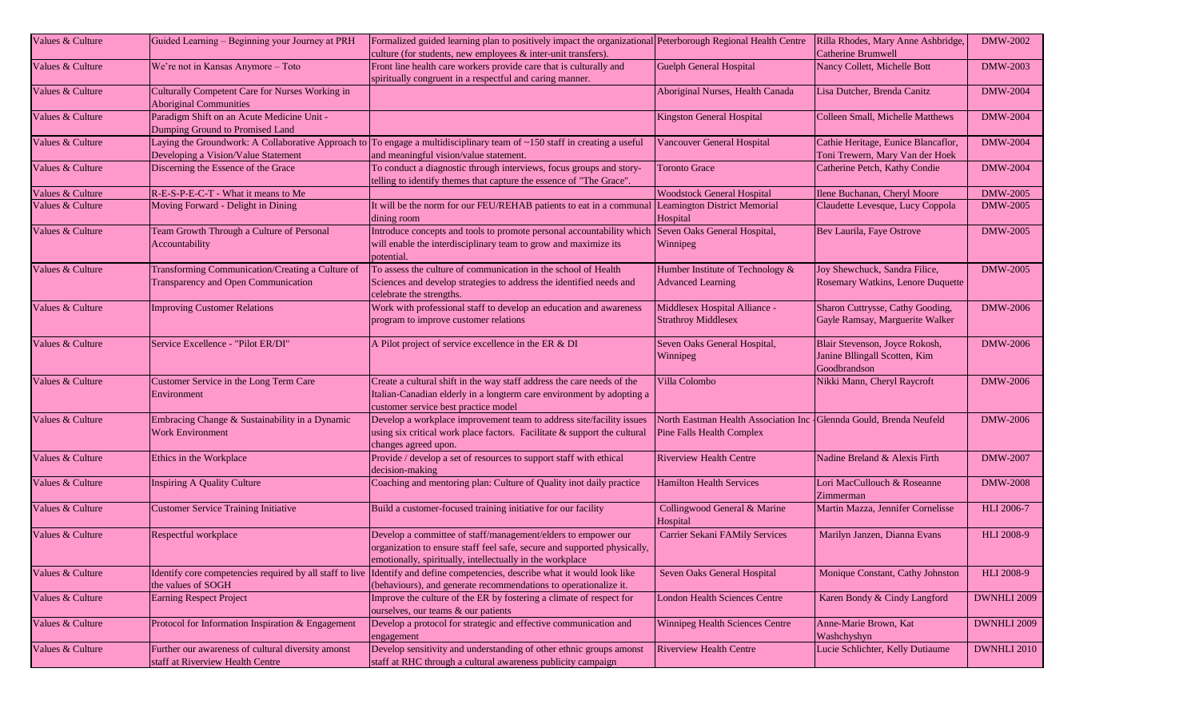| Values & Culture | Guided Learning - Beginning your Journey at PRH                                           | Formalized guided learning plan to positively impact the organizational Peterborough Regional Health Centre<br>culture (for students, new employees & inter-unit transfers).                           |                                                                                                   | Rilla Rhodes, Mary Anne Ashbridge,<br>Catherine Brumwell                        | DMW-2002           |
|------------------|-------------------------------------------------------------------------------------------|--------------------------------------------------------------------------------------------------------------------------------------------------------------------------------------------------------|---------------------------------------------------------------------------------------------------|---------------------------------------------------------------------------------|--------------------|
|                  |                                                                                           |                                                                                                                                                                                                        |                                                                                                   |                                                                                 |                    |
| Values & Culture | We're not in Kansas Anymore - Toto                                                        | Front line health care workers provide care that is culturally and<br>spiritually congruent in a respectful and caring manner.                                                                         | <b>Guelph General Hospital</b>                                                                    | Nancy Collett, Michelle Bott                                                    | <b>DMW-2003</b>    |
| Values & Culture | Culturally Competent Care for Nurses Working in<br><b>Aboriginal Communities</b>          |                                                                                                                                                                                                        | Aboriginal Nurses, Health Canada                                                                  | Lisa Dutcher, Brenda Canitz                                                     | <b>DMW-2004</b>    |
| Values & Culture | Paradigm Shift on an Acute Medicine Unit -<br>Dumping Ground to Promised Land             |                                                                                                                                                                                                        | Kingston General Hospital                                                                         | Colleen Small, Michelle Matthews                                                | <b>DMW-2004</b>    |
| Values & Culture | Laying the Groundwork: A Collaborative Approach to<br>Developing a Vision/Value Statement | To engage a multidisciplinary team of ~150 staff in creating a useful<br>and meaningful vision/value statement.                                                                                        | Vancouver General Hospital                                                                        | Cathie Heritage, Eunice Blancaflor,<br>Toni Trewern, Mary Van der Hoek          | <b>DMW-2004</b>    |
| Values & Culture | Discerning the Essence of the Grace                                                       | To conduct a diagnostic through interviews, focus groups and story-<br>telling to identify themes that capture the essence of "The Grace".                                                             | <b>Toronto Grace</b>                                                                              | Catherine Petch, Kathy Condie                                                   | <b>DMW-2004</b>    |
| Values & Culture | R-E-S-P-E-C-T - What it means to Me                                                       |                                                                                                                                                                                                        | <b>Woodstock General Hospital</b>                                                                 | Ilene Buchanan, Cheryl Moore                                                    | <b>DMW-2005</b>    |
| Values & Culture | Moving Forward - Delight in Dining                                                        | It will be the norm for our FEU/REHAB patients to eat in a communal<br>dining room                                                                                                                     | <b>Leamington District Memorial</b><br>Hospital                                                   | Claudette Levesque, Lucy Coppola                                                | <b>DMW-2005</b>    |
| Values & Culture | Team Growth Through a Culture of Personal                                                 | Introduce concepts and tools to promote personal accountability which                                                                                                                                  | Seven Oaks General Hospital,                                                                      | Bev Laurila, Faye Ostrove                                                       | <b>DMW-2005</b>    |
|                  | Accountability                                                                            | will enable the interdisciplinary team to grow and maximize its<br>potential.                                                                                                                          | Winnipeg                                                                                          |                                                                                 |                    |
| Values & Culture | Transforming Communication/Creating a Culture of<br>Transparency and Open Communication   | To assess the culture of communication in the school of Health<br>Sciences and develop strategies to address the identified needs and<br>celebrate the strengths.                                      | Humber Institute of Technology &<br><b>Advanced Learning</b>                                      | Joy Shewchuck, Sandra Filice,<br>Rosemary Watkins, Lenore Duquette              | <b>DMW-2005</b>    |
|                  |                                                                                           |                                                                                                                                                                                                        |                                                                                                   |                                                                                 |                    |
| Values & Culture | <b>Improving Customer Relations</b>                                                       | Work with professional staff to develop an education and awareness<br>program to improve customer relations                                                                                            | Middlesex Hospital Alliance -<br><b>Strathroy Middlesex</b>                                       | Sharon Cuttrysse, Cathy Gooding,<br>Gayle Ramsay, Marguerite Walker             | <b>DMW-2006</b>    |
| Values & Culture | Service Excellence - "Pilot ER/DI"                                                        | A Pilot project of service excellence in the ER & DI                                                                                                                                                   | Seven Oaks General Hospital,<br>Winnipeg                                                          | Blair Stevenson, Joyce Rokosh,<br>Janine Bllingall Scotten, Kim<br>Goodbrandson | <b>DMW-2006</b>    |
| Values & Culture | Customer Service in the Long Term Care<br>Environment                                     | Create a cultural shift in the way staff address the care needs of the<br>Italian-Canadian elderly in a longterm care environment by adopting a<br>customer service best practice model                | Villa Colombo                                                                                     | Nikki Mann, Cheryl Raycroft                                                     | DMW-2006           |
| Values & Culture | Embracing Change & Sustainability in a Dynamic<br><b>Work Environment</b>                 | Develop a workplace improvement team to address site/facility issues<br>using six critical work place factors. Facilitate & support the cultural<br>changes agreed upon.                               | North Eastman Health Association Inc - Glennda Gould, Brenda Neufeld<br>Pine Falls Health Complex |                                                                                 | DMW-2006           |
| Values & Culture | Ethics in the Workplace                                                                   | Provide / develop a set of resources to support staff with ethical<br>decision-making                                                                                                                  | <b>Riverview Health Centre</b>                                                                    | Nadine Breland & Alexis Firth                                                   | <b>DMW-2007</b>    |
| Values & Culture | <b>Inspiring A Quality Culture</b>                                                        | Coaching and mentoring plan: Culture of Quality inot daily practice                                                                                                                                    | <b>Hamilton Health Services</b>                                                                   | Lori MacCullouch & Roseanne<br>Zimmerman                                        | <b>DMW-2008</b>    |
| Values & Culture | <b>Customer Service Training Initiative</b>                                               | Build a customer-focused training initiative for our facility                                                                                                                                          | Collingwood General & Marine<br>Hospital                                                          | Martin Mazza, Jennifer Cornelisse                                               | HLI 2006-7         |
| Values & Culture | Respectful workplace                                                                      | Develop a committee of staff/management/elders to empower our<br>organization to ensure staff feel safe, secure and supported physically,<br>emotionally, spiritually, intellectually in the workplace | Carrier Sekani FAMily Services                                                                    | Marilyn Janzen, Dianna Evans                                                    | <b>HLI 2008-9</b>  |
| Values & Culture | the values of SOGH                                                                        | Identify core competencies required by all staff to live Identify and define competencies, describe what it would look like<br>(behaviours), and generate recommendations to operationalize it.        | Seven Oaks General Hospital                                                                       | Monique Constant, Cathy Johnston                                                | <b>HLI 2008-9</b>  |
| Values & Culture | <b>Earning Respect Project</b>                                                            | Improve the culture of the ER by fostering a climate of respect for<br>ourselves, our teams & our patients                                                                                             | <b>London Health Sciences Centre</b>                                                              | Karen Bondy & Cindy Langford                                                    | DWNHLI 2009        |
| Values & Culture | Protocol for Information Inspiration & Engagement                                         | Develop a protocol for strategic and effective communication and<br>engagement                                                                                                                         | <b>Winnipeg Health Sciences Centre</b>                                                            | Anne-Marie Brown, Kat<br>Washchyshyn                                            | DWNHLI 2009        |
| Values & Culture | Further our awareness of cultural diversity amonst                                        | Develop sensitivity and understanding of other ethnic groups amonst                                                                                                                                    | <b>Riverview Health Centre</b>                                                                    | Lucie Schlichter, Kelly Dutiaume                                                | <b>DWNHLI 2010</b> |
|                  | staff at Riverview Health Centre                                                          | staff at RHC through a cultural awareness publicity campaign                                                                                                                                           |                                                                                                   |                                                                                 |                    |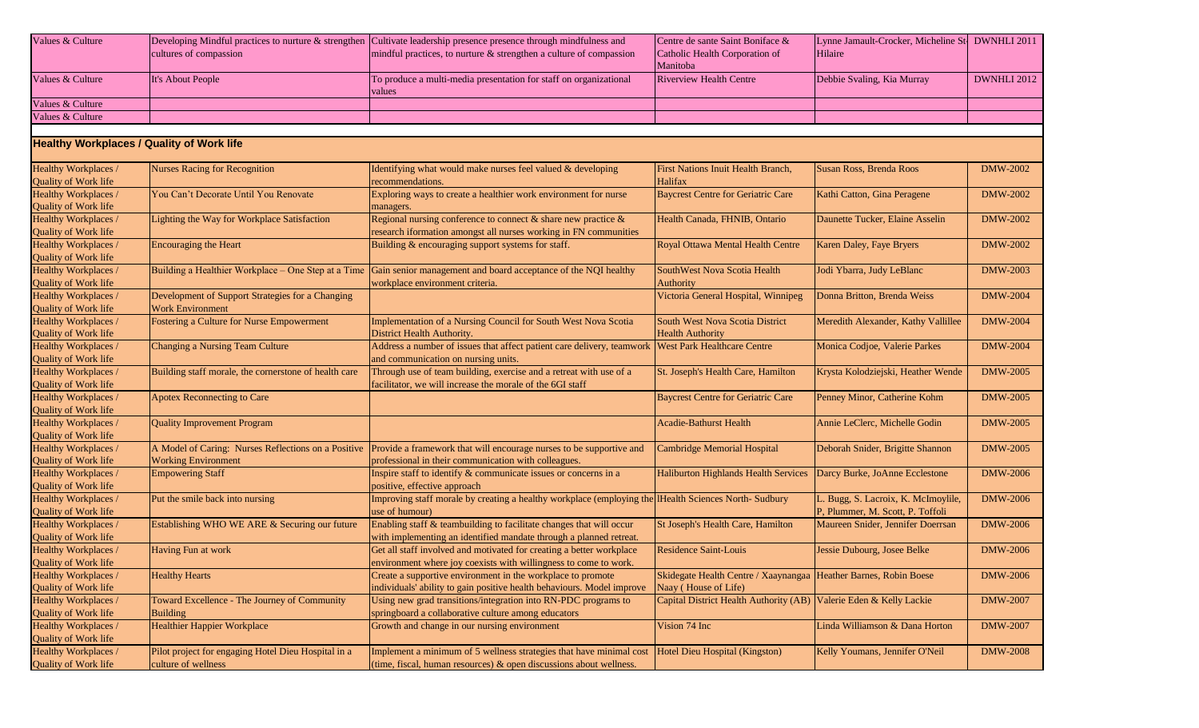| Values & Culture                                 |                                                       | Developing Mindful practices to nurture & strengthen Cultivate leadership presence presence through mindfulness and | Centre de sante Saint Boniface &                                   | Lynne Jamault-Crocker, Micheline St- DWNHLI 2011 |                 |
|--------------------------------------------------|-------------------------------------------------------|---------------------------------------------------------------------------------------------------------------------|--------------------------------------------------------------------|--------------------------------------------------|-----------------|
|                                                  | cultures of compassion                                | mindful practices, to nurture $\&$ strengthen a culture of compassion                                               | Catholic Health Corporation of                                     | Hilaire                                          |                 |
|                                                  |                                                       |                                                                                                                     | Manitoba                                                           |                                                  |                 |
| Values & Culture                                 | It's About People                                     | To produce a multi-media presentation for staff on organizational                                                   | <b>Riverview Health Centre</b>                                     | Debbie Svaling, Kia Murray                       | DWNHLI 2012     |
|                                                  |                                                       | values                                                                                                              |                                                                    |                                                  |                 |
| Values & Culture                                 |                                                       |                                                                                                                     |                                                                    |                                                  |                 |
| Values & Culture                                 |                                                       |                                                                                                                     |                                                                    |                                                  |                 |
|                                                  |                                                       |                                                                                                                     |                                                                    |                                                  |                 |
| <b>Healthy Workplaces / Quality of Work life</b> |                                                       |                                                                                                                     |                                                                    |                                                  |                 |
| Healthy Workplaces /                             | <b>Nurses Racing for Recognition</b>                  | Identifying what would make nurses feel valued & developing                                                         | <b>First Nations Inuit Health Branch,</b>                          | Susan Ross, Brenda Roos                          | DMW-2002        |
| Quality of Work life                             |                                                       | recommendations.                                                                                                    | Halifax                                                            |                                                  |                 |
| Healthy Workplaces /                             | You Can't Decorate Until You Renovate                 | Exploring ways to create a healthier work environment for nurse                                                     | <b>Baycrest Centre for Geriatric Care</b>                          | Kathi Catton, Gina Peragene                      | <b>DMW-2002</b> |
| <b>Quality of Work life</b>                      |                                                       | managers.                                                                                                           |                                                                    |                                                  |                 |
| Healthy Workplaces /                             | Lighting the Way for Workplace Satisfaction           | Regional nursing conference to connect $\&$ share new practice $\&$                                                 | Health Canada, FHNIB, Ontario                                      | Daunette Tucker, Elaine Asselin                  | <b>DMW-2002</b> |
| <b>Quality of Work life</b>                      |                                                       | research iformation amongst all nurses working in FN communities                                                    |                                                                    |                                                  |                 |
| Healthy Workplaces /                             | <b>Encouraging the Heart</b>                          | Building & encouraging support systems for staff.                                                                   | Royal Ottawa Mental Health Centre                                  | Karen Daley, Faye Bryers                         | <b>DMW-2002</b> |
| Quality of Work life                             |                                                       |                                                                                                                     |                                                                    |                                                  |                 |
| Healthy Workplaces /                             | Building a Healthier Workplace - One Step at a Time   | Gain senior management and board acceptance of the NQI healthy                                                      | SouthWest Nova Scotia Health                                       | Jodi Ybarra, Judy LeBlanc                        | <b>DMW-2003</b> |
| Quality of Work life                             |                                                       | workplace environment criteria.                                                                                     | Authority                                                          |                                                  |                 |
| Healthy Workplaces /                             | Development of Support Strategies for a Changing      |                                                                                                                     | Victoria General Hospital, Winnipeg                                | Donna Britton, Brenda Weiss                      | <b>DMW-2004</b> |
| Quality of Work life                             | <b>Work Environment</b>                               |                                                                                                                     |                                                                    |                                                  |                 |
| Healthy Workplaces /                             | Fostering a Culture for Nurse Empowerment             | Implementation of a Nursing Council for South West Nova Scotia                                                      | South West Nova Scotia District                                    | Meredith Alexander, Kathy Vallillee              | <b>DMW-2004</b> |
| <b>Quality of Work life</b>                      |                                                       | District Health Authority.                                                                                          | <b>Health Authority</b>                                            |                                                  |                 |
| Healthy Workplaces /                             | Changing a Nursing Team Culture                       | Address a number of issues that affect patient care delivery, teamwork                                              | <b>West Park Healthcare Centre</b>                                 | Monica Codjoe, Valerie Parkes                    | <b>DMW-2004</b> |
| Quality of Work life                             |                                                       | and communication on nursing units.                                                                                 |                                                                    |                                                  |                 |
| Healthy Workplaces /                             | Building staff morale, the cornerstone of health care | Through use of team building, exercise and a retreat with use of a                                                  | St. Joseph's Health Care, Hamilton                                 | Krysta Kolodziejski, Heather Wende               | <b>DMW-2005</b> |
| <b>Quality of Work life</b>                      |                                                       | facilitator, we will increase the morale of the 6GI staff                                                           |                                                                    |                                                  |                 |
| Healthy Workplaces /                             | <b>Apotex Reconnecting to Care</b>                    |                                                                                                                     | <b>Baycrest Centre for Geriatric Care</b>                          | Penney Minor, Catherine Kohm                     | <b>DMW-2005</b> |
| <b>Quality of Work life</b>                      |                                                       |                                                                                                                     |                                                                    |                                                  |                 |
| Healthy Workplaces /                             | <b>Quality Improvement Program</b>                    |                                                                                                                     | <b>Acadie-Bathurst Health</b>                                      | Annie LeClerc, Michelle Godin                    | <b>DMW-2005</b> |
| <b>Quality of Work life</b>                      |                                                       |                                                                                                                     |                                                                    |                                                  |                 |
| Healthy Workplaces /                             | A Model of Caring: Nurses Reflections on a Positive   | Provide a framework that will encourage nurses to be supportive and                                                 | <b>Cambridge Memorial Hospital</b>                                 | Deborah Snider, Brigitte Shannon                 | <b>DMW-2005</b> |
| Quality of Work life                             | <b>Working Environment</b>                            | professional in their communication with colleagues.                                                                |                                                                    |                                                  |                 |
| Healthy Workplaces /                             | <b>Empowering Staff</b>                               | Inspire staff to identify & communicate issues or concerns in a                                                     | Haliburton Highlands Health Services                               | Darcy Burke, JoAnne Ecclestone                   | <b>DMW-2006</b> |
| Quality of Work life                             |                                                       | positive, effective approach                                                                                        |                                                                    |                                                  |                 |
| Healthy Workplaces /                             | Put the smile back into nursing                       | Improving staff morale by creating a healthy workplace (employing the Health Sciences North-Sudbury                 |                                                                    | Bugg, S. Lacroix, K. McImoylile,                 | <b>DMW-2006</b> |
| Quality of Work life                             |                                                       | use of humour)                                                                                                      |                                                                    | P, Plummer, M. Scott, P. Toffoli                 |                 |
| Healthy Workplaces /                             | Establishing WHO WE ARE & Securing our future         | Enabling staff & teambuilding to facilitate changes that will occur                                                 | St Joseph's Health Care, Hamilton                                  | Maureen Snider, Jennifer Doerrsan                | DMW-2006        |
| Quality of Work life                             |                                                       | with implementing an identified mandate through a planned retreat.                                                  |                                                                    |                                                  |                 |
| Healthy Workplaces /                             | Having Fun at work                                    | Get all staff involved and motivated for creating a better workplace                                                | <b>Residence Saint-Louis</b>                                       | Jessie Dubourg, Josee Belke                      | <b>DMW-2006</b> |
| Quality of Work life                             |                                                       | environment where joy coexists with willingness to come to work.                                                    |                                                                    |                                                  |                 |
| Healthy Workplaces /                             | <b>Healthy Hearts</b>                                 | Create a supportive environment in the workplace to promote                                                         | Skidegate Health Centre / Xaaynangaa Heather Barnes, Robin Boese   |                                                  | <b>DMW-2006</b> |
| Quality of Work life                             |                                                       | individuals' ability to gain positive health behaviours. Model improve                                              | Naay (House of Life)                                               |                                                  |                 |
| Healthy Workplaces /                             | Toward Excellence - The Journey of Community          | Using new grad transitions/integration into RN-PDC programs to                                                      | Capital District Health Authority (AB) Valerie Eden & Kelly Lackie |                                                  | <b>DMW-2007</b> |
| <b>Quality of Work life</b>                      | <b>Building</b>                                       | springboard a collaborative culture among educators                                                                 |                                                                    |                                                  |                 |
| Healthy Workplaces /                             | Healthier Happier Workplace                           | Growth and change in our nursing environment                                                                        | Vision 74 Inc                                                      | Linda Williamson & Dana Horton                   | <b>DMW-2007</b> |
| Quality of Work life                             |                                                       |                                                                                                                     |                                                                    |                                                  |                 |
| Healthy Workplaces /                             | Pilot project for engaging Hotel Dieu Hospital in a   | Implement a minimum of 5 wellness strategies that have minimal cost                                                 | Hotel Dieu Hospital (Kingston)                                     | Kelly Youmans, Jennifer O'Neil                   | <b>DMW-2008</b> |
| Quality of Work life                             | culture of wellness                                   | (time, fiscal, human resources) $\&$ open discussions about wellness.                                               |                                                                    |                                                  |                 |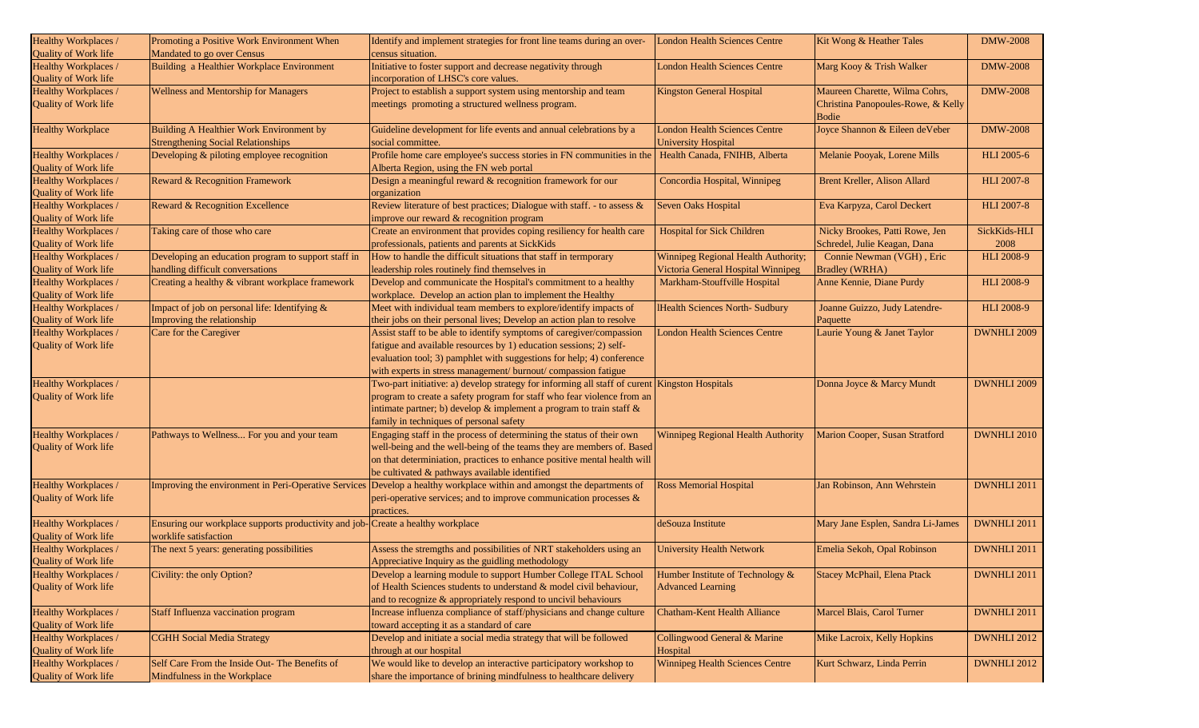| Healthy Workplaces /                                | Promoting a Positive Work Environment When<br>Mandated to go over Census              | Identify and implement strategies for front line teams during an over-<br>census situation.                      | <b>London Health Sciences Centre</b>                               | Kit Wong & Heather Tales                    | <b>DMW-2008</b>    |
|-----------------------------------------------------|---------------------------------------------------------------------------------------|------------------------------------------------------------------------------------------------------------------|--------------------------------------------------------------------|---------------------------------------------|--------------------|
| Quality of Work life                                |                                                                                       |                                                                                                                  |                                                                    |                                             |                    |
| Healthy Workplaces /<br>Quality of Work life        | Building a Healthier Workplace Environment                                            | Initiative to foster support and decrease negativity through<br>incorporation of LHSC's core values.             | <b>London Health Sciences Centre</b>                               | Marg Kooy & Trish Walker                    | <b>DMW-2008</b>    |
| Healthy Workplaces /                                | Wellness and Mentorship for Managers                                                  | Project to establish a support system using mentorship and team                                                  | <b>Kingston General Hospital</b>                                   | Maureen Charette, Wilma Cohrs,              | <b>DMW-2008</b>    |
| Quality of Work life                                |                                                                                       | meetings promoting a structured wellness program.                                                                |                                                                    | Christina Panopoules-Rowe, & Kelly<br>Bodie |                    |
| <b>Healthy Workplace</b>                            | Building A Healthier Work Environment by<br><b>Strengthening Social Relationships</b> | Guideline development for life events and annual celebrations by a<br>social committee.                          | <b>London Health Sciences Centre</b><br><b>University Hospital</b> | Joyce Shannon & Eileen deVeber              | <b>DMW-2008</b>    |
| Healthy Workplaces /<br><b>Quality of Work life</b> | Developing & piloting employee recognition                                            | Profile home care employee's success stories in FN communities in the<br>Alberta Region, using the FN web portal | Health Canada, FNIHB, Alberta                                      | Melanie Pooyak, Lorene Mills                | <b>HLI</b> 2005-6  |
| Healthy Workplaces /<br>Quality of Work life        | Reward & Recognition Framework                                                        | Design a meaningful reward & recognition framework for our<br>organization                                       | Concordia Hospital, Winnipeg                                       | Brent Kreller, Alison Allard                | <b>HLI 2007-8</b>  |
| Healthy Workplaces /                                | Reward & Recognition Excellence                                                       | Review literature of best practices; Dialogue with staff. - to assess &                                          | Seven Oaks Hospital                                                | Eva Karpyza, Carol Deckert                  | <b>HLI 2007-8</b>  |
| Quality of Work life<br>Healthy Workplaces /        |                                                                                       | improve our reward & recognition program                                                                         |                                                                    |                                             |                    |
|                                                     | Taking care of those who care                                                         | Create an environment that provides coping resiliency for health care                                            | <b>Hospital for Sick Children</b>                                  | Nicky Brookes, Patti Rowe, Jen              | SickKids-HLI       |
| Quality of Work life                                |                                                                                       | professionals, patients and parents at SickKids                                                                  |                                                                    | Schredel, Julie Keagan, Dana                | 2008               |
| Healthy Workplaces /                                | Developing an education program to support staff in                                   | How to handle the difficult situations that staff in termporary                                                  | Winnipeg Regional Health Authority;                                | Connie Newman (VGH), Eric                   | <b>HLI 2008-9</b>  |
| <b>Quality of Work life</b>                         | handling difficult conversations                                                      | leadership roles routinely find themselves in                                                                    | Victoria General Hospital Winnipeg                                 | <b>Bradley (WRHA)</b>                       |                    |
| Healthy Workplaces /                                | Creating a healthy & vibrant workplace framework                                      | Develop and communicate the Hospital's commitment to a healthy                                                   | Markham-Stouffville Hospital                                       | Anne Kennie, Diane Purdy                    | HLI 2008-9         |
| Quality of Work life                                |                                                                                       | workplace. Develop an action plan to implement the Healthy                                                       |                                                                    |                                             |                    |
| Healthy Workplaces /                                | Impact of job on personal life: Identifying &                                         | Meet with individual team members to explore/identify impacts of                                                 | <b>IHealth Sciences North- Sudbury</b>                             | Joanne Guizzo, Judy Latendre-               | HLI 2008-9         |
| Quality of Work life                                | Improving the relationship                                                            | their jobs on their personal lives; Develop an action plan to resolve                                            |                                                                    | Paquette                                    |                    |
| Healthy Workplaces /                                | Care for the Caregiver                                                                | Assist staff to be able to identify symptoms of caregiver/compassion                                             | <b>London Health Sciences Centre</b>                               | Laurie Young & Janet Taylor                 | DWNHLI 2009        |
| Quality of Work life                                |                                                                                       | fatigue and available resources by 1) education sessions; 2) self-                                               |                                                                    |                                             |                    |
|                                                     |                                                                                       | evaluation tool; 3) pamphlet with suggestions for help; 4) conference                                            |                                                                    |                                             |                    |
|                                                     |                                                                                       | with experts in stress management/ burnout/ compassion fatigue                                                   |                                                                    |                                             |                    |
| Healthy Workplaces /                                |                                                                                       | Two-part initiative: a) develop strategy for informing all staff of curent                                       | <b>Kingston Hospitals</b>                                          | Donna Joyce & Marcy Mundt                   | DWNHLI 2009        |
| Quality of Work life                                |                                                                                       | program to create a safety program for staff who fear violence from an                                           |                                                                    |                                             |                    |
|                                                     |                                                                                       | intimate partner; b) develop & implement a program to train staff &                                              |                                                                    |                                             |                    |
|                                                     |                                                                                       | family in techniques of personal safety                                                                          |                                                                    |                                             |                    |
| Healthy Workplaces /                                | Pathways to Wellness For you and your team                                            | Engaging staff in the process of determining the status of their own                                             | Winnipeg Regional Health Authority                                 | Marion Cooper, Susan Stratford              | DWNHLI 2010        |
| Quality of Work life                                |                                                                                       | well-being and the well-being of the teams they are members of. Based                                            |                                                                    |                                             |                    |
|                                                     |                                                                                       | on that determiniation, practices to enhance positive mental health will                                         |                                                                    |                                             |                    |
|                                                     |                                                                                       | be cultivated & pathways available identified                                                                    |                                                                    |                                             |                    |
| Healthy Workplaces /                                | Improving the environment in Peri-Operative Services                                  | Develop a healthy workplace within and amongst the departments of                                                | <b>Ross Memorial Hospital</b>                                      | Jan Robinson, Ann Wehrstein                 | DWNHLI 2011        |
| Quality of Work life                                |                                                                                       | peri-operative services; and to improve communication processes $\&$                                             |                                                                    |                                             |                    |
|                                                     |                                                                                       |                                                                                                                  |                                                                    |                                             |                    |
|                                                     |                                                                                       | practices.                                                                                                       |                                                                    |                                             |                    |
| Healthy Workplaces /                                | Ensuring our workplace supports productivity and job-Create a healthy workplace       |                                                                                                                  | deSouza Institute                                                  | Mary Jane Esplen, Sandra Li-James           | DWNHLI 2011        |
| Quality of Work life                                | worklife satisfaction                                                                 |                                                                                                                  |                                                                    |                                             |                    |
| Healthy Workplaces /                                | The next 5 years: generating possibilities                                            | Assess the stremgths and possibilities of NRT stakeholders using an                                              | <b>University Health Network</b>                                   | Emelia Sekoh, Opal Robinson                 | DWNHLI 2011        |
| Quality of Work life                                |                                                                                       | Appreciative Inquiry as the guidling methodology                                                                 |                                                                    |                                             |                    |
| Healthy Workplaces /                                | Civility: the only Option?                                                            | Develop a learning module to support Humber College ITAL School                                                  | Humber Institute of Technology &                                   | Stacey McPhail, Elena Ptack                 | DWNHLI 2011        |
| Quality of Work life                                |                                                                                       | of Health Sciences students to understand & model civil behaviour,                                               | <b>Advanced Learning</b>                                           |                                             |                    |
|                                                     |                                                                                       | and to recognize & appropriately respond to uncivil behaviours                                                   |                                                                    |                                             |                    |
| Healthy Workplaces /                                | Staff Influenza vaccination program                                                   | Increase influenza compliance of staff/physicians and change culture                                             | <b>Chatham-Kent Health Alliance</b>                                | Marcel Blais, Carol Turner                  | DWNHLI 2011        |
| Quality of Work life                                |                                                                                       | toward accepting it as a standard of care                                                                        |                                                                    |                                             |                    |
| Healthy Workplaces /                                | <b>CGHH Social Media Strategy</b>                                                     | Develop and initiate a social media strategy that will be followed                                               | Collingwood General & Marine                                       | Mike Lacroix, Kelly Hopkins                 | <b>DWNHLI 2012</b> |
| Quality of Work life                                |                                                                                       | through at our hospital                                                                                          | Hospital                                                           |                                             |                    |
| Healthy Workplaces /                                | Self Care From the Inside Out- The Benefits of                                        | We would like to develop an interactive participatory workshop to                                                | <b>Winnipeg Health Sciences Centre</b>                             | Kurt Schwarz, Linda Perrin                  | DWNHLI 2012        |
| Quality of Work life                                | Mindfulness in the Workplace                                                          | share the importance of brining mindfulness to healthcare delivery                                               |                                                                    |                                             |                    |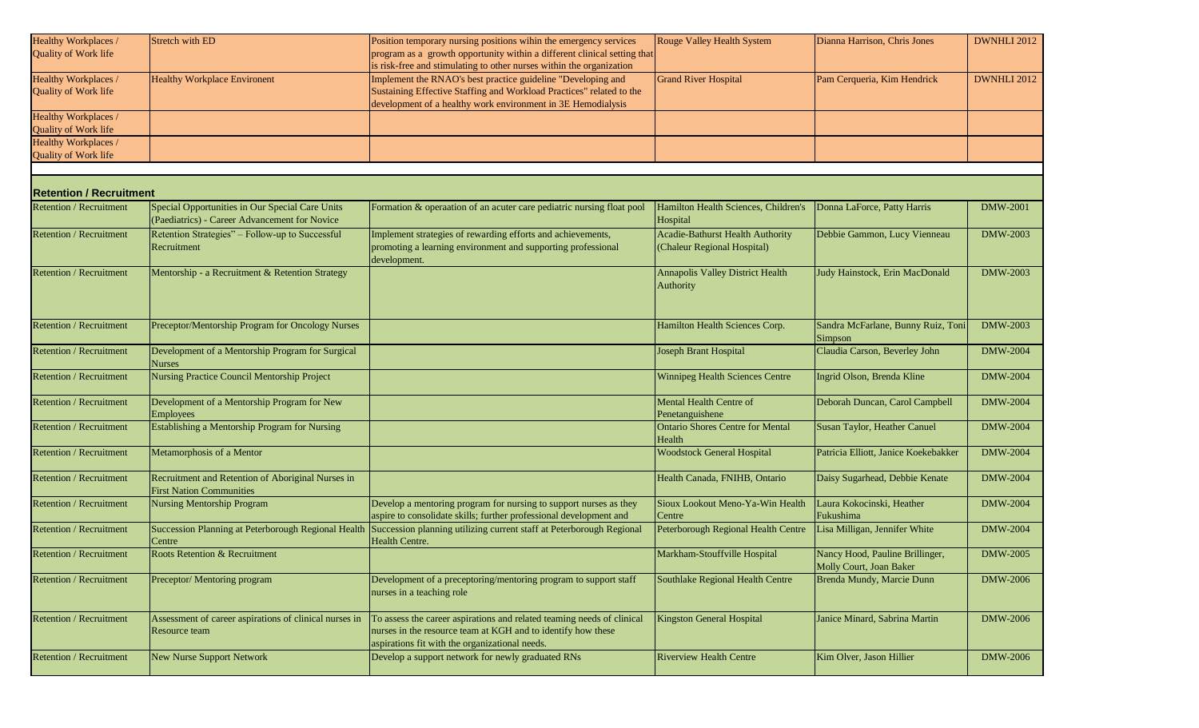| Healthy Workplaces /           | Stretch with ED                                        | Position temporary nursing positions wihin the emergency services        | Rouge Valley Health System              | Dianna Harrison, Chris Jones         | DWNHLI 2012     |
|--------------------------------|--------------------------------------------------------|--------------------------------------------------------------------------|-----------------------------------------|--------------------------------------|-----------------|
| Quality of Work life           |                                                        | program as a growth opportunity within a different clinical setting that |                                         |                                      |                 |
|                                |                                                        | is risk-free and stimulating to other nurses within the organization     |                                         |                                      |                 |
|                                |                                                        |                                                                          |                                         |                                      |                 |
| Healthy Workplaces /           | <b>Healthy Workplace Environent</b>                    | Implement the RNAO's best practice guideline "Developing and             | <b>Grand River Hospital</b>             | Pam Cerqueria, Kim Hendrick          | DWNHLI 2012     |
| Quality of Work life           |                                                        | Sustaining Effective Staffing and Workload Practices" related to the     |                                         |                                      |                 |
|                                |                                                        | development of a healthy work environment in 3E Hemodialysis             |                                         |                                      |                 |
| Healthy Workplaces /           |                                                        |                                                                          |                                         |                                      |                 |
| <b>Quality of Work life</b>    |                                                        |                                                                          |                                         |                                      |                 |
| Healthy Workplaces /           |                                                        |                                                                          |                                         |                                      |                 |
| Quality of Work life           |                                                        |                                                                          |                                         |                                      |                 |
|                                |                                                        |                                                                          |                                         |                                      |                 |
|                                |                                                        |                                                                          |                                         |                                      |                 |
| <b>Retention / Recruitment</b> |                                                        |                                                                          |                                         |                                      |                 |
| <b>Retention / Recruitment</b> | Special Opportunities in Our Special Care Units        | Formation & operaation of an acuter care pediatric nursing float pool    | Hamilton Health Sciences, Children's    | Donna LaForce, Patty Harris          | <b>DMW-2001</b> |
|                                | (Paediatrics) - Career Advancement for Novice          |                                                                          | Hospital                                |                                      |                 |
| <b>Retention / Recruitment</b> | Retention Strategies" - Follow-up to Successful        | Implement strategies of rewarding efforts and achievements,              | <b>Acadie-Bathurst Health Authority</b> | Debbie Gammon, Lucy Vienneau         | DMW-2003        |
|                                |                                                        |                                                                          |                                         |                                      |                 |
|                                | Recruitment                                            | promoting a learning environment and supporting professional             | (Chaleur Regional Hospital)             |                                      |                 |
|                                |                                                        | development.                                                             |                                         |                                      |                 |
| <b>Retention / Recruitment</b> | Mentorship - a Recruitment & Retention Strategy        |                                                                          | <b>Annapolis Valley District Health</b> | Judy Hainstock, Erin MacDonald       | DMW-2003        |
|                                |                                                        |                                                                          | Authority                               |                                      |                 |
|                                |                                                        |                                                                          |                                         |                                      |                 |
|                                |                                                        |                                                                          |                                         |                                      |                 |
| Retention / Recruitment        | Preceptor/Mentorship Program for Oncology Nurses       |                                                                          | Hamilton Health Sciences Corp.          | Sandra McFarlane, Bunny Ruiz, Toni   | DMW-2003        |
|                                |                                                        |                                                                          |                                         |                                      |                 |
|                                |                                                        |                                                                          |                                         | Simpson                              |                 |
| Retention / Recruitment        | Development of a Mentorship Program for Surgical       |                                                                          | Joseph Brant Hospital                   | Claudia Carson, Beverley John        | <b>DMW-2004</b> |
|                                | <b>Nurses</b>                                          |                                                                          |                                         |                                      |                 |
| <b>Retention / Recruitment</b> | Nursing Practice Council Mentorship Project            |                                                                          | <b>Winnipeg Health Sciences Centre</b>  | Ingrid Olson, Brenda Kline           | <b>DMW-2004</b> |
|                                |                                                        |                                                                          |                                         |                                      |                 |
| Retention / Recruitment        | Development of a Mentorship Program for New            |                                                                          | Mental Health Centre of                 | Deborah Duncan, Carol Campbell       | <b>DMW-2004</b> |
|                                | <b>Employees</b>                                       |                                                                          | Penetanguishene                         |                                      |                 |
| Retention / Recruitment        | Establishing a Mentorship Program for Nursing          |                                                                          | <b>Ontario Shores Centre for Mental</b> | Susan Taylor, Heather Canuel         | <b>DMW-2004</b> |
|                                |                                                        |                                                                          | Health                                  |                                      |                 |
| Retention / Recruitment        | Metamorphosis of a Mentor                              |                                                                          | <b>Woodstock General Hospital</b>       | Patricia Elliott, Janice Koekebakker | <b>DMW-2004</b> |
|                                |                                                        |                                                                          |                                         |                                      |                 |
|                                |                                                        |                                                                          |                                         |                                      |                 |
| Retention / Recruitment        | Recruitment and Retention of Aboriginal Nurses in      |                                                                          | Health Canada, FNIHB, Ontario           | Daisy Sugarhead, Debbie Kenate       | <b>DMW-2004</b> |
|                                | <b>First Nation Communities</b>                        |                                                                          |                                         |                                      |                 |
| Retention / Recruitment        | <b>Nursing Mentorship Program</b>                      | Develop a mentoring program for nursing to support nurses as they        | Sioux Lookout Meno-Ya-Win Health        | Laura Kokocinski, Heather            | <b>DMW-2004</b> |
|                                |                                                        | aspire to consolidate skills; further professional development and       | Centre                                  | Fukushima                            |                 |
| Retention / Recruitment        | Succession Planning at Peterborough Regional Health    | Succession planning utilizing current staff at Peterborough Regional     | Peterborough Regional Health Centre     | Lisa Milligan, Jennifer White        | <b>DMW-2004</b> |
|                                | Centre                                                 | Health Centre.                                                           |                                         |                                      |                 |
| Retention / Recruitment        | Roots Retention & Recruitment                          |                                                                          | Markham-Stouffville Hospital            | Nancy Hood, Pauline Brillinger,      | <b>DMW-2005</b> |
|                                |                                                        |                                                                          |                                         | Molly Court, Joan Baker              |                 |
| Retention / Recruitment        | Preceptor/Mentoring program                            | Development of a preceptoring/mentoring program to support staff         | Southlake Regional Health Centre        | Brenda Mundy, Marcie Dunn            | <b>DMW-2006</b> |
|                                |                                                        | nurses in a teaching role                                                |                                         |                                      |                 |
|                                |                                                        |                                                                          |                                         |                                      |                 |
|                                |                                                        |                                                                          |                                         |                                      |                 |
| Retention / Recruitment        | Assessment of career aspirations of clinical nurses in | To assess the career aspirations and related teaming needs of clinical   | <b>Kingston General Hospital</b>        | Janice Minard, Sabrina Martin        | <b>DMW-2006</b> |
|                                | Resource team                                          | nurses in the resource team at KGH and to identify how these             |                                         |                                      |                 |
|                                |                                                        | aspirations fit with the organizational needs.                           |                                         |                                      |                 |
| Retention / Recruitment        | New Nurse Support Network                              | Develop a support network for newly graduated RNs                        | <b>Riverview Health Centre</b>          | Kim Olver, Jason Hillier             | <b>DMW-2006</b> |
|                                |                                                        |                                                                          |                                         |                                      |                 |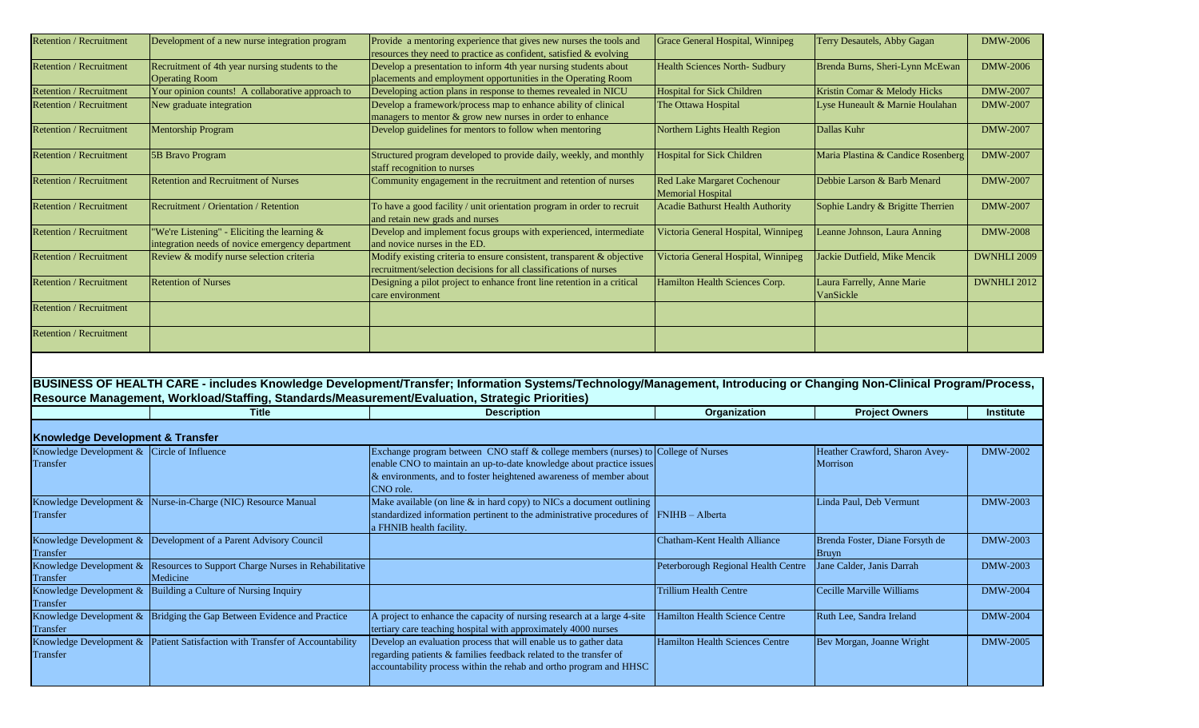| <b>Retention / Recruitment</b>                          | Development of a new nurse integration program                                                                                                         | Provide a mentoring experience that gives new nurses the tools and<br>resources they need to practice as confident, satisfied & evolving                                                                                                      | Grace General Hospital, Winnipeg                              | Terry Desautels, Abby Gagan                | <b>DMW-2006</b>  |
|---------------------------------------------------------|--------------------------------------------------------------------------------------------------------------------------------------------------------|-----------------------------------------------------------------------------------------------------------------------------------------------------------------------------------------------------------------------------------------------|---------------------------------------------------------------|--------------------------------------------|------------------|
| Retention / Recruitment                                 | Recruitment of 4th year nursing students to the<br><b>Operating Room</b>                                                                               | Develop a presentation to inform 4th year nursing students about<br>placements and employment opportunities in the Operating Room                                                                                                             | Health Sciences North- Sudbury                                | Brenda Burns, Sheri-Lynn McEwan            | <b>DMW-2006</b>  |
| Retention / Recruitment                                 | Your opinion counts! A collaborative approach to                                                                                                       | Developing action plans in response to themes revealed in NICU                                                                                                                                                                                | <b>Hospital for Sick Children</b>                             | Kristin Comar & Melody Hicks               | <b>DMW-2007</b>  |
| Retention / Recruitment                                 | New graduate integration                                                                                                                               | Develop a framework/process map to enhance ability of clinical<br>managers to mentor & grow new nurses in order to enhance                                                                                                                    | The Ottawa Hospital                                           | Lyse Huneault & Marnie Houlahan            | <b>DMW-2007</b>  |
| <b>Retention / Recruitment</b>                          | <b>Mentorship Program</b>                                                                                                                              | Develop guidelines for mentors to follow when mentoring                                                                                                                                                                                       | Northern Lights Health Region                                 | Dallas Kuhr                                | <b>DMW-2007</b>  |
| Retention / Recruitment                                 | 5B Bravo Program                                                                                                                                       | Structured program developed to provide daily, weekly, and monthly<br>staff recognition to nurses                                                                                                                                             | <b>Hospital for Sick Children</b>                             | Maria Plastina & Candice Rosenberg         | DMW-2007         |
| Retention / Recruitment                                 | <b>Retention and Recruitment of Nurses</b>                                                                                                             | Community engagement in the recruitment and retention of nurses                                                                                                                                                                               | <b>Red Lake Margaret Cochenour</b><br>Memorial Hospital       | Debbie Larson & Barb Menard                | DMW-2007         |
| Retention / Recruitment                                 | Recruitment / Orientation / Retention                                                                                                                  | To have a good facility / unit orientation program in order to recruit<br>and retain new grads and nurses                                                                                                                                     | <b>Acadie Bathurst Health Authority</b>                       | Sophie Landry & Brigitte Therrien          | <b>DMW-2007</b>  |
| Retention / Recruitment                                 | 'We're Listening" - Eliciting the learning &<br>integration needs of novice emergency department                                                       | Develop and implement focus groups with experienced, intermediate<br>and novice nurses in the ED.                                                                                                                                             | Victoria General Hospital, Winnipeg                           | Leanne Johnson, Laura Anning               | <b>DMW-2008</b>  |
| Retention / Recruitment                                 | Review & modify nurse selection criteria                                                                                                               | Modify existing criteria to ensure consistent, transparent & objective<br>recruitment/selection decisions for all classifications of nurses                                                                                                   | Victoria General Hospital, Winnipeg                           | Jackie Dutfield, Mike Mencik               | DWNHLI 2009      |
| Retention / Recruitment                                 | <b>Retention of Nurses</b>                                                                                                                             | Designing a pilot project to enhance front line retention in a critical<br>care environment                                                                                                                                                   | Hamilton Health Sciences Corp.                                | Laura Farrelly, Anne Marie<br>VanSickle    | DWNHLI 2012      |
| <b>Retention / Recruitment</b>                          |                                                                                                                                                        |                                                                                                                                                                                                                                               |                                                               |                                            |                  |
| Retention / Recruitment                                 |                                                                                                                                                        |                                                                                                                                                                                                                                               |                                                               |                                            |                  |
|                                                         |                                                                                                                                                        |                                                                                                                                                                                                                                               |                                                               |                                            |                  |
|                                                         | Resource Management, Workload/Staffing, Standards/Measurement/Evaluation, Strategic Priorities)                                                        | BUSINESS OF HEALTH CARE - includes Knowledge Development/Transfer; Information Systems/Technology/Management, Introducing or Changing Non-Clinical Program/Process,                                                                           |                                                               |                                            |                  |
|                                                         | Title                                                                                                                                                  | <b>Description</b>                                                                                                                                                                                                                            | Organization                                                  | <b>Project Owners</b>                      | <b>Institute</b> |
| <b>Knowledge Development &amp; Transfer</b>             |                                                                                                                                                        |                                                                                                                                                                                                                                               |                                                               |                                            |                  |
| Knowledge Development & Circle of Influence<br>Transfer |                                                                                                                                                        | Exchange program between CNO staff & college members (nurses) to College of Nurses<br>enable CNO to maintain an up-to-date knowledge about practice issues<br>& environments, and to foster heightened awareness of member about<br>CNO role. |                                                               | Heather Crawford, Sharon Avey-<br>Morrison | DMW-2002         |
| Transfer                                                | Knowledge Development & Nurse-in-Charge (NIC) Resource Manual                                                                                          | Make available (on line $\&$ in hard copy) to NICs a document outlining<br>standardized information pertinent to the administrative procedures of<br>a FHNIB health facility.                                                                 | FNIHB - Alberta                                               | Linda Paul, Deb Vermunt                    | DMW-2003         |
| Transfer                                                | Knowledge Development & Development of a Parent Advisory Council                                                                                       |                                                                                                                                                                                                                                               | Chatham-Kent Health Alliance                                  | Brenda Foster, Diane Forsyth de<br>Bruyn   | DMW-2003         |
| Transfer                                                | Knowledge Development & Resources to Support Charge Nurses in Rehabilitative<br>Medicine                                                               |                                                                                                                                                                                                                                               | Peterborough Regional Health Centre Jane Calder, Janis Darrah |                                            | <b>DMW-2003</b>  |
| Transfer                                                | Knowledge Development $\&$ Building a Culture of Nursing Inquiry                                                                                       |                                                                                                                                                                                                                                               | <b>Trillium Health Centre</b>                                 | Cecille Marville Williams                  | <b>DMW-2004</b>  |
| Transfer                                                | Knowledge Development & Bridging the Gap Between Evidence and Practice<br>Knowledge Development & Patient Satisfaction with Transfer of Accountability | A project to enhance the capacity of nursing research at a large 4-site<br>tertiary care teaching hospital with approximately 4000 nurses                                                                                                     | Hamilton Health Science Centre                                | Ruth Lee, Sandra Ireland                   | <b>DMW-2004</b>  |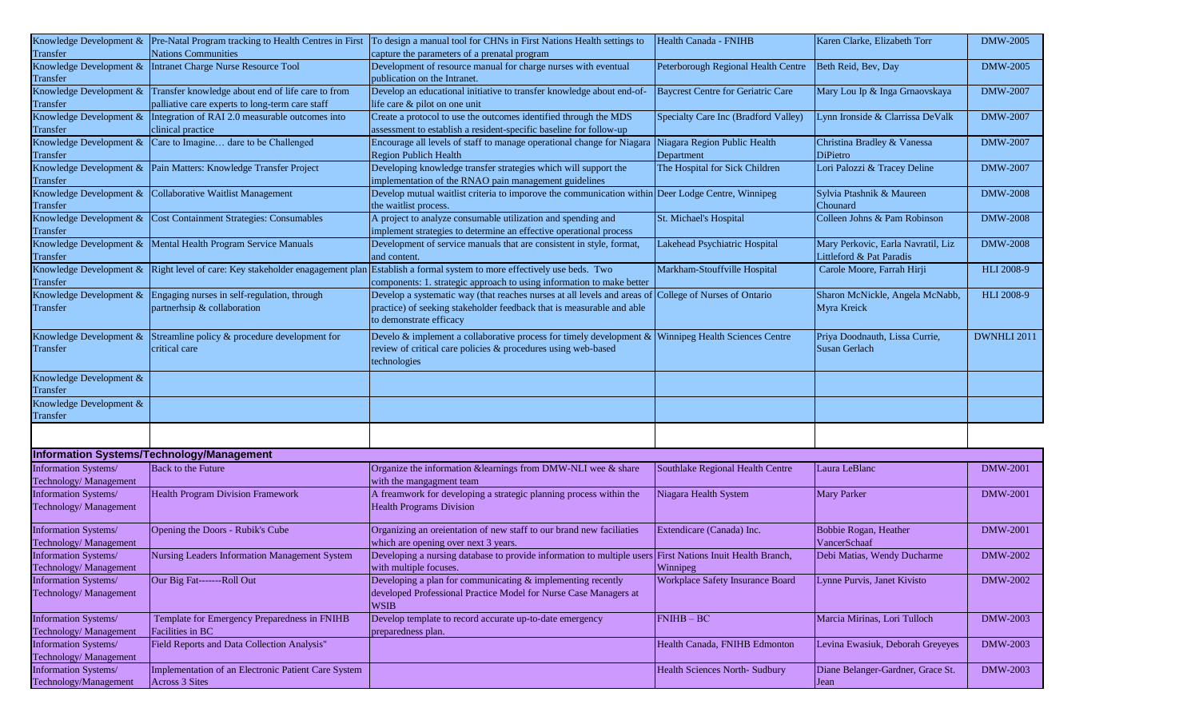|                                     |                                                                  | Knowledge Development & Pre-Natal Program tracking to Health Centres in First To design a manual tool for CHNs in First Nations Health settings to | Health Canada - FNIHB                   | Karen Clarke, Elizabeth Torr       | <b>DMW-2005</b> |
|-------------------------------------|------------------------------------------------------------------|----------------------------------------------------------------------------------------------------------------------------------------------------|-----------------------------------------|------------------------------------|-----------------|
| Transfer                            | <b>Nations Communities</b>                                       | capture the parameters of a prenatal program                                                                                                       |                                         |                                    |                 |
| Knowledge Development &<br>Transfer | Intranet Charge Nurse Resource Tool                              | Development of resource manual for charge nurses with eventual<br>publication on the Intranet.                                                     | Peterborough Regional Health Centre     | Beth Reid, Bev, Day                | DMW-2005        |
| Knowledge Development &             | Transfer knowledge about end of life care to from                | Develop an educational initiative to transfer knowledge about end-of-                                                                              | Baycrest Centre for Geriatric Care      |                                    | <b>DMW-2007</b> |
| Transfer                            | palliative care experts to long-term care staff                  | life care & pilot on one unit                                                                                                                      |                                         | Mary Lou Ip & Inga Grnaovskaya     |                 |
| Knowledge Development &             | Integration of RAI 2.0 measurable outcomes into                  | Create a protocol to use the outcomes identified through the MDS                                                                                   | Specialty Care Inc (Bradford Valley)    | Lynn Ironside & Clarrissa DeValk   | <b>DMW-2007</b> |
| Transfer                            | clinical practice                                                | assessment to establish a resident-specific baseline for follow-up                                                                                 |                                         |                                    |                 |
| Knowledge Development &             | Care to Imagine dare to be Challenged                            | Encourage all levels of staff to manage operational change for Niagara                                                                             | Niagara Region Public Health            | Christina Bradley & Vanessa        | DMW-2007        |
| Transfer                            |                                                                  | <b>Region Publich Health</b>                                                                                                                       | Department                              | DiPietro                           |                 |
|                                     | Knowledge Development & Pain Matters: Knowledge Transfer Project | Developing knowledge transfer strategies which will support the                                                                                    | The Hospital for Sick Children          | Lori Palozzi & Tracey Deline       | <b>DMW-2007</b> |
| Transfer                            |                                                                  | implementation of the RNAO pain management guidelines                                                                                              |                                         |                                    |                 |
| Knowledge Development &             | Collaborative Waitlist Management                                | Develop mutual waitlist criteria to imporove the communication within Deer Lodge Centre, Winnipeg                                                  |                                         |                                    | <b>DMW-2008</b> |
|                                     |                                                                  |                                                                                                                                                    |                                         | Sylvia Ptashnik & Maureen          |                 |
| Transfer                            |                                                                  | the waitlist process.                                                                                                                              |                                         | Chounard                           |                 |
| Knowledge Development &             | Cost Containment Strategies: Consumables                         | A project to analyze consumable utilization and spending and                                                                                       | St. Michael's Hospital                  | Colleen Johns & Pam Robinson       | <b>DMW-2008</b> |
| Transfer                            |                                                                  | implement strategies to determine an effective operational process                                                                                 |                                         |                                    |                 |
| Knowledge Development &             | Mental Health Program Service Manuals                            | Development of service manuals that are consistent in style, format,                                                                               | Lakehead Psychiatric Hospital           | Mary Perkovic, Earla Navratil, Liz | <b>DMW-2008</b> |
| Transfer                            |                                                                  | and content.                                                                                                                                       |                                         | Littleford & Pat Paradis           |                 |
| Knowledge Development &             | Right level of care: Key stakeholder enagagement plan            | Establish a formal system to more effectively use beds. Two                                                                                        | Markham-Stouffville Hospital            | Carole Moore, Farrah Hirji         | HLI 2008-9      |
|                                     |                                                                  |                                                                                                                                                    |                                         |                                    |                 |
| Transfer                            |                                                                  | components: 1. strategic approach to using information to make better                                                                              |                                         |                                    |                 |
| Knowledge Development &             | Engaging nurses in self-regulation, through                      | Develop a systematic way (that reaches nurses at all levels and areas of                                                                           | College of Nurses of Ontario            | Sharon McNickle, Angela McNabb,    | HLI 2008-9      |
| Transfer                            | partnerhsip & collaboration                                      | practice) of seeking stakeholder feedback that is measurable and able                                                                              |                                         | Myra Kreick                        |                 |
|                                     |                                                                  | to demonstrate efficacy                                                                                                                            |                                         |                                    |                 |
|                                     |                                                                  |                                                                                                                                                    |                                         |                                    |                 |
| Knowledge Development &             | Streamline policy & procedure development for                    | Develo & implement a collaborative process for timely development $\&$ Winnipeg Health Sciences Centre                                             |                                         | Priya Doodnauth, Lissa Currie,     | DWNHLI 2011     |
| Transfer                            | critical care                                                    | review of critical care policies & procedures using web-based                                                                                      |                                         | Susan Gerlach                      |                 |
|                                     |                                                                  | technologies                                                                                                                                       |                                         |                                    |                 |
| Knowledge Development &             |                                                                  |                                                                                                                                                    |                                         |                                    |                 |
| Transfer                            |                                                                  |                                                                                                                                                    |                                         |                                    |                 |
| Knowledge Development &             |                                                                  |                                                                                                                                                    |                                         |                                    |                 |
|                                     |                                                                  |                                                                                                                                                    |                                         |                                    |                 |
| Transfer                            |                                                                  |                                                                                                                                                    |                                         |                                    |                 |
|                                     |                                                                  |                                                                                                                                                    |                                         |                                    |                 |
|                                     | Information Systems/Technology/Management                        |                                                                                                                                                    |                                         |                                    |                 |
| Information Systems/                | Back to the Future                                               | Organize the information &learnings from DMW-NLI wee & share                                                                                       | Southlake Regional Health Centre        | Laura LeBlanc                      | <b>DMW-2001</b> |
|                                     |                                                                  |                                                                                                                                                    |                                         |                                    |                 |
| Technology/ Management              |                                                                  | with the mangagment team                                                                                                                           |                                         |                                    |                 |
| Information Systems/                | <b>Health Program Division Framework</b>                         | A freamwork for developing a strategic planning process within the                                                                                 | Niagara Health System                   | <b>Mary Parker</b>                 | <b>DMW-2001</b> |
| Technology/ Management              |                                                                  | <b>Health Programs Division</b>                                                                                                                    |                                         |                                    |                 |
|                                     |                                                                  |                                                                                                                                                    |                                         |                                    |                 |
| Information Systems/                | Opening the Doors - Rubik's Cube                                 | Organizing an oreientation of new staff to our brand new faciliaties                                                                               | Extendicare (Canada) Inc.               | Bobbie Rogan, Heather              | <b>DMW-2001</b> |
| Technology/ Management              |                                                                  | which are opening over next 3 years.                                                                                                               |                                         | VancerSchaaf                       |                 |
| Information Systems/                | Nursing Leaders Information Management System                    | Developing a nursing database to provide information to multiple users First Nations Inuit Health Branch,                                          |                                         | Debi Matias, Wendy Ducharme        | DMW-2002        |
|                                     |                                                                  |                                                                                                                                                    |                                         |                                    |                 |
| Technology/ Management              |                                                                  | with multiple focuses.                                                                                                                             | Winnipeg                                |                                    |                 |
| Information Systems/                | Our Big Fat-------Roll Out                                       | Developing a plan for communicating & implementing recently                                                                                        | <b>Workplace Safety Insurance Board</b> | Lynne Purvis, Janet Kivisto        | DMW-2002        |
| Technology/ Management              |                                                                  | developed Professional Practice Model for Nurse Case Managers at                                                                                   |                                         |                                    |                 |
|                                     |                                                                  | <b>WSIB</b>                                                                                                                                        |                                         |                                    |                 |
| <b>Information Systems/</b>         | Template for Emergency Preparedness in FNIHB                     | Develop template to record accurate up-to-date emergency                                                                                           | $FNIHB - BC$                            | Marcia Mirinas, Lori Tulloch       | <b>DMW-2003</b> |
| Technology/ Management              | Facilities in BC                                                 | preparedness plan.                                                                                                                                 |                                         |                                    |                 |
|                                     |                                                                  |                                                                                                                                                    |                                         |                                    |                 |
| Information Systems/                | Field Reports and Data Collection Analysis"                      |                                                                                                                                                    | Health Canada, FNIHB Edmonton           | Levina Ewasiuk, Deborah Greyeyes   | DMW-2003        |
| Technology/ Management              |                                                                  |                                                                                                                                                    |                                         |                                    |                 |
| Information Systems/                | Implementation of an Electronic Patient Care System              |                                                                                                                                                    | <b>Health Sciences North- Sudbury</b>   | Diane Belanger-Gardner, Grace St.  | <b>DMW-2003</b> |
| Technology/Management               | <b>Across 3 Sites</b>                                            |                                                                                                                                                    |                                         | Jean                               |                 |
|                                     |                                                                  |                                                                                                                                                    |                                         |                                    |                 |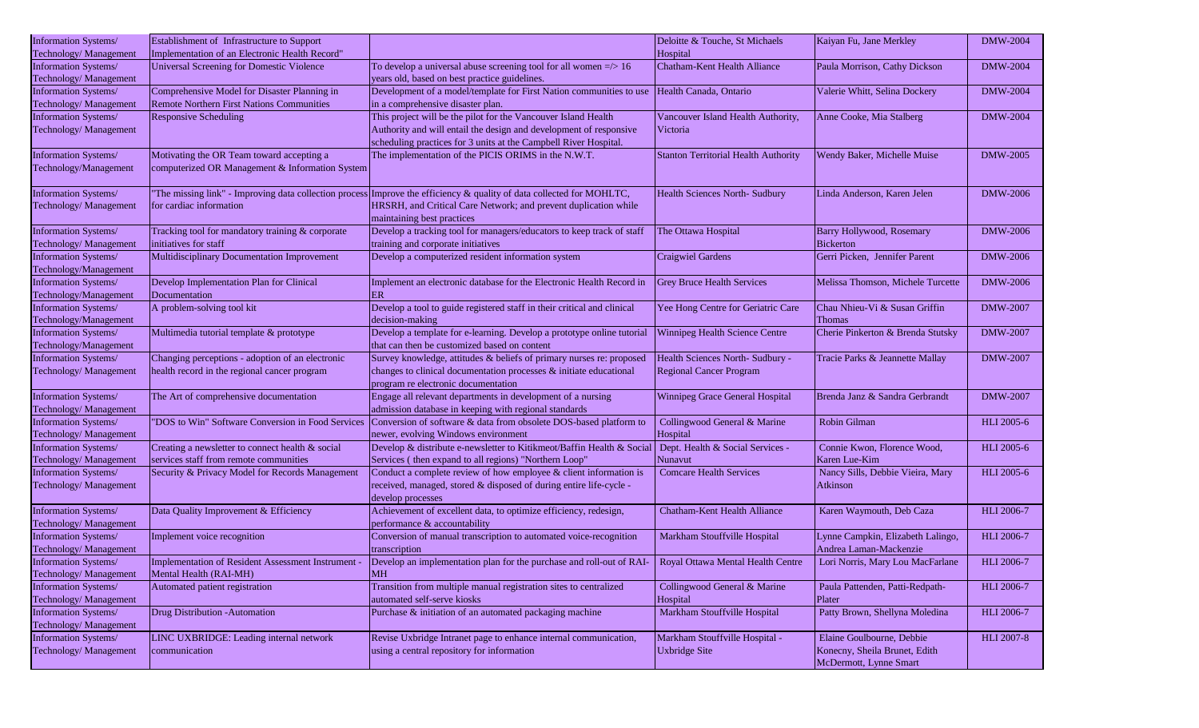| Information Systems/                                  | Establishment of Infrastructure to Support        |                                                                                                                                        | Deloitte & Touche, St Michaels              | Kaiyan Fu, Jane Merkley           | <b>DMW-2004</b>   |
|-------------------------------------------------------|---------------------------------------------------|----------------------------------------------------------------------------------------------------------------------------------------|---------------------------------------------|-----------------------------------|-------------------|
| Technology/ Management                                | Implementation of an Electronic Health Record"    |                                                                                                                                        | Hospital                                    |                                   |                   |
| <b>Information Systems/</b><br>Technology/ Management | Universal Screening for Domestic Violence         | To develop a universal abuse screening tool for all women $\approx$ 16<br>years old, based on best practice guidelines.                | <b>Chatham-Kent Health Alliance</b>         | Paula Morrison, Cathy Dickson     | <b>DMW-2004</b>   |
| Information Systems/                                  | Comprehensive Model for Disaster Planning in      | Development of a model/template for First Nation communities to use                                                                    | Health Canada, Ontario                      | Valerie Whitt, Selina Dockery     | <b>DMW-2004</b>   |
| Technology/ Management                                | <b>Remote Northern First Nations Communities</b>  | in a comprehensive disaster plan.                                                                                                      |                                             |                                   |                   |
| Information Systems/                                  | <b>Responsive Scheduling</b>                      | This project will be the pilot for the Vancouver Island Health                                                                         | Vancouver Island Health Authority,          | Anne Cooke, Mia Stalberg          | <b>DMW-2004</b>   |
| Technology/ Management                                |                                                   | Authority and will entail the design and development of responsive<br>scheduling practices for 3 units at the Campbell River Hospital. | Victoria                                    |                                   |                   |
| Information Systems/                                  | Motivating the OR Team toward accepting a         | The implementation of the PICIS ORIMS in the N.W.T.                                                                                    | <b>Stanton Territorial Health Authority</b> | Wendy Baker, Michelle Muise       | <b>DMW-2005</b>   |
| Technology/Management                                 | computerized OR Management & Information System   |                                                                                                                                        |                                             |                                   |                   |
| Information Systems/                                  |                                                   | "The missing link" - Improving data collection process Improve the efficiency & quality of data collected for MOHLTC,                  | Health Sciences North- Sudbury              | Linda Anderson, Karen Jelen       | <b>DMW-2006</b>   |
| Technology/ Management                                | for cardiac information                           | HRSRH, and Critical Care Network; and prevent duplication while<br>maintaining best practices                                          |                                             |                                   |                   |
| Information Systems/                                  | Tracking tool for mandatory training & corporate  | Develop a tracking tool for managers/educators to keep track of staff                                                                  | The Ottawa Hospital                         | Barry Hollywood, Rosemary         | <b>DMW-2006</b>   |
| Technology/ Management                                | initiatives for staff                             | training and corporate initiatives                                                                                                     |                                             | <b>Bickerton</b>                  |                   |
| Information Systems/<br>Technology/Management         | Multidisciplinary Documentation Improvement       | Develop a computerized resident information system                                                                                     | <b>Craigwiel Gardens</b>                    | Gerri Picken, Jennifer Parent     | <b>DMW-2006</b>   |
| Information Systems/                                  | Develop Implementation Plan for Clinical          | Implement an electronic database for the Electronic Health Record in                                                                   | <b>Grey Bruce Health Services</b>           | Melissa Thomson, Michele Turcette | <b>DMW-2006</b>   |
| Technology/Management                                 | Documentation                                     | ER                                                                                                                                     |                                             |                                   |                   |
| Information Systems/                                  | A problem-solving tool kit                        | Develop a tool to guide registered staff in their critical and clinical                                                                | Yee Hong Centre for Geriatric Care          | Chau Nhieu-Vi & Susan Griffin     | <b>DMW-2007</b>   |
| Technology/Management                                 |                                                   | decision-making                                                                                                                        |                                             | Thomas                            |                   |
| Information Systems/<br>Technology/Management         | Multimedia tutorial template & prototype          | Develop a template for e-learning. Develop a prototype online tutorial<br>that can then be customized based on content                 | Winnipeg Health Science Centre              | Cherie Pinkerton & Brenda Stutsky | <b>DMW-2007</b>   |
| Information Systems/                                  | Changing perceptions - adoption of an electronic  | Survey knowledge, attitudes & beliefs of primary nurses re: proposed                                                                   | Health Sciences North- Sudbury -            | Tracie Parks & Jeannette Mallay   | <b>DMW-2007</b>   |
| Technology/ Management                                | health record in the regional cancer program      | changes to clinical documentation processes $\&$ initiate educational                                                                  | <b>Regional Cancer Program</b>              |                                   |                   |
|                                                       |                                                   | program re electronic documentation                                                                                                    |                                             |                                   |                   |
| Information Systems/                                  | The Art of comprehensive documentation            | Engage all relevant departments in development of a nursing                                                                            | Winnipeg Grace General Hospital             | Brenda Janz & Sandra Gerbrandt    | <b>DMW-2007</b>   |
| Technology/ Management                                |                                                   | admission database in keeping with regional standards                                                                                  |                                             |                                   |                   |
| Information Systems/                                  | "DOS to Win" Software Conversion in Food Services | Conversion of software & data from obsolete DOS-based platform to                                                                      | Collingwood General & Marine                | Robin Gilman                      | <b>HLI</b> 2005-6 |
| Technology/ Management                                |                                                   | newer, evolving Windows environment                                                                                                    | Hospital                                    |                                   |                   |
| Information Systems/                                  | Creating a newsletter to connect health & social  | Develop & distribute e-newsletter to Kitikmeot/Baffin Health & Social                                                                  | Dept. Health & Social Services -            | Connie Kwon, Florence Wood,       | HLI 2005-6        |
| Technology/ Management                                | services staff from remote communities            | Services (then expand to all regions) "Northern Loop"                                                                                  | Nunavut                                     | Karen Lue-Kim                     |                   |
| Information Systems/                                  | Security & Privacy Model for Records Management   | Conduct a complete review of how employee & client information is                                                                      | <b>Comcare Health Services</b>              | Nancy Sills, Debbie Vieira, Mary  | <b>HLI</b> 2005-6 |
| Technology/ Management                                |                                                   | received, managed, stored & disposed of during entire life-cycle -<br>develop processes                                                |                                             | Atkinson                          |                   |
| Information Systems/                                  | Data Quality Improvement & Efficiency             | Achievement of excellent data, to optimize efficiency, redesign,                                                                       | Chatham-Kent Health Alliance                | Karen Waymouth, Deb Caza          | <b>HLI</b> 2006-7 |
| Technology/ Management                                |                                                   | performance & accountability                                                                                                           |                                             |                                   |                   |
| Information Systems/                                  | Implement voice recognition                       | Conversion of manual transcription to automated voice-recognition                                                                      | Markham Stouffville Hospital                | Lynne Campkin, Elizabeth Lalingo, | <b>HLI</b> 2006-7 |
| Technology/ Management                                |                                                   | transcription                                                                                                                          |                                             | Andrea Laman-Mackenzie            |                   |
| Information Systems/                                  | Implementation of Resident Assessment Instrument  | Develop an implementation plan for the purchase and roll-out of RAI- Royal Ottawa Mental Health Centre                                 |                                             | Lori Norris, Mary Lou MacFarlane  | <b>HLI</b> 2006-7 |
| Technology/ Management                                | Mental Health (RAI-MH)                            | <b>MH</b>                                                                                                                              |                                             |                                   |                   |
| Information Systems/                                  | Automated patient registration                    | Transition from multiple manual registration sites to centralized                                                                      | Collingwood General & Marine                | Paula Pattenden, Patti-Redpath-   | <b>HLI 2006-7</b> |
| Technology/ Management                                |                                                   | automated self-serve kiosks                                                                                                            | Hospital                                    | Plater                            |                   |
| Information Systems/                                  | <b>Drug Distribution -Automation</b>              | Purchase & initiation of an automated packaging machine                                                                                | Markham Stouffville Hospital                | Patty Brown, Shellyna Moledina    | <b>HLI 2006-7</b> |
| Technology/ Management                                |                                                   |                                                                                                                                        |                                             |                                   |                   |
| <b>Information Systems/</b>                           | LINC UXBRIDGE: Leading internal network           | Revise Uxbridge Intranet page to enhance internal communication,                                                                       | Markham Stouffville Hospital -              | Elaine Goulbourne, Debbie         | <b>HLI 2007-8</b> |
| Technology/ Management                                | communication                                     | using a central repository for information                                                                                             | <b>Uxbridge Site</b>                        | Konecny, Sheila Brunet, Edith     |                   |
|                                                       |                                                   |                                                                                                                                        |                                             | McDermott, Lynne Smart            |                   |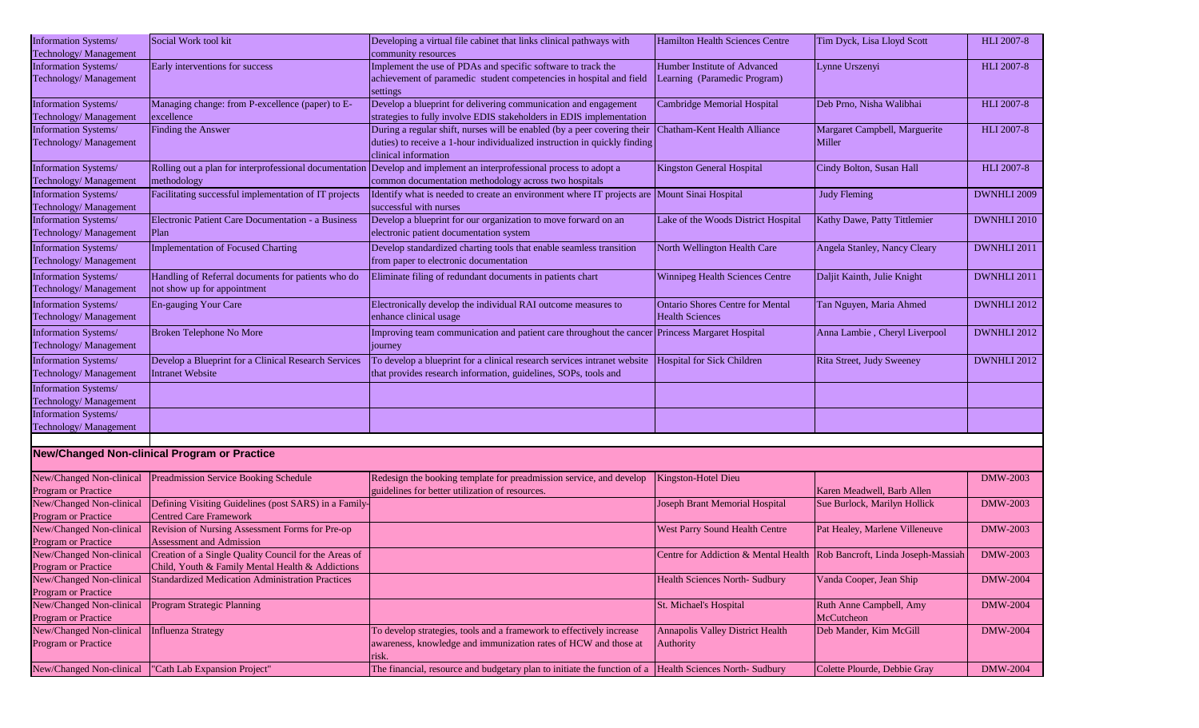| Information Systems/       | Social Work tool kit                                    | Developing a virtual file cabinet that links clinical pathways with                            | Hamilton Health Sciences Centre                                         | Tim Dyck, Lisa Lloyd Scott     | <b>HLI 2007-8</b>  |
|----------------------------|---------------------------------------------------------|------------------------------------------------------------------------------------------------|-------------------------------------------------------------------------|--------------------------------|--------------------|
| Technology/ Management     |                                                         | community resources                                                                            |                                                                         |                                |                    |
| Information Systems/       | Early interventions for success                         | Implement the use of PDAs and specific software to track the                                   | Humber Institute of Advanced                                            | Lynne Urszenyi                 | <b>HLI 2007-8</b>  |
| Technology/Management      |                                                         | achievement of paramedic student competencies in hospital and field                            | Learning (Paramedic Program)                                            |                                |                    |
|                            |                                                         | settings                                                                                       |                                                                         |                                |                    |
| Information Systems/       | Managing change: from P-excellence (paper) to E-        | Develop a blueprint for delivering communication and engagement                                | <b>Cambridge Memorial Hospital</b>                                      | Deb Prno, Nisha Walibhai       | <b>HLI 2007-8</b>  |
| Technology/ Management     | excellence                                              | strategies to fully involve EDIS stakeholders in EDIS implementation                           |                                                                         |                                |                    |
| Information Systems/       | Finding the Answer                                      | During a regular shift, nurses will be enabled (by a peer covering their                       | Chatham-Kent Health Alliance                                            | Margaret Campbell, Marguerite  | <b>HLI 2007-8</b>  |
| Technology/ Management     |                                                         | duties) to receive a 1-hour individualized instruction in quickly finding                      |                                                                         | Miller                         |                    |
|                            |                                                         | clinical information                                                                           |                                                                         |                                |                    |
| Information Systems/       | Rolling out a plan for interprofessional documentation  | Develop and implement an interprofessional process to adopt a                                  | Kingston General Hospital                                               | Cindy Bolton, Susan Hall       | <b>HLI 2007-8</b>  |
| Technology/ Management     | methodology                                             | common documentation methodology across two hospitals                                          |                                                                         |                                |                    |
| Information Systems/       | Facilitating successful implementation of IT projects   | Identify what is needed to create an environment where IT projects are Mount Sinai Hospital    |                                                                         | <b>Judy Fleming</b>            | DWNHLI 2009        |
| Technology/ Management     |                                                         | successful with nurses                                                                         |                                                                         |                                |                    |
| Information Systems/       | Electronic Patient Care Documentation - a Business      | Develop a blueprint for our organization to move forward on an                                 | Lake of the Woods District Hospital                                     | Kathy Dawe, Patty Tittlemier   | DWNHLI 2010        |
| Technology/ Management     | Plan                                                    | electronic patient documentation system                                                        |                                                                         |                                |                    |
| Information Systems/       | <b>Implementation of Focused Charting</b>               | Develop standardized charting tools that enable seamless transition                            | North Wellington Health Care                                            | Angela Stanley, Nancy Cleary   | DWNHLI 2011        |
| Technology/ Management     |                                                         | from paper to electronic documentation                                                         |                                                                         |                                |                    |
| Information Systems/       | Handling of Referral documents for patients who do      | Eliminate filing of redundant documents in patients chart                                      | Winnipeg Health Sciences Centre                                         | Daljit Kainth, Julie Knight    | DWNHLI 2011        |
| Technology/ Management     | not show up for appointment                             |                                                                                                |                                                                         |                                |                    |
| Information Systems/       | En-gauging Your Care                                    | Electronically develop the individual RAI outcome measures to                                  | <b>Ontario Shores Centre for Mental</b>                                 | Tan Nguyen, Maria Ahmed        | <b>DWNHLI 2012</b> |
| Technology/ Management     |                                                         | enhance clinical usage                                                                         | <b>Health Sciences</b>                                                  |                                |                    |
|                            |                                                         |                                                                                                |                                                                         |                                | DWNHLI 2012        |
| Information Systems/       | Broken Telephone No More                                | Improving team communication and patient care throughout the cancer Princess Margaret Hospital |                                                                         | Anna Lambie, Cheryl Liverpool  |                    |
| Technology/ Management     |                                                         | journey                                                                                        |                                                                         |                                |                    |
| Information Systems/       | Develop a Blueprint for a Clinical Research Services    | To develop a blueprint for a clinical research services intranet website                       | Hospital for Sick Children                                              | Rita Street, Judy Sweeney      | DWNHLI 2012        |
| Technology/ Management     | <b>Intranet Website</b>                                 | that provides research information, guidelines, SOPs, tools and                                |                                                                         |                                |                    |
| Information Systems/       |                                                         |                                                                                                |                                                                         |                                |                    |
| Technology/ Management     |                                                         |                                                                                                |                                                                         |                                |                    |
| Information Systems/       |                                                         |                                                                                                |                                                                         |                                |                    |
| Technology/Management      |                                                         |                                                                                                |                                                                         |                                |                    |
|                            |                                                         |                                                                                                |                                                                         |                                |                    |
|                            | <b>New/Changed Non-clinical Program or Practice</b>     |                                                                                                |                                                                         |                                |                    |
|                            |                                                         |                                                                                                |                                                                         |                                |                    |
| New/Changed Non-clinical   | <b>Preadmission Service Booking Schedule</b>            | Redesign the booking template for preadmission service, and develop                            | Kingston-Hotel Dieu                                                     |                                | DMW-2003           |
| Program or Practice        |                                                         | guidelines for better utilization of resources.                                                |                                                                         | Karen Meadwell, Barb Allen     |                    |
| New/Changed Non-clinical   | Defining Visiting Guidelines (post SARS) in a Family-   |                                                                                                | Joseph Brant Memorial Hospital                                          | Sue Burlock, Marilyn Hollick   | DMW-2003           |
| <b>Program or Practice</b> | <b>Centred Care Framework</b>                           |                                                                                                |                                                                         |                                |                    |
| New/Changed Non-clinical   | Revision of Nursing Assessment Forms for Pre-op         |                                                                                                | West Parry Sound Health Centre                                          | Pat Healey, Marlene Villeneuve | DMW-2003           |
| <b>Program or Practice</b> | <b>Assessment and Admission</b>                         |                                                                                                |                                                                         |                                |                    |
| New/Changed Non-clinical   | Creation of a Single Quality Council for the Areas of   |                                                                                                | Centre for Addiction & Mental Health Rob Bancroft, Linda Joseph-Massiah |                                | <b>DMW-2003</b>    |
| <b>Program or Practice</b> | Child, Youth & Family Mental Health & Addictions        |                                                                                                |                                                                         |                                |                    |
| New/Changed Non-clinical   | <b>Standardized Medication Administration Practices</b> |                                                                                                | <b>Health Sciences North- Sudbury</b>                                   | Vanda Cooper, Jean Ship        | <b>DMW-2004</b>    |
| Program or Practice        |                                                         |                                                                                                |                                                                         |                                |                    |
| New/Changed Non-clinical   | Program Strategic Planning                              |                                                                                                | St. Michael's Hospital                                                  | Ruth Anne Campbell, Amy        | <b>DMW-2004</b>    |
| <b>Program or Practice</b> |                                                         |                                                                                                |                                                                         | McCutcheon                     |                    |
| New/Changed Non-clinical   | <b>Influenza Strategy</b>                               | To develop strategies, tools and a framework to effectively increase                           | <b>Annapolis Valley District Health</b>                                 | Deb Mander, Kim McGill         | <b>DMW-2004</b>    |
| <b>Program or Practice</b> |                                                         | awareness, knowledge and immunization rates of HCW and those at                                | <b>Authority</b>                                                        |                                |                    |
|                            |                                                         | risk.                                                                                          |                                                                         |                                |                    |
| New/Changed Non-clinical   | "Cath Lab Expansion Project"                            | The financial, resource and budgetary plan to initiate the function of a                       | <b>Health Sciences North- Sudbury</b>                                   | Colette Plourde, Debbie Gray   | <b>DMW-2004</b>    |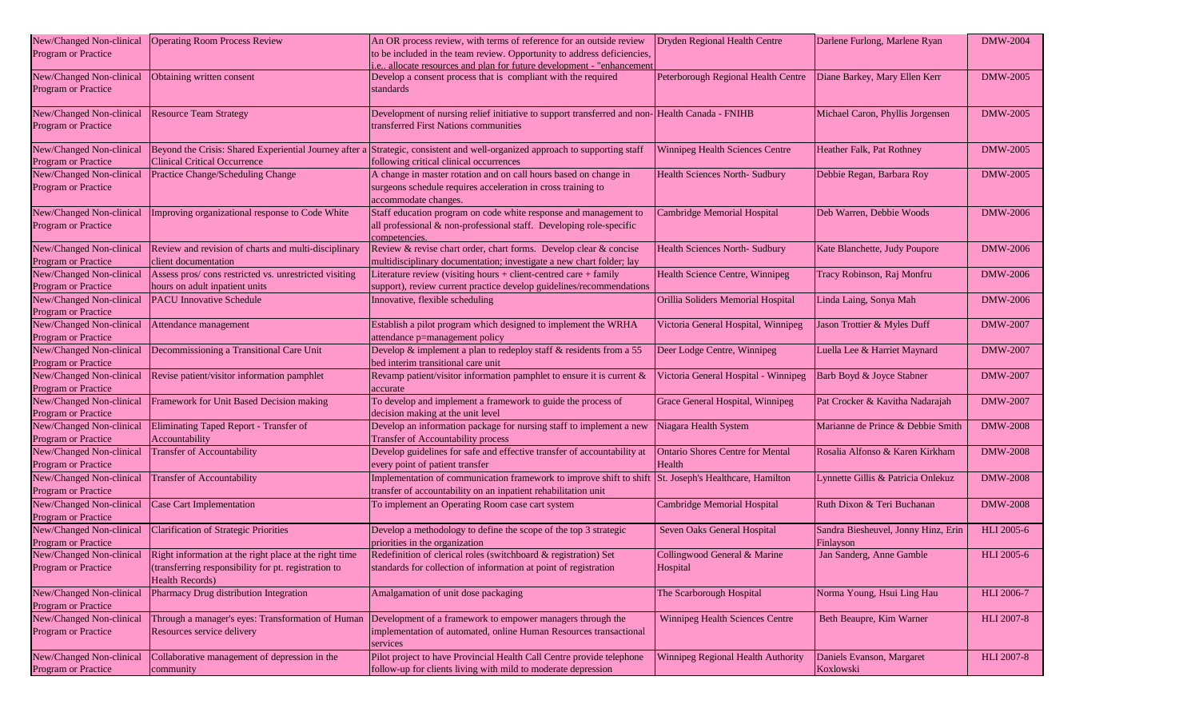| New/Changed Non-clinical<br>Program or Practice        | <b>Operating Room Process Review</b>                                                                                                     | An OR process review, with terms of reference for an outside review<br>to be included in the team review. Opportunity to address deficiencies,<br>i.e., allocate resources and plan for future development - "enhancement" | Dryden Regional Health Centre                     | Darlene Furlong, Marlene Ryan                    | <b>DMW-2004</b>   |
|--------------------------------------------------------|------------------------------------------------------------------------------------------------------------------------------------------|----------------------------------------------------------------------------------------------------------------------------------------------------------------------------------------------------------------------------|---------------------------------------------------|--------------------------------------------------|-------------------|
| New/Changed Non-clinical<br><b>Program or Practice</b> | Obtaining written consent                                                                                                                | Develop a consent process that is compliant with the required<br>standards                                                                                                                                                 | Peterborough Regional Health Centre               | Diane Barkey, Mary Ellen Kerr                    | DMW-2005          |
| New/Changed Non-clinical<br>Program or Practice        | <b>Resource Team Strategy</b>                                                                                                            | Development of nursing relief initiative to support transferred and non-Health Canada - FNIHB<br>transferred First Nations communities                                                                                     |                                                   | Michael Caron, Phyllis Jorgensen                 | <b>DMW-2005</b>   |
| New/Changed Non-clinical<br>Program or Practice        | Beyond the Crisis: Shared Experiential Journey after a<br><b>Clinical Critical Occurrence</b>                                            | Strategic, consistent and well-organized approach to supporting staff<br>following critical clinical occurrences                                                                                                           | Winnipeg Health Sciences Centre                   | Heather Falk, Pat Rothney                        | <b>DMW-2005</b>   |
| New/Changed Non-clinical<br><b>Program or Practice</b> | Practice Change/Scheduling Change                                                                                                        | A change in master rotation and on call hours based on change in<br>surgeons schedule requires acceleration in cross training to<br>accommodate changes.                                                                   | Health Sciences North- Sudbury                    | Debbie Regan, Barbara Roy                        | <b>DMW-2005</b>   |
| New/Changed Non-clinical<br>Program or Practice        | Improving organizational response to Code White                                                                                          | Staff education program on code white response and management to<br>all professional & non-professional staff. Developing role-specific<br>competencies.                                                                   | Cambridge Memorial Hospital                       | Deb Warren, Debbie Woods                         | DMW-2006          |
| New/Changed Non-clinical<br>Program or Practice        | Review and revision of charts and multi-disciplinary<br>client documentation                                                             | Review & revise chart order, chart forms. Develop clear & concise<br>multidisciplinary documentation; investigate a new chart folder; lay                                                                                  | Health Sciences North-Sudbury                     | Kate Blanchette, Judy Poupore                    | DMW-2006          |
| New/Changed Non-clinical<br><b>Program or Practice</b> | Assess pros/cons restricted vs. unrestricted visiting<br>hours on adult inpatient units                                                  | Literature review (visiting hours + client-centred care + family<br>support), review current practice develop guidelines/recommendations                                                                                   | Health Science Centre, Winnipeg                   | Tracy Robinson, Raj Monfru                       | <b>DMW-2006</b>   |
| New/Changed Non-clinical<br>Program or Practice        | <b>PACU</b> Innovative Schedule                                                                                                          | Innovative, flexible scheduling                                                                                                                                                                                            | Orillia Soliders Memorial Hospital                | Linda Laing, Sonya Mah                           | <b>DMW-2006</b>   |
| New/Changed Non-clinical<br>Program or Practice        | Attendance management                                                                                                                    | Establish a pilot program which designed to implement the WRHA<br>attendance p=management policy                                                                                                                           | Victoria General Hospital, Winnipeg               | Jason Trottier & Myles Duff                      | DMW-2007          |
| New/Changed Non-clinical<br>Program or Practice        | Decommissioning a Transitional Care Unit                                                                                                 | Develop $\&$ implement a plan to redeploy staff $\&$ residents from a 55<br>bed interim transitional care unit                                                                                                             | Deer Lodge Centre, Winnipeg                       | Luella Lee & Harriet Maynard                     | <b>DMW-2007</b>   |
| New/Changed Non-clinical<br>Program or Practice        | Revise patient/visitor information pamphlet                                                                                              | Revamp patient/visitor information pamphlet to ensure it is current &<br>accurate                                                                                                                                          | Victoria General Hospital - Winnipeg              | Barb Boyd & Joyce Stabner                        | DMW-2007          |
| New/Changed Non-clinical<br>Program or Practice        | Framework for Unit Based Decision making                                                                                                 | To develop and implement a framework to guide the process of<br>decision making at the unit level                                                                                                                          | Grace General Hospital, Winnipeg                  | Pat Crocker & Kavitha Nadarajah                  | DMW-2007          |
| New/Changed Non-clinical<br>Program or Practice        | Eliminating Taped Report - Transfer of<br>Accountability                                                                                 | Develop an information package for nursing staff to implement a new<br>Transfer of Accountability process                                                                                                                  | Niagara Health System                             | Marianne de Prince & Debbie Smith                | <b>DMW-2008</b>   |
| New/Changed Non-clinical<br>Program or Practice        | Transfer of Accountability                                                                                                               | Develop guidelines for safe and effective transfer of accountability at<br>every point of patient transfer                                                                                                                 | <b>Ontario Shores Centre for Mental</b><br>Health | Rosalia Alfonso & Karen Kirkham                  | <b>DMW-2008</b>   |
| New/Changed Non-clinical<br>Program or Practice        | <b>Transfer of Accountability</b>                                                                                                        | Implementation of communication framework to improve shift to shift<br>transfer of accountability on an inpatient rehabilitation unit                                                                                      | St. Joseph's Healthcare, Hamilton                 | Lynnette Gillis & Patricia Onlekuz               | <b>DMW-2008</b>   |
| New/Changed Non-clinical<br>Program or Practice        | Case Cart Implementation                                                                                                                 | To implement an Operating Room case cart system                                                                                                                                                                            | Cambridge Memorial Hospital                       | Ruth Dixon & Teri Buchanan                       | <b>DMW-2008</b>   |
| New/Changed Non-clinical<br><b>Program or Practice</b> | <b>Clarification of Strategic Priorities</b>                                                                                             | Develop a methodology to define the scope of the top 3 strategic<br>priorities in the organization                                                                                                                         | Seven Oaks General Hospital                       | Sandra Biesheuvel, Jonny Hinz, Erin<br>Finlayson | <b>HLI</b> 2005-6 |
| New/Changed Non-clinical<br>Program or Practice        | Right information at the right place at the right time<br>(transferring responsibility for pt. registration to<br><b>Health Records)</b> | Redefinition of clerical roles (switchboard & registration) Set<br>standards for collection of information at point of registration                                                                                        | Collingwood General & Marine<br>Hospital          | Jan Sanderg, Anne Gamble                         | <b>HLI</b> 2005-6 |
| New/Changed Non-clinical<br>Program or Practice        | Pharmacy Drug distribution Integration                                                                                                   | Amalgamation of unit dose packaging                                                                                                                                                                                        | The Scarborough Hospital                          | Norma Young, Hsui Ling Hau                       | <b>HLI</b> 2006-7 |
| New/Changed Non-clinical<br>Program or Practice        | Through a manager's eyes: Transformation of Human<br>Resources service delivery                                                          | Development of a framework to empower managers through the<br>implementation of automated, online Human Resources transactional<br>services                                                                                | Winnipeg Health Sciences Centre                   | Beth Beaupre, Kim Warner                         | <b>HLI 2007-8</b> |
| New/Changed Non-clinical<br>Program or Practice        | Collaborative management of depression in the<br>community                                                                               | Pilot project to have Provincial Health Call Centre provide telephone<br>follow-up for clients living with mild to moderate depression                                                                                     | Winnipeg Regional Health Authority                | Daniels Evanson, Margaret<br>Koxlowski           | <b>HLI 2007-8</b> |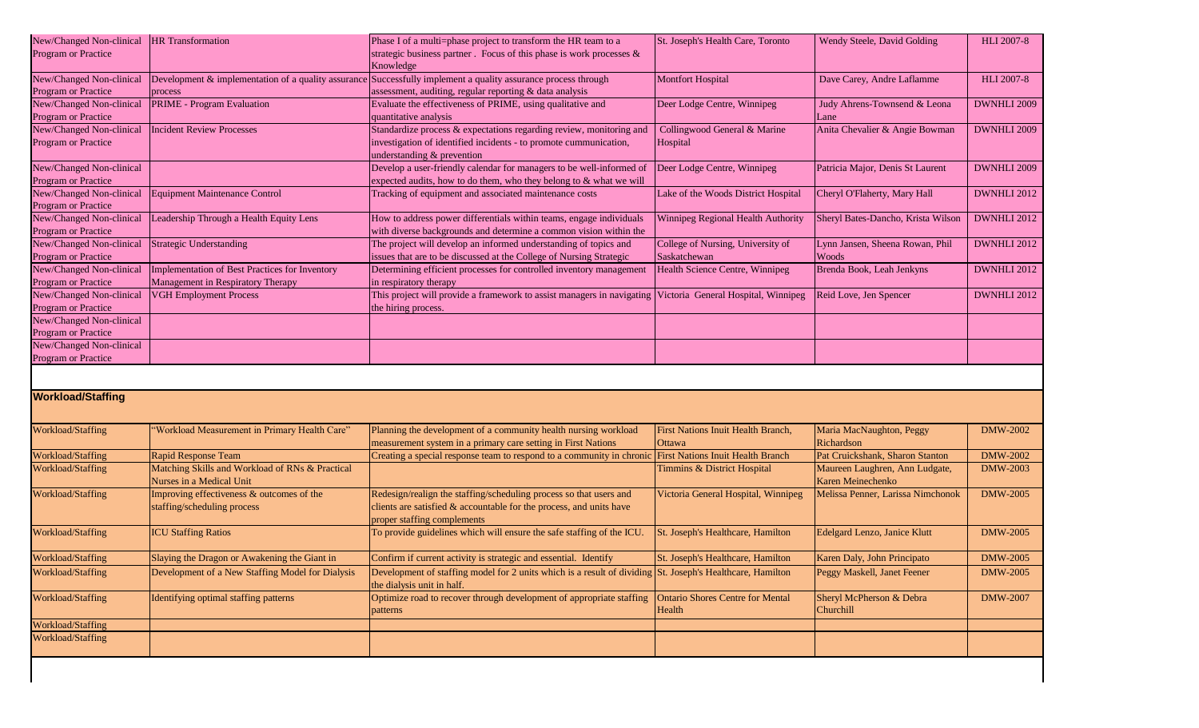| New/Changed Non-clinical               | <b>HR</b> Transformation                         | Phase I of a multi=phase project to transform the HR team to a                                                 | St. Joseph's Health Care, Toronto        | Wendy Steele, David Golding        | <b>HLI 2007-8</b> |
|----------------------------------------|--------------------------------------------------|----------------------------------------------------------------------------------------------------------------|------------------------------------------|------------------------------------|-------------------|
| <b>Program or Practice</b>             |                                                  | strategic business partner . Focus of this phase is work processes &                                           |                                          |                                    |                   |
|                                        |                                                  | Knowledge                                                                                                      |                                          |                                    |                   |
| New/Changed Non-clinical               |                                                  | Development & implementation of a quality assurance Successfully implement a quality assurance process through | <b>Montfort Hospital</b>                 | Dave Carey, Andre Laflamme         | <b>HLI 2007-8</b> |
| <b>Program or Practice</b>             | process                                          | assessment, auditing, regular reporting & data analysis                                                        |                                          |                                    |                   |
| New/Changed Non-clinical               | PRIME - Program Evaluation                       | Evaluate the effectiveness of PRIME, using qualitative and                                                     | Deer Lodge Centre, Winnipeg              | Judy Ahrens-Townsend & Leona       | DWNHLI 2009       |
| <b>Program or Practice</b>             |                                                  | quantitative analysis                                                                                          |                                          | Lane                               |                   |
| New/Changed Non-clinical               | <b>Incident Review Processes</b>                 | Standardize process & expectations regarding review, monitoring and                                            | Collingwood General & Marine             | Anita Chevalier & Angie Bowman     | DWNHLI 2009       |
| Program or Practice                    |                                                  | investigation of identified incidents - to promote cummunication,                                              | Hospital                                 |                                    |                   |
|                                        |                                                  | understanding & prevention                                                                                     |                                          |                                    |                   |
| New/Changed Non-clinical               |                                                  | Develop a user-friendly calendar for managers to be well-informed of                                           | Deer Lodge Centre, Winnipeg              | Patricia Major, Denis St Laurent   | DWNHLI 2009       |
| Program or Practice                    |                                                  | expected audits, how to do them, who they belong to $&$ what we will                                           |                                          |                                    |                   |
| New/Changed Non-clinical               | <b>Equipment Maintenance Control</b>             | Tracking of equipment and associated maintenance costs                                                         | Lake of the Woods District Hospital      | Cheryl O'Flaherty, Mary Hall       | DWNHLI 2012       |
| <b>Program or Practice</b>             |                                                  |                                                                                                                |                                          |                                    |                   |
| New/Changed Non-clinical               | Leadership Through a Health Equity Lens          | How to address power differentials within teams, engage individuals                                            | Winnipeg Regional Health Authority       | Sheryl Bates-Dancho, Krista Wilson | DWNHLI 2012       |
| Program or Practice                    |                                                  | with diverse backgrounds and determine a common vision within the                                              |                                          |                                    |                   |
| New/Changed Non-clinical               | <b>Strategic Understanding</b>                   | The project will develop an informed understanding of topics and                                               | College of Nursing, University of        | Lynn Jansen, Sheena Rowan, Phil    | DWNHLI 2012       |
| Program or Practice                    |                                                  | issues that are to be discussed at the College of Nursing Strategic                                            | Saskatchewan                             | Woods                              |                   |
| New/Changed Non-clinical               | Implementation of Best Practices for Inventory   | Determining efficient processes for controlled inventory management                                            | Health Science Centre, Winnipeg          | Brenda Book, Leah Jenkyns          | DWNHLI 2012       |
| <b>Program or Practice</b>             | Management in Respiratory Therapy                | in respiratory therapy                                                                                         |                                          |                                    |                   |
| New/Changed Non-clinical               | <b>VGH Employment Process</b>                    | This project will provide a framework to assist managers in navigating                                         | Victoria General Hospital, Winnipeg      | Reid Love, Jen Spencer             | DWNHLI 2012       |
| Program or Practice                    |                                                  | the hiring process.                                                                                            |                                          |                                    |                   |
| New/Changed Non-clinical               |                                                  |                                                                                                                |                                          |                                    |                   |
| Program or Practice                    |                                                  |                                                                                                                |                                          |                                    |                   |
| New/Changed Non-clinical               |                                                  |                                                                                                                |                                          |                                    |                   |
| <b>Program or Practice</b>             |                                                  |                                                                                                                |                                          |                                    |                   |
|                                        |                                                  |                                                                                                                |                                          |                                    |                   |
|                                        |                                                  |                                                                                                                |                                          |                                    |                   |
| <b>Workload/Staffing</b>               |                                                  |                                                                                                                |                                          |                                    |                   |
|                                        |                                                  |                                                                                                                |                                          |                                    |                   |
|                                        |                                                  |                                                                                                                |                                          |                                    |                   |
| Workload/Staffing                      | 'Workload Measurement in Primary Health Care"    | Planning the development of a community health nursing workload                                                | First Nations Inuit Health Branch,       | Maria MacNaughton, Peggy           | <b>DMW-2002</b>   |
|                                        |                                                  | measurement system in a primary care setting in First Nations                                                  | Ottawa                                   | Richardson                         |                   |
| <b>Workload/Staffing</b>               | <b>Rapid Response Team</b>                       | Creating a special response team to respond to a community in chronic                                          | <b>First Nations Inuit Health Branch</b> | Pat Cruickshank, Sharon Stanton    | <b>DMW-2002</b>   |
| Workload/Staffing                      | Matching Skills and Workload of RNs & Practical  |                                                                                                                | Timmins & District Hospital              | Maureen Laughren, Ann Ludgate,     | <b>DMW-2003</b>   |
|                                        | Nurses in a Medical Unit                         |                                                                                                                |                                          | Karen Meinechenko                  |                   |
| <b>Workload/Staffing</b>               | Improving effectiveness & outcomes of the        | Redesign/realign the staffing/scheduling process so that users and                                             | Victoria General Hospital, Winnipeg      | Melissa Penner, Larissa Nimchonok  | <b>DMW-2005</b>   |
|                                        | staffing/scheduling process                      | clients are satisfied $\&$ accountable for the process, and units have                                         |                                          |                                    |                   |
|                                        |                                                  | proper staffing complements                                                                                    |                                          |                                    |                   |
| Workload/Staffing                      | <b>ICU Staffing Ratios</b>                       | To provide guidelines which will ensure the safe staffing of the ICU.                                          | St. Joseph's Healthcare, Hamilton        | Edelgard Lenzo, Janice Klutt       | <b>DMW-2005</b>   |
|                                        |                                                  |                                                                                                                |                                          |                                    |                   |
| <b>Workload/Staffing</b>               | Slaying the Dragon or Awakening the Giant in     | Confirm if current activity is strategic and essential. Identify                                               | St. Joseph's Healthcare, Hamilton        | Karen Daly, John Principato        | <b>DMW-2005</b>   |
| Workload/Staffing                      | Development of a New Staffing Model for Dialysis | Development of staffing model for 2 units which is a result of dividing St. Joseph's Healthcare, Hamilton      |                                          | Peggy Maskell, Janet Feener        | <b>DMW-2005</b>   |
|                                        |                                                  | the dialysis unit in half.                                                                                     |                                          |                                    |                   |
| Workload/Staffing                      | Identifying optimal staffing patterns            | Optimize road to recover through development of appropriate staffing                                           | <b>Ontario Shores Centre for Mental</b>  | Sheryl McPherson & Debra           | <b>DMW-2007</b>   |
|                                        |                                                  | patterns                                                                                                       | Health                                   | Churchill                          |                   |
|                                        |                                                  |                                                                                                                |                                          |                                    |                   |
| Workload/Staffing<br>Workload/Staffing |                                                  |                                                                                                                |                                          |                                    |                   |
|                                        |                                                  |                                                                                                                |                                          |                                    |                   |
|                                        |                                                  |                                                                                                                |                                          |                                    |                   |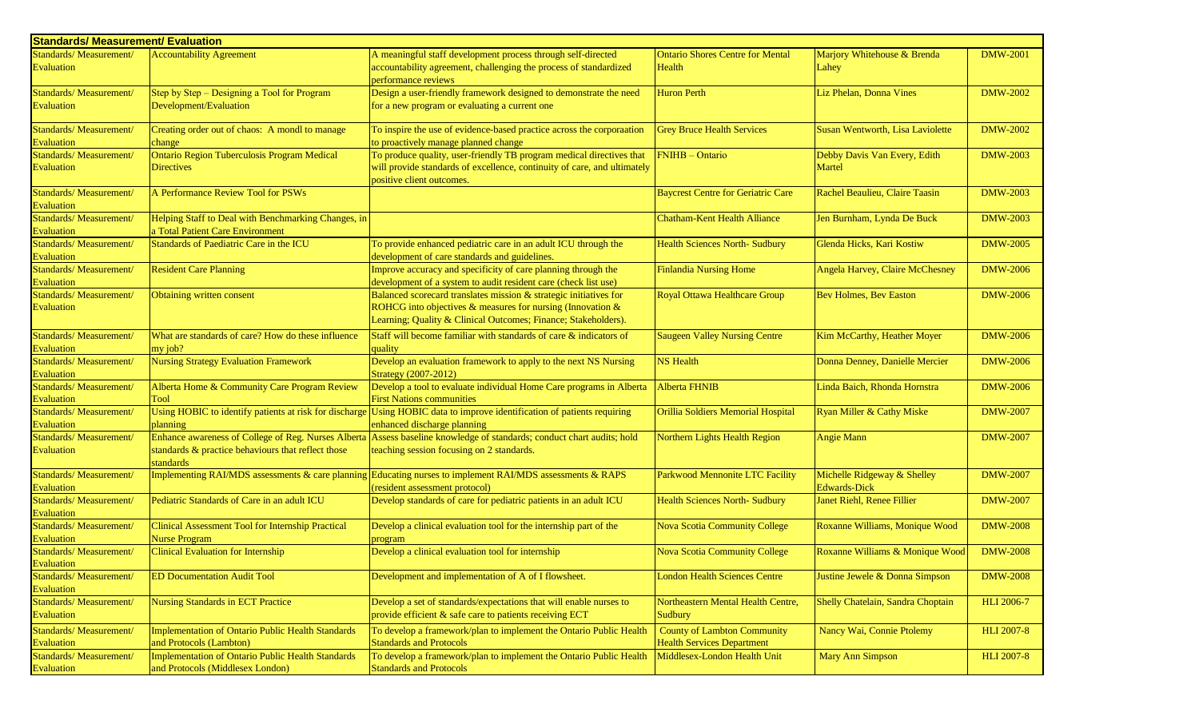| <b>Standards/ Measurement/ Evaluation</b>   |                                                                 |                                                                                                                                                                     |                                           |                                                    |                   |
|---------------------------------------------|-----------------------------------------------------------------|---------------------------------------------------------------------------------------------------------------------------------------------------------------------|-------------------------------------------|----------------------------------------------------|-------------------|
| Standards/Measurement/                      | <b>Accountability Agreement</b>                                 | A meaningful staff development process through self-directed                                                                                                        | <b>Ontario Shores Centre for Mental</b>   | Marjory Whitehouse & Brenda                        | <b>DMW-2001</b>   |
| Evaluation                                  |                                                                 | accountability agreement, challenging the process of standardized<br>performance reviews                                                                            | Health                                    | Lahey                                              |                   |
| Standards/Measurement/                      | Step by Step - Designing a Tool for Program                     | Design a user-friendly framework designed to demonstrate the need                                                                                                   | <b>Huron Perth</b>                        | Liz Phelan, Donna Vines                            | <b>DMW-2002</b>   |
| Evaluation                                  | Development/Evaluation                                          | for a new program or evaluating a current one                                                                                                                       |                                           |                                                    |                   |
| Standards/Measurement/<br>Evaluation        | Creating order out of chaos: A mondl to manage<br>change        | To inspire the use of evidence-based practice across the corporaation<br>to proactively manage planned change                                                       | <b>Grey Bruce Health Services</b>         | Susan Wentworth, Lisa Laviolette                   | <b>DMW-2002</b>   |
| Standards/Measurement/                      | Ontario Region Tuberculosis Program Medical                     | To produce quality, user-friendly TB program medical directives that                                                                                                | <b>FNIHB</b> - Ontario                    | Debby Davis Van Every, Edith                       | <b>DMW-2003</b>   |
| <b>Evaluation</b>                           | <b>Directives</b>                                               | will provide standards of excellence, continuity of care, and ultimately<br>positive client outcomes.                                                               |                                           | Martel                                             |                   |
| Standards/Measurement/                      | A Performance Review Tool for PSWs                              |                                                                                                                                                                     | <b>Baycrest Centre for Geriatric Care</b> | Rachel Beaulieu, Claire Taasin                     | <b>DMW-2003</b>   |
| Evaluation                                  |                                                                 |                                                                                                                                                                     |                                           |                                                    |                   |
| Standards/Measurement/                      | Helping Staff to Deal with Benchmarking Changes, in             |                                                                                                                                                                     | <b>Chatham-Kent Health Alliance</b>       | Jen Burnham, Lynda De Buck                         | <b>DMW-2003</b>   |
| Evaluation                                  | a Total Patient Care Environment                                |                                                                                                                                                                     |                                           |                                                    |                   |
| Standards/Measurement/                      | Standards of Paediatric Care in the ICU                         | To provide enhanced pediatric care in an adult ICU through the                                                                                                      | <b>Health Sciences North- Sudbury</b>     | Glenda Hicks, Kari Kostiw                          | <b>DMW-2005</b>   |
| <b>Evaluation</b>                           |                                                                 | development of care standards and guidelines.                                                                                                                       |                                           |                                                    |                   |
| Standards/Measurement/                      | <b>Resident Care Planning</b>                                   | Improve accuracy and specificity of care planning through the                                                                                                       | <b>Finlandia Nursing Home</b>             | Angela Harvey, Claire McChesney                    | <b>DMW-2006</b>   |
| <b>Evaluation</b>                           |                                                                 | development of a system to audit resident care (check list use)                                                                                                     |                                           |                                                    |                   |
| Standards/Measurement/                      | Obtaining written consent                                       | Balanced scorecard translates mission & strategic initiatives for                                                                                                   | Royal Ottawa Healthcare Group             | <b>Bev Holmes, Bev Easton</b>                      | <b>DMW-2006</b>   |
| Evaluation                                  |                                                                 | ROHCG into objectives & measures for nursing (Innovation &<br>Learning; Quality & Clinical Outcomes; Finance; Stakeholders).                                        |                                           |                                                    |                   |
| Standards/Measurement/                      | What are standards of care? How do these influence              | Staff will become familiar with standards of care & indicators of                                                                                                   | <b>Saugeen Valley Nursing Centre</b>      | Kim McCarthy, Heather Moyer                        | <b>DMW-2006</b>   |
| <b>Evaluation</b>                           | my job?                                                         | quality                                                                                                                                                             |                                           |                                                    |                   |
| Standards/Measurement/                      | <b>Nursing Strategy Evaluation Framework</b>                    | Develop an evaluation framework to apply to the next NS Nursing                                                                                                     | <b>NS</b> Health                          | Donna Denney, Danielle Mercier                     | <b>DMW-2006</b>   |
| Evaluation                                  |                                                                 | Strategy (2007-2012)                                                                                                                                                |                                           |                                                    |                   |
| Standards/Measurement/                      | Alberta Home & Community Care Program Review                    | Develop a tool to evaluate individual Home Care programs in Alberta                                                                                                 | <b>Alberta FHNIB</b>                      | Linda Baich, Rhonda Hornstra                       | <b>DMW-2006</b>   |
| <b>Evaluation</b>                           | Tool                                                            | <b>First Nations communities</b>                                                                                                                                    |                                           |                                                    |                   |
| Standards/Measurement/                      |                                                                 | Using HOBIC to identify patients at risk for discharge Using HOBIC data to improve identification of patients requiring                                             | Orillia Soldiers Memorial Hospital        | Ryan Miller & Cathy Miske                          | <b>DMW-2007</b>   |
| Evaluation                                  | planning                                                        | enhanced discharge planning                                                                                                                                         |                                           |                                                    |                   |
| Standards/Measurement/<br>Evaluation        | standards & practice behaviours that reflect those<br>standards | Enhance awareness of College of Reg. Nurses Alberta Assess baseline knowledge of standards; conduct chart audits; hold<br>teaching session focusing on 2 standards. | Northern Lights Health Region             | <b>Angie Mann</b>                                  | <b>DMW-2007</b>   |
| Standards/Measurement/<br>Evaluation        |                                                                 | Implementing RAI/MDS assessments $\&$ care planning Educating nurses to implement RAI/MDS assessments $\&$ RAPS<br>(resident assessment protocol)                   | Parkwood Mennonite LTC Facility           | Michelle Ridgeway & Shelley<br><b>Edwards-Dick</b> | <b>DMW-2007</b>   |
| Standards/Measurement/<br><b>Evaluation</b> | Pediatric Standards of Care in an adult ICU                     | Develop standards of care for pediatric patients in an adult ICU                                                                                                    | <b>Health Sciences North- Sudbury</b>     | Janet Riehl, Renee Fillier                         | <b>DMW-2007</b>   |
| Standards/Measurement/                      | Clinical Assessment Tool for Internship Practical               | Develop a clinical evaluation tool for the internship part of the                                                                                                   | <b>Nova Scotia Community College</b>      | Roxanne Williams, Monique Wood                     | <b>DMW-2008</b>   |
| Evaluation                                  | <b>Nurse Program</b>                                            | program                                                                                                                                                             |                                           |                                                    |                   |
| Standards/Measurement/                      | Clinical Evaluation for Internship                              | Develop a clinical evaluation tool for internship                                                                                                                   | <b>Nova Scotia Community College</b>      | Roxanne Williams & Monique Wood                    | <b>DMW-2008</b>   |
| Evaluation                                  |                                                                 |                                                                                                                                                                     |                                           |                                                    |                   |
| Standards/Measurement/                      | <b>ED Documentation Audit Tool</b>                              | Development and implementation of A of I flowsheet.                                                                                                                 | <b>London Health Sciences Centre</b>      | Justine Jewele & Donna Simpson                     | <b>DMW-2008</b>   |
| <b>Evaluation</b>                           |                                                                 |                                                                                                                                                                     |                                           |                                                    |                   |
| Standards/Measurement/                      | Nursing Standards in ECT Practice                               | Develop a set of standards/expectations that will enable nurses to                                                                                                  | Northeastern Mental Health Centre,        | Shelly Chatelain, Sandra Choptain                  | <b>HLI 2006-7</b> |
| Evaluation                                  |                                                                 | provide efficient & safe care to patients receiving ECT                                                                                                             | Sudbury                                   |                                                    |                   |
| Standards/Measurement/                      | Implementation of Ontario Public Health Standards               | To develop a framework/plan to implement the Ontario Public Health                                                                                                  | <b>County of Lambton Community</b>        | Nancy Wai, Connie Ptolemy                          | <b>HLI 2007-8</b> |
| Evaluation                                  | and Protocols (Lambton)                                         | <b>Standards and Protocols</b>                                                                                                                                      | <b>Health Services Department</b>         |                                                    |                   |
| Standards/Measurement/                      | <b>Implementation of Ontario Public Health Standards</b>        | To develop a framework/plan to implement the Ontario Public Health                                                                                                  | Middlesex-London Health Unit              | <b>Mary Ann Simpson</b>                            | <b>HLI 2007-8</b> |
| Evaluation                                  | and Protocols (Middlesex London)                                | <b>Standards and Protocols</b>                                                                                                                                      |                                           |                                                    |                   |
|                                             |                                                                 |                                                                                                                                                                     |                                           |                                                    |                   |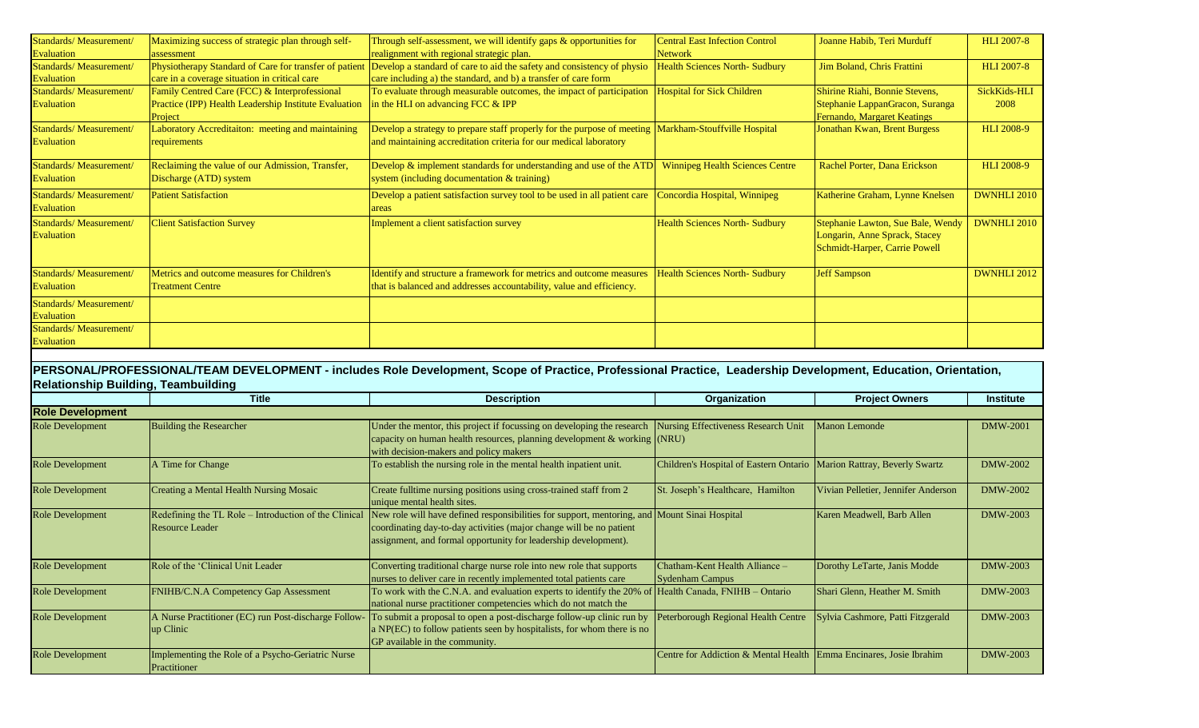| Standards/Measurement/ | Maximizing success of strategic plan through self-    | Through self-assessment, we will identify gaps $\&$ opportunities for                                                         | <b>Central East Infection Control</b>  | Joanne Habib, Teri Murduff        | <b>HLI 2007-8</b>  |
|------------------------|-------------------------------------------------------|-------------------------------------------------------------------------------------------------------------------------------|----------------------------------------|-----------------------------------|--------------------|
| Evaluation             | assessment                                            | realignment with regional strategic plan.                                                                                     | <b>Network</b>                         |                                   |                    |
| Standards/Measurement/ |                                                       | Physiotherapy Standard of Care for transfer of patient Develop a standard of care to aid the safety and consistency of physio | <b>Health Sciences North- Sudbury</b>  | Jim Boland, Chris Frattini        | <b>HLI 2007-8</b>  |
| Evaluation             | care in a coverage situation in critical care         | care including a) the standard, and b) a transfer of care form                                                                |                                        |                                   |                    |
| Standards/Measurement/ | Family Centred Care (FCC) & Interprofessional         | To evaluate through measurable outcomes, the impact of participation                                                          | <b>Hospital for Sick Children</b>      | Shirine Riahi, Bonnie Stevens,    | SickKids-HLI       |
| Evaluation             | Practice (IPP) Health Leadership Institute Evaluation | in the HLI on advancing FCC & IPP                                                                                             |                                        | Stephanie LappanGracon, Suranga   | 2008               |
|                        | Project                                               |                                                                                                                               |                                        | Fernando, Margaret Keatings       |                    |
| Standards/Measurement/ | Laboratory Accreditaiton: meeting and maintaining     | Develop a strategy to prepare staff properly for the purpose of meeting                                                       | Markham-Stouffville Hospital           | Jonathan Kwan, Brent Burgess      | <b>HLI 2008-9</b>  |
| Evaluation             | requirements                                          | and maintaining accreditation criteria for our medical laboratory                                                             |                                        |                                   |                    |
| Standards/Measurement/ | Reclaiming the value of our Admission, Transfer,      | Develop & implement standards for understanding and use of the ATD                                                            | <b>Winnipeg Health Sciences Centre</b> | Rachel Porter, Dana Erickson      | <b>HLI 2008-9</b>  |
| Evaluation             | Discharge (ATD) system                                | system (including documentation & training)                                                                                   |                                        |                                   |                    |
| Standards/Measurement/ | <b>Patient Satisfaction</b>                           | Develop a patient satisfaction survey tool to be used in all patient care                                                     | Concordia Hospital, Winnipeg           | Katherine Graham, Lynne Knelsen   | <b>DWNHLI 2010</b> |
| <b>Evaluation</b>      |                                                       | areas                                                                                                                         |                                        |                                   |                    |
| Standards/Measurement/ | <b>Client Satisfaction Survey</b>                     | Implement a client satisfaction survey                                                                                        | <b>Health Sciences North- Sudbury</b>  | Stephanie Lawton, Sue Bale, Wendy | <b>DWNHLI 2010</b> |
| Evaluation             |                                                       |                                                                                                                               |                                        | Longarin, Anne Sprack, Stacey     |                    |
|                        |                                                       |                                                                                                                               |                                        | Schmidt-Harper, Carrie Powell     |                    |
| Standards/Measurement/ | Metrics and outcome measures for Children's           | Identify and structure a framework for metrics and outcome measures                                                           | <b>Health Sciences North- Sudbury</b>  | <b>Jeff Sampson</b>               | <b>DWNHLI 2012</b> |
| Evaluation             | <b>Treatment Centre</b>                               | that is balanced and addresses accountability, value and efficiency.                                                          |                                        |                                   |                    |
| Standards/Measurement/ |                                                       |                                                                                                                               |                                        |                                   |                    |
| Evaluation             |                                                       |                                                                                                                               |                                        |                                   |                    |
| Standards/Measurement/ |                                                       |                                                                                                                               |                                        |                                   |                    |
| Evaluation             |                                                       |                                                                                                                               |                                        |                                   |                    |
|                        |                                                       |                                                                                                                               |                                        |                                   |                    |

## **PERSONAL/PROFESSIONAL/TEAM DEVELOPMENT - includes Role Development, Scope of Practice, Professional Practice, Leadership Development, Education, Orientation, Relationship Building, Teambuilding**

|                         | <b>Title</b>                                                                    | <b>Description</b>                                                                                                                                                                                                                     | Organization                                                            | <b>Project Owners</b>               | <b>Institute</b> |  |  |  |
|-------------------------|---------------------------------------------------------------------------------|----------------------------------------------------------------------------------------------------------------------------------------------------------------------------------------------------------------------------------------|-------------------------------------------------------------------------|-------------------------------------|------------------|--|--|--|
| <b>Role Development</b> |                                                                                 |                                                                                                                                                                                                                                        |                                                                         |                                     |                  |  |  |  |
| <b>Role Development</b> | <b>Building the Researcher</b>                                                  | Under the mentor, this project if focussing on developing the research<br>capacity on human health resources, planning development $\&$ working $(NRU)$<br>with decision-makers and policy makers                                      | Nursing Effectiveness Research Unit                                     | Manon Lemonde                       | <b>DMW-2001</b>  |  |  |  |
| <b>Role Development</b> | A Time for Change                                                               | To establish the nursing role in the mental health inpatient unit.                                                                                                                                                                     | Children's Hospital of Eastern Ontario   Marion Rattray, Beverly Swartz |                                     | <b>DMW-2002</b>  |  |  |  |
| <b>Role Development</b> | Creating a Mental Health Nursing Mosaic                                         | Create fulltime nursing positions using cross-trained staff from 2<br>unique mental health sites.                                                                                                                                      | St. Joseph's Healthcare, Hamilton                                       | Vivian Pelletier, Jennifer Anderson | <b>DMW-2002</b>  |  |  |  |
| <b>Role Development</b> | Redefining the TL Role – Introduction of the Clinical<br><b>Resource Leader</b> | New role will have defined responsibilities for support, mentoring, and Mount Sinai Hospital<br>coordinating day-to-day activities (major change will be no patient<br>assignment, and formal opportunity for leadership development). |                                                                         | Karen Meadwell, Barb Allen          | <b>DMW-2003</b>  |  |  |  |
| <b>Role Development</b> | Role of the 'Clinical Unit Leader                                               | Converting traditional charge nurse role into new role that supports<br>nurses to deliver care in recently implemented total patients care                                                                                             | Chatham-Kent Health Alliance -<br><b>Sydenham Campus</b>                | Dorothy LeTarte, Janis Modde        | DMW-2003         |  |  |  |
| <b>Role Development</b> | <b>FNIHB/C.N.A Competency Gap Assessment</b>                                    | To work with the C.N.A. and evaluation experts to identify the 20% of<br>national nurse practitioner competencies which do not match the                                                                                               | Health Canada, FNIHB - Ontario                                          | Shari Glenn, Heather M. Smith       | <b>DMW-2003</b>  |  |  |  |
| <b>Role Development</b> | A Nurse Practitioner (EC) run Post-discharge Follow-<br>up Clinic               | To submit a proposal to open a post-discharge follow-up clinic run by<br>a NP(EC) to follow patients seen by hospitalists, for whom there is no<br>GP available in the community.                                                      | Peterborough Regional Health Centre                                     | Sylvia Cashmore, Patti Fitzgerald   | <b>DMW-2003</b>  |  |  |  |
| <b>Role Development</b> | Implementing the Role of a Psycho-Geriatric Nurse<br>Practitioner               |                                                                                                                                                                                                                                        | Centre for Addiction & Mental Health Emma Encinares, Josie Ibrahim      |                                     | DMW-2003         |  |  |  |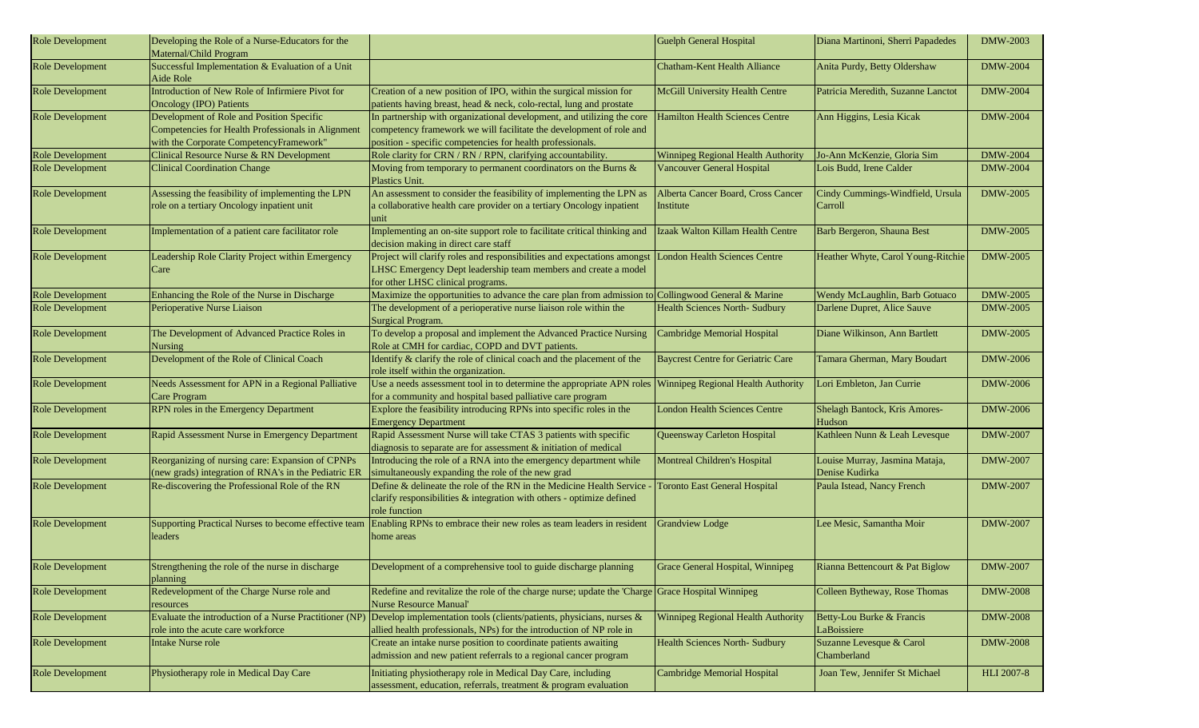| Role Development        | Developing the Role of a Nurse-Educators for the<br>Maternal/Child Program                                                                 |                                                                                                                                                                                                             | Guelph General Hospital                         | Diana Martinoni, Sherri Papadedes                | <b>DMW-2003</b>   |
|-------------------------|--------------------------------------------------------------------------------------------------------------------------------------------|-------------------------------------------------------------------------------------------------------------------------------------------------------------------------------------------------------------|-------------------------------------------------|--------------------------------------------------|-------------------|
| Role Development        | Successful Implementation & Evaluation of a Unit<br>Aide Role                                                                              |                                                                                                                                                                                                             | Chatham-Kent Health Alliance                    | Anita Purdy, Betty Oldershaw                     | <b>DMW-2004</b>   |
| <b>Role Development</b> | Introduction of New Role of Infirmiere Pivot for<br><b>Oncology (IPO) Patients</b>                                                         | Creation of a new position of IPO, within the surgical mission for<br>patients having breast, head & neck, colo-rectal, lung and prostate                                                                   | <b>McGill University Health Centre</b>          | Patricia Meredith, Suzanne Lanctot               | <b>DMW-2004</b>   |
| Role Development        | Development of Role and Position Specific<br>Competencies for Health Professionals in Alignment<br>with the Corporate CompetencyFramework" | In partnership with organizational development, and utilizing the core<br>competency framework we will facilitate the development of role and<br>position - specific competencies for health professionals. | <b>Hamilton Health Sciences Centre</b>          | Ann Higgins, Lesia Kicak                         | <b>DMW-2004</b>   |
| <b>Role Development</b> | Clinical Resource Nurse & RN Development                                                                                                   | Role clarity for CRN / RN / RPN, clarifying accountability.                                                                                                                                                 | Winnipeg Regional Health Authority              | Jo-Ann McKenzie, Gloria Sim                      | <b>DMW-2004</b>   |
| Role Development        | <b>Clinical Coordination Change</b>                                                                                                        | Moving from temporary to permanent coordinators on the Burns &<br>Plastics Unit.                                                                                                                            | <b>Vancouver General Hospital</b>               | Lois Budd, Irene Calder                          | <b>DMW-2004</b>   |
| <b>Role Development</b> | Assessing the feasibility of implementing the LPN<br>role on a tertiary Oncology inpatient unit                                            | An assessment to consider the feasibility of implementing the LPN as<br>a collaborative health care provider on a tertiary Oncology inpatient<br>unit                                                       | Alberta Cancer Board, Cross Cancer<br>Institute | Cindy Cummings-Windfield, Ursula<br>Carroll      | <b>DMW-2005</b>   |
| Role Development        | Implementation of a patient care facilitator role                                                                                          | Implementing an on-site support role to facilitate critical thinking and<br>decision making in direct care staff                                                                                            | Izaak Walton Killam Health Centre               | Barb Bergeron, Shauna Best                       | <b>DMW-2005</b>   |
| <b>Role Development</b> | Leadership Role Clarity Project within Emergency<br>Care                                                                                   | Project will clarify roles and responsibilities and expectations amongst<br>LHSC Emergency Dept leadership team members and create a model<br>for other LHSC clinical programs.                             | <b>London Health Sciences Centre</b>            | Heather Whyte, Carol Young-Ritchie               | <b>DMW-2005</b>   |
| <b>Role Development</b> | Enhancing the Role of the Nurse in Discharge                                                                                               | Maximize the opportunities to advance the care plan from admission to                                                                                                                                       | Collingwood General & Marine                    | Wendy McLaughlin, Barb Gotuaco                   | <b>DMW-2005</b>   |
| <b>Role Development</b> | Perioperative Nurse Liaison                                                                                                                | The development of a perioperative nurse liaison role within the<br>Surgical Program.                                                                                                                       | <b>Health Sciences North- Sudbury</b>           | Darlene Dupret, Alice Sauve                      | <b>DMW-2005</b>   |
| <b>Role Development</b> | The Development of Advanced Practice Roles in<br><b>Nursing</b>                                                                            | To develop a proposal and implement the Advanced Practice Nursing<br>Role at CMH for cardiac, COPD and DVT patients.                                                                                        | Cambridge Memorial Hospital                     | Diane Wilkinson, Ann Bartlett                    | <b>DMW-2005</b>   |
| Role Development        | Development of the Role of Clinical Coach                                                                                                  | Identify $\&$ clarify the role of clinical coach and the placement of the<br>role itself within the organization.                                                                                           | <b>Baycrest Centre for Geriatric Care</b>       | Tamara Gherman, Mary Boudart                     | <b>DMW-2006</b>   |
| <b>Role Development</b> | Needs Assessment for APN in a Regional Palliative<br>Care Program                                                                          | Use a needs assessment tool in to determine the appropriate APN roles<br>for a community and hospital based palliative care program                                                                         | Winnipeg Regional Health Authority              | Lori Embleton, Jan Currie                        | <b>DMW-2006</b>   |
| Role Development        | RPN roles in the Emergency Department                                                                                                      | Explore the feasibility introducing RPNs into specific roles in the<br><b>Emergency Department</b>                                                                                                          | <b>London Health Sciences Centre</b>            | Shelagh Bantock, Kris Amores-<br>Hudson          | <b>DMW-2006</b>   |
| <b>Role Development</b> | Rapid Assessment Nurse in Emergency Department                                                                                             | Rapid Assessment Nurse will take CTAS 3 patients with specific<br>diagnosis to separate are for assessment & initiation of medical                                                                          | Queensway Carleton Hospital                     | Kathleen Nunn & Leah Levesque                    | <b>DMW-2007</b>   |
| Role Development        | Reorganizing of nursing care: Expansion of CPNPs<br>(new grads) integration of RNA's in the Pediatric ER                                   | Introducing the role of a RNA into the emergency department while<br>simultaneously expanding the role of the new grad                                                                                      | <b>Montreal Children's Hospital</b>             | Louise Murray, Jasmina Mataja,<br>Denise Kudirka | <b>DMW-2007</b>   |
| <b>Role Development</b> | Re-discovering the Professional Role of the RN                                                                                             | Define & delineate the role of the RN in the Medicine Health Service<br>clarify responsibilities & integration with others - optimize defined<br>role function                                              | <b>Toronto East General Hospital</b>            | Paula Istead, Nancy French                       | <b>DMW-2007</b>   |
| <b>Role Development</b> | Supporting Practical Nurses to become effective team<br>leaders                                                                            | Enabling RPNs to embrace their new roles as team leaders in resident<br>home areas                                                                                                                          | Grandview Lodge                                 | Lee Mesic, Samantha Moir                         | <b>DMW-2007</b>   |
| Role Development        | Strengthening the role of the nurse in discharge<br>planning                                                                               | Development of a comprehensive tool to guide discharge planning                                                                                                                                             | Grace General Hospital, Winnipeg                | Rianna Bettencourt & Pat Biglow                  | <b>DMW-2007</b>   |
| Role Development        | Redevelopment of the Charge Nurse role and<br>resources                                                                                    | Redefine and revitalize the role of the charge nurse; update the 'Charge Grace Hospital Winnipeg<br><b>Nurse Resource Manual</b>                                                                            |                                                 | Colleen Bytheway, Rose Thomas                    | <b>DMW-2008</b>   |
| <b>Role Development</b> | role into the acute care workforce                                                                                                         | Evaluate the introduction of a Nurse Practitioner (NP) Develop implementation tools (clients/patients, physicians, nurses &<br>allied health professionals, NPs) for the introduction of NP role in         | Winnipeg Regional Health Authority              | Betty-Lou Burke & Francis<br>LaBoissiere         | <b>DMW-2008</b>   |
| <b>Role Development</b> | Intake Nurse role                                                                                                                          | Create an intake nurse position to coordinate patients awaiting<br>admission and new patient referrals to a regional cancer program                                                                         | <b>Health Sciences North- Sudbury</b>           | Suzanne Levesque & Carol<br>Chamberland          | <b>DMW-2008</b>   |
| <b>Role Development</b> | Physiotherapy role in Medical Day Care                                                                                                     | Initiating physiotherapy role in Medical Day Care, including<br>assessment, education, referrals, treatment & program evaluation                                                                            | Cambridge Memorial Hospital                     | Joan Tew, Jennifer St Michael                    | <b>HLI 2007-8</b> |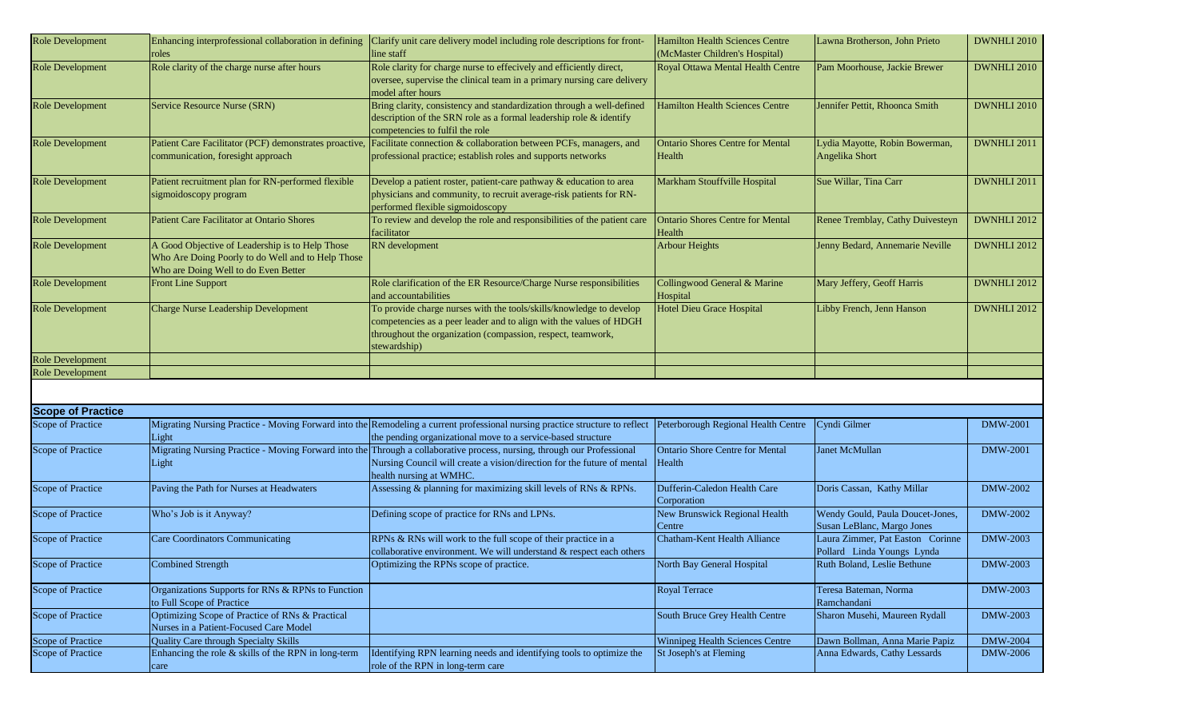| <b>Role Development</b>  | Enhancing interprofessional collaboration in defining<br>roles                                                                               | Clarify unit care delivery model including role descriptions for front-<br>line staff                                                                                                                                         | Hamilton Health Sciences Centre<br>(McMaster Children's Hospital) | Lawna Brotherson, John Prieto                                  | <b>DWNHLI 2010</b> |
|--------------------------|----------------------------------------------------------------------------------------------------------------------------------------------|-------------------------------------------------------------------------------------------------------------------------------------------------------------------------------------------------------------------------------|-------------------------------------------------------------------|----------------------------------------------------------------|--------------------|
| <b>Role Development</b>  | Role clarity of the charge nurse after hours                                                                                                 | Role clarity for charge nurse to effecively and efficiently direct,<br>oversee, supervise the clinical team in a primary nursing care delivery<br>model after hours                                                           | Royal Ottawa Mental Health Centre                                 | Pam Moorhouse, Jackie Brewer                                   | <b>DWNHLI 2010</b> |
| <b>Role Development</b>  | Service Resource Nurse (SRN)                                                                                                                 | Bring clarity, consistency and standardization through a well-defined<br>description of the SRN role as a formal leadership role & identify<br>competencies to fulfil the role                                                | <b>Hamilton Health Sciences Centre</b>                            | Jennifer Pettit, Rhoonca Smith                                 | DWNHLI 2010        |
| <b>Role Development</b>  | Patient Care Facilitator (PCF) demonstrates proactive,<br>communication, foresight approach                                                  | Facilitate connection & collaboration between PCFs, managers, and<br>professional practice; establish roles and supports networks                                                                                             | <b>Ontario Shores Centre for Mental</b><br>Health                 | Lydia Mayotte, Robin Bowerman,<br>Angelika Short               | DWNHLI 2011        |
| <b>Role Development</b>  | Patient recruitment plan for RN-performed flexible<br>sigmoidoscopy program                                                                  | Develop a patient roster, patient-care pathway & education to area<br>physicians and community, to recruit average-risk patients for RN-<br>performed flexible sigmoidoscopy                                                  | Markham Stouffville Hospital                                      | Sue Willar, Tina Carr                                          | DWNHLI 2011        |
| <b>Role Development</b>  | <b>Patient Care Facilitator at Ontario Shores</b>                                                                                            | To review and develop the role and responsibilities of the patient care<br>facilitator                                                                                                                                        | <b>Ontario Shores Centre for Mental</b><br>Health                 | Renee Tremblay, Cathy Duivesteyn                               | <b>DWNHLI 2012</b> |
| <b>Role Development</b>  | A Good Objective of Leadership is to Help Those<br>Who Are Doing Poorly to do Well and to Help Those<br>Who are Doing Well to do Even Better | RN development                                                                                                                                                                                                                | <b>Arbour Heights</b>                                             | Jenny Bedard, Annemarie Neville                                | DWNHLI 2012        |
| <b>Role Development</b>  | <b>Front Line Support</b>                                                                                                                    | Role clarification of the ER Resource/Charge Nurse responsibilities<br>and accountabilities                                                                                                                                   | Collingwood General & Marine<br>Hospital                          | Mary Jeffery, Geoff Harris                                     | DWNHLI 2012        |
| <b>Role Development</b>  | <b>Charge Nurse Leadership Development</b>                                                                                                   | To provide charge nurses with the tools/skills/knowledge to develop<br>competencies as a peer leader and to align with the values of HDGH<br>throughout the organization (compassion, respect, teamwork,<br>stewardship)      | <b>Hotel Dieu Grace Hospital</b>                                  | Libby French, Jenn Hanson                                      | DWNHLI 2012        |
| <b>Role Development</b>  |                                                                                                                                              |                                                                                                                                                                                                                               |                                                                   |                                                                |                    |
| <b>Role Development</b>  |                                                                                                                                              |                                                                                                                                                                                                                               |                                                                   |                                                                |                    |
|                          |                                                                                                                                              |                                                                                                                                                                                                                               |                                                                   |                                                                |                    |
| <b>Scope of Practice</b> |                                                                                                                                              |                                                                                                                                                                                                                               |                                                                   |                                                                |                    |
| Scope of Practice        |                                                                                                                                              | Migrating Nursing Practice - Moving Forward into the Remodeling a current professional nursing practice structure to reflect                                                                                                  | Peterborough Regional Health Centre                               | Cyndi Gilmer                                                   | <b>DMW-2001</b>    |
|                          | Light                                                                                                                                        | the pending organizational move to a service-based structure                                                                                                                                                                  |                                                                   |                                                                |                    |
| Scope of Practice        | Light                                                                                                                                        | Migrating Nursing Practice - Moving Forward into the Through a collaborative process, nursing, through our Professional<br>Nursing Council will create a vision/direction for the future of mental<br>health nursing at WMHC. | <b>Ontario Shore Centre for Mental</b><br>Health                  | <b>Janet McMullan</b>                                          | <b>DMW-2001</b>    |
| Scope of Practice        | Paving the Path for Nurses at Headwaters                                                                                                     | Assessing & planning for maximizing skill levels of RNs & RPNs.                                                                                                                                                               | Dufferin-Caledon Health Care<br>Corporation                       | Doris Cassan, Kathy Millar                                     | DMW-2002           |
| Scope of Practice        | Who's Job is it Anyway?                                                                                                                      | Defining scope of practice for RNs and LPNs.                                                                                                                                                                                  | New Brunswick Regional Health<br>Centre                           | Wendy Gould, Paula Doucet-Jones,<br>Susan LeBlanc, Margo Jones | DMW-2002           |
| Scope of Practice        | <b>Care Coordinators Communicating</b>                                                                                                       | RPNs & RNs will work to the full scope of their practice in a<br>collaborative environment. We will understand & respect each others                                                                                          | <b>Chatham-Kent Health Alliance</b>                               | Laura Zimmer, Pat Easton Corinne<br>Pollard Linda Youngs Lynda | DMW-2003           |
| Scope of Practice        | <b>Combined Strength</b>                                                                                                                     | Optimizing the RPNs scope of practice.                                                                                                                                                                                        | North Bay General Hospital                                        | Ruth Boland, Leslie Bethune                                    | <b>DMW-2003</b>    |
| Scope of Practice        | Organizations Supports for RNs & RPNs to Function<br>to Full Scope of Practice                                                               |                                                                                                                                                                                                                               | Royal Terrace                                                     | Teresa Bateman, Norma<br>Ramchandani                           | DMW-2003           |
| Scope of Practice        | Optimizing Scope of Practice of RNs & Practical<br>Nurses in a Patient-Focused Care Model                                                    |                                                                                                                                                                                                                               | South Bruce Grey Health Centre                                    | Sharon Musehi, Maureen Rydall                                  | <b>DMW-2003</b>    |
| Scope of Practice        | <b>Quality Care through Specialty Skills</b>                                                                                                 |                                                                                                                                                                                                                               | Winnipeg Health Sciences Centre                                   | Dawn Bollman, Anna Marie Papiz                                 | <b>DMW-2004</b>    |
| Scope of Practice        | Enhancing the role $&$ skills of the RPN in long-term                                                                                        | Identifying RPN learning needs and identifying tools to optimize the                                                                                                                                                          | St Joseph's at Fleming                                            | Anna Edwards, Cathy Lessards                                   | <b>DMW-2006</b>    |
|                          | care                                                                                                                                         | role of the RPN in long-term care                                                                                                                                                                                             |                                                                   |                                                                |                    |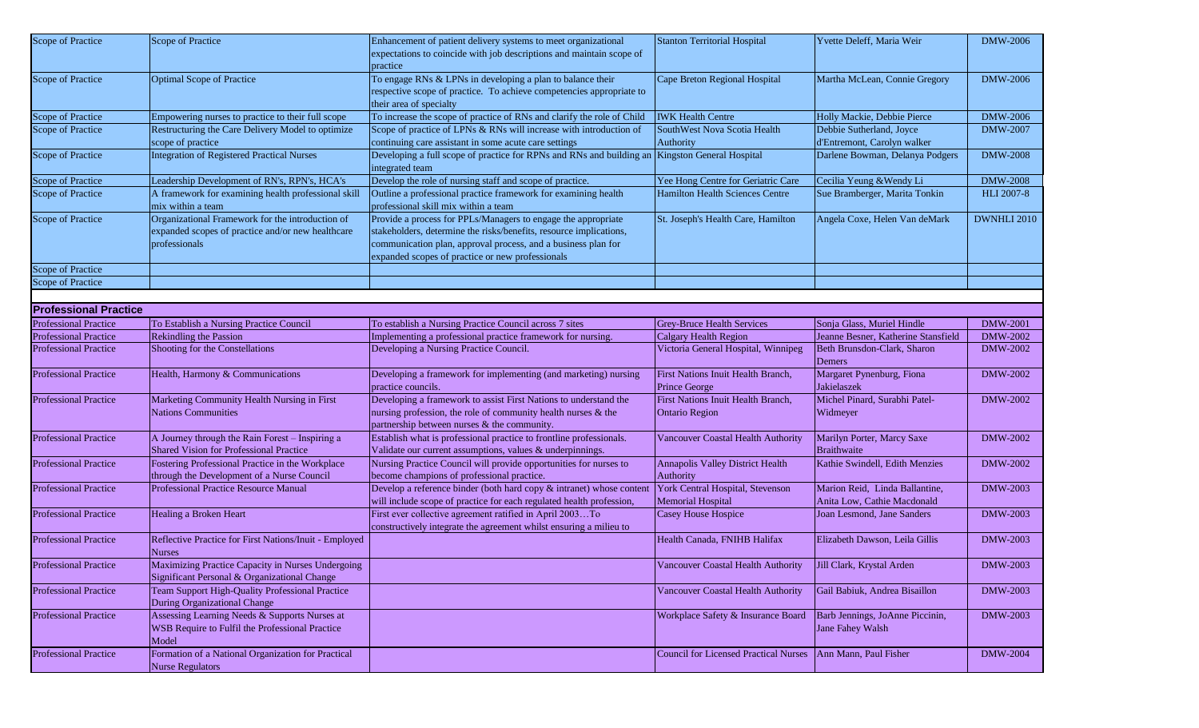| Scope of Practice            | Scope of Practice                                                                                                      | Enhancement of patient delivery systems to meet organizational<br>expectations to coincide with job descriptions and maintain scope of<br>practice                                                                                                       | <b>Stanton Territorial Hospital</b>                          | Yvette Deleff, Maria Weir                                     | DMW-2006          |
|------------------------------|------------------------------------------------------------------------------------------------------------------------|----------------------------------------------------------------------------------------------------------------------------------------------------------------------------------------------------------------------------------------------------------|--------------------------------------------------------------|---------------------------------------------------------------|-------------------|
| Scope of Practice            | <b>Optimal Scope of Practice</b>                                                                                       | To engage RNs & LPNs in developing a plan to balance their<br>respective scope of practice. To achieve competencies appropriate to<br>their area of specialty                                                                                            | Cape Breton Regional Hospital                                | Martha McLean, Connie Gregory                                 | <b>DMW-2006</b>   |
| Scope of Practice            | Empowering nurses to practice to their full scope                                                                      | To increase the scope of practice of RNs and clarify the role of Child                                                                                                                                                                                   | <b>IWK Health Centre</b>                                     | Holly Mackie, Debbie Pierce                                   | <b>DMW-2006</b>   |
| Scope of Practice            | Restructuring the Care Delivery Model to optimize                                                                      | Scope of practice of LPNs & RNs will increase with introduction of                                                                                                                                                                                       | SouthWest Nova Scotia Health                                 | Debbie Sutherland, Joyce                                      | <b>DMW-2007</b>   |
|                              | scope of practice                                                                                                      | continuing care assistant in some acute care settings                                                                                                                                                                                                    | Authority                                                    | d'Entremont, Carolyn walker                                   |                   |
| Scope of Practice            | <b>Integration of Registered Practical Nurses</b>                                                                      | Developing a full scope of practice for RPNs and RNs and building an Kingston General Hospital<br>integrated team                                                                                                                                        |                                                              | Darlene Bowman, Delanya Podgers                               | <b>DMW-2008</b>   |
| Scope of Practice            | Leadership Development of RN's, RPN's, HCA's                                                                           | Develop the role of nursing staff and scope of practice.                                                                                                                                                                                                 | Yee Hong Centre for Geriatric Care                           | Cecilia Yeung & Wendy Li                                      | <b>DMW-2008</b>   |
| Scope of Practice            | A framework for examining health professional skill<br>mix within a team                                               | Outline a professional practice framework for examining health<br>professional skill mix within a team                                                                                                                                                   | <b>Hamilton Health Sciences Centre</b>                       | Sue Bramberger, Marita Tonkin                                 | <b>HLI 2007-8</b> |
| Scope of Practice            | Organizational Framework for the introduction of<br>expanded scopes of practice and/or new healthcare<br>professionals | Provide a process for PPLs/Managers to engage the appropriate<br>stakeholders, determine the risks/benefits, resource implications,<br>communication plan, approval process, and a business plan for<br>expanded scopes of practice or new professionals | St. Joseph's Health Care, Hamilton                           | Angela Coxe, Helen Van deMark                                 | DWNHLI 2010       |
| <b>Scope of Practice</b>     |                                                                                                                        |                                                                                                                                                                                                                                                          |                                                              |                                                               |                   |
| Scope of Practice            |                                                                                                                        |                                                                                                                                                                                                                                                          |                                                              |                                                               |                   |
|                              |                                                                                                                        |                                                                                                                                                                                                                                                          |                                                              |                                                               |                   |
| <b>Professional Practice</b> |                                                                                                                        |                                                                                                                                                                                                                                                          |                                                              |                                                               |                   |
| <b>Professional Practice</b> | To Establish a Nursing Practice Council                                                                                | To establish a Nursing Practice Council across 7 sites                                                                                                                                                                                                   | <b>Grey-Bruce Health Services</b>                            | Sonja Glass, Muriel Hindle                                    | <b>DMW-2001</b>   |
| <b>Professional Practice</b> | <b>Rekindling the Passion</b>                                                                                          | Implementing a professional practice framework for nursing.                                                                                                                                                                                              | Calgary Health Region                                        | Jeanne Besner, Katherine Stansfield                           | <b>DMW-2002</b>   |
| <b>Professional Practice</b> | Shooting for the Constellations                                                                                        | Developing a Nursing Practice Council.                                                                                                                                                                                                                   | Victoria General Hospital, Winnipeg                          | Beth Brunsdon-Clark, Sharon<br>Demers                         | DMW-2002          |
| <b>Professional Practice</b> | Health, Harmony & Communications                                                                                       | Developing a framework for implementing (and marketing) nursing<br>practice councils.                                                                                                                                                                    | First Nations Inuit Health Branch,<br><b>Prince George</b>   | Margaret Pynenburg, Fiona<br>Jakielaszek                      | DMW-2002          |
| <b>Professional Practice</b> | Marketing Community Health Nursing in First<br><b>Nations Communities</b>                                              | Developing a framework to assist First Nations to understand the<br>nursing profession, the role of community health nurses & the<br>partnership between nurses & the community.                                                                         | First Nations Inuit Health Branch,<br><b>Ontario Region</b>  | Michel Pinard, Surabhi Patel-<br>Widmeyer                     | DMW-2002          |
| <b>Professional Practice</b> | A Journey through the Rain Forest - Inspiring a<br><b>Shared Vision for Professional Practice</b>                      | Establish what is professional practice to frontline professionals.<br>Validate our current assumptions, values & underpinnings.                                                                                                                         | Vancouver Coastal Health Authority                           | Marilyn Porter, Marcy Saxe<br>Braithwaite                     | DMW-2002          |
| <b>Professional Practice</b> | Fostering Professional Practice in the Workplace<br>through the Development of a Nurse Council                         | Nursing Practice Council will provide opportunities for nurses to<br>become champions of professional practice.                                                                                                                                          | <b>Annapolis Valley District Health</b><br>Authority         | Kathie Swindell, Edith Menzies                                | DMW-2002          |
| <b>Professional Practice</b> | <b>Professional Practice Resource Manual</b>                                                                           | Develop a reference binder (both hard copy & intranet) whose content<br>will include scope of practice for each regulated health profession,                                                                                                             | York Central Hospital, Stevenson<br><b>Memorial Hospital</b> | Marion Reid, Linda Ballantine,<br>Anita Low, Cathie Macdonald | <b>DMW-2003</b>   |
| <b>Professional Practice</b> | Healing a Broken Heart                                                                                                 | First ever collective agreement ratified in April 2003To<br>constructively integrate the agreement whilst ensuring a milieu to                                                                                                                           | <b>Casey House Hospice</b>                                   | Joan Lesmond, Jane Sanders                                    | DMW-2003          |
| <b>Professional Practice</b> | Reflective Practice for First Nations/Inuit - Employed<br><b>Nurses</b>                                                |                                                                                                                                                                                                                                                          | Health Canada, FNIHB Halifax                                 | Elizabeth Dawson, Leila Gillis                                | DMW-2003          |
| <b>Professional Practice</b> | Maximizing Practice Capacity in Nurses Undergoing<br>Significant Personal & Organizational Change                      |                                                                                                                                                                                                                                                          | Vancouver Coastal Health Authority Jill Clark, Krystal Arden |                                                               | <b>DMW-2003</b>   |
| <b>Professional Practice</b> | Team Support High-Quality Professional Practice<br>During Organizational Change                                        |                                                                                                                                                                                                                                                          | Vancouver Coastal Health Authority                           | Gail Babiuk, Andrea Bisaillon                                 | DMW-2003          |
| <b>Professional Practice</b> | Assessing Learning Needs & Supports Nurses at<br>WSB Require to Fulfil the Professional Practice<br>Model              |                                                                                                                                                                                                                                                          | Workplace Safety & Insurance Board                           | Barb Jennings, JoAnne Piccinin,<br>Jane Fahey Walsh           | DMW-2003          |
| <b>Professional Practice</b> | Formation of a National Organization for Practical<br><b>Nurse Regulators</b>                                          |                                                                                                                                                                                                                                                          | <b>Council for Licensed Practical Nurses</b>                 | Ann Mann, Paul Fisher                                         | <b>DMW-2004</b>   |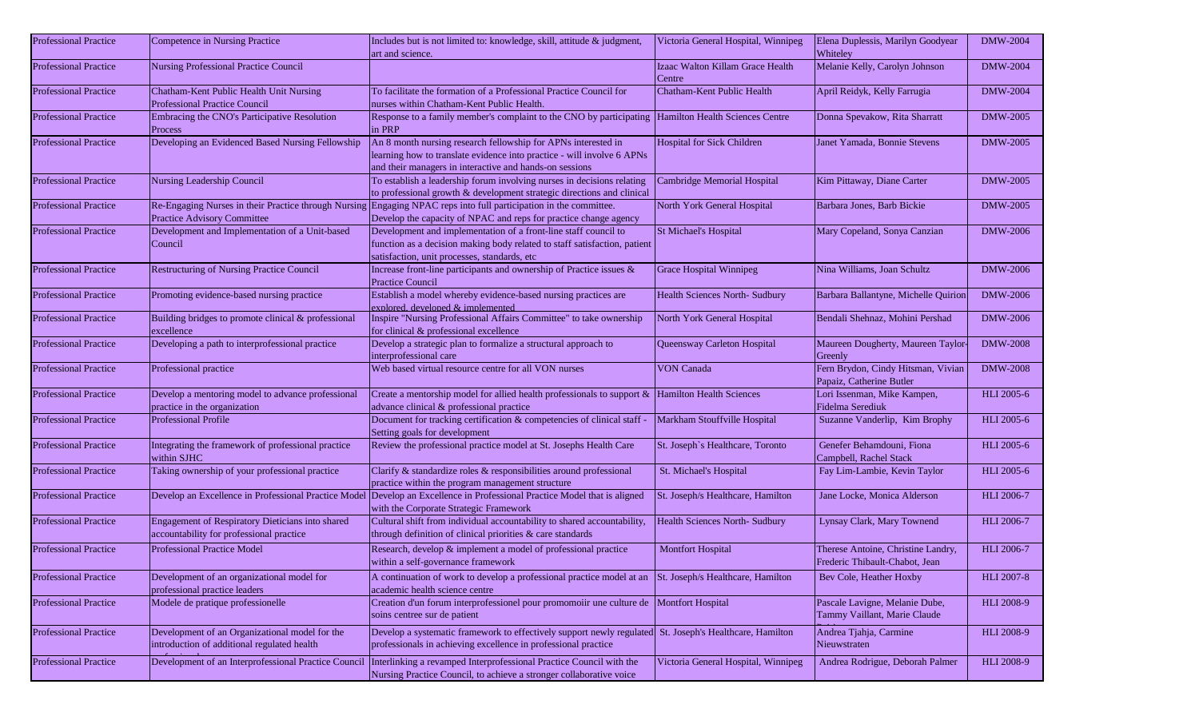| <b>Professional Practice</b> | Competence in Nursing Practice                                                                | Includes but is not limited to: knowledge, skill, attitude & judgment,<br>art and science.                                                                                                         | Victoria General Hospital, Winnipeg        | Elena Duplessis, Marilyn Goodyear<br>Whiteley                        | <b>DMW-2004</b>   |
|------------------------------|-----------------------------------------------------------------------------------------------|----------------------------------------------------------------------------------------------------------------------------------------------------------------------------------------------------|--------------------------------------------|----------------------------------------------------------------------|-------------------|
| <b>Professional Practice</b> | Nursing Professional Practice Council                                                         |                                                                                                                                                                                                    | Izaac Walton Killam Grace Health<br>Centre | Melanie Kelly, Carolyn Johnson                                       | <b>DMW-2004</b>   |
| <b>Professional Practice</b> | Chatham-Kent Public Health Unit Nursing<br><b>Professional Practice Council</b>               | To facilitate the formation of a Professional Practice Council for<br>nurses within Chatham-Kent Public Health.                                                                                    | Chatham-Kent Public Health                 | April Reidyk, Kelly Farrugia                                         | <b>DMW-2004</b>   |
| <b>Professional Practice</b> | Embracing the CNO's Participative Resolution<br>Process                                       | Response to a family member's complaint to the CNO by participating  Hamilton Health Sciences Centre<br>in PRP                                                                                     |                                            | Donna Spevakow, Rita Sharratt                                        | <b>DMW-2005</b>   |
| <b>Professional Practice</b> | Developing an Evidenced Based Nursing Fellowship                                              | An 8 month nursing research fellowship for APNs interested in<br>learning how to translate evidence into practice - will involve 6 APNs<br>and their managers in interactive and hands-on sessions | Hospital for Sick Children                 | Janet Yamada, Bonnie Stevens                                         | <b>DMW-2005</b>   |
| <b>Professional Practice</b> | Nursing Leadership Council                                                                    | To establish a leadership forum involving nurses in decisions relating<br>to professional growth & development strategic directions and clinical                                                   | Cambridge Memorial Hospital                | Kim Pittaway, Diane Carter                                           | DMW-2005          |
| <b>Professional Practice</b> | <b>Practice Advisory Committee</b>                                                            | Re-Engaging Nurses in their Practice through Nursing Engaging NPAC reps into full participation in the committee.<br>Develop the capacity of NPAC and reps for practice change agency              | North York General Hospital                | Barbara Jones, Barb Bickie                                           | <b>DMW-2005</b>   |
| <b>Professional Practice</b> | Development and Implementation of a Unit-based<br>Council                                     | Development and implementation of a front-line staff council to<br>function as a decision making body related to staff satisfaction, patient<br>satisfaction, unit processes, standards, etc       | St Michael's Hospital                      | Mary Copeland, Sonya Canzian                                         | <b>DMW-2006</b>   |
| <b>Professional Practice</b> | <b>Restructuring of Nursing Practice Council</b>                                              | Increase front-line participants and ownership of Practice issues &<br><b>Practice Council</b>                                                                                                     | <b>Grace Hospital Winnipeg</b>             | Nina Williams, Joan Schultz                                          | <b>DMW-2006</b>   |
| <b>Professional Practice</b> | Promoting evidence-based nursing practice                                                     | Establish a model whereby evidence-based nursing practices are<br>explored, developed & implemented                                                                                                | <b>Health Sciences North- Sudbury</b>      | Barbara Ballantyne, Michelle Quirion                                 | DMW-2006          |
| <b>Professional Practice</b> | Building bridges to promote clinical & professional<br>excellence                             | Inspire "Nursing Professional Affairs Committee" to take ownership<br>for clinical & professional excellence                                                                                       | North York General Hospital                | Bendali Shehnaz, Mohini Pershad                                      | DMW-2006          |
| <b>Professional Practice</b> | Developing a path to interprofessional practice                                               | Develop a strategic plan to formalize a structural approach to<br>interprofessional care                                                                                                           | Queensway Carleton Hospital                | Maureen Dougherty, Maureen Taylor<br>Greenly                         | <b>DMW-2008</b>   |
| <b>Professional Practice</b> | Professional practice                                                                         | Web based virtual resource centre for all VON nurses                                                                                                                                               | <b>VON Canada</b>                          | Fern Brydon, Cindy Hitsman, Vivian<br>Papaiz, Catherine Butler       | <b>DMW-2008</b>   |
| <b>Professional Practice</b> | Develop a mentoring model to advance professional<br>practice in the organization             | Create a mentorship model for allied health professionals to support &<br>advance clinical & professional practice                                                                                 | Hamilton Health Sciences                   | Lori Issenman, Mike Kampen,<br>Fidelma Serediuk                      | <b>HLI</b> 2005-6 |
| <b>Professional Practice</b> | <b>Professional Profile</b>                                                                   | Document for tracking certification & competencies of clinical staff -<br>Setting goals for development                                                                                            | Markham Stouffville Hospital               | Suzanne Vanderlip, Kim Brophy                                        | <b>HLI</b> 2005-6 |
| <b>Professional Practice</b> | Integrating the framework of professional practice<br>within SJHC                             | Review the professional practice model at St. Josephs Health Care                                                                                                                                  | St. Joseph's Healthcare, Toronto           | Genefer Behamdouni, Fiona<br>Campbell, Rachel Stack                  | HLI 2005-6        |
| <b>Professional Practice</b> | Taking ownership of your professional practice                                                | Clarify & standardize roles & responsibilities around professional<br>practice within the program management structure                                                                             | St. Michael's Hospital                     | Fay Lim-Lambie, Kevin Taylor                                         | HLI 2005-6        |
| <b>Professional Practice</b> |                                                                                               | Develop an Excellence in Professional Practice Model Develop an Excellence in Professional Practice Model that is aligned<br>with the Corporate Strategic Framework                                | St. Joseph/s Healthcare, Hamilton          | Jane Locke, Monica Alderson                                          | <b>HLI</b> 2006-7 |
| <b>Professional Practice</b> | Engagement of Respiratory Dieticians into shared<br>accountability for professional practice  | Cultural shift from individual accountability to shared accountability,<br>through definition of clinical priorities & care standards                                                              | Health Sciences North- Sudbury             | Lynsay Clark, Mary Townend                                           | <b>HLI 2006-7</b> |
| <b>Professional Practice</b> | <b>Professional Practice Model</b>                                                            | Research, develop & implement a model of professional practice<br>within a self-governance framework                                                                                               | <b>Montfort Hospital</b>                   | Therese Antoine, Christine Landry,<br>Frederic Thibault-Chabot, Jean | <b>HLI 2006-7</b> |
| <b>Professional Practice</b> | Development of an organizational model for<br>professional practice leaders                   | A continuation of work to develop a professional practice model at an<br>academic health science centre                                                                                            | St. Joseph/s Healthcare, Hamilton          | Bev Cole, Heather Hoxby                                              | <b>HLI 2007-8</b> |
| <b>Professional Practice</b> | Modele de pratique professionelle                                                             | Creation d'un forum interprofessionel pour promomoiir une culture de Montfort Hospital<br>soins centree sur de patient                                                                             |                                            | Pascale Lavigne, Melanie Dube,<br>Tammy Vaillant, Marie Claude       | <b>HLI 2008-9</b> |
| <b>Professional Practice</b> | Development of an Organizational model for the<br>introduction of additional regulated health | Develop a systematic framework to effectively support newly regulated St. Joseph's Healthcare, Hamilton<br>professionals in achieving excellence in professional practice                          |                                            | Andrea Tjahja, Carmine<br>Nieuwstraten                               | <b>HLI 2008-9</b> |
| <b>Professional Practice</b> | Development of an Interprofessional Practice Council                                          | Interlinking a revamped Interprofessional Practice Council with the<br>Nursing Practice Council, to achieve a stronger collaborative voice                                                         | Victoria General Hospital, Winnipeg        | Andrea Rodrigue, Deborah Palmer                                      | <b>HLI 2008-9</b> |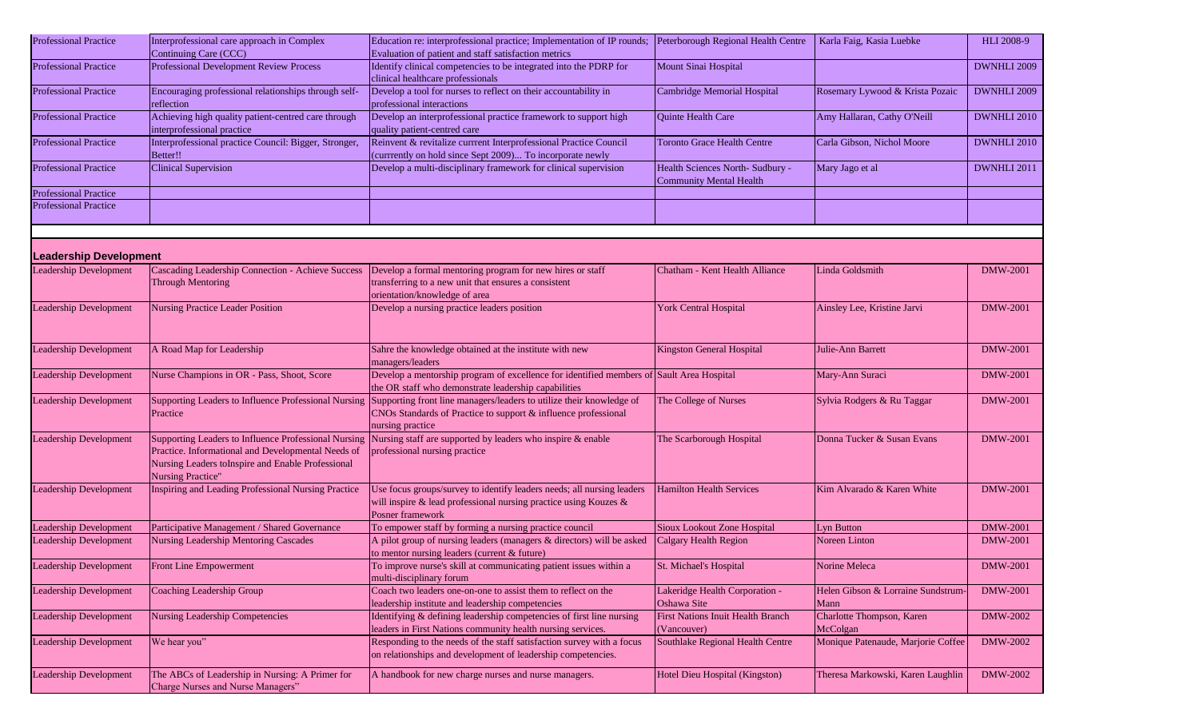| <b>Professional Practice</b>  | Interprofessional care approach in Complex<br>Continuing Care (CCC)                                                                                                                         | Education re: interprofessional practice; Implementation of IP rounds; Peterborough Regional Health Centre<br>Evaluation of patient and staff satisfaction metrics                                              |                                                                   | Karla Faig, Kasia Luebke                  | HLI 2008-9      |
|-------------------------------|---------------------------------------------------------------------------------------------------------------------------------------------------------------------------------------------|-----------------------------------------------------------------------------------------------------------------------------------------------------------------------------------------------------------------|-------------------------------------------------------------------|-------------------------------------------|-----------------|
| <b>Professional Practice</b>  | Professional Development Review Process                                                                                                                                                     | Identify clinical competencies to be integrated into the PDRP for<br>clinical healthcare professionals                                                                                                          | Mount Sinai Hospital                                              |                                           | DWNHLI 2009     |
| <b>Professional Practice</b>  | Encouraging professional relationships through self-<br>reflection                                                                                                                          | Develop a tool for nurses to reflect on their accountability in<br>professional interactions                                                                                                                    | Cambridge Memorial Hospital                                       | Rosemary Lywood & Krista Pozaic           | DWNHLI 2009     |
| <b>Professional Practice</b>  | Achieving high quality patient-centred care through<br>interprofessional practice                                                                                                           | Develop an interprofessional practice framework to support high<br>quality patient-centred care                                                                                                                 | Quinte Health Care                                                | Amy Hallaran, Cathy O'Neill               | DWNHLI 2010     |
| <b>Professional Practice</b>  | Interprofessional practice Council: Bigger, Stronger,<br>Better!!                                                                                                                           | Reinvent & revitalize currrent Interprofessional Practice Council<br>(currrently on hold since Sept 2009) To incorporate newly                                                                                  | <b>Toronto Grace Health Centre</b>                                | Carla Gibson, Nichol Moore                | DWNHLI 2010     |
| <b>Professional Practice</b>  | <b>Clinical Supervision</b>                                                                                                                                                                 | Develop a multi-disciplinary framework for clinical supervision                                                                                                                                                 | Health Sciences North-Sudbury -<br><b>Community Mental Health</b> | Mary Jago et al                           | DWNHLI 2011     |
| <b>Professional Practice</b>  |                                                                                                                                                                                             |                                                                                                                                                                                                                 |                                                                   |                                           |                 |
| <b>Professional Practice</b>  |                                                                                                                                                                                             |                                                                                                                                                                                                                 |                                                                   |                                           |                 |
|                               |                                                                                                                                                                                             |                                                                                                                                                                                                                 |                                                                   |                                           |                 |
| <b>Leadership Development</b> |                                                                                                                                                                                             |                                                                                                                                                                                                                 |                                                                   |                                           |                 |
| Leadership Development        | Cascading Leadership Connection - Achieve Success<br><b>Through Mentoring</b>                                                                                                               | Develop a formal mentoring program for new hires or staff<br>transferring to a new unit that ensures a consistent<br>orientation/knowledge of area                                                              | Chatham - Kent Health Alliance                                    | Linda Goldsmith                           | <b>DMW-2001</b> |
| <b>Leadership Development</b> | <b>Nursing Practice Leader Position</b>                                                                                                                                                     | Develop a nursing practice leaders position                                                                                                                                                                     | <b>York Central Hospital</b>                                      | Ainsley Lee, Kristine Jarvi               | <b>DMW-2001</b> |
| <b>Leadership Development</b> | A Road Map for Leadership                                                                                                                                                                   | Sahre the knowledge obtained at the institute with new<br>managers/leaders                                                                                                                                      | Kingston General Hospital                                         | Julie-Ann Barrett                         | <b>DMW-2001</b> |
| <b>Leadership Development</b> | Nurse Champions in OR - Pass, Shoot, Score                                                                                                                                                  | Develop a mentorship program of excellence for identified members of Sault Area Hospital<br>the OR staff who demonstrate leadership capabilities                                                                |                                                                   | Mary-Ann Suraci                           | DMW-2001        |
| Leadership Development        | Practice                                                                                                                                                                                    | Supporting Leaders to Influence Professional Nursing Supporting front line managers/leaders to utilize their knowledge of<br>CNOs Standards of Practice to support & influence professional<br>nursing practice | The College of Nurses                                             | Sylvia Rodgers & Ru Taggar                | <b>DMW-2001</b> |
| <b>Leadership Development</b> | Supporting Leaders to Influence Professional Nursing<br>Practice. Informational and Developmental Needs of<br>Nursing Leaders toInspire and Enable Professional<br><b>Nursing Practice"</b> | Nursing staff are supported by leaders who inspire & enable<br>professional nursing practice                                                                                                                    | The Scarborough Hospital                                          | Donna Tucker & Susan Evans                | <b>DMW-2001</b> |
| Leadership Development        | Inspiring and Leading Professional Nursing Practice                                                                                                                                         | Use focus groups/survey to identify leaders needs; all nursing leaders<br>will inspire & lead professional nursing practice using Kouzes &<br><b>Posner framework</b>                                           | <b>Hamilton Health Services</b>                                   | Kim Alvarado & Karen White                | <b>DMW-2001</b> |
| <b>Leadership Development</b> | Participative Management / Shared Governance                                                                                                                                                | To empower staff by forming a nursing practice council                                                                                                                                                          | Sioux Lookout Zone Hospital                                       | Lyn Button                                | <b>DMW-2001</b> |
| <b>Leadership Development</b> | Nursing Leadership Mentoring Cascades                                                                                                                                                       | A pilot group of nursing leaders (managers & directors) will be asked<br>to mentor nursing leaders (current & future)                                                                                           | Calgary Health Region                                             | Noreen Linton                             | <b>DMW-2001</b> |
| Leadership Development        | Front Line Empowerment                                                                                                                                                                      | To improve nurse's skill at communicating patient issues within a<br>multi-disciplinary forum                                                                                                                   | St. Michael's Hospital                                            | Norine Meleca                             | <b>DMW-2001</b> |
| <b>Leadership Development</b> | Coaching Leadership Group                                                                                                                                                                   | Coach two leaders one-on-one to assist them to reflect on the<br>leadership institute and leadership competencies                                                                                               | Lakeridge Health Corporation -<br>Oshawa Site                     | Helen Gibson & Lorraine Sundstrum<br>Mann | <b>DMW-2001</b> |
| <b>Leadership Development</b> | Nursing Leadership Competencies                                                                                                                                                             | Identifying & defining leadership competencies of first line nursing<br>leaders in First Nations community health nursing services.                                                                             | First Nations Inuit Health Branch<br>(Vancouver)                  | Charlotte Thompson, Karen<br>McColgan     | <b>DMW-2002</b> |
| <b>Leadership Development</b> | We hear you"                                                                                                                                                                                | Responding to the needs of the staff satisfaction survey with a focus<br>on relationships and development of leadership competencies.                                                                           | Southlake Regional Health Centre                                  | Monique Patenaude, Marjorie Coffee        | <b>DMW-2002</b> |
| <b>Leadership Development</b> | The ABCs of Leadership in Nursing: A Primer for<br>Charge Nurses and Nurse Managers"                                                                                                        | A handbook for new charge nurses and nurse managers.                                                                                                                                                            | Hotel Dieu Hospital (Kingston)                                    | Theresa Markowski, Karen Laughlin         | DMW-2002        |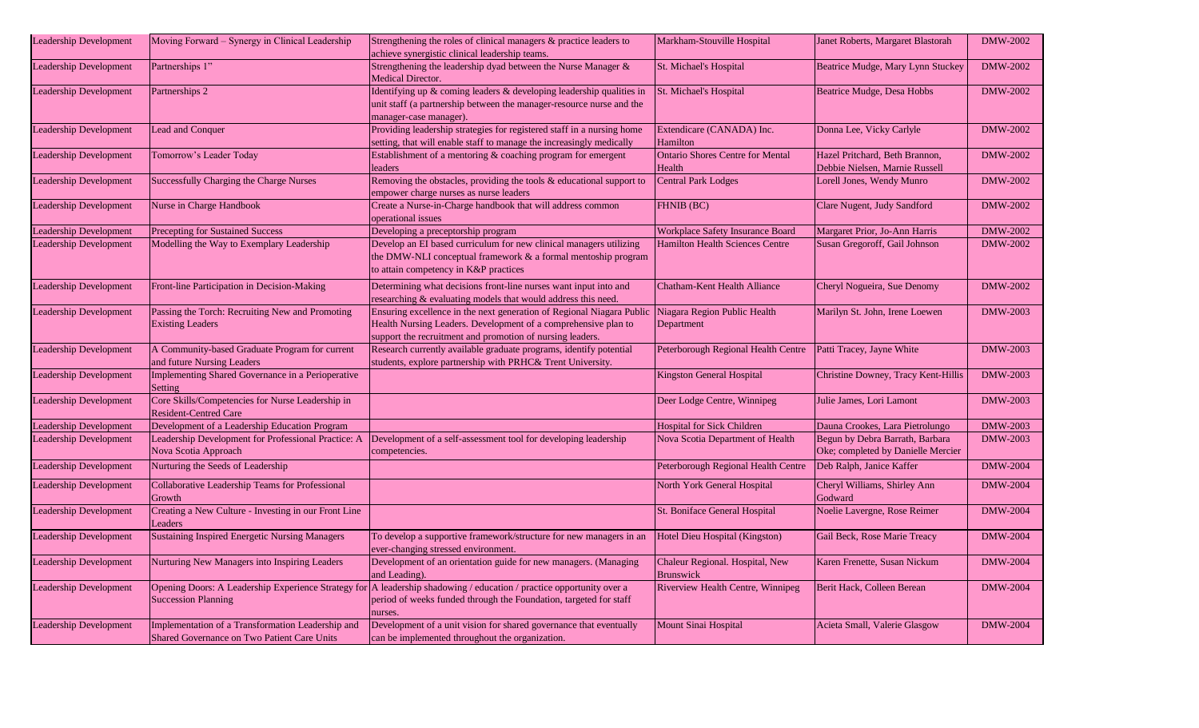| Leadership Development        | Moving Forward – Synergy in Clinical Leadership                                                  | Strengthening the roles of clinical managers & practice leaders to<br>achieve synergistic clinical leadership teams.                                                                                 | Markham-Stouville Hospital                                      | Janet Roberts, Margaret Blastorah                                     | DMW-2002        |
|-------------------------------|--------------------------------------------------------------------------------------------------|------------------------------------------------------------------------------------------------------------------------------------------------------------------------------------------------------|-----------------------------------------------------------------|-----------------------------------------------------------------------|-----------------|
| <b>Leadership Development</b> | Partnerships 1"                                                                                  | Strengthening the leadership dyad between the Nurse Manager &<br>Medical Director.                                                                                                                   | St. Michael's Hospital                                          | Beatrice Mudge, Mary Lynn Stuckey                                     | DMW-2002        |
| Leadership Development        | Partnerships 2                                                                                   | Identifying up & coming leaders & developing leadership qualities in<br>unit staff (a partnership between the manager-resource nurse and the<br>manager-case manager)                                | St. Michael's Hospital                                          | Beatrice Mudge, Desa Hobbs                                            | DMW-2002        |
| Leadership Development        | Lead and Conquer                                                                                 | Providing leadership strategies for registered staff in a nursing home<br>setting, that will enable staff to manage the increasingly medically                                                       | Extendicare (CANADA) Inc.<br>Hamilton                           | Donna Lee, Vicky Carlyle                                              | DMW-2002        |
| Leadership Development        | Tomorrow's Leader Today                                                                          | Establishment of a mentoring & coaching program for emergent<br>leaders                                                                                                                              | <b>Ontario Shores Centre for Mental</b><br>Health               | Hazel Pritchard, Beth Brannon,<br>Debbie Nielsen, Marnie Russell      | DMW-2002        |
| Leadership Development        | Successfully Charging the Charge Nurses                                                          | Removing the obstacles, providing the tools & educational support to<br>empower charge nurses as nurse leaders                                                                                       | <b>Central Park Lodges</b>                                      | Lorell Jones, Wendy Munro                                             | DMW-2002        |
| eadership Development         | Nurse in Charge Handbook                                                                         | Create a Nurse-in-Charge handbook that will address common<br>operational issues                                                                                                                     | FHNIB (BC)                                                      | Clare Nugent, Judy Sandford                                           | <b>DMW-2002</b> |
| eadership Development         | <b>Precepting for Sustained Success</b>                                                          | Developing a preceptorship program                                                                                                                                                                   | Workplace Safety Insurance Board                                | Margaret Prior, Jo-Ann Harris                                         | <b>DMW-2002</b> |
| eadership Development         | Modelling the Way to Exemplary Leadership                                                        | Develop an EI based curriculum for new clinical managers utilizing<br>the DMW-NLI conceptual framework & a formal mentoship program<br>to attain competency in K&P practices                         | <b>Hamilton Health Sciences Centre</b>                          | Susan Gregoroff, Gail Johnson                                         | <b>DMW-2002</b> |
| Leadership Development        | Front-line Participation in Decision-Making                                                      | Determining what decisions front-line nurses want input into and<br>researching & evaluating models that would address this need.                                                                    | Chatham-Kent Health Alliance                                    | Cheryl Nogueira, Sue Denomy                                           | DMW-2002        |
| Leadership Development        | Passing the Torch: Recruiting New and Promoting<br><b>Existing Leaders</b>                       | Ensuring excellence in the next generation of Regional Niagara Public<br>Health Nursing Leaders. Development of a comprehensive plan to<br>support the recruitment and promotion of nursing leaders. | Niagara Region Public Health<br>Department                      | Marilyn St. John, Irene Loewen                                        | DMW-2003        |
| Leadership Development        | A Community-based Graduate Program for current<br>and future Nursing Leaders                     | Research currently available graduate programs, identify potential<br>students, explore partnership with PRHC& Trent University.                                                                     | Peterborough Regional Health Centre   Patti Tracey, Jayne White |                                                                       | DMW-2003        |
| Leadership Development        | Implementing Shared Governance in a Perioperative<br>Setting                                     |                                                                                                                                                                                                      | Kingston General Hospital                                       | Christine Downey, Tracy Kent-Hillis                                   | DMW-2003        |
| eadership Development         | Core Skills/Competencies for Nurse Leadership in<br><b>Resident-Centred Care</b>                 |                                                                                                                                                                                                      | Deer Lodge Centre, Winnipeg                                     | Julie James, Lori Lamont                                              | DMW-2003        |
| eadership Development         | Development of a Leadership Education Program                                                    |                                                                                                                                                                                                      | <b>Hospital for Sick Children</b>                               | Dauna Crookes, Lara Pietrolungo                                       | DMW-2003        |
| eadership Development         | Leadership Development for Professional Practice: A<br>Nova Scotia Approach                      | Development of a self-assessment tool for developing leadership<br>competencies.                                                                                                                     | Nova Scotia Department of Health                                | Begun by Debra Barrath, Barbara<br>Oke; completed by Danielle Mercier | <b>DMW-2003</b> |
| eadership Development         | Nurturing the Seeds of Leadership                                                                |                                                                                                                                                                                                      | Peterborough Regional Health Centre                             | Deb Ralph, Janice Kaffer                                              | <b>DMW-2004</b> |
| Leadership Development        | Collaborative Leadership Teams for Professional<br>Growth                                        |                                                                                                                                                                                                      | North York General Hospital                                     | Cheryl Williams, Shirley Ann<br>Godward                               | <b>DMW-2004</b> |
| eadership Development         | Creating a New Culture - Investing in our Front Line<br>Leaders                                  |                                                                                                                                                                                                      | St. Boniface General Hospital                                   | Noelie Lavergne, Rose Reimer                                          | <b>DMW-2004</b> |
| Leadership Development        | Sustaining Inspired Energetic Nursing Managers                                                   | To develop a supportive framework/structure for new managers in an<br>ever-changing stressed environment.                                                                                            | Hotel Dieu Hospital (Kingston)                                  | Gail Beck, Rose Marie Treacy                                          | <b>DMW-2004</b> |
| <b>Leadership Development</b> | Nurturing New Managers into Inspiring Leaders                                                    | Development of an orientation guide for new managers. (Managing<br>and Leading).                                                                                                                     | Chaleur Regional. Hospital, New<br><b>Brunswick</b>             | Karen Frenette, Susan Nickum                                          | <b>DMW-2004</b> |
| <b>Leadership Development</b> | <b>Succession Planning</b>                                                                       | Opening Doors: A Leadership Experience Strategy for A leadership shadowing / education / practice opportunity over a<br>period of weeks funded through the Foundation, targeted for staff<br>nurses  | Riverview Health Centre, Winnipeg                               | Berit Hack, Colleen Berean                                            | <b>DMW-2004</b> |
| Leadership Development        | Implementation of a Transformation Leadership and<br>Shared Governance on Two Patient Care Units | Development of a unit vision for shared governance that eventually<br>can be implemented throughout the organization.                                                                                | Mount Sinai Hospital                                            | Acieta Small, Valerie Glasgow                                         | DMW-2004        |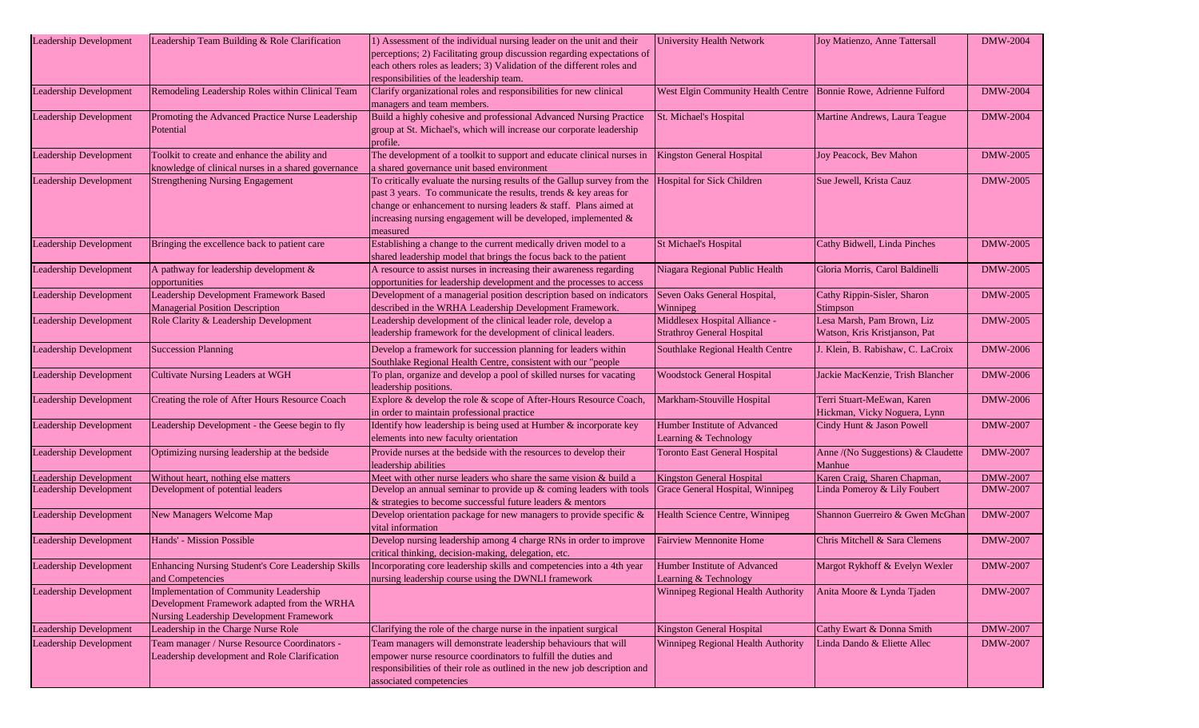| Leadership Development                                  | Leadership Team Building & Role Clarification                                                                                     | 1) Assessment of the individual nursing leader on the unit and their<br>perceptions; 2) Facilitating group discussion regarding expectations of<br>each others roles as leaders; 3) Validation of the different roles and<br>responsibilities of the leadership team.                          | <b>University Health Network</b>                                     | Joy Matienzo, Anne Tattersall                                | <b>DMW-2004</b>                    |
|---------------------------------------------------------|-----------------------------------------------------------------------------------------------------------------------------------|------------------------------------------------------------------------------------------------------------------------------------------------------------------------------------------------------------------------------------------------------------------------------------------------|----------------------------------------------------------------------|--------------------------------------------------------------|------------------------------------|
| <b>Leadership Development</b>                           | Remodeling Leadership Roles within Clinical Team                                                                                  | Clarify organizational roles and responsibilities for new clinical<br>managers and team members.                                                                                                                                                                                               | West Elgin Community Health Centre   Bonnie Rowe, Adrienne Fulford   |                                                              | <b>DMW-2004</b>                    |
| Leadership Development                                  | Promoting the Advanced Practice Nurse Leadership<br>Potential                                                                     | Build a highly cohesive and professional Advanced Nursing Practice<br>group at St. Michael's, which will increase our corporate leadership<br>profile.                                                                                                                                         | St. Michael's Hospital                                               | Martine Andrews, Laura Teague                                | <b>DMW-2004</b>                    |
| <b>Leadership Development</b>                           | Toolkit to create and enhance the ability and<br>knowledge of clinical nurses in a shared governance                              | The development of a toolkit to support and educate clinical nurses in<br>a shared governance unit based environment                                                                                                                                                                           | Kingston General Hospital                                            | Joy Peacock, Bev Mahon                                       | <b>DMW-2005</b>                    |
| <b>Leadership Development</b>                           | <b>Strengthening Nursing Engagement</b>                                                                                           | To critically evaluate the nursing results of the Gallup survey from the<br>past 3 years. To communicate the results, trends & key areas for<br>change or enhancement to nursing leaders & staff. Plans aimed at<br>increasing nursing engagement will be developed, implemented &<br>measured | <b>Hospital for Sick Children</b>                                    | Sue Jewell, Krista Cauz                                      | <b>DMW-2005</b>                    |
| <b>Leadership Development</b>                           | Bringing the excellence back to patient care                                                                                      | Establishing a change to the current medically driven model to a<br>shared leadership model that brings the focus back to the patient                                                                                                                                                          | <b>St Michael's Hospital</b>                                         | Cathy Bidwell, Linda Pinches                                 | <b>DMW-2005</b>                    |
| <b>Leadership Development</b>                           | A pathway for leadership development &<br>opportunities                                                                           | A resource to assist nurses in increasing their awareness regarding<br>opportunities for leadership development and the processes to access                                                                                                                                                    | Niagara Regional Public Health                                       | Gloria Morris, Carol Baldinelli                              | <b>DMW-2005</b>                    |
| <b>Leadership Development</b>                           | Leadership Development Framework Based<br><b>Managerial Position Description</b>                                                  | Development of a managerial position description based on indicators<br>described in the WRHA Leadership Development Framework.                                                                                                                                                                | Seven Oaks General Hospital,<br>Winnipeg                             | Cathy Rippin-Sisler, Sharon<br>Stimpson                      | <b>DMW-2005</b>                    |
| <b>Leadership Development</b>                           | Role Clarity & Leadership Development                                                                                             | Leadership development of the clinical leader role, develop a<br>leadership framework for the development of clinical leaders.                                                                                                                                                                 | Middlesex Hospital Alliance -<br><b>Strathroy General Hospital</b>   | Lesa Marsh, Pam Brown, Liz<br>Watson, Kris Kristjanson, Pat  | <b>DMW-2005</b>                    |
| <b>Leadership Development</b>                           | <b>Succession Planning</b>                                                                                                        | Develop a framework for succession planning for leaders within<br>Southlake Regional Health Centre, consistent with our "people                                                                                                                                                                | Southlake Regional Health Centre                                     | J. Klein, B. Rabishaw, C. LaCroix                            | DMW-2006                           |
| <b>Leadership Development</b>                           | Cultivate Nursing Leaders at WGH                                                                                                  | To plan, organize and develop a pool of skilled nurses for vacating<br>leadership positions.                                                                                                                                                                                                   | <b>Woodstock General Hospital</b>                                    | Jackie MacKenzie, Trish Blancher                             | DMW-2006                           |
| <b>Leadership Development</b>                           | Creating the role of After Hours Resource Coach                                                                                   | Explore & develop the role & scope of After-Hours Resource Coach,<br>in order to maintain professional practice                                                                                                                                                                                | Markham-Stouville Hospital                                           | Terri Stuart-MeEwan, Karen<br>Hickman, Vicky Noguera, Lynn   | <b>DMW-2006</b>                    |
| Leadership Development                                  | Leadership Development - the Geese begin to fly                                                                                   | Identify how leadership is being used at Humber & incorporate key<br>elements into new faculty orientation                                                                                                                                                                                     | Humber Institute of Advanced<br>Learning & Technology                | Cindy Hunt & Jason Powell                                    | <b>DMW-2007</b>                    |
| Leadership Development                                  | Optimizing nursing leadership at the bedside                                                                                      | Provide nurses at the bedside with the resources to develop their<br>leadership abilities                                                                                                                                                                                                      | <b>Toronto East General Hospital</b>                                 | Anne /(No Suggestions) & Claudette<br>Manhue                 | DMW-2007                           |
| <b>Leadership Development</b><br>Leadership Development | Without heart, nothing else matters<br>Development of potential leaders                                                           | Meet with other nurse leaders who share the same vision & build a<br>Develop an annual seminar to provide up & coming leaders with tools<br>& strategies to become successful future leaders & mentors                                                                                         | <b>Kingston General Hospital</b><br>Grace General Hospital, Winnipeg | Karen Craig, Sharen Chapman,<br>Linda Pomeroy & Lily Foubert | <b>DMW-2007</b><br><b>DMW-2007</b> |
| <b>Leadership Development</b>                           | New Managers Welcome Map                                                                                                          | Develop orientation package for new managers to provide specific &<br>vital information                                                                                                                                                                                                        | Health Science Centre, Winnipeg                                      | Shannon Guerreiro & Gwen McGhan                              | <b>DMW-2007</b>                    |
| <b>Leadership Development</b>                           | Hands' - Mission Possible                                                                                                         | Develop nursing leadership among 4 charge RNs in order to improve<br>critical thinking, decision-making, delegation, etc.                                                                                                                                                                      | <b>Fairview Mennonite Home</b>                                       | Chris Mitchell & Sara Clemens                                | <b>DMW-2007</b>                    |
| Leadership Development                                  | Enhancing Nursing Student's Core Leadership Skills<br>and Competencies                                                            | Incorporating core leadership skills and competencies into a 4th year Humber Institute of Advanced<br>nursing leadership course using the DWNLI framework                                                                                                                                      | Learning & Technology                                                | Margot Rykhoff & Evelyn Wexler                               | <b>DMW-2007</b>                    |
| <b>Leadership Development</b>                           | Implementation of Community Leadership<br>Development Framework adapted from the WRHA<br>Nursing Leadership Development Framework |                                                                                                                                                                                                                                                                                                | Winnipeg Regional Health Authority                                   | Anita Moore & Lynda Tjaden                                   | <b>DMW-2007</b>                    |
| <b>Leadership Development</b>                           | Leadership in the Charge Nurse Role                                                                                               | Clarifying the role of the charge nurse in the inpatient surgical                                                                                                                                                                                                                              | <b>Kingston General Hospital</b>                                     | Cathy Ewart & Donna Smith                                    | <b>DMW-2007</b>                    |
| <b>Leadership Development</b>                           | Team manager / Nurse Resource Coordinators -<br>Leadership development and Role Clarification                                     | Team managers will demonstrate leadership behaviours that will<br>empower nurse resource coordinators to fulfill the duties and<br>responsibilities of their role as outlined in the new job description and<br>associated competencies                                                        | Winnipeg Regional Health Authority                                   | Linda Dando & Eliette Allec                                  | <b>DMW-2007</b>                    |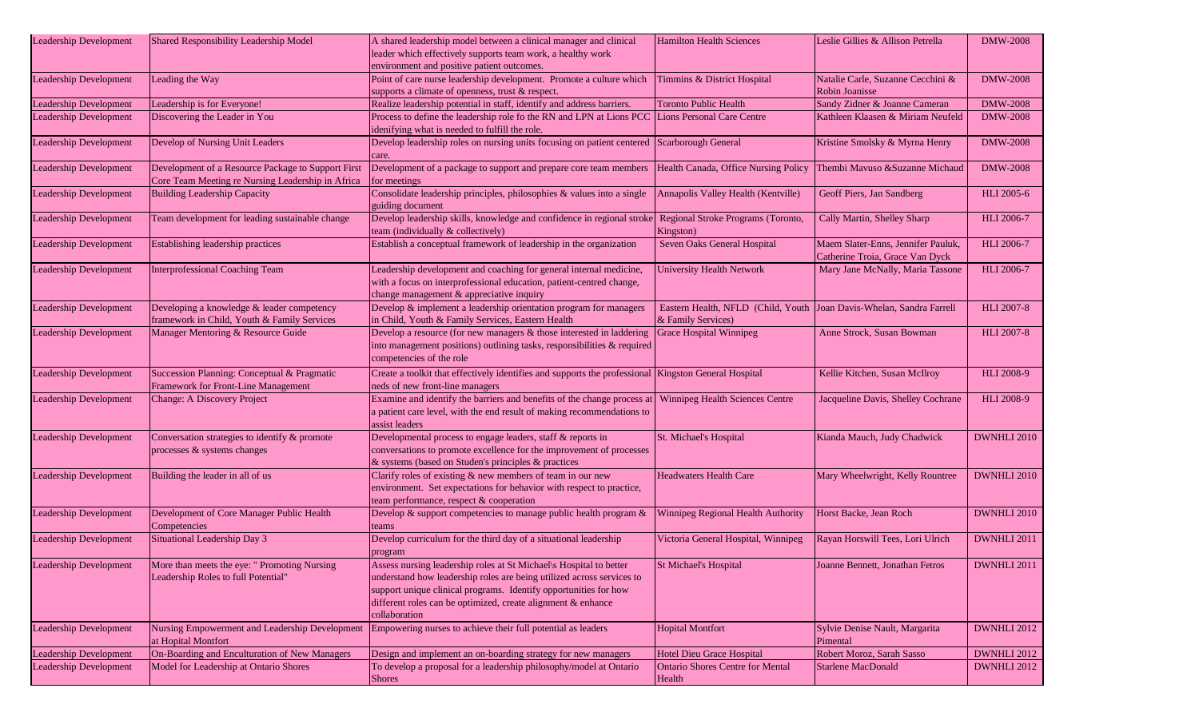|                               |                                                    |                                                                                                                         |                                                                      | Leslie Gillies & Allison Petrella                   |                   |
|-------------------------------|----------------------------------------------------|-------------------------------------------------------------------------------------------------------------------------|----------------------------------------------------------------------|-----------------------------------------------------|-------------------|
| <b>Leadership Development</b> | Shared Responsibility Leadership Model             | A shared leadership model between a clinical manager and clinical                                                       | <b>Hamilton Health Sciences</b>                                      |                                                     | <b>DMW-2008</b>   |
|                               |                                                    | leader which effectively supports team work, a healthy work                                                             |                                                                      |                                                     |                   |
|                               |                                                    | environment and positive patient outcomes.                                                                              |                                                                      |                                                     |                   |
| <b>Leadership Development</b> | Leading the Way                                    | Point of care nurse leadership development. Promote a culture which<br>supports a climate of openness, trust & respect. | Timmins & District Hospital                                          | Natalie Carle, Suzanne Cecchini &<br>Robin Joanisse | <b>DMW-2008</b>   |
| Leadership Development        | Leadership is for Everyone!                        | Realize leadership potential in staff, identify and address barriers.                                                   | <b>Toronto Public Health</b>                                         | Sandy Zidner & Joanne Cameran                       | <b>DMW-2008</b>   |
| <b>Leadership Development</b> | Discovering the Leader in You                      | Process to define the leadership role fo the RN and LPN at Lions PCC Lions Personal Care Centre                         |                                                                      | Kathleen Klaasen & Miriam Neufeld                   | <b>DMW-2008</b>   |
|                               |                                                    | idenifying what is needed to fulfill the role.                                                                          |                                                                      |                                                     |                   |
| <b>Leadership Development</b> | Develop of Nursing Unit Leaders                    | Develop leadership roles on nursing units focusing on patient centered                                                  | Scarborough General                                                  | Kristine Smolsky & Myrna Henry                      | <b>DMW-2008</b>   |
|                               |                                                    | care.                                                                                                                   |                                                                      |                                                     |                   |
| <b>Leadership Development</b> | Development of a Resource Package to Support First | Development of a package to support and prepare core team members Health Canada, Office Nursing Policy                  |                                                                      | Thembi Mavuso &Suzanne Michaud                      | <b>DMW-2008</b>   |
|                               | Core Team Meeting re Nursing Leadership in Africa  | for meetings                                                                                                            |                                                                      |                                                     |                   |
| <b>Leadership Development</b> | <b>Building Leadership Capacity</b>                | Consolidate leadership principles, philosophies & values into a single                                                  | Annapolis Valley Health (Kentville)                                  | Geoff Piers, Jan Sandberg                           | <b>HLI</b> 2005-6 |
|                               |                                                    | guiding document                                                                                                        |                                                                      |                                                     |                   |
| <b>Leadership Development</b> | Team development for leading sustainable change    | Develop leadership skills, knowledge and confidence in regional stroke                                                  | Regional Stroke Programs (Toronto,                                   | Cally Martin, Shelley Sharp                         | HLI 2006-7        |
|                               |                                                    | team (individually & collectively)                                                                                      | Kingston)                                                            |                                                     |                   |
| <b>Leadership Development</b> | Establishing leadership practices                  | Establish a conceptual framework of leadership in the organization                                                      | Seven Oaks General Hospital                                          | Maem Slater-Enns, Jennifer Pauluk,                  | HLI 2006-7        |
|                               |                                                    |                                                                                                                         |                                                                      | Catherine Troia, Grace Van Dyck                     |                   |
| Leadership Development        | Interprofessional Coaching Team                    | Leadership development and coaching for general internal medicine,                                                      | University Health Network                                            | Mary Jane McNally, Maria Tassone                    | HLI 2006-7        |
|                               |                                                    | with a focus on interprofessional education, patient-centred change,                                                    |                                                                      |                                                     |                   |
|                               |                                                    | change management & appreciative inquiry                                                                                |                                                                      |                                                     |                   |
| <b>Leadership Development</b> | Developing a knowledge & leader competency         | Develop & implement a leadership orientation program for managers                                                       | Eastern Health, NFLD (Child, Youth Joan Davis-Whelan, Sandra Farrell |                                                     | <b>HLI 2007-8</b> |
|                               | framework in Child, Youth & Family Services        | in Child, Youth & Family Services, Eastern Health                                                                       | & Family Services)                                                   |                                                     |                   |
| <b>Leadership Development</b> | Manager Mentoring & Resource Guide                 | Develop a resource (for new managers $&$ those interested in laddering                                                  | <b>Grace Hospital Winnipeg</b>                                       | Anne Strock, Susan Bowman                           | <b>HLI 2007-8</b> |
|                               |                                                    | into management positions) outlining tasks, responsibilities & required                                                 |                                                                      |                                                     |                   |
|                               |                                                    | competencies of the role                                                                                                |                                                                      |                                                     |                   |
| <b>Leadership Development</b> | Succession Planning: Conceptual & Pragmatic        | Create a toolkit that effectively identifies and supports the professional Kingston General Hospital                    |                                                                      | Kellie Kitchen, Susan McIlroy                       | <b>HLI 2008-9</b> |
|                               | Framework for Front-Line Management                | neds of new front-line managers                                                                                         |                                                                      |                                                     |                   |
| <b>Leadership Development</b> | Change: A Discovery Project                        | Examine and identify the barriers and benefits of the change process at                                                 | Winnipeg Health Sciences Centre                                      | Jacqueline Davis, Shelley Cochrane                  | <b>HLI 2008-9</b> |
|                               |                                                    | a patient care level, with the end result of making recommendations to                                                  |                                                                      |                                                     |                   |
|                               |                                                    | assist leaders                                                                                                          |                                                                      |                                                     |                   |
| <b>Leadership Development</b> | Conversation strategies to identify & promote      | Developmental process to engage leaders, staff & reports in                                                             | St. Michael's Hospital                                               | Kianda Mauch, Judy Chadwick                         | DWNHLI 2010       |
|                               | processes & systems changes                        | conversations to promote excellence for the improvement of processes                                                    |                                                                      |                                                     |                   |
|                               |                                                    | & systems (based on Studen's principles & practices                                                                     |                                                                      |                                                     |                   |
| <b>Leadership Development</b> | Building the leader in all of us                   | Clarify roles of existing & new members of team in our new                                                              | <b>Headwaters Health Care</b>                                        | Mary Wheelwright, Kelly Rountree                    | DWNHLI 2010       |
|                               |                                                    | environment. Set expectations for behavior with respect to practice,                                                    |                                                                      |                                                     |                   |
|                               |                                                    | team performance, respect & cooperation                                                                                 |                                                                      |                                                     |                   |
| <b>Leadership Development</b> | Development of Core Manager Public Health          | Develop & support competencies to manage public health program &                                                        | Winnipeg Regional Health Authority                                   | Horst Backe, Jean Roch                              | DWNHLI 2010       |
|                               | Competencies                                       | teams                                                                                                                   |                                                                      |                                                     |                   |
| <b>Leadership Development</b> | Situational Leadership Day 3                       | Develop curriculum for the third day of a situational leadership                                                        | Victoria General Hospital, Winnipeg                                  | Rayan Horswill Tees, Lori Ulrich                    | DWNHLI 2011       |
|                               |                                                    | program                                                                                                                 |                                                                      |                                                     |                   |
| Leadership Development        | More than meets the eye: " Promoting Nursing       | Assess nursing leadership roles at St Michael\s Hospital to better                                                      | St Michael's Hospital                                                | Joanne Bennett. Jonathan Fetros                     | DWNHLI 2011       |
|                               | Leadership Roles to full Potential"                | understand how leadership roles are being utilized across services to                                                   |                                                                      |                                                     |                   |
|                               |                                                    | support unique clinical programs. Identify opportunities for how                                                        |                                                                      |                                                     |                   |
|                               |                                                    | different roles can be optimized, create alignment & enhance                                                            |                                                                      |                                                     |                   |
|                               |                                                    | collaboration                                                                                                           |                                                                      |                                                     |                   |
| <b>Leadership Development</b> | Nursing Empowerment and Leadership Development     | Empowering nurses to achieve their full potential as leaders                                                            | <b>Hopital Montfort</b>                                              | Sylvie Denise Nault, Margarita                      | DWNHLI 2012       |
|                               | at Hopital Montfort                                |                                                                                                                         |                                                                      | Pimental                                            |                   |
| <b>Leadership Development</b> | On-Boarding and Enculturation of New Managers      | Design and implement an on-boarding strategy for new managers                                                           | Hotel Dieu Grace Hospital                                            | Robert Moroz, Sarah Sasso                           | DWNHLI 2012       |
| <b>Leadership Development</b> | Model for Leadership at Ontario Shores             | To develop a proposal for a leadership philosophy/model at Ontario                                                      | <b>Ontario Shores Centre for Mental</b>                              | <b>Starlene MacDonald</b>                           | DWNHLI 2012       |
|                               |                                                    | <b>Shores</b>                                                                                                           | Health                                                               |                                                     |                   |
|                               |                                                    |                                                                                                                         |                                                                      |                                                     |                   |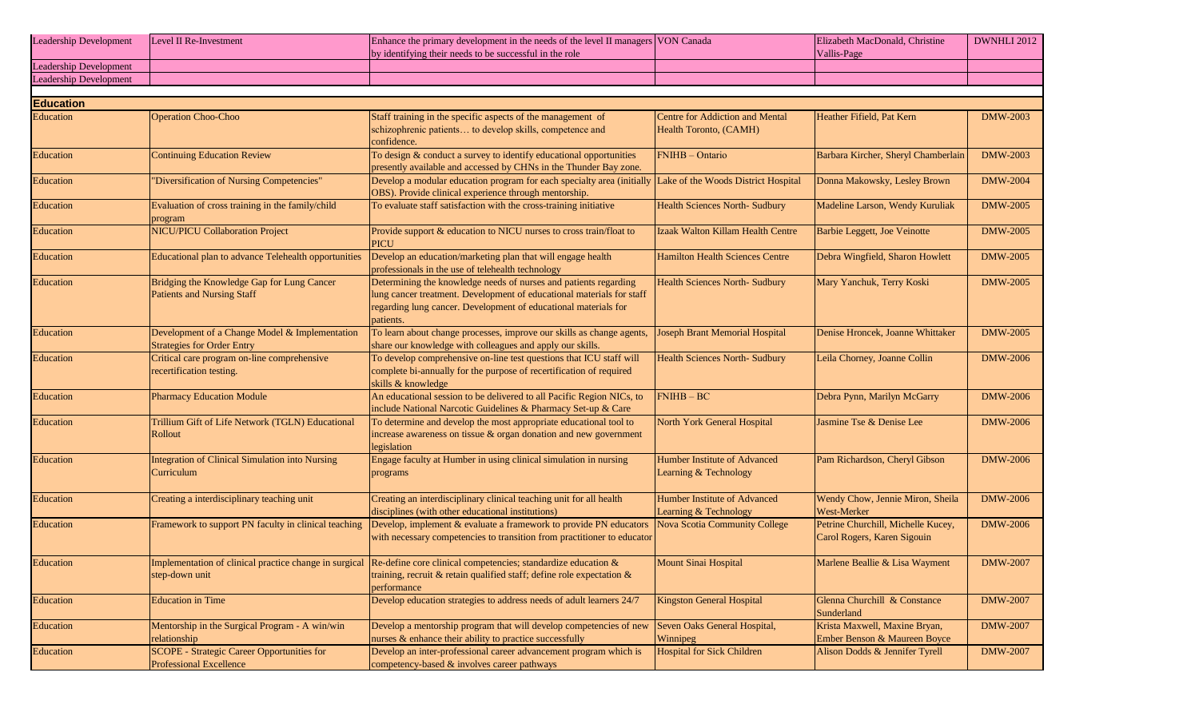| <b>Leadership Development</b> | Level II Re-Investment | Enhance the primary development in the needs of the level II managers VON Canada | Elizabeth MacDonald, Christine | DWNHLI 2012 |
|-------------------------------|------------------------|----------------------------------------------------------------------------------|--------------------------------|-------------|
|                               |                        | by identifying their needs to be successful in the role                          | Vallis-Page                    |             |
| <b>Leadership Development</b> |                        |                                                                                  |                                |             |
| <b>Leadership Development</b> |                        |                                                                                  |                                |             |

| <b>Education</b> |                                                                                     |                                                                                                                                                                                                                           |                                                                  |                                                                   |                 |
|------------------|-------------------------------------------------------------------------------------|---------------------------------------------------------------------------------------------------------------------------------------------------------------------------------------------------------------------------|------------------------------------------------------------------|-------------------------------------------------------------------|-----------------|
| Education        | <b>Operation Choo-Choo</b>                                                          | Staff training in the specific aspects of the management of<br>schizophrenic patients to develop skills, competence and<br>confidence.                                                                                    | <b>Centre for Addiction and Mental</b><br>Health Toronto, (CAMH) | Heather Fifield, Pat Kern                                         | DMW-2003        |
| Education        | <b>Continuing Education Review</b>                                                  | To design & conduct a survey to identify educational opportunities<br>presently available and accessed by CHNs in the Thunder Bay zone.                                                                                   | FNIHB - Ontario                                                  | Barbara Kircher, Sheryl Chamberlain                               | <b>DMW-2003</b> |
| <b>Education</b> | "Diversification of Nursing Competencies"                                           | Develop a modular education program for each specialty area (initially Lake of the Woods District Hospital<br>OBS). Provide clinical experience through mentorship.                                                       |                                                                  | Donna Makowsky, Lesley Brown                                      | <b>DMW-2004</b> |
| Education        | Evaluation of cross training in the family/child<br>program                         | To evaluate staff satisfaction with the cross-training initiative                                                                                                                                                         | <b>Health Sciences North-Sudbury</b>                             | Madeline Larson, Wendy Kuruliak                                   | <b>DMW-2005</b> |
| Education        | <b>NICU/PICU Collaboration Project</b>                                              | Provide support & education to NICU nurses to cross train/float to<br><b>PICU</b>                                                                                                                                         | Izaak Walton Killam Health Centre                                | Barbie Leggett, Joe Veinotte                                      | <b>DMW-2005</b> |
| <b>Education</b> | Educational plan to advance Telehealth opportunities                                | Develop an education/marketing plan that will engage health<br>professionals in the use of telehealth technology                                                                                                          | <b>Hamilton Health Sciences Centre</b>                           | Debra Wingfield, Sharon Howlett                                   | <b>DMW-2005</b> |
| Education        | Bridging the Knowledge Gap for Lung Cancer<br><b>Patients and Nursing Staff</b>     | Determining the knowledge needs of nurses and patients regarding<br>lung cancer treatment. Development of educational materials for staff<br>regarding lung cancer. Development of educational materials for<br>patients. | <b>Health Sciences North-Sudbury</b>                             | Mary Yanchuk, Terry Koski                                         | <b>DMW-2005</b> |
| Education        | Development of a Change Model & Implementation<br><b>Strategies for Order Entry</b> | To learn about change processes, improve our skills as change agents,<br>share our knowledge with colleagues and apply our skills.                                                                                        | Joseph Brant Memorial Hospital                                   | Denise Hroncek, Joanne Whittaker                                  | <b>DMW-2005</b> |
| <b>Education</b> | Critical care program on-line comprehensive<br>recertification testing.             | To develop comprehensive on-line test questions that ICU staff will<br>complete bi-annually for the purpose of recertification of required<br>skills & knowledge                                                          | <b>Health Sciences North- Sudbury</b>                            | Leila Chorney, Joanne Collin                                      | <b>DMW-2006</b> |
| Education        | <b>Pharmacy Education Module</b>                                                    | An educational session to be delivered to all Pacific Region NICs, to<br>include National Narcotic Guidelines & Pharmacy Set-up & Care                                                                                    | $FNIHB - BC$                                                     | Debra Pynn, Marilyn McGarry                                       | <b>DMW-2006</b> |
| Education        | Trillium Gift of Life Network (TGLN) Educational<br>Rollout                         | To determine and develop the most appropriate educational tool to<br>increase awareness on tissue & organ donation and new government<br>legislation                                                                      | North York General Hospital                                      | Jasmine Tse & Denise Lee                                          | <b>DMW-2006</b> |
| Education        | Integration of Clinical Simulation into Nursing<br>Curriculum                       | Engage faculty at Humber in using clinical simulation in nursing<br>programs                                                                                                                                              | Humber Institute of Advanced<br>Learning & Technology            | Pam Richardson, Cheryl Gibson                                     | <b>DMW-2006</b> |
| Education        | Creating a interdisciplinary teaching unit                                          | Creating an interdisciplinary clinical teaching unit for all health<br>disciplines (with other educational institutions)                                                                                                  | Humber Institute of Advanced<br>Learning & Technology            | Wendy Chow, Jennie Miron, Sheila<br>West-Merker                   | <b>DMW-2006</b> |
| <b>Education</b> | Framework to support PN faculty in clinical teaching                                | Develop, implement & evaluate a framework to provide PN educators<br>with necessary competencies to transition from practitioner to educator                                                                              | Nova Scotia Community College                                    | Petrine Churchill, Michelle Kucey,<br>Carol Rogers, Karen Sigouin | <b>DMW-2006</b> |
| Education        | Implementation of clinical practice change in surgical<br>step-down unit            | Re-define core clinical competencies; standardize education &<br>training, recruit & retain qualified staff; define role expectation &<br>performance                                                                     | Mount Sinai Hospital                                             | Marlene Beallie & Lisa Wayment                                    | <b>DMW-2007</b> |
| <b>Education</b> | <b>Education</b> in Time                                                            | Develop education strategies to address needs of adult learners 24/7                                                                                                                                                      | <b>Kingston General Hospital</b>                                 | Glenna Churchill & Constance<br>Sunderland                        | <b>DMW-2007</b> |
| Education        | Mentorship in the Surgical Program - A win/win<br>relationship                      | Develop a mentorship program that will develop competencies of new<br>nurses & enhance their ability to practice successfully                                                                                             | Seven Oaks General Hospital,<br>Winnipeg                         | Krista Maxwell, Maxine Bryan,<br>Ember Benson & Maureen Boyce     | <b>DMW-2007</b> |
| Education        | <b>SCOPE</b> - Strategic Career Opportunities for<br>Professional Excellence        | Develop an inter-professional career advancement program which is<br>competency-based & involves career pathways                                                                                                          | <b>Hospital for Sick Children</b>                                | Alison Dodds & Jennifer Tyrell                                    | <b>DMW-2007</b> |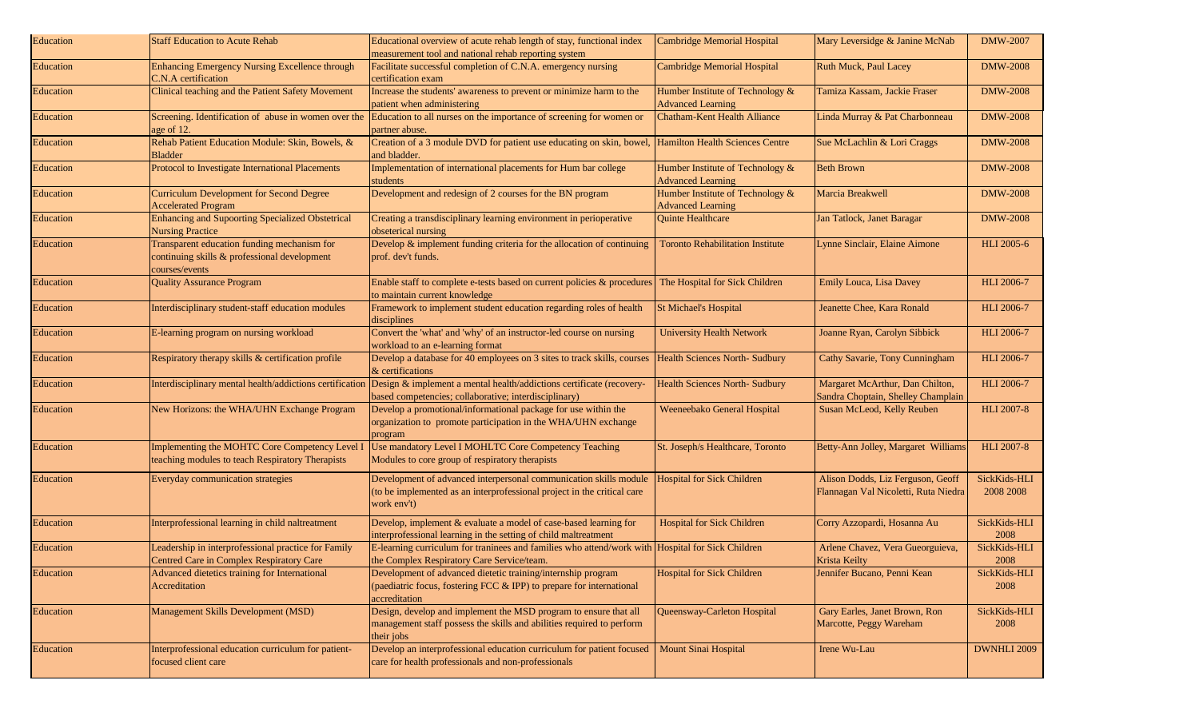| Education        | <b>Staff Education to Acute Rehab</b>                                                                         | Educational overview of acute rehab length of stay, functional index<br>measurement tool and national rehab reporting system                                | <b>Cambridge Memorial Hospital</b>                           | Mary Leversidge & Janine McNab                                            | <b>DMW-2007</b>           |
|------------------|---------------------------------------------------------------------------------------------------------------|-------------------------------------------------------------------------------------------------------------------------------------------------------------|--------------------------------------------------------------|---------------------------------------------------------------------------|---------------------------|
| Education        | Enhancing Emergency Nursing Excellence through<br>C.N.A certification                                         | Facilitate successful completion of C.N.A. emergency nursing<br>certification exam                                                                          | <b>Cambridge Memorial Hospital</b>                           | <b>Ruth Muck, Paul Lacey</b>                                              | <b>DMW-2008</b>           |
| Education        | Clinical teaching and the Patient Safety Movement                                                             | Increase the students' awareness to prevent or minimize harm to the<br>patient when administering                                                           | Humber Institute of Technology &<br><b>Advanced Learning</b> | Tamiza Kassam, Jackie Fraser                                              | <b>DMW-2008</b>           |
| Education        | Screening. Identification of abuse in women over the<br>age of 12.                                            | Education to all nurses on the importance of screening for women or<br>partner abuse.                                                                       | Chatham-Kent Health Alliance                                 | Linda Murray & Pat Charbonneau                                            | <b>DMW-2008</b>           |
| Education        | Rehab Patient Education Module: Skin, Bowels, &<br><b>Bladder</b>                                             | Creation of a 3 module DVD for patient use educating on skin, bowel,<br>and bladder.                                                                        | <b>Hamilton Health Sciences Centre</b>                       | Sue McLachlin & Lori Craggs                                               | <b>DMW-2008</b>           |
| Education        | Protocol to Investigate International Placements                                                              | Implementation of international placements for Hum bar college<br>students                                                                                  | Humber Institute of Technology &<br><b>Advanced Learning</b> | <b>Beth Brown</b>                                                         | <b>DMW-2008</b>           |
| Education        | <b>Curriculum Development for Second Degree</b><br><b>Accelerated Program</b>                                 | Development and redesign of 2 courses for the BN program                                                                                                    | Humber Institute of Technology &<br><b>Advanced Learning</b> | Marcia Breakwell                                                          | <b>DMW-2008</b>           |
| <b>Education</b> | <b>Enhancing and Supoorting Specialized Obstetrical</b><br><b>Nursing Practice</b>                            | Creating a transdisciplinary learning environment in perioperative<br>obseterical nursing                                                                   | <b>Quinte Healthcare</b>                                     | Jan Tatlock, Janet Baragar                                                | <b>DMW-2008</b>           |
| Education        | Transparent education funding mechanism for<br>continuing skills & professional development<br>courses/events | Develop $\&$ implement funding criteria for the allocation of continuing<br>prof. dev't funds.                                                              | <b>Toronto Rehabilitation Institute</b>                      | Lynne Sinclair, Elaine Aimone                                             | <b>HLI</b> 2005-6         |
| Education        | <b>Quality Assurance Program</b>                                                                              | Enable staff to complete e-tests based on current policies $\&$ procedures<br>to maintain current knowledge                                                 | The Hospital for Sick Children                               | Emily Louca, Lisa Davey                                                   | <b>HLI 2006-7</b>         |
| Education        | Interdisciplinary student-staff education modules                                                             | Framework to implement student education regarding roles of health<br>disciplines                                                                           | <b>St Michael's Hospital</b>                                 | Jeanette Chee, Kara Ronald                                                | <b>HLI 2006-7</b>         |
| Education        | E-learning program on nursing workload                                                                        | Convert the 'what' and 'why' of an instructor-led course on nursing<br>workload to an e-learning format                                                     | <b>University Health Network</b>                             | Joanne Ryan, Carolyn Sibbick                                              | <b>HLI 2006-7</b>         |
| Education        | Respiratory therapy skills & certification profile                                                            | Develop a database for 40 employees on 3 sites to track skills, courses<br>& certifications                                                                 | <b>Health Sciences North- Sudbury</b>                        | Cathy Savarie, Tony Cunningham                                            | <b>HLI 2006-7</b>         |
| Education        | Interdisciplinary mental health/addictions certification                                                      | Design & implement a mental health/addictions certificate (recovery-<br>based competencies; collaborative; interdisciplinary)                               | <b>Health Sciences North- Sudbury</b>                        | Margaret McArthur, Dan Chilton,<br>Sandra Choptain, Shelley Champlain     | <b>HLI 2006-7</b>         |
| Education        | New Horizons: the WHA/UHN Exchange Program                                                                    | Develop a promotional/informational package for use within the<br>organization to promote participation in the WHA/UHN exchange<br>program                  | Weeneebako General Hospital                                  | Susan McLeod, Kelly Reuben                                                | <b>HLI 2007-8</b>         |
| Education        | Implementing the MOHTC Core Competency Level I<br>teaching modules to teach Respiratory Therapists            | Use mandatory Level I MOHLTC Core Competency Teaching<br>Modules to core group of respiratory therapists                                                    | St. Joseph/s Healthcare, Toronto                             | Betty-Ann Jolley, Margaret Williams                                       | <b>HLI 2007-8</b>         |
| Education        | Everyday communication strategies                                                                             | Development of advanced interpersonal communication skills module<br>(to be implemented as an interprofessional project in the critical care<br>work env't) | <b>Hospital for Sick Children</b>                            | Alison Dodds, Liz Ferguson, Geoff<br>Flannagan Val Nicoletti, Ruta Niedra | SickKids-HLI<br>2008 2008 |
| Education        | Interprofessional learning in child naltreatment                                                              | Develop, implement & evaluate a model of case-based learning for<br>interprofessional learning in the setting of child maltreatment                         | <b>Hospital for Sick Children</b>                            | Corry Azzopardi, Hosanna Au                                               | SickKids-HLI<br>2008      |
| <b>Education</b> | Leadership in interprofessional practice for Family<br>Centred Care in Complex Respiratory Care               | E-learning curriculum for traninees and families who attend/work with Hospital for Sick Children<br>the Complex Respiratory Care Service/team.              |                                                              | Arlene Chavez, Vera Gueorguieva,<br><b>Krista Keilty</b>                  | SickKids-HLI<br>2008      |
| Education        | Advanced dietetics training for International<br>Accreditation                                                | Development of advanced dietetic training/internship program<br>(paediatric focus, fostering FCC & IPP) to prepare for international<br>accreditation       | <b>Hospital for Sick Children</b>                            | Jennifer Bucano, Penni Kean                                               | SickKids-HLI<br>2008      |
| Education        | Management Skills Development (MSD)                                                                           | Design, develop and implement the MSD program to ensure that all<br>management staff possess the skills and abilities required to perform<br>their jobs     | Queensway-Carleton Hospital                                  | Gary Earles, Janet Brown, Ron<br>Marcotte, Peggy Wareham                  | SickKids-HLI<br>2008      |
| Education        | Interprofessional education curriculum for patient-<br>focused client care                                    | Develop an interprofessional education curriculum for patient focused<br>care for health professionals and non-professionals                                | Mount Sinai Hospital                                         | Irene Wu-Lau                                                              | DWNHLI 2009               |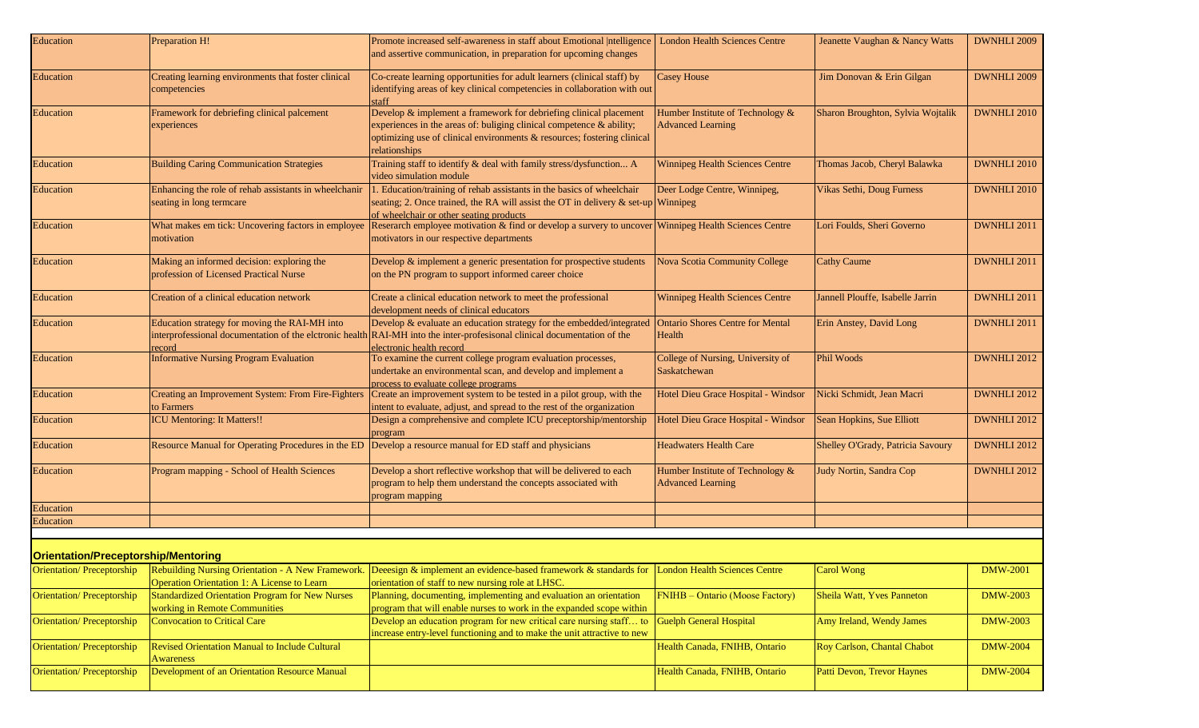| Education                                  | Preparation H!                                                                          | Promote increased self-awareness in staff about Emotional  ntelligence                                                                                                                                                                   | <b>London Health Sciences Centre</b>                         | Jeanette Vaughan & Nancy Watts    | DWNHLI 2009        |
|--------------------------------------------|-----------------------------------------------------------------------------------------|------------------------------------------------------------------------------------------------------------------------------------------------------------------------------------------------------------------------------------------|--------------------------------------------------------------|-----------------------------------|--------------------|
|                                            |                                                                                         | and assertive communication, in preparation for upcoming changes                                                                                                                                                                         |                                                              |                                   |                    |
| Education                                  | Creating learning environments that foster clinical<br>competencies                     | Co-create learning opportunities for adult learners (clinical staff) by<br>identifying areas of key clinical competencies in collaboration with out<br>staff                                                                             | <b>Casey House</b>                                           | Jim Donovan & Erin Gilgan         | <b>DWNHLI 2009</b> |
| Education                                  | Framework for debriefing clinical palcement<br>experiences                              | Develop & implement a framework for debriefing clinical placement<br>experiences in the areas of: buliging clinical competence $\&$ ability;<br>optimizing use of clinical environments & resources; fostering clinical<br>relationships | Humber Institute of Technology &<br><b>Advanced Learning</b> | Sharon Broughton, Sylvia Wojtalik | DWNHLI 2010        |
| Education                                  | <b>Building Caring Communication Strategies</b>                                         | Training staff to identify & deal with family stress/dysfunction A<br>video simulation module                                                                                                                                            | Winnipeg Health Sciences Centre                              | Thomas Jacob, Cheryl Balawka      | DWNHLI 2010        |
| Education                                  | Enhancing the role of rehab assistants in wheelchanir<br>seating in long termcare       | 1. Education/training of rehab assistants in the basics of wheelchair<br>seating; 2. Once trained, the RA will assist the OT in delivery $\&$ set-up Winnipeg<br>of wheelchair or other seating products                                 | Deer Lodge Centre, Winnipeg,                                 | Vikas Sethi, Doug Furness         | <b>DWNHLI 2010</b> |
| Education                                  | What makes em tick: Uncovering factors in employee<br>motivation                        | Reserarch employee motivation & find or develop a survery to uncover Winnipeg Health Sciences Centre<br>motivators in our respective departments                                                                                         |                                                              | Lori Foulds, Sheri Governo        | DWNHLI 2011        |
| Education                                  | Making an informed decision: exploring the<br>profession of Licensed Practical Nurse    | Develop & implement a generic presentation for prospective students<br>on the PN program to support informed career choice                                                                                                               | <b>Nova Scotia Community College</b>                         | <b>Cathy Caume</b>                | DWNHLI 2011        |
| Education                                  | Creation of a clinical education network                                                | Create a clinical education network to meet the professional<br>development needs of clinical educators                                                                                                                                  | Winnipeg Health Sciences Centre                              | Jannell Plouffe, Isabelle Jarrin  | DWNHLI 2011        |
| Education                                  | Education strategy for moving the RAI-MH into<br>record                                 | Develop & evaluate an education strategy for the embedded/integrated<br>interprofessional documentation of the elctronic health RAI-MH into the inter-profesisonal clinical documentation of the<br>electronic health record             | <b>Ontario Shores Centre for Mental</b><br>Health            | Erin Anstey, David Long           | DWNHLI 2011        |
| Education                                  | <b>Informative Nursing Program Evaluation</b>                                           | To examine the current college program evaluation processes,<br>undertake an environmental scan, and develop and implement a<br>process to evaluate college programs                                                                     | College of Nursing, University of<br>Saskatchewan            | Phil Woods                        | DWNHLI 2012        |
| Education                                  | Creating an Improvement System: From Fire-Fighters<br>to Farmers                        | Create an improvement system to be tested in a pilot group, with the<br>intent to evaluate, adjust, and spread to the rest of the organization                                                                                           | Hotel Dieu Grace Hospital - Windsor                          | Nicki Schmidt, Jean Macri         | DWNHLI 2012        |
| Education                                  | <b>ICU Mentoring: It Matters!!</b>                                                      | Design a comprehensive and complete ICU preceptorship/mentorship<br>program                                                                                                                                                              | Hotel Dieu Grace Hospital - Windsor                          | Sean Hopkins, Sue Elliott         | DWNHLI 2012        |
| Education                                  | Resource Manual for Operating Procedures in the ED                                      | Develop a resource manual for ED staff and physicians                                                                                                                                                                                    | <b>Headwaters Health Care</b>                                | Shelley O'Grady, Patricia Savoury | <b>DWNHLI 2012</b> |
| Education                                  | Program mapping - School of Health Sciences                                             | Develop a short reflective workshop that will be delivered to each<br>program to help them understand the concepts associated with<br>program mapping                                                                                    | Humber Institute of Technology &<br><b>Advanced Learning</b> | Judy Nortin, Sandra Cop           | DWNHLI 2012        |
| <b>Education</b>                           |                                                                                         |                                                                                                                                                                                                                                          |                                                              |                                   |                    |
| Education                                  |                                                                                         |                                                                                                                                                                                                                                          |                                                              |                                   |                    |
|                                            |                                                                                         |                                                                                                                                                                                                                                          |                                                              |                                   |                    |
| <b>Orientation/Preceptorship/Mentoring</b> |                                                                                         |                                                                                                                                                                                                                                          |                                                              |                                   |                    |
| <b>Orientation/Preceptorship</b>           | Operation Orientation 1: A License to Learn                                             | Rebuilding Nursing Orientation - A New Framework. Deeesign & implement an evidence-based framework & standards for<br>orientation of staff to new nursing role at LHSC.                                                                  | <b>London Health Sciences Centre</b>                         | <b>Carol Wong</b>                 | <b>DMW-2001</b>    |
| Orientation/Preceptorship                  | <b>Standardized Orientation Program for New Nurses</b><br>working in Remote Communities | Planning, documenting, implementing and evaluation an orientation<br>program that will enable nurses to work in the expanded scope within                                                                                                | FNIHB - Ontario (Moose Factory)                              | Sheila Watt, Yves Panneton        | <b>DMW-2003</b>    |
| Orientation/Preceptorship                  | Convocation to Critical Care                                                            | Develop an education program for new critical care nursing staff to<br>increase entry-level functioning and to make the unit attractive to new                                                                                           | Guelph General Hospital                                      | Amy Ireland, Wendy James          | <b>DMW-2003</b>    |
| Orientation/Preceptorship                  | <b>Revised Orientation Manual to Include Cultural</b><br>Awareness                      |                                                                                                                                                                                                                                          | Health Canada, FNIHB, Ontario                                | Roy Carlson, Chantal Chabot       | <b>DMW-2004</b>    |
| Orientation/Preceptorship                  | Development of an Orientation Resource Manual                                           |                                                                                                                                                                                                                                          | Health Canada, FNIHB, Ontario                                | Patti Devon, Trevor Haynes        | <b>DMW-2004</b>    |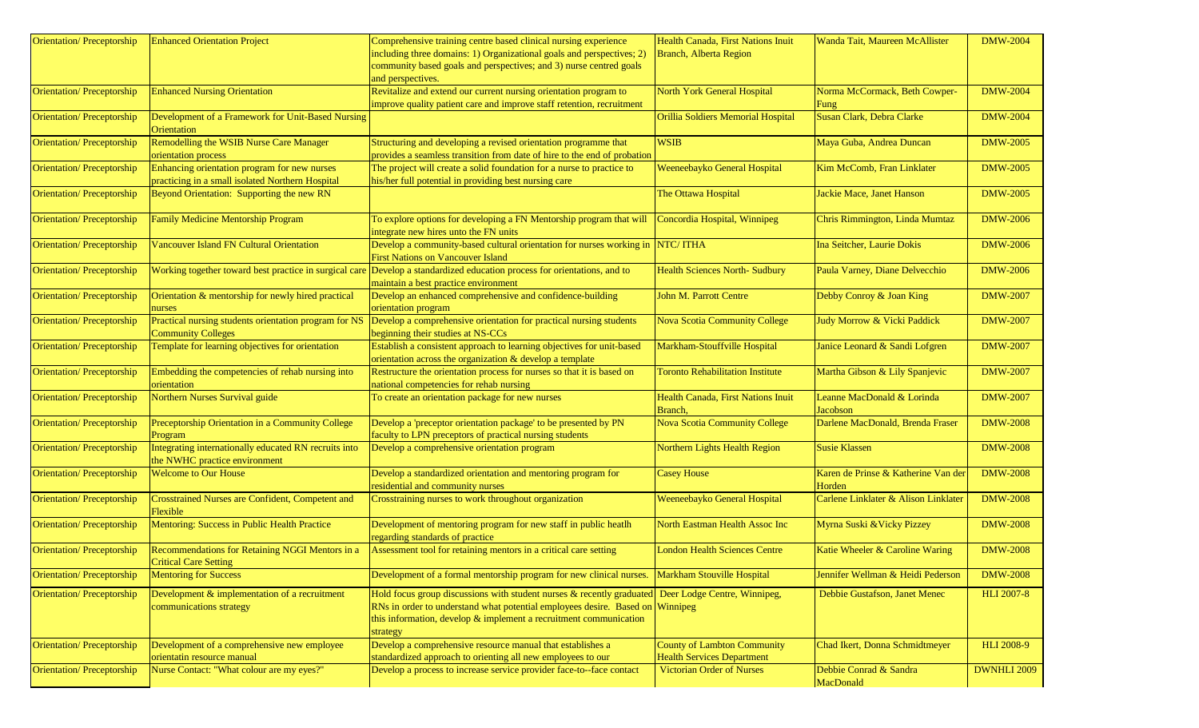| Orientation/Preceptorship        | <b>Enhanced Orientation Project</b>                                                    | Comprehensive training centre based clinical nursing experience                                                                           | Health Canada, First Nations Inuit      | Wanda Tait, Maureen McAllister       | <b>DMW-2004</b>    |
|----------------------------------|----------------------------------------------------------------------------------------|-------------------------------------------------------------------------------------------------------------------------------------------|-----------------------------------------|--------------------------------------|--------------------|
|                                  |                                                                                        | including three domains: 1) Organizational goals and perspectives; 2)                                                                     | Branch, Alberta Region                  |                                      |                    |
|                                  |                                                                                        | community based goals and perspectives; and 3) nurse centred goals                                                                        |                                         |                                      |                    |
|                                  |                                                                                        | and perspectives.                                                                                                                         |                                         |                                      |                    |
| <b>Orientation/Preceptorship</b> | <b>Enhanced Nursing Orientation</b>                                                    | Revitalize and extend our current nursing orientation program to<br>improve quality patient care and improve staff retention, recruitment | North York General Hospital             | Norma McCormack, Beth Cowper-        | <b>DMW-2004</b>    |
| Orientation/Preceptorship        | Development of a Framework for Unit-Based Nursing                                      |                                                                                                                                           | Orillia Soldiers Memorial Hospital      | Fung<br>Susan Clark, Debra Clarke    | <b>DMW-2004</b>    |
|                                  | Orientation                                                                            |                                                                                                                                           |                                         |                                      |                    |
| Orientation/Preceptorship        | Remodelling the WSIB Nurse Care Manager                                                | Structuring and developing a revised orientation programme that                                                                           | <b>WSIB</b>                             | Maya Guba, Andrea Duncan             | <b>DMW-2005</b>    |
|                                  | orientation process                                                                    | provides a seamless transition from date of hire to the end of probation                                                                  |                                         |                                      |                    |
| <b>Orientation/Preceptorship</b> | Enhancing orientation program for new nurses                                           | The project will create a solid foundation for a nurse to practice to                                                                     | Weeneebayko General Hospital            | Kim McComb, Fran Linklater           | <b>DMW-2005</b>    |
|                                  | practicing in a small isolated Northern Hospital                                       | his/her full potential in providing best nursing care                                                                                     |                                         |                                      |                    |
| Orientation/Preceptorship        | Beyond Orientation: Supporting the new RN                                              |                                                                                                                                           | The Ottawa Hospital                     | Jackie Mace, Janet Hanson            | <b>DMW-2005</b>    |
| <b>Orientation/Preceptorship</b> | <b>Family Medicine Mentorship Program</b>                                              | To explore options for developing a FN Mentorship program that will                                                                       | Concordia Hospital, Winnipeg            | Chris Rimmington, Linda Mumtaz       | <b>DMW-2006</b>    |
|                                  |                                                                                        | integrate new hires unto the FN units                                                                                                     |                                         |                                      |                    |
| Orientation/Preceptorship        | <b>Vancouver Island FN Cultural Orientation</b>                                        | Develop a community-based cultural orientation for nurses working in NTC/ITHA                                                             |                                         | Ina Seitcher, Laurie Dokis           | <b>DMW-2006</b>    |
|                                  |                                                                                        | <b>First Nations on Vancouver Island</b>                                                                                                  |                                         |                                      |                    |
| Orientation/Preceptorship        | Working together toward best practice in surgical care                                 | Develop a standardized education process for orientations, and to                                                                         | <b>Health Sciences North- Sudbury</b>   | Paula Varney, Diane Delvecchio       | <b>DMW-2006</b>    |
|                                  | Orientation & mentorship for newly hired practical                                     | maintain a best practice environment<br>Develop an enhanced comprehensive and confidence-building                                         | John M. Parrott Centre                  |                                      | <b>DMW-2007</b>    |
| Orientation/Preceptorship        | nurses                                                                                 | orientation program                                                                                                                       |                                         | Debby Conroy & Joan King             |                    |
| Orientation/Preceptorship        | Practical nursing students orientation program for NS                                  | Develop a comprehensive orientation for practical nursing students                                                                        | <b>Nova Scotia Community College</b>    | Judy Morrow & Vicki Paddick          | <b>DMW-2007</b>    |
|                                  | <b>Community Colleges</b>                                                              | beginning their studies at NS-CCs                                                                                                         |                                         |                                      |                    |
| Orientation/Preceptorship        | Template for learning objectives for orientation                                       | Establish a consistent approach to learning objectives for unit-based                                                                     | Markham-Stouffville Hospital            | Janice Leonard & Sandi Lofgren       | <b>DMW-2007</b>    |
|                                  |                                                                                        | orientation across the organization & develop a template                                                                                  |                                         |                                      |                    |
| Orientation/Preceptorship        | Embedding the competencies of rehab nursing into                                       | Restructure the orientation process for nurses so that it is based on                                                                     | <b>Toronto Rehabilitation Institute</b> | Martha Gibson & Lily Spanjevic       | <b>DMW-2007</b>    |
|                                  | orientation                                                                            | national competencies for rehab nursing                                                                                                   |                                         |                                      |                    |
| Orientation/Preceptorship        | Northern Nurses Survival guide                                                         | To create an orientation package for new nurses                                                                                           | Health Canada, First Nations Inuit      | Leanne MacDonald & Lorinda           | <b>DMW-2007</b>    |
|                                  |                                                                                        |                                                                                                                                           | Branch,                                 | Jacobson                             |                    |
| Orientation/Preceptorship        | Preceptorship Orientation in a Community College                                       | Develop a 'preceptor orientation package' to be presented by PN                                                                           | <b>Nova Scotia Community College</b>    | Darlene MacDonald, Brenda Fraser     | <b>DMW-2008</b>    |
|                                  | Program                                                                                | faculty to LPN preceptors of practical nursing students                                                                                   |                                         |                                      |                    |
| <b>Orientation/Preceptorship</b> | Integrating internationally educated RN recruits into<br>the NWHC practice environment | Develop a comprehensive orientation program                                                                                               | Northern Lights Health Region           | <b>Susie Klassen</b>                 | <b>DMW-2008</b>    |
| Orientation/Preceptorship        | <b>Welcome to Our House</b>                                                            | Develop a standardized orientation and mentoring program for                                                                              | <b>Casey House</b>                      | Karen de Prinse & Katherine Van der  | <b>DMW-2008</b>    |
|                                  |                                                                                        | residential and community nurses                                                                                                          |                                         | Horden                               |                    |
| Orientation/Preceptorship        | <b>Crosstrained Nurses are Confident, Competent and</b>                                | Crosstraining nurses to work throughout organization                                                                                      | Weeneebayko General Hospital            | Carlene Linklater & Alison Linklater | <b>DMW-2008</b>    |
|                                  | Flexible                                                                               |                                                                                                                                           |                                         |                                      |                    |
| Orientation/Preceptorship        | Mentoring: Success in Public Health Practice                                           | Development of mentoring program for new staff in public heatlh                                                                           | North Eastman Health Assoc Inc          | Myrna Suski & Vicky Pizzey           | <b>DMW-2008</b>    |
|                                  |                                                                                        | regarding standards of practice                                                                                                           |                                         |                                      |                    |
| Orientation/Preceptorship        | Recommendations for Retaining NGGI Mentors in a                                        | Assessment tool for retaining mentors in a critical care setting                                                                          | <b>London Health Sciences Centre</b>    | Katie Wheeler & Caroline Waring      | <b>DMW-2008</b>    |
|                                  | <b>Critical Care Setting</b>                                                           |                                                                                                                                           |                                         |                                      |                    |
| Orientation/Preceptorship        | <b>Mentoring for Success</b>                                                           | Development of a formal mentorship program for new clinical nurses.                                                                       | Markham Stouville Hospital              | Jennifer Wellman & Heidi Pederson    | <b>DMW-2008</b>    |
| Orientation/Preceptorship        | Development & implementation of a recruitment                                          | Hold focus group discussions with student nurses $\&$ recently graduated                                                                  | Deer Lodge Centre, Winnipeg,            | Debbie Gustafson, Janet Menec        | <b>HLI 2007-8</b>  |
|                                  | communications strategy                                                                | RNs in order to understand what potential employees desire. Based on Winnipeg                                                             |                                         |                                      |                    |
|                                  |                                                                                        | this information, develop $&$ implement a recruitment communication                                                                       |                                         |                                      |                    |
|                                  |                                                                                        | strategy                                                                                                                                  |                                         |                                      |                    |
| Orientation/Preceptorship        | Development of a comprehensive new employee                                            | Develop a comprehensive resource manual that establishes a                                                                                | <b>County of Lambton Community</b>      | Chad Ikert, Donna Schmidtmeyer       | <b>HLI 2008-9</b>  |
|                                  | orientatin resource manual                                                             | standardized approach to orienting all new employees to our                                                                               | <b>Health Services Department</b>       |                                      |                    |
| <b>Orientation/Preceptorship</b> | Nurse Contact: "What colour are my eyes?"                                              | Develop a process to increase service provider face-to--face contact                                                                      | <b>Victorian Order of Nurses</b>        | Debbie Conrad & Sandra               | <b>DWNHLI 2009</b> |
|                                  |                                                                                        |                                                                                                                                           |                                         | MacDonald                            |                    |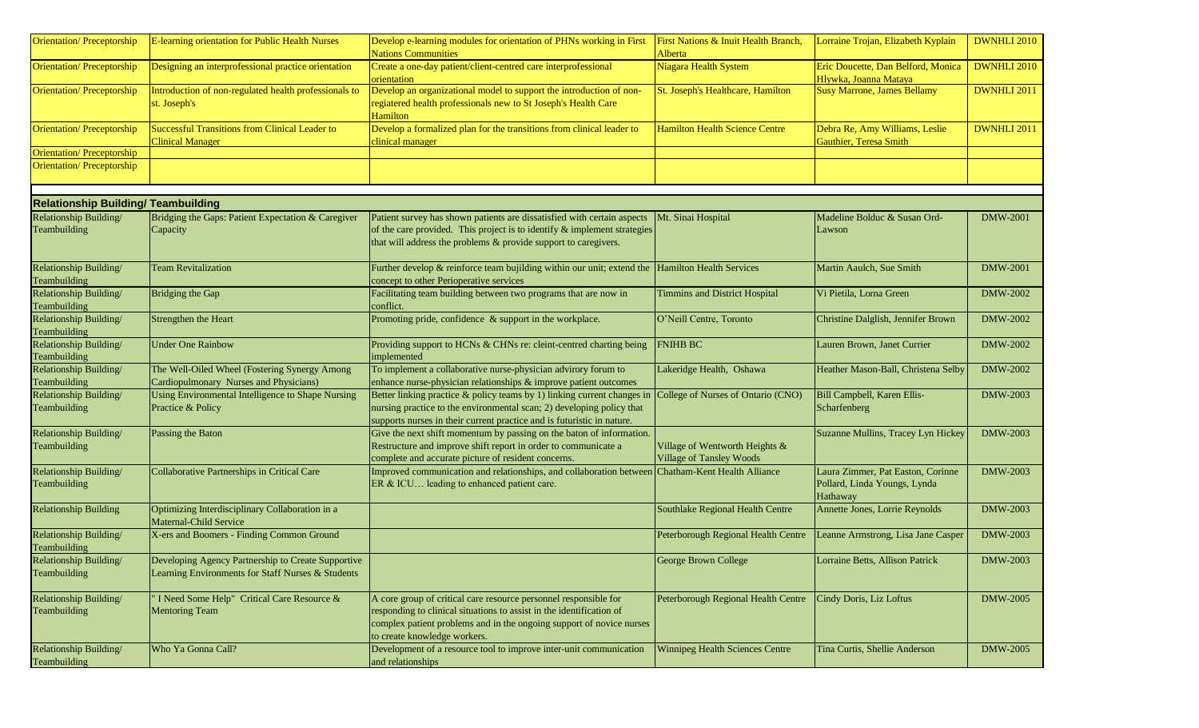| <b>Orientation/Preceptorship</b>           | E-learning orientation for Public Health Nurses                                                         | Develop e-learning modules for orientation of PHNs working in First<br><b>Nations Communities</b>                                                                                                                                                | First Nations & Inuit Health Branch,<br>Alberta                   | Lorraine Trojan, Elizabeth Kyplain                                            | <b>DWNHLI 2010</b> |
|--------------------------------------------|---------------------------------------------------------------------------------------------------------|--------------------------------------------------------------------------------------------------------------------------------------------------------------------------------------------------------------------------------------------------|-------------------------------------------------------------------|-------------------------------------------------------------------------------|--------------------|
| <b>Orientation/Preceptorship</b>           | Designing an interprofessional practice orientation                                                     | Create a one-day patient/client-centred care interprofessional<br>orientation                                                                                                                                                                    | Niagara Health System                                             | Eric Doucette, Dan Belford, Monica<br>Hlywka, Joanna Mataya                   | <b>DWNHLI 2010</b> |
| <b>Orientation/Preceptorship</b>           | Introduction of non-regulated health professionals to<br>st. Joseph's                                   | Develop an organizational model to support the introduction of non-<br>regiatered health professionals new to St Joseph's Health Care<br>Hamilton                                                                                                | St. Joseph's Healthcare, Hamilton                                 | <b>Susy Marrone, James Bellamy</b>                                            | <b>DWNHLI 2011</b> |
| <b>Orientation/Preceptorship</b>           | Successful Transitions from Clinical Leader to<br><b>Clinical Manager</b>                               | Develop a formalized plan for the transitions from clinical leader to<br>clinical manager                                                                                                                                                        | <b>Hamilton Health Science Centre</b>                             | Debra Re, Amy Williams, Leslie<br>Gauthier, Teresa Smith                      | <b>DWNHLI 2011</b> |
| Orientation/Preceptorship                  |                                                                                                         |                                                                                                                                                                                                                                                  |                                                                   |                                                                               |                    |
| Orientation/Preceptorship                  |                                                                                                         |                                                                                                                                                                                                                                                  |                                                                   |                                                                               |                    |
| <b>Relationship Building/ Teambuilding</b> |                                                                                                         |                                                                                                                                                                                                                                                  |                                                                   |                                                                               |                    |
| Relationship Building/                     | Bridging the Gaps: Patient Expectation & Caregiver                                                      | Patient survey has shown patients are dissatisfied with certain aspects                                                                                                                                                                          | Mt. Sinai Hospital                                                | Madeline Bolduc & Susan Ord-                                                  | <b>DMW-2001</b>    |
| Teambuilding                               | Capacity                                                                                                | of the care provided. This project is to identify $\&$ implement strategies<br>that will address the problems & provide support to caregivers.                                                                                                   |                                                                   | Lawson                                                                        |                    |
| Relationship Building/<br>Teambuilding     | <b>Team Revitalization</b>                                                                              | Further develop & reinforce team bujilding within our unit; extend the $\vert$ Hamilton Health Services<br>concept to other Perioperative services                                                                                               |                                                                   | Martin Aaulch, Sue Smith                                                      | DMW-2001           |
| Relationship Building/<br>Teambuilding     | Bridging the Gap                                                                                        | Facilitating team building between two programs that are now in<br>conflict.                                                                                                                                                                     | <b>Timmins and District Hospital</b>                              | Vi Pietila, Lorna Green                                                       | DMW-2002           |
| Relationship Building/<br>Teambuilding     | Strengthen the Heart                                                                                    | Promoting pride, confidence & support in the workplace.                                                                                                                                                                                          | O'Neill Centre, Toronto                                           | Christine Dalglish, Jennifer Brown                                            | <b>DMW-2002</b>    |
| Relationship Building/<br>Teambuilding     | <b>Under One Rainbow</b>                                                                                | Providing support to HCNs & CHNs re: cleint-centred charting being<br>implemented                                                                                                                                                                | FNIHB BC                                                          | Lauren Brown, Janet Currier                                                   | DMW-2002           |
| Relationship Building/                     | The Well-Oiled Wheel (Fostering Synergy Among                                                           | To implement a collaborative nurse-physician advirory forum to                                                                                                                                                                                   | Lakeridge Health, Oshawa                                          | Heather Mason-Ball, Christena Selby                                           | DMW-2002           |
| Teambuilding                               | Cardiopulmonary Nurses and Physicians)                                                                  | enhance nurse-physician relationships & improve patient outcomes                                                                                                                                                                                 |                                                                   |                                                                               |                    |
| Relationship Building/<br>Teambuilding     | Using Environmental Intelligence to Shape Nursing<br>Practice & Policy                                  | Better linking practice & policy teams by 1) linking current changes in<br>nursing practice to the environmental scan; 2) developing policy that<br>supports nurses in their current practice and is futuristic in nature.                       | College of Nurses of Ontario (CNO)                                | Bill Campbell, Karen Ellis-<br>Scharfenberg                                   | DMW-2003           |
| Relationship Building/<br>Teambuilding     | Passing the Baton                                                                                       | Give the next shift momentum by passing on the baton of information.<br>Restructure and improve shift report in order to communicate a<br>complete and accurate picture of resident concerns.                                                    | Village of Wentworth Heights &<br><b>Village of Tansley Woods</b> | Suzanne Mullins, Tracey Lyn Hickey                                            | DMW-2003           |
| Relationship Building/<br>Teambuilding     | Collaborative Partnerships in Critical Care                                                             | Improved communication and relationships, and collaboration between Chatham-Kent Health Alliance<br>ER & ICU leading to enhanced patient care.                                                                                                   |                                                                   | Laura Zimmer, Pat Easton, Corinne<br>Pollard, Linda Youngs, Lynda<br>Hathaway | <b>DMW-2003</b>    |
| <b>Relationship Building</b>               | Optimizing Interdisciplinary Collaboration in a<br>Maternal-Child Service                               |                                                                                                                                                                                                                                                  | Southlake Regional Health Centre                                  | Annette Jones, Lorrie Reynolds                                                | DMW-2003           |
| Relationship Building/<br>Teambuilding     | X-ers and Boomers - Finding Common Ground                                                               |                                                                                                                                                                                                                                                  | Peterborough Regional Health Centre                               | Leanne Armstrong, Lisa Jane Casper                                            | <b>DMW-2003</b>    |
| Relationship Building/<br>Teambuilding     | Developing Agency Partnership to Create Supportive<br>Learning Environments for Staff Nurses & Students |                                                                                                                                                                                                                                                  | George Brown College                                              | Lorraine Betts, Allison Patrick                                               | <b>DMW-2003</b>    |
| Relationship Building/<br>Teambuilding     | I Need Some Help" Critical Care Resource &<br><b>Mentoring Team</b>                                     | A core group of critical care resource personnel responsible for<br>responding to clinical situations to assist in the identification of<br>complex patient problems and in the ongoing support of novice nurses<br>to create knowledge workers. | Peterborough Regional Health Centre                               | Cindy Doris, Liz Loftus                                                       | <b>DMW-2005</b>    |
| Relationship Building/<br>Teambuilding     | Who Ya Gonna Call?                                                                                      | Development of a resource tool to improve inter-unit communication<br>and relationships                                                                                                                                                          | <b>Winnipeg Health Sciences Centre</b>                            | Tina Curtis, Shellie Anderson                                                 | <b>DMW-2005</b>    |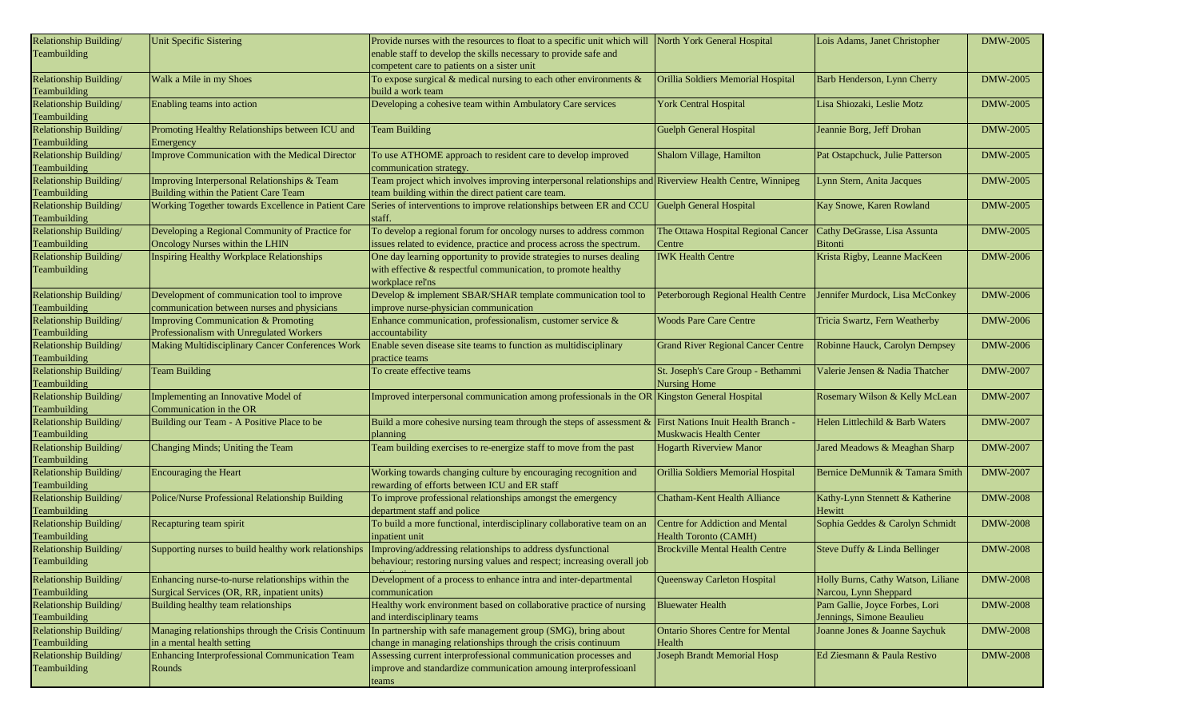| Relationship Building/ | Unit Specific Sistering                               | Provide nurses with the resources to float to a specific unit which will North York General Hospital             |                                           | Lois Adams, Janet Christopher      | <b>DMW-2005</b> |
|------------------------|-------------------------------------------------------|------------------------------------------------------------------------------------------------------------------|-------------------------------------------|------------------------------------|-----------------|
| Teambuilding           |                                                       | enable staff to develop the skills necessary to provide safe and                                                 |                                           |                                    |                 |
|                        |                                                       | competent care to patients on a sister unit                                                                      |                                           |                                    |                 |
| Relationship Building/ | Walk a Mile in my Shoes                               | To expose surgical $\&$ medical nursing to each other environments $\&$                                          | Orillia Soldiers Memorial Hospital        | Barb Henderson, Lynn Cherry        | <b>DMW-2005</b> |
| Teambuilding           |                                                       | build a work team                                                                                                |                                           |                                    |                 |
| Relationship Building/ | Enabling teams into action                            | Developing a cohesive team within Ambulatory Care services                                                       | <b>York Central Hospital</b>              | Lisa Shiozaki, Leslie Motz         | <b>DMW-2005</b> |
| Teambuilding           |                                                       |                                                                                                                  |                                           |                                    |                 |
| Relationship Building/ | Promoting Healthy Relationships between ICU and       | <b>Team Building</b>                                                                                             | Guelph General Hospital                   | Jeannie Borg, Jeff Drohan          | <b>DMW-2005</b> |
|                        |                                                       |                                                                                                                  |                                           |                                    |                 |
| Teambuilding           | Emergency                                             |                                                                                                                  |                                           |                                    |                 |
| Relationship Building/ | Improve Communication with the Medical Director       | To use ATHOME approach to resident care to develop improved                                                      | Shalom Village, Hamilton                  | Pat Ostapchuck, Julie Patterson    | <b>DMW-2005</b> |
| Teambuilding           |                                                       | communication strategy.                                                                                          |                                           |                                    |                 |
| Relationship Building/ | Improving Interpersonal Relationships & Team          | Team project which involves improving interpersonal relationships and Riverview Health Centre, Winnipeg          |                                           | Lynn Stern, Anita Jacques          | <b>DMW-2005</b> |
| Teambuilding           | Building within the Patient Care Team                 | team building within the direct patient care team.                                                               |                                           |                                    |                 |
| Relationship Building/ | Working Together towards Excellence in Patient Care   | Series of interventions to improve relationships between ER and CCU                                              | Guelph General Hospital                   | Kay Snowe, Karen Rowland           | <b>DMW-2005</b> |
| Teambuilding           |                                                       | staff.                                                                                                           |                                           |                                    |                 |
| Relationship Building/ | Developing a Regional Community of Practice for       | To develop a regional forum for oncology nurses to address common                                                | The Ottawa Hospital Regional Cancer       | Cathy DeGrasse, Lisa Assunta       | <b>DMW-2005</b> |
| Teambuilding           | Oncology Nurses within the LHIN                       | issues related to evidence, practice and process across the spectrum.                                            | Centre                                    | <b>Bitonti</b>                     |                 |
| Relationship Building/ | Inspiring Healthy Workplace Relationships             | One day learning opportunity to provide strategies to nurses dealing                                             | <b>IWK Health Centre</b>                  | Krista Rigby, Leanne MacKeen       | <b>DMW-2006</b> |
| Teambuilding           |                                                       | with effective & respectful communication, to promote healthy                                                    |                                           |                                    |                 |
|                        |                                                       | workplace rel'ns                                                                                                 |                                           |                                    |                 |
| Relationship Building/ | Development of communication tool to improve          | Develop & implement SBAR/SHAR template communication tool to                                                     | Peterborough Regional Health Centre       | Jennifer Murdock, Lisa McConkey    | <b>DMW-2006</b> |
| Teambuilding           | communication between nurses and physicians           | improve nurse-physician communication                                                                            |                                           |                                    |                 |
|                        | Improving Communication & Promoting                   |                                                                                                                  | <b>Woods Pare Care Centre</b>             |                                    | <b>DMW-2006</b> |
| Relationship Building/ |                                                       | Enhance communication, professionalism, customer service &                                                       |                                           | Tricia Swartz, Fern Weatherby      |                 |
| Teambuilding           | Professionalism with Unregulated Workers              | accountability                                                                                                   |                                           |                                    |                 |
| Relationship Building/ | Making Multidisciplinary Cancer Conferences Work      | Enable seven disease site teams to function as multidisciplinary                                                 | <b>Grand River Regional Cancer Centre</b> | Robinne Hauck, Carolyn Dempsey     | DMW-2006        |
| Teambuilding           |                                                       | practice teams                                                                                                   |                                           |                                    |                 |
| Relationship Building/ | <b>Team Building</b>                                  | To create effective teams                                                                                        | St. Joseph's Care Group - Bethammi        | Valerie Jensen & Nadia Thatcher    | <b>DMW-2007</b> |
| Teambuilding           |                                                       |                                                                                                                  | <b>Nursing Home</b>                       |                                    |                 |
| Relationship Building/ | Implementing an Innovative Model of                   | Improved interpersonal communication among professionals in the OR Kingston General Hospital                     |                                           | Rosemary Wilson & Kelly McLean     | <b>DMW-2007</b> |
| Teambuilding           | Communication in the OR                               |                                                                                                                  |                                           |                                    |                 |
| Relationship Building/ | Building our Team - A Positive Place to be            | Build a more cohesive nursing team through the steps of assessment $\&$                                          | First Nations Inuit Health Branch -       | Helen Littlechild & Barb Waters    | <b>DMW-2007</b> |
| Teambuilding           |                                                       | planning                                                                                                         | Muskwacis Health Center                   |                                    |                 |
| Relationship Building/ | Changing Minds; Uniting the Team                      | Team building exercises to re-energize staff to move from the past                                               | <b>Hogarth Riverview Manor</b>            | Jared Meadows & Meaghan Sharp      | <b>DMW-2007</b> |
| Teambuilding           |                                                       |                                                                                                                  |                                           |                                    |                 |
| Relationship Building/ | <b>Encouraging the Heart</b>                          | Working towards changing culture by encouraging recognition and                                                  | Orillia Soldiers Memorial Hospital        | Bernice DeMunnik & Tamara Smith    | <b>DMW-2007</b> |
| Teambuilding           |                                                       | rewarding of efforts between ICU and ER staff                                                                    |                                           |                                    |                 |
| Relationship Building/ | Police/Nurse Professional Relationship Building       | To improve professional relationships amongst the emergency                                                      | Chatham-Kent Health Alliance              | Kathy-Lynn Stennett & Katherine    | <b>DMW-2008</b> |
| Teambuilding           |                                                       | department staff and police                                                                                      |                                           | Hewitt                             |                 |
| Relationship Building/ | Recapturing team spirit                               | To build a more functional, interdisciplinary collaborative team on an                                           | Centre for Addiction and Mental           | Sophia Geddes & Carolyn Schmidt    | <b>DMW-2008</b> |
| Teambuilding           |                                                       | inpatient unit                                                                                                   | <b>Health Toronto (CAMH)</b>              |                                    |                 |
|                        | Supporting nurses to build healthy work relationships | Improving/addressing relationships to address dysfunctional                                                      | <b>Brockville Mental Health Centre</b>    |                                    | <b>DMW-2008</b> |
| Relationship Building/ |                                                       |                                                                                                                  |                                           | Steve Duffy & Linda Bellinger      |                 |
| Teambuilding           |                                                       | behaviour; restoring nursing values and respect; increasing overall job                                          |                                           |                                    |                 |
| Relationship Building/ | Enhancing nurse-to-nurse relationships within the     | Development of a process to enhance intra and inter-departmental                                                 | Queensway Carleton Hospital               | Holly Burns, Cathy Watson, Liliane | <b>DMW-2008</b> |
| Teambuilding           | Surgical Services (OR, RR, inpatient units)           | communication                                                                                                    |                                           | Narcou, Lynn Sheppard              |                 |
| Relationship Building/ | Building healthy team relationships                   | Healthy work environment based on collaborative practice of nursing                                              | <b>Bluewater Health</b>                   | Pam Gallie, Joyce Forbes, Lori     | <b>DMW-2008</b> |
| Teambuilding           |                                                       | and interdisciplinary teams                                                                                      |                                           | Jennings, Simone Beaulieu          |                 |
| Relationship Building/ |                                                       | Managing relationships through the Crisis Continuum In partnership with safe management group (SMG), bring about | <b>Ontario Shores Centre for Mental</b>   | Joanne Jones & Joanne Saychuk      | <b>DMW-2008</b> |
| Teambuilding           | in a mental health setting                            | change in managing relationships through the crisis continuum                                                    | Health                                    |                                    |                 |
| Relationship Building/ | Enhancing Interprofessional Communication Team        | Assessing current interprofessional communication processes and                                                  | Joseph Brandt Memorial Hosp               | Ed Ziesmann & Paula Restivo        | <b>DMW-2008</b> |
| Teambuilding           | Rounds                                                | improve and standardize communication amoung interprofessioanl                                                   |                                           |                                    |                 |
|                        |                                                       |                                                                                                                  |                                           |                                    |                 |
|                        |                                                       | teams                                                                                                            |                                           |                                    |                 |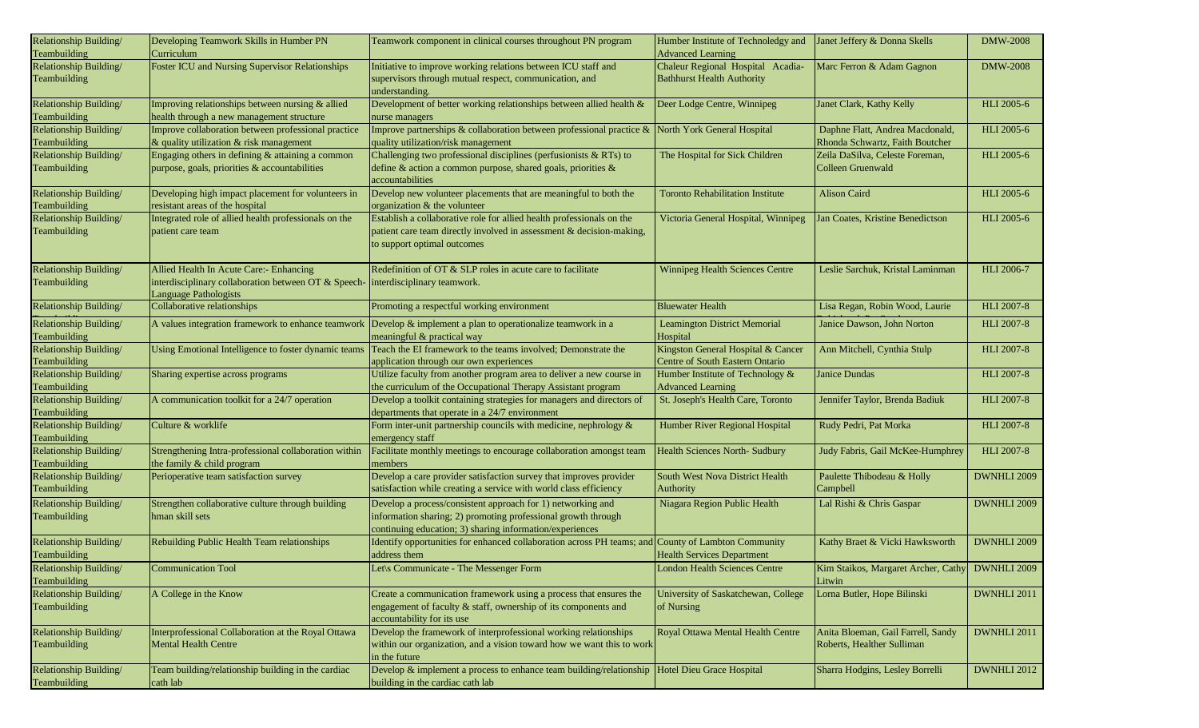| Relationship Building/<br>Teambuilding | Developing Teamwork Skills in Humber PN<br>Curriculum                            | Teamwork component in clinical courses throughout PN program                                                  | Humber Institute of Technoledgy and<br><b>Advanced Learning</b> | Janet Jeffery & Donna Skells                    | <b>DMW-2008</b>    |
|----------------------------------------|----------------------------------------------------------------------------------|---------------------------------------------------------------------------------------------------------------|-----------------------------------------------------------------|-------------------------------------------------|--------------------|
| Relationship Building/                 | Foster ICU and Nursing Supervisor Relationships                                  | Initiative to improve working relations between ICU staff and                                                 | Chaleur Regional Hospital Acadia-                               | Marc Ferron & Adam Gagnon                       | <b>DMW-2008</b>    |
|                                        |                                                                                  |                                                                                                               |                                                                 |                                                 |                    |
| Teambuilding                           |                                                                                  | supervisors through mutual respect, communication, and                                                        | <b>Bathhurst Health Authority</b>                               |                                                 |                    |
|                                        |                                                                                  | understanding.                                                                                                |                                                                 |                                                 |                    |
| Relationship Building/                 | Improving relationships between nursing & allied                                 | Development of better working relationships between allied health &                                           | Deer Lodge Centre, Winnipeg                                     | Janet Clark, Kathy Kelly                        | HLI 2005-6         |
| Teambuilding                           | health through a new management structure                                        | nurse managers                                                                                                |                                                                 |                                                 |                    |
| Relationship Building/                 | Improve collaboration between professional practice                              | Improve partnerships & collaboration between professional practice &                                          | North York General Hospital                                     | Daphne Flatt, Andrea Macdonald,                 | HLI 2005-6         |
| Teambuilding                           | & quality utilization & risk management                                          | quality utilization/risk management                                                                           |                                                                 | Rhonda Schwartz, Faith Boutcher                 |                    |
| Relationship Building/                 | Engaging others in defining & attaining a common                                 | Challenging two professional disciplines (perfusionists & RTs) to                                             | The Hospital for Sick Children                                  | Zeila DaSilva, Celeste Foreman,                 | <b>HLI</b> 2005-6  |
|                                        |                                                                                  |                                                                                                               |                                                                 |                                                 |                    |
| Teambuilding                           | purpose, goals, priorities & accountabilities                                    | define & action a common purpose, shared goals, priorities &                                                  |                                                                 | Colleen Gruenwald                               |                    |
|                                        |                                                                                  | accountabilities                                                                                              |                                                                 |                                                 |                    |
| Relationship Building/                 | Developing high impact placement for volunteers in                               | Develop new volunteer placements that are meaningful to both the                                              | <b>Toronto Rehabilitation Institute</b>                         | <b>Alison Caird</b>                             | <b>HLI</b> 2005-6  |
| Teambuilding                           | resistant areas of the hospital                                                  | organization & the volunteer                                                                                  |                                                                 |                                                 |                    |
| Relationship Building/                 | Integrated role of allied health professionals on the                            | Establish a collaborative role for allied health professionals on the                                         | Victoria General Hospital, Winnipeg                             | Jan Coates, Kristine Benedictson                | HLI 2005-6         |
| Teambuilding                           | patient care team                                                                | patient care team directly involved in assessment & decision-making,                                          |                                                                 |                                                 |                    |
|                                        |                                                                                  |                                                                                                               |                                                                 |                                                 |                    |
|                                        |                                                                                  | to support optimal outcomes                                                                                   |                                                                 |                                                 |                    |
|                                        |                                                                                  |                                                                                                               |                                                                 |                                                 |                    |
| Relationship Building/                 | Allied Health In Acute Care:- Enhancing                                          | Redefinition of OT & SLP roles in acute care to facilitate                                                    | <b>Winnipeg Health Sciences Centre</b>                          | Leslie Sarchuk, Kristal Laminman                | <b>HLI 2006-7</b>  |
| Teambuilding                           | interdisciplinary collaboration between OT & Speech- interdisciplinary teamwork. |                                                                                                               |                                                                 |                                                 |                    |
|                                        | Language Pathologists                                                            |                                                                                                               |                                                                 |                                                 |                    |
| Relationship Building/                 | Collaborative relationships                                                      | Promoting a respectful working environment                                                                    | <b>Bluewater Health</b>                                         | Lisa Regan, Robin Wood, Laurie                  | <b>HLI 2007-8</b>  |
|                                        |                                                                                  |                                                                                                               |                                                                 |                                                 |                    |
| Relationship Building/                 |                                                                                  | A values integration framework to enhance teamwork Develop & implement a plan to operationalize teamwork in a | <b>Leamington District Memorial</b>                             | Janice Dawson, John Norton                      | <b>HLI 2007-8</b>  |
| Teambuilding                           |                                                                                  | meaningful & practical way                                                                                    | Hospital                                                        |                                                 |                    |
| Relationship Building/                 | Using Emotional Intelligence to foster dynamic teams                             | Teach the EI framework to the teams involved; Demonstrate the                                                 | Kingston General Hospital & Cancer                              | Ann Mitchell, Cynthia Stulp                     | <b>HLI 2007-8</b>  |
| Teambuilding                           |                                                                                  | application through our own experiences                                                                       | Centre of South Eastern Ontario                                 |                                                 |                    |
| Relationship Building/                 | Sharing expertise across programs                                                | Utilize faculty from another program area to deliver a new course in                                          | Humber Institute of Technology &                                | <b>Janice Dundas</b>                            | <b>HLI 2007-8</b>  |
| Teambuilding                           |                                                                                  | the curriculum of the Occupational Therapy Assistant program                                                  | <b>Advanced Learning</b>                                        |                                                 |                    |
| Relationship Building/                 | A communication toolkit for a 24/7 operation                                     | Develop a toolkit containing strategies for managers and directors of                                         | St. Joseph's Health Care, Toronto                               | Jennifer Taylor, Brenda Badiuk                  | <b>HLI 2007-8</b>  |
|                                        |                                                                                  | departments that operate in a 24/7 environment                                                                |                                                                 |                                                 |                    |
| Teambuilding                           |                                                                                  |                                                                                                               |                                                                 |                                                 |                    |
| Relationship Building/                 | Culture & worklife                                                               | Form inter-unit partnership councils with medicine, nephrology $\&$                                           | Humber River Regional Hospital                                  | Rudy Pedri, Pat Morka                           | <b>HLI 2007-8</b>  |
| Teambuilding                           |                                                                                  | emergency staff                                                                                               |                                                                 |                                                 |                    |
| Relationship Building/                 | Strengthening Intra-professional collaboration within                            | Facilitate monthly meetings to encourage collaboration amongst team                                           | Health Sciences North- Sudbury                                  | Judy Fabris, Gail McKee-Humphrey                | <b>HLI 2007-8</b>  |
| Teambuilding                           | the family & child program                                                       | members                                                                                                       |                                                                 |                                                 |                    |
| Relationship Building/                 | Perioperative team satisfaction survey                                           | Develop a care provider satisfaction survey that improves provider                                            | South West Nova District Health                                 | Paulette Thibodeau & Holly                      | DWNHLI 2009        |
| Teambuilding                           |                                                                                  | satisfaction while creating a service with world class efficiency                                             | Authority                                                       | Campbell                                        |                    |
|                                        |                                                                                  |                                                                                                               |                                                                 |                                                 |                    |
| Relationship Building/                 | Strengthen collaborative culture through building                                | Develop a process/consistent approach for 1) networking and                                                   | Niagara Region Public Health                                    | Lal Rishi & Chris Gaspar                        | DWNHLI 2009        |
| Teambuilding                           | hman skill sets                                                                  | information sharing; 2) promoting professional growth through                                                 |                                                                 |                                                 |                    |
|                                        |                                                                                  | continuing education; 3) sharing information/experiences                                                      |                                                                 |                                                 |                    |
| Relationship Building/                 | Rebuilding Public Health Team relationships                                      | Identify opportunities for enhanced collaboration across PH teams; and                                        | County of Lambton Community                                     | Kathy Braet & Vicki Hawksworth                  | DWNHLI 2009        |
| Teambuilding                           |                                                                                  | address them                                                                                                  | <b>Health Services Department</b>                               |                                                 |                    |
| Relationship Building/                 | <b>Communication Tool</b>                                                        | Let\s Communicate - The Messenger Form                                                                        | <b>London Health Sciences Centre</b>                            | Kim Staikos, Margaret Archer, Cathy DWNHLI 2009 |                    |
| Teambuilding                           |                                                                                  |                                                                                                               |                                                                 | Litwin                                          |                    |
| Relationship Building/                 | A College in the Know                                                            | Create a communication framework using a process that ensures the                                             | University of Saskatchewan, College                             | Lorna Butler, Hope Bilinski                     | <b>DWNHLI 2011</b> |
|                                        |                                                                                  |                                                                                                               |                                                                 |                                                 |                    |
| Teambuilding                           |                                                                                  | engagement of faculty & staff, ownership of its components and                                                | of Nursing                                                      |                                                 |                    |
|                                        |                                                                                  | accountability for its use                                                                                    |                                                                 |                                                 |                    |
| Relationship Building/                 | Interprofessional Collaboration at the Royal Ottawa                              | Develop the framework of interprofessional working relationships                                              | Royal Ottawa Mental Health Centre                               | Anita Bloeman, Gail Farrell, Sandy              | DWNHLI 2011        |
| Teambuilding                           | <b>Mental Health Centre</b>                                                      | within our organization, and a vision toward how we want this to work                                         |                                                                 | Roberts, Healther Sulliman                      |                    |
|                                        |                                                                                  | in the future                                                                                                 |                                                                 |                                                 |                    |
| Relationship Building/                 | Team building/relationship building in the cardiac                               | Develop & implement a process to enhance team building/relationship Hotel Dieu Grace Hospital                 |                                                                 | Sharra Hodgins, Lesley Borrelli                 | DWNHLI 2012        |
| Teambuilding                           | cath lab                                                                         | building in the cardiac cath lab                                                                              |                                                                 |                                                 |                    |
|                                        |                                                                                  |                                                                                                               |                                                                 |                                                 |                    |